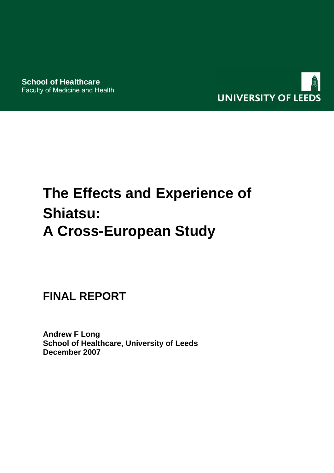

# **The Effects and Experience of Shiatsu: A Cross-European Study**

**FINAL REPORT** 

**Andrew F Long School of Healthcare, University of Leeds December 2007**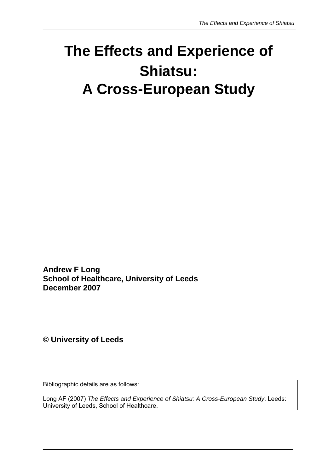## **The Effects and Experience of Shiatsu: A Cross-European Study**

**Andrew F Long School of Healthcare, University of Leeds December 2007** 

**© University of Leeds**

Bibliographic details are as follows:

Long AF (2007) *The Effects and Experience of Shiatsu: A Cross-European Study*. Leeds: University of Leeds, School of Healthcare.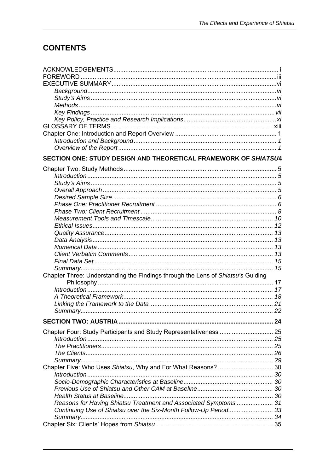## **CONTENTS**

| SECTION ONE: STUDY DESIGN AND THEORETICAL FRAMEWORK OF SHIATSU4                 |    |
|---------------------------------------------------------------------------------|----|
|                                                                                 |    |
|                                                                                 |    |
|                                                                                 |    |
|                                                                                 |    |
|                                                                                 |    |
|                                                                                 |    |
|                                                                                 |    |
|                                                                                 |    |
|                                                                                 |    |
|                                                                                 |    |
|                                                                                 |    |
|                                                                                 |    |
|                                                                                 |    |
|                                                                                 |    |
|                                                                                 |    |
| Chapter Three: Understanding the Findings through the Lens of Shiatsu's Guiding |    |
|                                                                                 |    |
|                                                                                 |    |
|                                                                                 |    |
|                                                                                 |    |
|                                                                                 |    |
|                                                                                 | 24 |
| Chapter Four: Study Participants and Study Representativeness  25               |    |
|                                                                                 |    |
|                                                                                 |    |
|                                                                                 |    |
|                                                                                 |    |
|                                                                                 |    |
|                                                                                 |    |
|                                                                                 |    |
|                                                                                 |    |
|                                                                                 |    |
| Reasons for Having Shiatsu Treatment and Associated Symptoms  31                |    |
| Continuing Use of Shiatsu over the Six-Month Follow-Up Period33                 |    |
|                                                                                 |    |
|                                                                                 |    |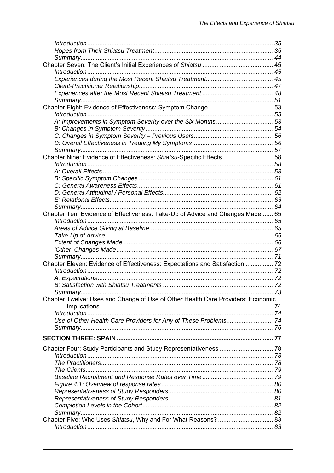| Chapter Nine: Evidence of Effectiveness: Shiatsu-Specific Effects  58           |  |
|---------------------------------------------------------------------------------|--|
|                                                                                 |  |
|                                                                                 |  |
|                                                                                 |  |
|                                                                                 |  |
|                                                                                 |  |
|                                                                                 |  |
|                                                                                 |  |
| Chapter Ten: Evidence of Effectiveness: Take-Up of Advice and Changes Made  65  |  |
|                                                                                 |  |
|                                                                                 |  |
|                                                                                 |  |
|                                                                                 |  |
|                                                                                 |  |
|                                                                                 |  |
| Chapter Eleven: Evidence of Effectiveness: Expectations and Satisfaction  72    |  |
|                                                                                 |  |
|                                                                                 |  |
|                                                                                 |  |
| Summary                                                                         |  |
| Chapter Twelve: Uses and Change of Use of Other Health Care Providers: Economic |  |
|                                                                                 |  |
|                                                                                 |  |
| Use of Other Health Care Providers for Any of These Problems 74                 |  |
|                                                                                 |  |
|                                                                                 |  |
| Chapter Four: Study Participants and Study Representativeness  78               |  |
|                                                                                 |  |
|                                                                                 |  |
|                                                                                 |  |
|                                                                                 |  |
|                                                                                 |  |
|                                                                                 |  |
|                                                                                 |  |
|                                                                                 |  |
|                                                                                 |  |
| Chapter Five: Who Uses Shiatsu, Why and For What Reasons?  83                   |  |
|                                                                                 |  |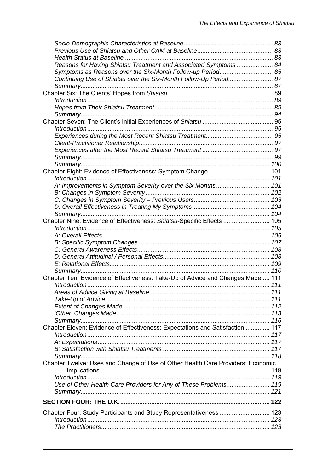| Reasons for Having Shiatsu Treatment and Associated Symptoms  84                |  |
|---------------------------------------------------------------------------------|--|
| Symptoms as Reasons over the Six-Month Follow-up Period 85                      |  |
| Continuing Use of Shiatsu over the Six-Month Follow-Up Period 87                |  |
|                                                                                 |  |
|                                                                                 |  |
|                                                                                 |  |
|                                                                                 |  |
|                                                                                 |  |
|                                                                                 |  |
|                                                                                 |  |
|                                                                                 |  |
|                                                                                 |  |
|                                                                                 |  |
|                                                                                 |  |
|                                                                                 |  |
| Introduction                                                                    |  |
| A: Improvements in Symptom Severity over the Six Months 101                     |  |
|                                                                                 |  |
|                                                                                 |  |
|                                                                                 |  |
|                                                                                 |  |
| Chapter Nine: Evidence of Effectiveness: Shiatsu-Specific Effects  105          |  |
|                                                                                 |  |
|                                                                                 |  |
|                                                                                 |  |
|                                                                                 |  |
|                                                                                 |  |
|                                                                                 |  |
| Chapter Ten: Evidence of Effectiveness: Take-Up of Advice and Changes Made  111 |  |
|                                                                                 |  |
|                                                                                 |  |
|                                                                                 |  |
|                                                                                 |  |
|                                                                                 |  |
|                                                                                 |  |
| Chapter Eleven: Evidence of Effectiveness: Expectations and Satisfaction  117   |  |
|                                                                                 |  |
|                                                                                 |  |
|                                                                                 |  |
|                                                                                 |  |
| Chapter Twelve: Uses and Change of Use of Other Health Care Providers: Economic |  |
|                                                                                 |  |
|                                                                                 |  |
| Use of Other Health Care Providers for Any of These Problems 119                |  |
|                                                                                 |  |
|                                                                                 |  |
| Chapter Four: Study Participants and Study Representativeness  123              |  |
|                                                                                 |  |
|                                                                                 |  |
|                                                                                 |  |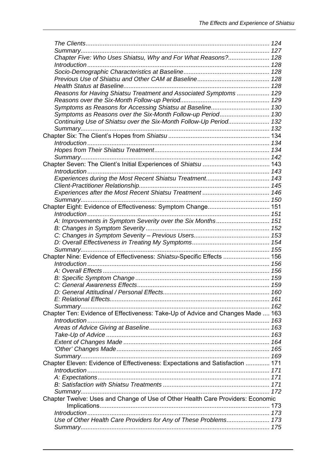| Chapter Five: Who Uses Shiatsu, Why and For What Reasons? 128                   |  |
|---------------------------------------------------------------------------------|--|
|                                                                                 |  |
|                                                                                 |  |
|                                                                                 |  |
|                                                                                 |  |
| Reasons for Having Shiatsu Treatment and Associated Symptoms  129               |  |
|                                                                                 |  |
| Symptoms as Reasons for Accessing Shiatsu at Baseline 130                       |  |
| Symptoms as Reasons over the Six-Month Follow-up Period 130                     |  |
| Continuing Use of Shiatsu over the Six-Month Follow-Up Period 132               |  |
|                                                                                 |  |
|                                                                                 |  |
|                                                                                 |  |
|                                                                                 |  |
|                                                                                 |  |
|                                                                                 |  |
|                                                                                 |  |
|                                                                                 |  |
|                                                                                 |  |
|                                                                                 |  |
|                                                                                 |  |
| Chapter Eight: Evidence of Effectiveness: Symptom Change 151                    |  |
|                                                                                 |  |
| A: Improvements in Symptom Severity over the Six Months 151                     |  |
|                                                                                 |  |
|                                                                                 |  |
|                                                                                 |  |
|                                                                                 |  |
| Chapter Nine: Evidence of Effectiveness: Shiatsu-Specific Effects  156          |  |
|                                                                                 |  |
|                                                                                 |  |
|                                                                                 |  |
|                                                                                 |  |
|                                                                                 |  |
|                                                                                 |  |
|                                                                                 |  |
| Chapter Ten: Evidence of Effectiveness: Take-Up of Advice and Changes Made  163 |  |
|                                                                                 |  |
|                                                                                 |  |
|                                                                                 |  |
|                                                                                 |  |
|                                                                                 |  |
|                                                                                 |  |
| Chapter Eleven: Evidence of Effectiveness: Expectations and Satisfaction  171   |  |
|                                                                                 |  |
|                                                                                 |  |
|                                                                                 |  |
|                                                                                 |  |
|                                                                                 |  |
| Chapter Twelve: Uses and Change of Use of Other Health Care Providers: Economic |  |
|                                                                                 |  |
|                                                                                 |  |
| Use of Other Health Care Providers for Any of These Problems 173                |  |
|                                                                                 |  |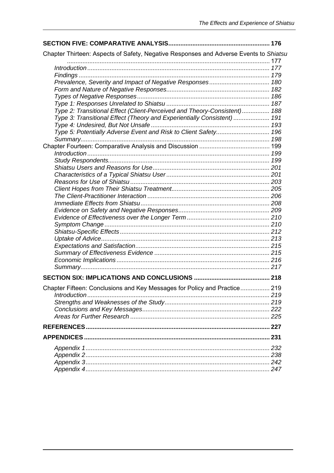| Chapter Thirteen: Aspects of Safety, Negative Responses and Adverse Events to Shiatsu |  |
|---------------------------------------------------------------------------------------|--|
|                                                                                       |  |
|                                                                                       |  |
|                                                                                       |  |
|                                                                                       |  |
|                                                                                       |  |
|                                                                                       |  |
|                                                                                       |  |
| Type 2: Transitional Effect (Client-Perceived and Theory-Consistent) 188              |  |
| Type 3: Transitional Effect (Theory and Experientially Consistent)  191               |  |
|                                                                                       |  |
| Type 5: Potentially Adverse Event and Risk to Client Safety 196                       |  |
|                                                                                       |  |
|                                                                                       |  |
|                                                                                       |  |
|                                                                                       |  |
|                                                                                       |  |
|                                                                                       |  |
|                                                                                       |  |
|                                                                                       |  |
|                                                                                       |  |
|                                                                                       |  |
|                                                                                       |  |
|                                                                                       |  |
|                                                                                       |  |
|                                                                                       |  |
|                                                                                       |  |
|                                                                                       |  |
|                                                                                       |  |
|                                                                                       |  |
|                                                                                       |  |
|                                                                                       |  |
| Chapter Fifteen: Conclusions and Key Messages for Policy and Practice 219             |  |
|                                                                                       |  |
|                                                                                       |  |
|                                                                                       |  |
|                                                                                       |  |
|                                                                                       |  |
|                                                                                       |  |
|                                                                                       |  |
|                                                                                       |  |
|                                                                                       |  |
|                                                                                       |  |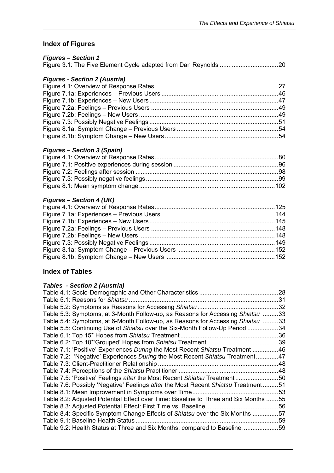## **Index of Figures**

| <b>Figures - Section 1</b>                                                          |  |
|-------------------------------------------------------------------------------------|--|
|                                                                                     |  |
|                                                                                     |  |
| <b>Figures - Section 2 (Austria)</b>                                                |  |
|                                                                                     |  |
|                                                                                     |  |
|                                                                                     |  |
|                                                                                     |  |
|                                                                                     |  |
|                                                                                     |  |
|                                                                                     |  |
|                                                                                     |  |
|                                                                                     |  |
| <b>Figures - Section 3 (Spain)</b>                                                  |  |
|                                                                                     |  |
|                                                                                     |  |
|                                                                                     |  |
|                                                                                     |  |
|                                                                                     |  |
| <b>Figures - Section 4 (UK)</b>                                                     |  |
|                                                                                     |  |
|                                                                                     |  |
|                                                                                     |  |
|                                                                                     |  |
|                                                                                     |  |
|                                                                                     |  |
|                                                                                     |  |
|                                                                                     |  |
|                                                                                     |  |
| <b>Index of Tables</b>                                                              |  |
|                                                                                     |  |
| <b>Tables - Section 2 (Austria)</b>                                                 |  |
|                                                                                     |  |
|                                                                                     |  |
|                                                                                     |  |
| Table 5.3: Symptoms, at 3-Month Follow-up, as Reasons for Accessing Shiatsu 33      |  |
| Table 5.4: Symptoms, at 6-Month Follow-up, as Reasons for Accessing Shiatsu 33      |  |
| Table 5.5: Continuing Use of Shiatsu over the Six-Month Follow-Up Period 34         |  |
|                                                                                     |  |
|                                                                                     |  |
| Table 7.1: 'Positive' Experiences During the Most Recent Shiatsu Treatment 46       |  |
| Table 7.2: 'Negative' Experiences During the Most Recent Shiatsu Treatment47        |  |
|                                                                                     |  |
|                                                                                     |  |
| Table 7.5: 'Positive' Feelings after the Most Recent Shiatsu Treatment50            |  |
| Table 7.6: Possibly 'Negative' Feelings after the Most Recent Shiatsu Treatment51   |  |
|                                                                                     |  |
| Table 8.2: Adjusted Potential Effect over Time: Baseline to Three and Six Months 55 |  |
|                                                                                     |  |
| Table 8.4: Specific Symptom Change Effects of Shiatsu over the Six Months 57        |  |
|                                                                                     |  |
| Table 9.2: Health Status at Three and Six Months, compared to Baseline59            |  |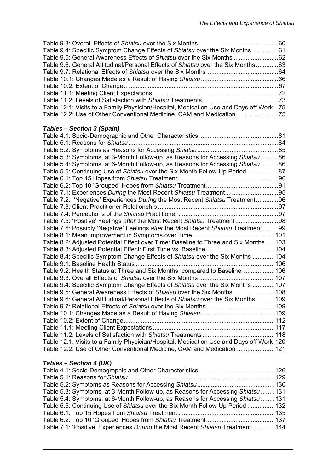| Table 9.4: Specific Symptom Change Effects of Shiatsu over the Six Months 61            |  |
|-----------------------------------------------------------------------------------------|--|
| Table 9.5: General Awareness Effects of Shiatsu over the Six Months  62                 |  |
| Table 9.6: General Attitudinal/Personal Effects of Shiatsu over the Six Months63        |  |
|                                                                                         |  |
|                                                                                         |  |
|                                                                                         |  |
|                                                                                         |  |
|                                                                                         |  |
| Table 12.1: Visits to a Family Physician/Hospital, Medication Use and Days off Work75   |  |
| Table 12.2: Use of Other Conventional Medicine, CAM and Medication 75                   |  |
|                                                                                         |  |
| Tables - Section 3 (Spain)                                                              |  |
|                                                                                         |  |
|                                                                                         |  |
|                                                                                         |  |
| Table 5.3: Symptoms, at 3-Month Follow-up, as Reasons for Accessing Shiatsu 86          |  |
| Table 5.4: Symptoms, at 6-Month Follow-up, as Reasons for Accessing Shiatsu 86          |  |
| Table 5.5: Continuing Use of Shiatsu over the Six-Month Follow-Up Period 87             |  |
|                                                                                         |  |
|                                                                                         |  |
| Table 7.1: Experiences During the Most Recent Shiatsu Treatment95                       |  |
| Table 7.2: 'Negative' Experiences During the Most Recent Shiatsu Treatment96            |  |
|                                                                                         |  |
|                                                                                         |  |
| Table 7.5: 'Positive' Feelings after the Most Recent Shiatsu Treatment98                |  |
| Table 7.6: Possibly 'Negative' Feelings after the Most Recent Shiatsu Treatment99       |  |
|                                                                                         |  |
| Table 8.2: Adjusted Potential Effect over Time: Baseline to Three and Six Months 103    |  |
|                                                                                         |  |
| Table 8.4: Specific Symptom Change Effects of Shiatsu over the Six Months 104           |  |
|                                                                                         |  |
| Table 9.2: Health Status at Three and Six Months, compared to Baseline106               |  |
|                                                                                         |  |
| Table 9.4: Specific Symptom Change Effects of Shiatsu over the Six Months  107          |  |
| Table 9.5: General Awareness Effects of Shiatsu over the Six Months  108                |  |
| Table 9.6: General Attitudinal/Personal Effects of Shiatsu over the Six Months109       |  |
|                                                                                         |  |
|                                                                                         |  |
|                                                                                         |  |
|                                                                                         |  |
|                                                                                         |  |
| Table 12.1: Visits to a Family Physician/Hospital, Medication Use and Days off Work.120 |  |
| Table 12.2: Use of Other Conventional Medicine, CAM and Medication 121                  |  |
|                                                                                         |  |
|                                                                                         |  |
| Tables - Section 4 (UK)                                                                 |  |
|                                                                                         |  |
|                                                                                         |  |
|                                                                                         |  |

| Table 5.3: Symptoms, at 3-Month Follow-up, as Reasons for Accessing Shiatsu 131 |  |
|---------------------------------------------------------------------------------|--|
| Table 5.4: Symptoms, at 6-Month Follow-up, as Reasons for Accessing Shiatsu 131 |  |
| Table 5.5: Continuing Use of Shiatsu over the Six-Month Follow-Up Period 132    |  |
|                                                                                 |  |
|                                                                                 |  |
| Table 7.1: 'Positive' Experiences During the Most Recent Shiatsu Treatment  144 |  |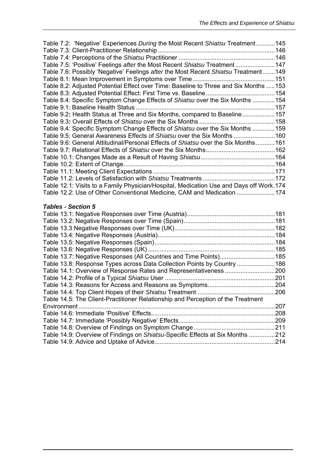| Table 7.2: 'Negative' Experiences During the Most Recent Shiatsu Treatment145           |  |
|-----------------------------------------------------------------------------------------|--|
|                                                                                         |  |
|                                                                                         |  |
| Table 7.5: 'Positive' Feelings after the Most Recent Shiatsu Treatment147               |  |
| Table 7.6: Possibly 'Negative' Feelings after the Most Recent Shiatsu Treatment149      |  |
|                                                                                         |  |
| Table 8.2: Adjusted Potential Effect over Time: Baseline to Three and Six Months 153    |  |
|                                                                                         |  |
| Table 8.4: Specific Symptom Change Effects of Shiatsu over the Six Months 154           |  |
|                                                                                         |  |
| Table 9.2: Health Status at Three and Six Months, compared to Baseline157               |  |
|                                                                                         |  |
| Table 9.4: Specific Symptom Change Effects of Shiatsu over the Six Months 159           |  |
| Table 9.5: General Awareness Effects of Shiatsu over the Six Months160                  |  |
| Table 9.6: General Attitudinal/Personal Effects of Shiatsu over the Six Months161       |  |
|                                                                                         |  |
|                                                                                         |  |
|                                                                                         |  |
|                                                                                         |  |
|                                                                                         |  |
| Table 12.1: Visits to a Family Physician/Hospital, Medication Use and Days off Work.174 |  |
| Table 12.2: Use of Other Conventional Medicine, CAM and Medication 174                  |  |
|                                                                                         |  |
| <b>Tables - Section 5</b>                                                               |  |
|                                                                                         |  |
|                                                                                         |  |
|                                                                                         |  |
|                                                                                         |  |
|                                                                                         |  |
|                                                                                         |  |
| Table 13.7: Negative Responses (All Countries and Time Points)185                       |  |
| Table 13.8: Response Types across Data Collection Points by Country 186                 |  |
| Table 14.1: Overview of Response Rates and Representativeness 200                       |  |
|                                                                                         |  |
|                                                                                         |  |
|                                                                                         |  |
| Table 14.5: The Client-Practitioner Relationship and Perception of the Treatment        |  |

Environment ..................................................................................................................207 Table 14.6: Immediate 'Positive' Effects........................................................................208 Table 14.7: Immediate 'Possibly Negative' Effects........................................................209 Table 14.8: Overview of Findings on Symptom Change ...............................................211 Table 14.9: Overview of Findings on *Shiatsu-*Specific Effects at Six Months ...............212 Table 14.9: Advice and Uptake of Advice......................................................................214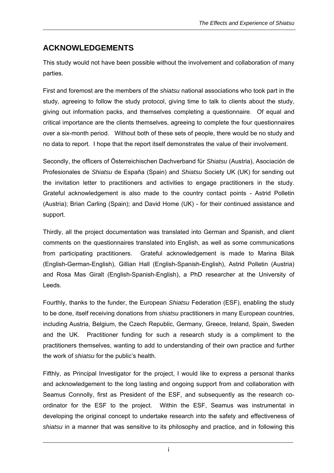## <span id="page-12-0"></span>**ACKNOWLEDGEMENTS**

This study would not have been possible without the involvement and collaboration of many parties.

First and foremost are the members of the *shiatsu* national associations who took part in the study, agreeing to follow the study protocol, giving time to talk to clients about the study, giving out information packs, and themselves completing a questionnaire. Of equal and critical importance are the clients themselves, agreeing to complete the four questionnaires over a six-month period. Without both of these sets of people, there would be no study and no data to report. I hope that the report itself demonstrates the value of their involvement.

Secondly, the officers of Österreichischen Dachverband für *Shiatsu* (Austria), Asociación de Profesionales de *Shiatsu* de España (Spain) and *Shiatsu* Society UK (UK) for sending out the invitation letter to practitioners and activities to engage practitioners in the study. Grateful acknowledgement is also made to the country contact points - Astrid Polletin (Austria); Brian Carling (Spain); and David Home (UK) - for their continued assistance and support.

Thirdly, all the project documentation was translated into German and Spanish, and client comments on the questionnaires translated into English, as well as some communications from participating practitioners. Grateful acknowledgement is made to Marina Bilak (English-German-English), Gillian Hall (English-Spanish-English), Astrid Polletin (Austria) and Rosa Mas Giralt (English-Spanish-English), a PhD researcher at the University of Leeds.

Fourthly, thanks to the funder, the European *Shiatsu* Federation (ESF), enabling the study to be done, itself receiving donations from *shiatsu* practitioners in many European countries, including Austria, Belgium, the Czech Republic, Germany, Greece, Ireland, Spain, Sweden and the UK. Practitioner funding for such a research study is a compliment to the practitioners themselves, wanting to add to understanding of their own practice and further the work of *shiatsu* for the public's health.

Fifthly, as Principal Investigator for the project, I would like to express a personal thanks and acknowledgement to the long lasting and ongoing support from and collaboration with Seamus Connolly, first as President of the ESF, and subsequently as the research coordinator for the ESF to the project. Within the ESF, Seamus was instrumental in developing the original concept to undertake research into the safety and effectiveness of *shiatsu* in a manner that was sensitive to its philosophy and practice, and in following this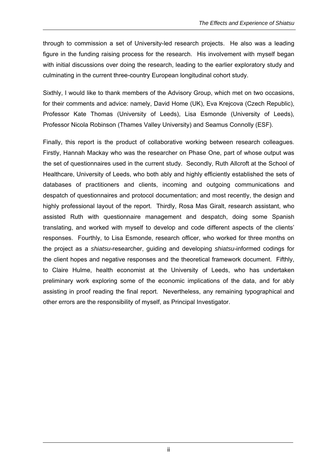through to commission a set of University-led research projects. He also was a leading figure in the funding raising process for the research. His involvement with myself began with initial discussions over doing the research, leading to the earlier exploratory study and culminating in the current three-country European longitudinal cohort study.

Sixthly, I would like to thank members of the Advisory Group, which met on two occasions, for their comments and advice: namely, David Home (UK), Eva Krejcova (Czech Republic), Professor Kate Thomas (University of Leeds), Lisa Esmonde (University of Leeds), Professor Nicola Robinson (Thames Valley University) and Seamus Connolly (ESF).

Finally, this report is the product of collaborative working between research colleagues. Firstly, Hannah Mackay who was the researcher on Phase One, part of whose output was the set of questionnaires used in the current study. Secondly, Ruth Allcroft at the School of Healthcare, University of Leeds, who both ably and highly efficiently established the sets of databases of practitioners and clients, incoming and outgoing communications and despatch of questionnaires and protocol documentation; and most recently, the design and highly professional layout of the report. Thirdly, Rosa Mas Giralt, research assistant, who assisted Ruth with questionnaire management and despatch, doing some Spanish translating, and worked with myself to develop and code different aspects of the clients' responses. Fourthly, to Lisa Esmonde, research officer, who worked for three months on the project as a *shiatsu*-researcher, guiding and developing *shiatsu*-informed codings for the client hopes and negative responses and the theoretical framework document. Fifthly, to Claire Hulme, health economist at the University of Leeds, who has undertaken preliminary work exploring some of the economic implications of the data, and for ably assisting in proof reading the final report. Nevertheless, any remaining typographical and other errors are the responsibility of myself, as Principal Investigator.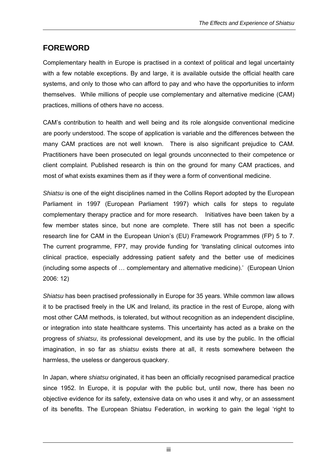## <span id="page-14-0"></span>**FOREWORD**

Complementary health in Europe is practised in a context of political and legal uncertainty with a few notable exceptions. By and large, it is available outside the official health care systems, and only to those who can afford to pay and who have the opportunities to inform themselves. While millions of people use complementary and alternative medicine (CAM) practices, millions of others have no access.

CAM's contribution to health and well being and its role alongside conventional medicine are poorly understood. The scope of application is variable and the differences between the many CAM practices are not well known. There is also significant prejudice to CAM. Practitioners have been prosecuted on legal grounds unconnected to their competence or client complaint. Published research is thin on the ground for many CAM practices, and most of what exists examines them as if they were a form of conventional medicine.

*Shiatsu* is one of the eight disciplines named in the Collins Report adopted by the European Parliament in 1997 (European Parliament 1997) which calls for steps to regulate complementary therapy practice and for more research. Initiatives have been taken by a few member states since, but none are complete. There still has not been a specific research line for CAM in the European Union's (EU) Framework Programmes (FP) 5 to 7. The current programme, FP7, may provide funding for 'translating clinical outcomes into clinical practice, especially addressing patient safety and the better use of medicines (including some aspects of … complementary and alternative medicine).' (European Union 2006: 12)

*Shiatsu* has been practised professionally in Europe for 35 years. While common law allows it to be practised freely in the UK and Ireland, its practice in the rest of Europe, along with most other CAM methods, is tolerated, but without recognition as an independent discipline, or integration into state healthcare systems. This uncertainty has acted as a brake on the progress of *shiatsu*, its professional development, and its use by the public. In the official imagination, in so far as *shiatsu* exists there at all, it rests somewhere between the harmless, the useless or dangerous quackery.

In Japan, where *shiatsu* originated, it has been an officially recognised paramedical practice since 1952. In Europe, it is popular with the public but, until now, there has been no objective evidence for its safety, extensive data on who uses it and why, or an assessment of its benefits. The European Shiatsu Federation, in working to gain the legal 'right to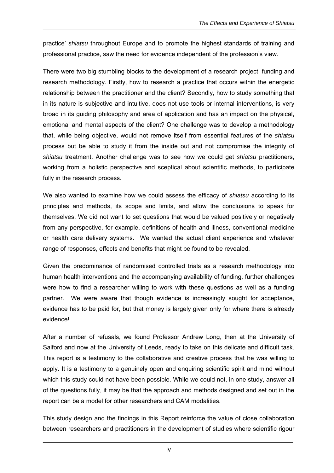practice' *shiatsu* throughout Europe and to promote the highest standards of training and professional practice, saw the need for evidence independent of the profession's view.

There were two big stumbling blocks to the development of a research project: funding and research methodology. Firstly, how to research a practice that occurs within the energetic relationship between the practitioner and the client? Secondly, how to study something that in its nature is subjective and intuitive, does not use tools or internal interventions, is very broad in its guiding philosophy and area of application and has an impact on the physical, emotional and mental aspects of the client? One challenge was to develop a methodology that, while being objective, would not remove itself from essential features of the *shiatsu* process but be able to study it from the inside out and not compromise the integrity of *shiatsu* treatment. Another challenge was to see how we could get *shiatsu* practitioners, working from a holistic perspective and sceptical about scientific methods, to participate fully in the research process.

We also wanted to examine how we could assess the efficacy of *shiatsu* according to its principles and methods, its scope and limits, and allow the conclusions to speak for themselves. We did not want to set questions that would be valued positively or negatively from any perspective, for example, definitions of health and illness, conventional medicine or health care delivery systems. We wanted the actual client experience and whatever range of responses, effects and benefits that might be found to be revealed.

Given the predominance of randomised controlled trials as a research methodology into human health interventions and the accompanying availability of funding, further challenges were how to find a researcher willing to work with these questions as well as a funding partner. We were aware that though evidence is increasingly sought for acceptance, evidence has to be paid for, but that money is largely given only for where there is already evidence!

After a number of refusals, we found Professor Andrew Long, then at the University of Salford and now at the University of Leeds, ready to take on this delicate and difficult task. This report is a testimony to the collaborative and creative process that he was willing to apply. It is a testimony to a genuinely open and enquiring scientific spirit and mind without which this study could not have been possible. While we could not, in one study, answer all of the questions fully, it may be that the approach and methods designed and set out in the report can be a model for other researchers and CAM modalities.

This study design and the findings in this Report reinforce the value of close collaboration between researchers and practitioners in the development of studies where scientific rigour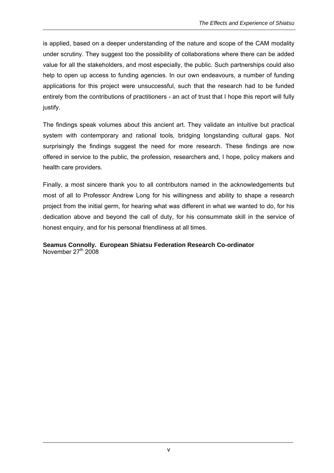is applied, based on a deeper understanding of the nature and scope of the CAM modality under scrutiny. They suggest too the possibility of collaborations where there can be added value for all the stakeholders, and most especially, the public. Such partnerships could also help to open up access to funding agencies. In our own endeavours, a number of funding applications for this project were unsuccessful, such that the research had to be funded entirely from the contributions of practitioners - an act of trust that I hope this report will fully justify.

The findings speak volumes about this ancient art. They validate an intuitive but practical system with contemporary and rational tools, bridging longstanding cultural gaps. Not surprisingly the findings suggest the need for more research. These findings are now offered in service to the public, the profession, researchers and, I hope, policy makers and health care providers.

Finally, a most sincere thank you to all contributors named in the acknowledgements but most of all to Professor Andrew Long for his willingness and ability to shape a research project from the initial germ, for hearing what was different in what we wanted to do, for his dedication above and beyond the call of duty, for his consummate skill in the service of honest enquiry, and for his personal friendliness at all times.

**Seamus Connolly. European Shiatsu Federation Research Co-ordinator**  November  $27<sup>th</sup>$  2008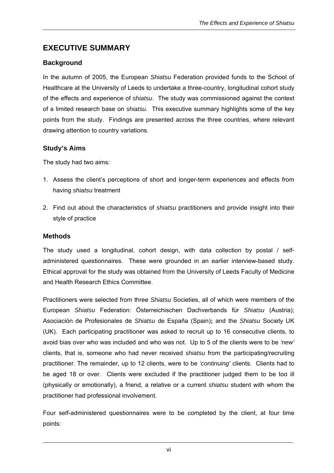## <span id="page-17-0"></span>**EXECUTIVE SUMMARY**

#### **Background**

In the autumn of 2005, the European *Shiatsu* Federation provided funds to the School of Healthcare at the University of Leeds to undertake a three-country, longitudinal cohort study of the effects and experience of *shiatsu*. The study was commissioned against the context of a limited research base on *shiatsu*. This executive summary highlights some of the key points from the study. Findings are presented across the three countries, where relevant drawing attention to country variations.

#### **Study's Aims**

The study had two aims:

- 1. Assess the client's perceptions of short and longer-term experiences and effects from having *shiatsu* treatment
- 2. Find out about the characteristics of *shiatsu* practitioners and provide insight into their style of practice

#### **Methods**

The study used a longitudinal, cohort design, with data collection by postal / selfadministered questionnaires. These were grounded in an earlier interview-based study. Ethical approval for the study was obtained from the University of Leeds Faculty of Medicine and Health Research Ethics Committee.

Practitioners were selected from three *Shiatsu* Societies, all of which were members of the European *Shiatsu* Federation: Österreichischen Dachverbands für *Shiatsu* (Austria); Asociación de Profesionales de *Shiatsu* de España (Spain)**;** and the *Shiatsu* Society UK (UK). Each participating practitioner was asked to recruit up to 16 consecutive clients, to avoid bias over who was included and who was not. Up to 5 of the clients were to be *'new'* clients, that is, someone who had never received *shiatsu* from the participating/recruiting practitioner. The remainder, up to 12 clients, were to be *'continuing'* clients. Clients had to be aged 18 or over. Clients were excluded if the practitioner judged them to be too ill (physically or emotionally), a friend, a relative or a current *shiatsu* student with whom the practitioner had professional involvement.

Four self-administered questionnaires were to be completed by the client, at four time points: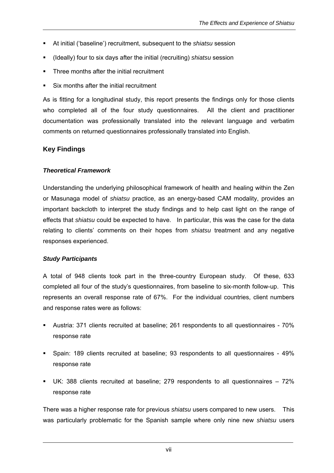- <span id="page-18-0"></span>At initial ('baseline') recruitment, subsequent to the *shiatsu* session
- (Ideally) four to six days after the initial (recruiting) *shiatsu* session
- Three months after the initial recruitment
- Six months after the initial recruitment

As is fitting for a longitudinal study, this report presents the findings only for those clients who completed all of the four study questionnaires. All the client and practitioner documentation was professionally translated into the relevant language and verbatim comments on returned questionnaires professionally translated into English.

#### **Key Findings**

#### *Theoretical Framework*

Understanding the underlying philosophical framework of health and healing within the Zen or Masunaga model of *shiatsu* practice, as an energy-based CAM modality, provides an important backcloth to interpret the study findings and to help cast light on the range of effects that *shiatsu* could be expected to have. In particular, this was the case for the data relating to clients' comments on their hopes from *shiatsu* treatment and any negative responses experienced.

#### *Study Participants*

A total of 948 clients took part in the three-country European study. Of these, 633 completed all four of the study's questionnaires, from baseline to six-month follow-up. This represents an overall response rate of 67%. For the individual countries, client numbers and response rates were as follows:

- Austria: 371 clients recruited at baseline; 261 respondents to all questionnaires 70% response rate
- Spain: 189 clients recruited at baseline; 93 respondents to all questionnaires 49% response rate
- UK: 388 clients recruited at baseline; 279 respondents to all questionnaires 72% response rate

There was a higher response rate for previous *shiatsu* users compared to new users. This was particularly problematic for the Spanish sample where only nine new *shiatsu* users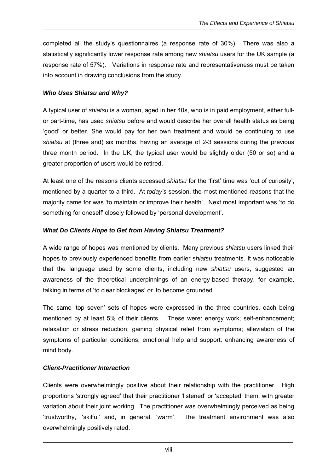completed all the study's questionnaires (a response rate of 30%). There was also a statistically significantly lower response rate among new *shiatsu* users for the UK sample (a response rate of 57%). Variations in response rate and representativeness must be taken into account in drawing conclusions from the study.

#### *Who Uses Shiatsu and Why?*

A typical user of *shiatsu* is a woman, aged in her 40s, who is in paid employment, either fullor part-time, has used *shiatsu* before and would describe her overall health status as being 'good' or better. She would pay for her own treatment and would be continuing to use *shiatsu* at (three and) six months, having an average of 2-3 sessions during the previous three month period. In the UK, the typical user would be slightly older (50 or so) and a greater proportion of users would be retired.

At least one of the reasons clients accessed *shiatsu* for the 'first' time was 'out of curiosity', mentioned by a quarter to a third. At *today's* session, the most mentioned reasons that the majority came for was 'to maintain or improve their health'. Next most important was 'to do something for oneself' closely followed by 'personal development'.

#### *What Do Clients Hope to Get from Having Shiatsu Treatment?*

A wide range of hopes was mentioned by clients. Many previous *shiatsu* users linked their hopes to previously experienced benefits from earlier *shiatsu* treatments. It was noticeable that the language used by some clients, including new *shiatsu* users, suggested an awareness of the theoretical underpinnings of an energy-based therapy, for example, talking in terms of 'to clear blockages' or 'to become grounded'.

The same 'top seven' sets of hopes were expressed in the three countries, each being mentioned by at least 5% of their clients. These were: energy work; self-enhancement; relaxation or stress reduction; gaining physical relief from symptoms; alleviation of the symptoms of particular conditions; emotional help and support: enhancing awareness of mind body.

#### *Client-Practitioner Interaction*

Clients were overwhelmingly positive about their relationship with the practitioner. High proportions 'strongly agreed' that their practitioner 'listened' or 'accepted' them, with greater variation about their joint working. The practitioner was overwhelmingly perceived as being 'trustworthy,' 'skilful' and, in general, 'warm'. The treatment environment was also overwhelmingly positively rated.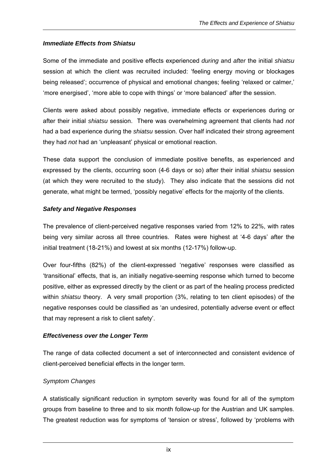#### *Immediate Effects from Shiatsu*

Some of the immediate and positive effects experienced *during* and *after* the initial *shiatsu* session at which the client was recruited included: 'feeling energy moving or blockages being released'; occurrence of physical and emotional changes; feeling 'relaxed or calmer,' 'more energised', 'more able to cope with things' or 'more balanced' after the session.

Clients were asked about possibly negative, immediate effects or experiences during or after their initial *shiatsu* session. There was overwhelming agreement that clients had *not*  had a bad experience during the *shiatsu* session. Over half indicated their strong agreement they had *not* had an 'unpleasant' physical or emotional reaction.

These data support the conclusion of immediate positive benefits, as experienced and expressed by the clients, occurring soon (4-6 days or so) after their initial *shiatsu* session (at which they were recruited to the study). They also indicate that the sessions did not generate, what might be termed, 'possibly negative' effects for the majority of the clients.

#### *Safety and Negative Responses*

The prevalence of client-perceived negative responses varied from 12% to 22%, with rates being very similar across all three countries. Rates were highest at '4-6 days' after the initial treatment (18-21%) and lowest at six months (12-17%) follow-up.

Over four-fifths (82%) of the client-expressed 'negative' responses were classified as 'transitional' effects, that is, an initially negative-seeming response which turned to become positive, either as expressed directly by the client or as part of the healing process predicted within *shiatsu* theory. A very small proportion (3%, relating to ten client episodes) of the negative responses could be classified as 'an undesired, potentially adverse event or effect that may represent a risk to client safety'.

#### *Effectiveness over the Longer Term*

The range of data collected document a set of interconnected and consistent evidence of client-perceived beneficial effects in the longer term.

#### *Symptom Changes*

A statistically significant reduction in symptom severity was found for all of the symptom groups from baseline to three and to six month follow-up for the Austrian and UK samples. The greatest reduction was for symptoms of 'tension or stress', followed by 'problems with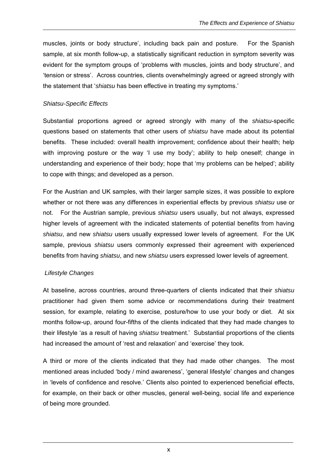muscles, joints or body structure', including back pain and posture. For the Spanish sample, at six month follow-up, a statistically significant reduction in symptom severity was evident for the symptom groups of 'problems with muscles, joints and body structure', and 'tension or stress'. Across countries, clients overwhelmingly agreed or agreed strongly with the statement that '*shiatsu* has been effective in treating my symptoms.'

#### *Shiatsu-Specific Effects*

Substantial proportions agreed or agreed strongly with many of the *shiatsu*-specific questions based on statements that other users of *shiatsu* have made about its potential benefits. These included: overall health improvement; confidence about their health; help with improving posture or the way 'I use my body'; ability to help oneself; change in understanding and experience of their body; hope that 'my problems can be helped'; ability to cope with things; and developed as a person.

For the Austrian and UK samples, with their larger sample sizes, it was possible to explore whether or not there was any differences in experiential effects by previous *shiatsu* use or not. For the Austrian sample, previous *shiatsu* users usually, but not always, expressed higher levels of agreement with the indicated statements of potential benefits from having *shiatsu*, and new *shiatsu* users usually expressed lower levels of agreement. For the UK sample, previous *shiatsu* users commonly expressed their agreement with experienced benefits from having *shiatsu*, and new *shiatsu* users expressed lower levels of agreement.

#### *Lifestyle Changes*

At baseline, across countries, around three-quarters of clients indicated that their *shiatsu* practitioner had given them some advice or recommendations during their treatment session, for example, relating to exercise, posture/how to use your body or diet. At six months follow-up, around four-fifths of the clients indicated that they had made changes to their lifestyle 'as a result of having *shiatsu* treatment.' Substantial proportions of the clients had increased the amount of 'rest and relaxation' and 'exercise' they took.

A third or more of the clients indicated that they had made other changes. The most mentioned areas included 'body / mind awareness', 'general lifestyle' changes and changes in 'levels of confidence and resolve.' Clients also pointed to experienced beneficial effects, for example, on their back or other muscles, general well-being, social life and experience of being more grounded.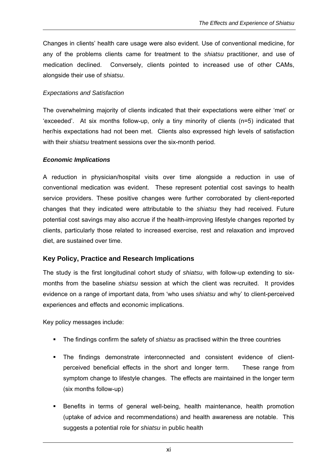<span id="page-22-0"></span>Changes in clients' health care usage were also evident. Use of conventional medicine, for any of the problems clients came for treatment to the *shiatsu* practitioner, and use of medication declined. Conversely, clients pointed to increased use of other CAMs, alongside their use of *shiatsu*.

#### *Expectations and Satisfaction*

The overwhelming majority of clients indicated that their expectations were either 'met' or 'exceeded'. At six months follow-up, only a tiny minority of clients (n=5) indicated that her/his expectations had not been met. Clients also expressed high levels of satisfaction with their *shiatsu* treatment sessions over the six-month period.

#### *Economic Implications*

A reduction in physician/hospital visits over time alongside a reduction in use of conventional medication was evident. These represent potential cost savings to health service providers. These positive changes were further corroborated by client-reported changes that they indicated were attributable to the *shiatsu* they had received. Future potential cost savings may also accrue if the health-improving lifestyle changes reported by clients, particularly those related to increased exercise, rest and relaxation and improved diet, are sustained over time.

#### **Key Policy, Practice and Research Implications**

The study is the first longitudinal cohort study of *shiatsu*, with follow-up extending to sixmonths from the baseline *shiatsu* session at which the client was recruited. It provides evidence on a range of important data, from 'who uses *shiatsu* and why' to client-perceived experiences and effects and economic implications.

Key policy messages include:

- The findings confirm the safety of *shiatsu* as practised within the three countries
- The findings demonstrate interconnected and consistent evidence of clientperceived beneficial effects in the short and longer term. These range from symptom change to lifestyle changes. The effects are maintained in the longer term (six months follow-up)
- Benefits in terms of general well-being, health maintenance, health promotion (uptake of advice and recommendations) and health awareness are notable. This suggests a potential role for *shiatsu* in public health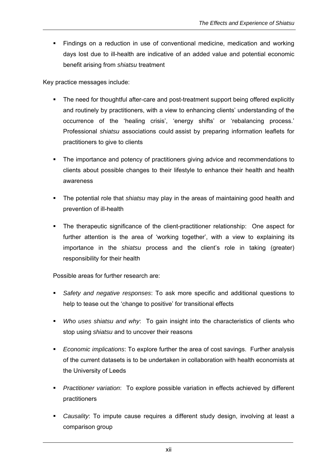**Findings on a reduction in use of conventional medicine, medication and working** days lost due to ill-health are indicative of an added value and potential economic benefit arising from *shiatsu* treatment

Key practice messages include:

- The need for thoughtful after-care and post-treatment support being offered explicitly and routinely by practitioners, with a view to enhancing clients' understanding of the occurrence of the 'healing crisis', 'energy shifts' or 'rebalancing process.' Professional *shiatsu* associations could assist by preparing information leaflets for practitioners to give to clients
- The importance and potency of practitioners giving advice and recommendations to clients about possible changes to their lifestyle to enhance their health and health awareness
- The potential role that *shiatsu* may play in the areas of maintaining good health and prevention of ill-health
- The therapeutic significance of the client-practitioner relationship: One aspect for further attention is the area of 'working together', with a view to explaining its importance in the *shiatsu* process and the client's role in taking (greater) responsibility for their health

Possible areas for further research are:

- *Safety and negative responses*: To ask more specific and additional questions to help to tease out the 'change to positive' for transitional effects
- *Who uses shiatsu and why*: To gain insight into the characteristics of clients who stop using *shiatsu* and to uncover their reasons
- *Economic implications*: To explore further the area of cost savings. Further analysis of the current datasets is to be undertaken in collaboration with health economists at the University of Leeds
- *Practitioner variation*: To explore possible variation in effects achieved by different practitioners
- *Causality*: To impute cause requires a different study design, involving at least a comparison group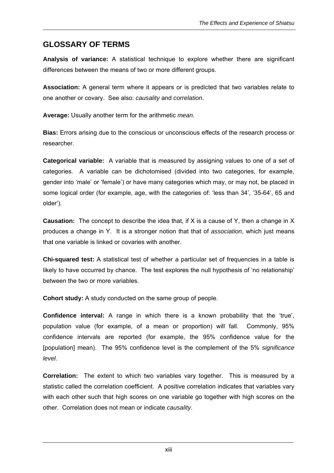## <span id="page-24-0"></span>**GLOSSARY OF TERMS**

**Analysis of variance:** A statistical technique to explore whether there are significant differences between the means of two or more different groups.

**Association:** A general term where it appears or is predicted that two variables relate to one another or covary. See also: *causality* and *correlation*.

**Average:** Usually another term for the arithmetic *mean*.

**Bias:** Errors arising due to the conscious or unconscious effects of the research process or researcher.

**Categorical variable:** A variable that is measured by assigning values to one of a set of categories. A variable can be dichotomised (divided into two categories, for example, gender into 'male' or 'female') or have many categories which may, or may not, be placed in some logical order (for example, age, with the categories of: 'less than 34', '35-64', 65 and older').

**Causation:** The concept to describe the idea that, if X is a cause of Y, then a change in X produces a change in Y. It is a stronger notion that that of *association*, which just means that one variable is linked or covaries with another.

**Chi-squared test:** A statistical test of whether a particular set of frequencies in a table is likely to have occurred by chance. The test explores the null hypothesis of 'no relationship' between the two or more variables.

**Cohort study:** A study conducted on the same group of people.

**Confidence interval:** A range in which there is a known probability that the 'true', population value (for example, of a mean or proportion) will fall. Commonly, 95% confidence intervals are reported (for example, the 95% confidence value for the [population] mean). The 95% confidence level is the complement of the 5% *significance level*.

**Correlation:** The extent to which two variables vary together. This is measured by a statistic called the correlation coefficient. A positive correlation indicates that variables vary with each other such that high scores on one variable go together with high scores on the other. Correlation does not mean or indicate *causality*.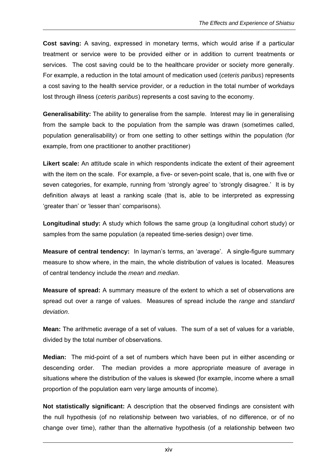**Cost saving:** A saving, expressed in monetary terms, which would arise if a particular treatment or service were to be provided either or in addition to current treatments or services. The cost saving could be to the healthcare provider or society more generally. For example, a reduction in the total amount of medication used (*ceteris paribus*) represents a cost saving to the health service provider, or a reduction in the total number of workdays lost through illness (*ceteris paribus*) represents a cost saving to the economy.

**Generalisability:** The ability to generalise from the sample. Interest may lie in generalising from the sample back to the population from the sample was drawn (sometimes called, population generalisability) or from one setting to other settings within the population (for example, from one practitioner to another practitioner)

**Likert scale:** An attitude scale in which respondents indicate the extent of their agreement with the item on the scale. For example, a five- or seven-point scale, that is, one with five or seven categories, for example, running from 'strongly agree' to 'strongly disagree.' It is by definition always at least a ranking scale (that is, able to be interpreted as expressing 'greater than' or 'lesser than' comparisons).

**Longitudinal study:** A study which follows the same group (a longitudinal cohort study) or samples from the same population (a repeated time-series design) over time.

**Measure of central tendency:** In layman's terms, an 'average'. A single-figure summary measure to show where, in the main, the whole distribution of values is located. Measures of central tendency include the *mean* and *median*.

**Measure of spread:** A summary measure of the extent to which a set of observations are spread out over a range of values. Measures of spread include the *range* and *standard deviation*.

**Mean:** The arithmetic average of a set of values. The sum of a set of values for a variable, divided by the total number of observations.

**Median:** The mid-point of a set of numbers which have been put in either ascending or descending order. The median provides a more appropriate measure of average in situations where the distribution of the values is skewed (for example, income where a small proportion of the population earn very large amounts of income).

**Not statistically significant:** A description that the observed findings are consistent with the null hypothesis (of no relationship between two variables, of no difference, or of no change over time), rather than the alternative hypothesis (of a relationship between two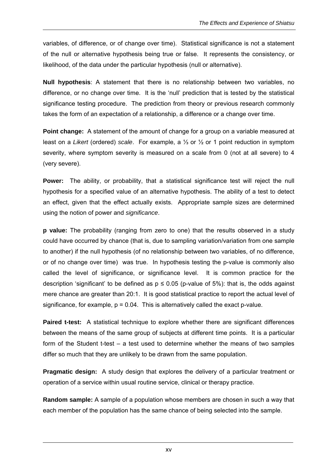variables, of difference, or of change over time). Statistical significance is not a statement of the null or alternative hypothesis being true or false. It represents the consistency, or likelihood, of the data under the particular hypothesis (null or alternative).

**Null hypothesis**: A statement that there is no relationship between two variables, no difference, or no change over time. It is the 'null' prediction that is tested by the statistical significance testing procedure. The prediction from theory or previous research commonly takes the form of an expectation of a relationship, a difference or a change over time.

**Point change:** A statement of the amount of change for a group on a variable measured at least on a *Likert* (ordered) *scale*. For example, a ⅓ or ½ or 1 point reduction in symptom severity, where symptom severity is measured on a scale from 0 (not at all severe) to 4 (very severe).

Power: The ability, or probability, that a statistical significance test will reject the null hypothesis for a specified value of an alternative hypothesis. The ability of a test to detect an effect, given that the effect actually exists. Appropriate sample sizes are determined using the notion of power and *significance*.

**p value:** The probability (ranging from zero to one) that the results observed in a study could have occurred by chance (that is, due to sampling variation/variation from one sample to another) if the null hypothesis (of no relationship between two variables, of no difference, or of no change over time) was true. In hypothesis testing the p-value is commonly also called the level of significance, or significance level. It is common practice for the description 'significant' to be defined as  $p \le 0.05$  (p-value of 5%): that is, the odds against mere chance are greater than 20:1. It is good statistical practice to report the actual level of significance, for example,  $p = 0.04$ . This is alternatively called the exact p-value.

**Paired t-test:** A statistical technique to explore whether there are significant differences between the means of the same group of subjects at different time points. It is a particular form of the Student t-test – a test used to determine whether the means of two samples differ so much that they are unlikely to be drawn from the same population.

**Pragmatic design:** A study design that explores the delivery of a particular treatment or operation of a service within usual routine service, clinical or therapy practice.

**Random sample:** A sample of a population whose members are chosen in such a way that each member of the population has the same chance of being selected into the sample.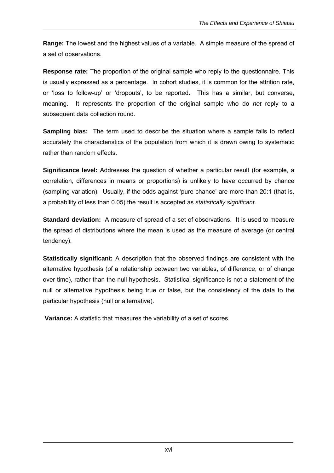**Range:** The lowest and the highest values of a variable. A simple measure of the spread of a set of observations.

**Response rate:** The proportion of the original sample who reply to the questionnaire. This is usually expressed as a percentage. In cohort studies, it is common for the attrition rate, or 'loss to follow-up' or 'dropouts', to be reported. This has a similar, but converse, meaning. It represents the proportion of the original sample who do *not* reply to a subsequent data collection round.

**Sampling bias:** The term used to describe the situation where a sample fails to reflect accurately the characteristics of the population from which it is drawn owing to systematic rather than random effects.

**Significance level:** Addresses the question of whether a particular result (for example, a correlation, differences in means or proportions) is unlikely to have occurred by chance (sampling variation). Usually, if the odds against 'pure chance' are more than 20:1 (that is, a probability of less than 0.05) the result is accepted as *statistically significant*.

**Standard deviation:** A measure of spread of a set of observations. It is used to measure the spread of distributions where the mean is used as the measure of average (or central tendency).

**Statistically significant:** A description that the observed findings are consistent with the alternative hypothesis (of a relationship between two variables, of difference, or of change over time), rather than the null hypothesis. Statistical significance is not a statement of the null or alternative hypothesis being true or false, but the consistency of the data to the particular hypothesis (null or alternative).

**Variance:** A statistic that measures the variability of a set of scores.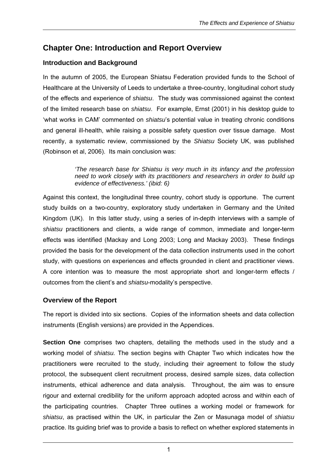## <span id="page-28-0"></span>**Chapter One: Introduction and Report Overview**

#### **Introduction and Background**

In the autumn of 2005, the European Shiatsu Federation provided funds to the School of Healthcare at the University of Leeds to undertake a three-country, longitudinal cohort study of the effects and experience of *shiatsu*. The study was commissioned against the context of the limited research base on *shiatsu*. For example, Ernst (2001) in his desktop guide to 'what works in CAM' commented on *shiatsu*'s potential value in treating chronic conditions and general ill-health, while raising a possible safety question over tissue damage. Most recently, a systematic review, commissioned by the *Shiatsu* Society UK, was published (Robinson et al, 2006). Its main conclusion was:

> *'The research base for Shiatsu is very much in its infancy and the profession need to work closely with its practitioners and researchers in order to build up evidence of effectiveness.' (ibid: 6)*

Against this context, the longitudinal three country, cohort study is opportune. The current study builds on a two-country, exploratory study undertaken in Germany and the United Kingdom (UK). In this latter study, using a series of in-depth interviews with a sample of *shiatsu* practitioners and clients, a wide range of common, immediate and longer-term effects was identified (Mackay and Long 2003; Long and Mackay 2003). These findings provided the basis for the development of the data collection instruments used in the cohort study, with questions on experiences and effects grounded in client and practitioner views. A core intention was to measure the most appropriate short and longer-term effects / outcomes from the client's and *shiatsu*-modality's perspective.

#### **Overview of the Report**

The report is divided into six sections. Copies of the information sheets and data collection instruments (English versions) are provided in the Appendices.

**Section One** comprises two chapters, detailing the methods used in the study and a working model of *shiatsu.* The section begins with Chapter Two which indicates how the practitioners were recruited to the study, including their agreement to follow the study protocol, the subsequent client recruitment process, desired sample sizes, data collection instruments, ethical adherence and data analysis. Throughout, the aim was to ensure rigour and external credibility for the uniform approach adopted across and within each of the participating countries. Chapter Three outlines a working model or framework for *shiatsu*, as practised within the UK, in particular the Zen or Masunaga model of *shiatsu* practice. Its guiding brief was to provide a basis to reflect on whether explored statements in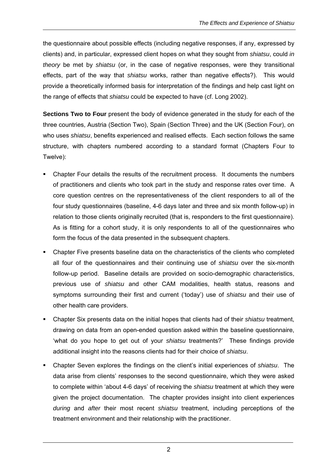the questionnaire about possible effects (including negative responses, if any, expressed by clients) and, in particular, expressed client hopes on what they sought from *shiatsu*, could *in theory* be met by *shiatsu* (or, in the case of negative responses, were they transitional effects, part of the way that *shiatsu* works, rather than negative effects?). This would provide a theoretically informed basis for interpretation of the findings and help cast light on the range of effects that *shiatsu* could be expected to have (cf. Long 2002).

**Sections Two to Four** present the body of evidence generated in the study for each of the three countries, Austria (Section Two), Spain (Section Three) and the UK (Section Four), on who uses *shiatsu*, benefits experienced and realised effects. Each section follows the same structure, with chapters numbered according to a standard format (Chapters Four to Twelve):

- Chapter Four details the results of the recruitment process. It documents the numbers of practitioners and clients who took part in the study and response rates over time. A core question centres on the representativeness of the client responders to all of the four study questionnaires (baseline, 4-6 days later and three and six month follow-up) in relation to those clients originally recruited (that is, responders to the first questionnaire). As is fitting for a cohort study, it is only respondents to all of the questionnaires who form the focus of the data presented in the subsequent chapters.
- Chapter Five presents baseline data on the characteristics of the clients who completed all four of the questionnaires and their continuing use of *shiatsu* over the six-month follow-up period. Baseline details are provided on socio-demographic characteristics, previous use of *shiatsu* and other CAM modalities, health status, reasons and symptoms surrounding their first and current ('today') use of *shiatsu* and their use of other health care providers.
- Chapter Six presents data on the initial hopes that clients had of their *shiatsu* treatment, drawing on data from an open-ended question asked within the baseline questionnaire, 'what do you hope to get out of your *shiatsu* treatments?' These findings provide additional insight into the reasons clients had for their choice of *shiatsu*.
- Chapter Seven explores the findings on the client's initial experiences of *shiatsu*. The data arise from clients' responses to the second questionnaire, which they were asked to complete within 'about 4-6 days' of receiving the *shiatsu* treatment at which they were given the project documentation. The chapter provides insight into client experiences *during* and *after* their most recent *shiatsu* treatment, including perceptions of the treatment environment and their relationship with the practitioner.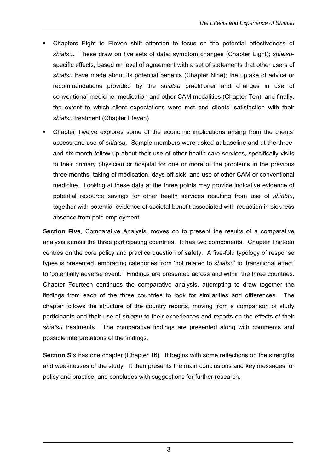- Chapters Eight to Eleven shift attention to focus on the potential effectiveness of *shiatsu*. These draw on five sets of data: symptom changes (Chapter Eight); *shiatsu*specific effects, based on level of agreement with a set of statements that other users of *shiatsu* have made about its potential benefits (Chapter Nine); the uptake of advice or recommendations provided by the *shiatsu* practitioner and changes in use of conventional medicine, medication and other CAM modalities (Chapter Ten); and finally, the extent to which client expectations were met and clients' satisfaction with their *shiatsu* treatment (Chapter Eleven).
- Chapter Twelve explores some of the economic implications arising from the clients' access and use of *shiatsu*. Sample members were asked at baseline and at the threeand six-month follow-up about their use of other health care services, specifically visits to their primary physician or hospital for one or more of the problems in the previous three months, taking of medication, days off sick, and use of other CAM or conventional medicine. Looking at these data at the three points may provide indicative evidence of potential resource savings for other health services resulting from use of *shiatsu*, together with potential evidence of societal benefit associated with reduction in sickness absence from paid employment.

**Section Five**, Comparative Analysis, moves on to present the results of a comparative analysis across the three participating countries. It has two components. Chapter Thirteen centres on the core policy and practice question of safety. A five-fold typology of response types is presented, embracing categories from 'not related to *shiatsu*' to 'transitional effect' to 'potentially adverse event.' Findings are presented across and within the three countries. Chapter Fourteen continues the comparative analysis, attempting to draw together the findings from each of the three countries to look for similarities and differences. The chapter follows the structure of the country reports, moving from a comparison of study participants and their use of *shiatsu* to their experiences and reports on the effects of their *shiatsu* treatments. The comparative findings are presented along with comments and possible interpretations of the findings.

**Section Six** has one chapter (Chapter 16). It begins with some reflections on the strengths and weaknesses of the study. It then presents the main conclusions and key messages for policy and practice, and concludes with suggestions for further research.

3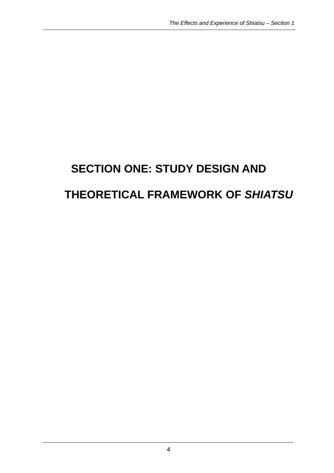# **SECTION ONE: STUDY DESIGN AND THEORETICAL FRAMEWORK OF** *SHIATSU*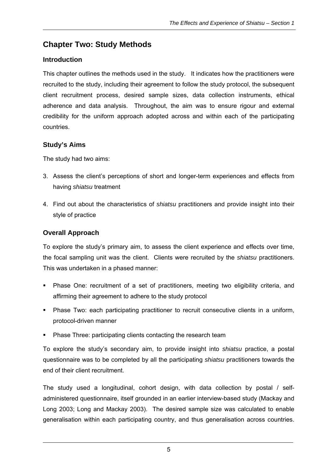## **Chapter Two: Study Methods**

#### **Introduction**

This chapter outlines the methods used in the study. It indicates how the practitioners were recruited to the study, including their agreement to follow the study protocol, the subsequent client recruitment process, desired sample sizes, data collection instruments, ethical adherence and data analysis. Throughout, the aim was to ensure rigour and external credibility for the uniform approach adopted across and within each of the participating countries.

#### **Study's Aims**

The study had two aims:

- 3. Assess the client's perceptions of short and longer-term experiences and effects from having *shiatsu* treatment
- 4. Find out about the characteristics of *shiatsu* practitioners and provide insight into their style of practice

#### **Overall Approach**

To explore the study's primary aim, to assess the client experience and effects over time, the focal sampling unit was the client. Clients were recruited by the *shiatsu* practitioners. This was undertaken in a phased manner:

- Phase One: recruitment of a set of practitioners, meeting two eligibility criteria, and affirming their agreement to adhere to the study protocol
- Phase Two: each participating practitioner to recruit consecutive clients in a uniform, protocol-driven manner
- Phase Three: participating clients contacting the research team

To explore the study's secondary aim, to provide insight into *shiatsu* practice, a postal questionnaire was to be completed by all the participating *shiatsu* practitioners towards the end of their client recruitment.

The study used a longitudinal, cohort design, with data collection by postal / selfadministered questionnaire, itself grounded in an earlier interview-based study (Mackay and Long 2003; Long and Mackay 2003). The desired sample size was calculated to enable generalisation within each participating country, and thus generalisation across countries.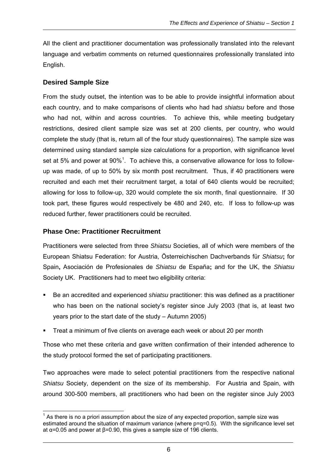All the client and practitioner documentation was professionally translated into the relevant language and verbatim comments on returned questionnaires professionally translated into English.

#### **Desired Sample Size**

From the study outset, the intention was to be able to provide insightful information about each country, and to make comparisons of clients who had had *shiatsu* before and those who had not, within and across countries. To achieve this, while meeting budgetary restrictions, desired client sample size was set at 200 clients, per country, who would complete the study (that is, return all of the four study questionnaires). The sample size was determined using standard sample size calculations for a proportion, with significance level set at 5% and power at  $90\%$ <sup>1</sup>. To achieve this, a conservative allowance for loss to followup was made, of up to 50% by six month post recruitment. Thus, if 40 practitioners were recruited and each met their recruitment target, a total of 640 clients would be recruited; allowing for loss to follow-up, 320 would complete the six month, final questionnaire. If 30 took part, these figures would respectively be 480 and 240, etc. If loss to follow-up was reduced further, fewer practitioners could be recruited.

#### **Phase One: Practitioner Recruitment**

Practitioners were selected from three *Shiatsu* Societies, all of which were members of the European Shiatsu Federation: for Austria, Österreichischen Dachverbands für *Shiatsu***;** for Spain**,** Asociación de Profesionales de *Shiatsu* de España**;** and for the UK, the *Shiatsu* Society UK. Practitioners had to meet two eligibility criteria:

- Be an accredited and experienced *shiatsu* practitioner: this was defined as a practitioner who has been on the national society's register since July 2003 (that is, at least two years prior to the start date of the study – Autumn 2005)
- Treat a minimum of five clients on average each week or about 20 per month

Those who met these criteria and gave written confirmation of their intended adherence to the study protocol formed the set of participating practitioners.

Two approaches were made to select potential practitioners from the respective national *Shiatsu* Society, dependent on the size of its membership. For Austria and Spain, with around 300-500 members, all practitioners who had been on the register since July 2003

  $1$  As there is no a priori assumption about the size of any expected proportion, sample size was estimated around the situation of maximum variance (where  $p=q=0.5$ ). With the significance level set at α=0.05 and power at β=0.90, this gives a sample size of 196 clients.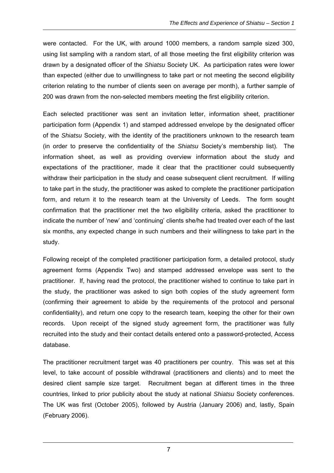were contacted. For the UK, with around 1000 members, a random sample sized 300, using list sampling with a random start, of all those meeting the first eligibility criterion was drawn by a designated officer of the *Shiatsu* Society UK. As participation rates were lower than expected (either due to unwillingness to take part or not meeting the second eligibility criterion relating to the number of clients seen on average per month), a further sample of 200 was drawn from the non-selected members meeting the first eligibility criterion.

Each selected practitioner was sent an invitation letter, information sheet, practitioner participation form (Appendix 1) and stamped addressed envelope by the designated officer of the *Shiatsu* Society, with the identity of the practitioners unknown to the research team (in order to preserve the confidentiality of the *Shiatsu* Society's membership list). The information sheet, as well as providing overview information about the study and expectations of the practitioner, made it clear that the practitioner could subsequently withdraw their participation in the study and cease subsequent client recruitment. If willing to take part in the study, the practitioner was asked to complete the practitioner participation form, and return it to the research team at the University of Leeds. The form sought confirmation that the practitioner met the two eligibility criteria, asked the practitioner to indicate the number of 'new' and 'continuing' clients she/he had treated over each of the last six months, any expected change in such numbers and their willingness to take part in the study.

Following receipt of the completed practitioner participation form, a detailed protocol, study agreement forms (Appendix Two) and stamped addressed envelope was sent to the practitioner. If, having read the protocol, the practitioner wished to continue to take part in the study, the practitioner was asked to sign both copies of the study agreement form (confirming their agreement to abide by the requirements of the protocol and personal confidentiality), and return one copy to the research team, keeping the other for their own records. Upon receipt of the signed study agreement form, the practitioner was fully recruited into the study and their contact details entered onto a password-protected, Access database.

The practitioner recruitment target was 40 practitioners per country. This was set at this level, to take account of possible withdrawal (practitioners and clients) and to meet the desired client sample size target. Recruitment began at different times in the three countries, linked to prior publicity about the study at national *Shiatsu* Society conferences. The UK was first (October 2005), followed by Austria (January 2006) and, lastly, Spain (February 2006).

7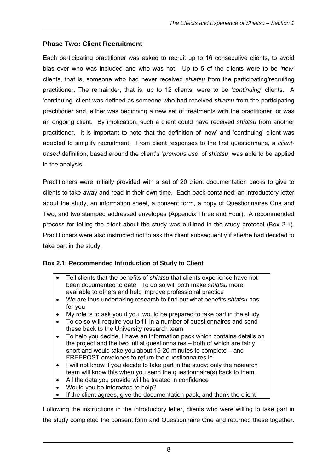#### **Phase Two: Client Recruitment**

Each participating practitioner was asked to recruit up to 16 consecutive clients, to avoid bias over who was included and who was not. Up to 5 of the clients were to be *'new'* clients, that is, someone who had never received *shiatsu* from the participating/recruiting practitioner. The remainder, that is, up to 12 clients, were to be *'continuing'* clients. A 'continuing' client was defined as someone who had received *shiatsu* from the participating practitioner and, either was beginning a new set of treatments with the practitioner, or was an ongoing client. By implication, such a client could have received *shiatsu* from another practitioner. It is important to note that the definition of 'new' and 'continuing' client was adopted to simplify recruitment. From client responses to the first questionnaire, a *clientbased* definition, based around the client's '*previous use*' of *shiatsu*, was able to be applied in the analysis.

Practitioners were initially provided with a set of 20 client documentation packs to give to clients to take away and read in their own time. Each pack contained: an introductory letter about the study, an information sheet, a consent form, a copy of Questionnaires One and Two, and two stamped addressed envelopes (Appendix Three and Four). A recommended process for telling the client about the study was outlined in the study protocol (Box 2.1). Practitioners were also instructed not to ask the client subsequently if she/he had decided to take part in the study.

#### **Box 2.1: Recommended Introduction of Study to Client**

- Tell clients that the benefits of *shiatsu* that clients experience have not been documented to date. To do so will both make *shiatsu* more available to others and help improve professional practice
- We are thus undertaking research to find out what benefits *shiatsu* has for you
- My role is to ask you if you would be prepared to take part in the study
- To do so will require you to fill in a number of questionnaires and send these back to the University research team
- To help you decide, I have an information pack which contains details on the project and the two initial questionnaires – both of which are fairly short and would take you about 15-20 minutes to complete – and FREEPOST envelopes to return the questionnaires in
- I will not know if you decide to take part in the study; only the research team will know this when you send the questionnaire(s) back to them.
- All the data you provide will be treated in confidence
- Would you be interested to help?
- If the client agrees, give the documentation pack, and thank the client

Following the instructions in the introductory letter, clients who were willing to take part in the study completed the consent form and Questionnaire One and returned these together.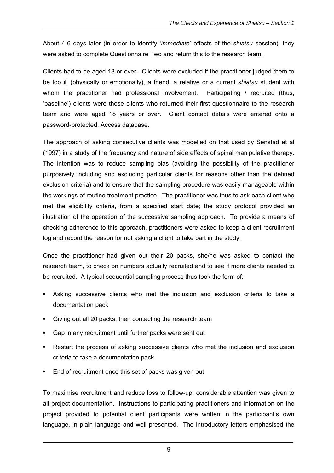About 4-6 days later (in order to identify '*immediate*' effects of the *shiatsu* session), they were asked to complete Questionnaire Two and return this to the research team.

Clients had to be aged 18 or over. Clients were excluded if the practitioner judged them to be too ill (physically or emotionally), a friend, a relative or a current *shiatsu* student with whom the practitioner had professional involvement. Participating / recruited (thus, 'baseline') clients were those clients who returned their first questionnaire to the research team and were aged 18 years or over. Client contact details were entered onto a password-protected, Access database.

The approach of asking consecutive clients was modelled on that used by Senstad et al (1997) in a study of the frequency and nature of side effects of spinal manipulative therapy. The intention was to reduce sampling bias (avoiding the possibility of the practitioner purposively including and excluding particular clients for reasons other than the defined exclusion criteria) and to ensure that the sampling procedure was easily manageable within the workings of routine treatment practice. The practitioner was thus to ask each client who met the eligibility criteria, from a specified start date; the study protocol provided an illustration of the operation of the successive sampling approach. To provide a means of checking adherence to this approach, practitioners were asked to keep a client recruitment log and record the reason for not asking a client to take part in the study.

Once the practitioner had given out their 20 packs, she/he was asked to contact the research team, to check on numbers actually recruited and to see if more clients needed to be recruited. A typical sequential sampling process thus took the form of:

- Asking successive clients who met the inclusion and exclusion criteria to take a documentation pack
- Giving out all 20 packs, then contacting the research team
- Gap in any recruitment until further packs were sent out
- Restart the process of asking successive clients who met the inclusion and exclusion criteria to take a documentation pack
- End of recruitment once this set of packs was given out

To maximise recruitment and reduce loss to follow-up, considerable attention was given to all project documentation. Instructions to participating practitioners and information on the project provided to potential client participants were written in the participant's own language, in plain language and well presented. The introductory letters emphasised the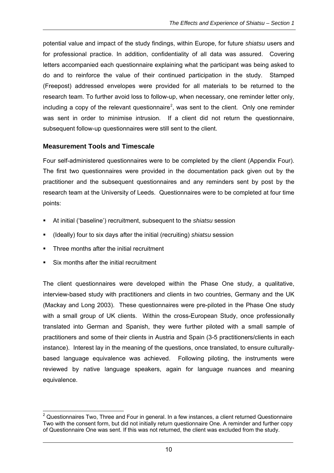potential value and impact of the study findings, within Europe, for future *shiatsu* users and for professional practice. In addition, confidentiality of all data was assured. Covering letters accompanied each questionnaire explaining what the participant was being asked to do and to reinforce the value of their continued participation in the study. Stamped (Freepost) addressed envelopes were provided for all materials to be returned to the research team. To further avoid loss to follow-up, when necessary, one reminder letter only, including a copy of the relevant questionnaire<sup>2</sup>, was sent to the client. Only one reminder was sent in order to minimise intrusion. If a client did not return the questionnaire, subsequent follow-up questionnaires were still sent to the client.

#### **Measurement Tools and Timescale**

Four self-administered questionnaires were to be completed by the client (Appendix Four). The first two questionnaires were provided in the documentation pack given out by the practitioner and the subsequent questionnaires and any reminders sent by post by the research team at the University of Leeds. Questionnaires were to be completed at four time points:

- At initial ('baseline') recruitment, subsequent to the *shiatsu* session
- (Ideally) four to six days after the initial (recruiting) *shiatsu* session
- Three months after the initial recruitment
- Six months after the initial recruitment

The client questionnaires were developed within the Phase One study, a qualitative, interview-based study with practitioners and clients in two countries, Germany and the UK (Mackay and Long 2003). These questionnaires were pre-piloted in the Phase One study with a small group of UK clients. Within the cross-European Study, once professionally translated into German and Spanish, they were further piloted with a small sample of practitioners and some of their clients in Austria and Spain (3-5 practitioners/clients in each instance). Interest lay in the meaning of the questions, once translated, to ensure culturallybased language equivalence was achieved. Following piloting, the instruments were reviewed by native language speakers, again for language nuances and meaning equivalence.

 $2$  Questionnaires Two, Three and Four in general. In a few instances, a client returned Questionnaire Two with the consent form, but did not initially return questionnaire One. A reminder and further copy of Questionnaire One was sent. If this was not returned, the client was excluded from the study.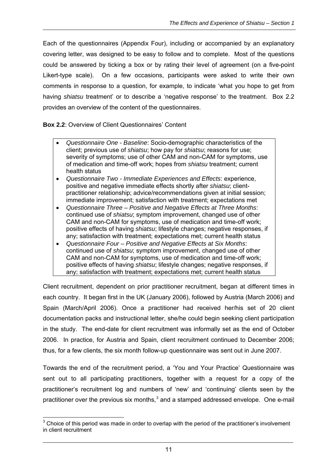Each of the questionnaires (Appendix Four), including or accompanied by an explanatory covering letter, was designed to be easy to follow and to complete. Most of the questions could be answered by ticking a box or by rating their level of agreement (on a five-point Likert-type scale). On a few occasions, participants were asked to write their own comments in response to a question, for example, to indicate 'what you hope to get from having *shiatsu* treatment' or to describe a 'negative response' to the treatment. Box 2.2 provides an overview of the content of the questionnaires.

#### **Box 2.2**: Overview of Client Questionnaires' Content

- *Questionnaire One Baseline*: Socio-demographic characteristics of the client; previous use of *shiatsu*; how pay for *shiatsu*; reasons for use; severity of symptoms; use of other CAM and non-CAM for symptoms, use of medication and time-off work; hopes from *shiatsu* treatment; current health status
- *Questionnaire Two Immediate Experiences and Effects*: experience, positive and negative immediate effects shortly after *shiatsu*; clientpractitioner relationship; advice/recommendations given at initial session; immediate improvement; satisfaction with treatment; expectations met
- *Questionnaire Three Positive and Negative Effects at Three Months*: continued use of *shiatsu*; symptom improvement, changed use of other CAM and non-CAM for symptoms, use of medication and time-off work; positive effects of having *shiatsu*; lifestyle changes; negative responses, if any; satisfaction with treatment; expectations met; current health status
- *Questionnaire Four Positive and Negative Effects at Six Months*: continued use of *shiatsu*; symptom improvement, changed use of other CAM and non-CAM for symptoms, use of medication and time-off work; positive effects of having *shiatsu*; lifestyle changes; negative responses, if any; satisfaction with treatment; expectations met; current health status

Client recruitment, dependent on prior practitioner recruitment, began at different times in each country. It began first in the UK (January 2006), followed by Austria (March 2006) and Spain (March/April 2006). Once a practitioner had received her/his set of 20 client documentation packs and instructional letter, she/he could begin seeking client participation in the study. The end-date for client recruitment was informally set as the end of October 2006. In practice, for Austria and Spain, client recruitment continued to December 2006; thus, for a few clients, the six month follow-up questionnaire was sent out in June 2007.

Towards the end of the recruitment period, a 'You and Your Practice' Questionnaire was sent out to all participating practitioners, together with a request for a copy of the practitioner's recruitment log and numbers of 'new' and 'continuing' clients seen by the practitioner over the previous six months, $3$  and a stamped addressed envelope. One e-mail

  $3$  Choice of this period was made in order to overlap with the period of the practitioner's involvement in client recruitment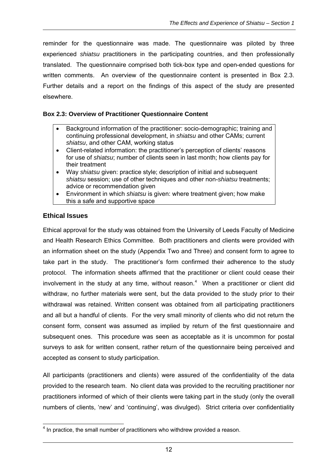reminder for the questionnaire was made. The questionnaire was piloted by three experienced *shiatsu* practitioners in the participating countries, and then professionally translated. The questionnaire comprised both tick-box type and open-ended questions for written comments. An overview of the questionnaire content is presented in Box 2.3. Further details and a report on the findings of this aspect of the study are presented elsewhere.

#### **Box 2.3: Overview of Practitioner Questionnaire Content**

- Background information of the practitioner: socio-demographic; training and continuing professional development, in *shiatsu* and other CAMs; current *shiatsu*, and other CAM, working status
- Client-related information: the practitioner's perception of clients' reasons for use of *shiatsu*; number of clients seen in last month; how clients pay for their treatment
- Way *shiatsu* given: practice style; description of initial and subsequent *shiatsu* session; use of other techniques and other non-*shiatsu* treatments; advice or recommendation given
- Environment in which *shiatsu* is given: where treatment given; how make this a safe and supportive space

#### **Ethical Issues**

Ethical approval for the study was obtained from the University of Leeds Faculty of Medicine and Health Research Ethics Committee. Both practitioners and clients were provided with an information sheet on the study (Appendix Two and Three) and consent form to agree to take part in the study. The practitioner's form confirmed their adherence to the study protocol. The information sheets affirmed that the practitioner or client could cease their involvement in the study at any time, without reason.<sup>4</sup> When a practitioner or client did withdraw, no further materials were sent, but the data provided to the study prior to their withdrawal was retained. Written consent was obtained from all participating practitioners and all but a handful of clients. For the very small minority of clients who did not return the consent form, consent was assumed as implied by return of the first questionnaire and subsequent ones. This procedure was seen as acceptable as it is uncommon for postal surveys to ask for written consent, rather return of the questionnaire being perceived and accepted as consent to study participation.

All participants (practitioners and clients) were assured of the confidentiality of the data provided to the research team. No client data was provided to the recruiting practitioner nor practitioners informed of which of their clients were taking part in the study (only the overall numbers of clients, 'new' and 'continuing', was divulged). Strict criteria over confidentiality

 $\overline{\phantom{a}}$  $<sup>4</sup>$  In practice, the small number of practitioners who withdrew provided a reason.</sup>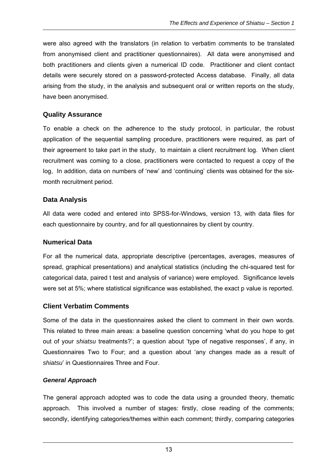were also agreed with the translators (in relation to verbatim comments to be translated from anonymised client and practitioner questionnaires). All data were anonymised and both practitioners and clients given a numerical ID code. Practitioner and client contact details were securely stored on a password-protected Access database. Finally, all data arising from the study, in the analysis and subsequent oral or written reports on the study, have been anonymised.

#### **Quality Assurance**

To enable a check on the adherence to the study protocol, in particular, the robust application of the sequential sampling procedure, practitioners were required, as part of their agreement to take part in the study, to maintain a client recruitment log. When client recruitment was coming to a close, practitioners were contacted to request a copy of the log, In addition, data on numbers of 'new' and 'continuing' clients was obtained for the sixmonth recruitment period.

#### **Data Analysis**

All data were coded and entered into SPSS-for-Windows, version 13, with data files for each questionnaire by country, and for all questionnaires by client by country.

#### **Numerical Data**

For all the numerical data, appropriate descriptive (percentages, averages, measures of spread, graphical presentations) and analytical statistics (including the chi-squared test for categorical data, paired t test and analysis of variance) were employed. Significance levels were set at 5%; where statistical significance was established, the exact p value is reported.

#### **Client Verbatim Comments**

Some of the data in the questionnaires asked the client to comment in their own words. This related to three main areas: a baseline question concerning 'what do you hope to get out of your *shiatsu* treatments?'; a question about 'type of negative responses', if any, in Questionnaires Two to Four; and a question about 'any changes made as a result of *shiatsu*' in Questionnaires Three and Four.

#### *General Approach*

The general approach adopted was to code the data using a grounded theory, thematic approach. This involved a number of stages: firstly, close reading of the comments; secondly, identifying categories/themes within each comment; thirdly, comparing categories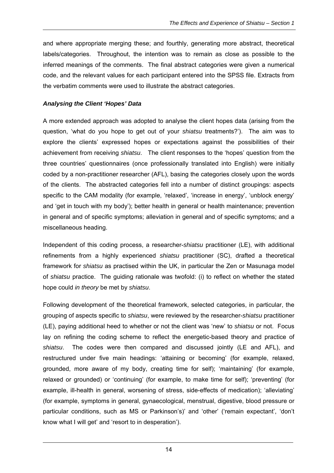and where appropriate merging these; and fourthly, generating more abstract, theoretical labels/categories. Throughout, the intention was to remain as close as possible to the inferred meanings of the comments. The final abstract categories were given a numerical code, and the relevant values for each participant entered into the SPSS file. Extracts from the verbatim comments were used to illustrate the abstract categories.

#### *Analysing the Client 'Hopes' Data*

A more extended approach was adopted to analyse the client hopes data (arising from the question, 'what do you hope to get out of your *shiatsu* treatments?'). The aim was to explore the clients' expressed hopes or expectations against the possibilities of their achievement from receiving *shiatsu*. The client responses to the 'hopes' question from the three countries' questionnaires (once professionally translated into English) were initially coded by a non-practitioner researcher (AFL), basing the categories closely upon the words of the clients. The abstracted categories fell into a number of distinct groupings: aspects specific to the CAM modality (for example, 'relaxed', 'increase in energy', 'unblock energy' and 'get in touch with my body'); better health in general or health maintenance; prevention in general and of specific symptoms; alleviation in general and of specific symptoms; and a miscellaneous heading.

Independent of this coding process, a researcher-*shiatsu* practitioner (LE), with additional refinements from a highly experienced *shiatsu* practitioner (SC), drafted a theoretical framework for *shiatsu* as practised within the UK, in particular the Zen or Masunaga model of *shiatsu* practice. The guiding rationale was twofold: (i) to reflect on whether the stated hope could *in theory* be met by *shiatsu*.

Following development of the theoretical framework, selected categories, in particular, the grouping of aspects specific to *shiatsu*, were reviewed by the researcher-*shiatsu* practitioner (LE), paying additional heed to whether or not the client was 'new' to *shiatsu* or not. Focus lay on refining the coding scheme to reflect the energetic-based theory and practice of *shiatsu*. The codes were then compared and discussed jointly (LE and AFL), and restructured under five main headings: 'attaining or becoming' (for example, relaxed, grounded, more aware of my body, creating time for self); 'maintaining' (for example, relaxed or grounded) or 'continuing' (for example, to make time for self); 'preventing' (for example, ill-health in general, worsening of stress, side-effects of medication); 'alleviating' (for example, symptoms in general, gynaecological, menstrual, digestive, blood pressure or particular conditions, such as MS or Parkinson's)' and 'other' ('remain expectant', 'don't know what I will get' and 'resort to in desperation').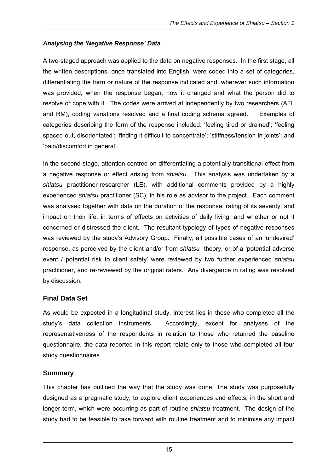### *Analysing the 'Negative Response' Data*

A two-staged approach was applied to the data on negative responses. In the first stage, all the written descriptions, once translated into English, were coded into a set of categories, differentiating the form or nature of the response indicated and, wherever such information was provided, when the response began, how it changed and what the person did to resolve or cope with it. The codes were arrived at independently by two researchers (AFL and RM), coding variations resolved and a final coding schema agreed. Examples of categories describing the form of the response included: 'feeling tired or drained'; 'feeling spaced out, disorientated'; 'finding it difficult to concentrate'; 'stiffness/tension in joints'; and 'pain/discomfort in general'.

In the second stage, attention centred on differentiating a potentially transitional effect from a negative response or effect arising from *shiatsu*. This analysis was undertaken by a *shiatsu* practitioner-researcher (LE), with additional comments provided by a highly experienced *shiatsu* practitioner (SC), in his role as advisor to the project. Each comment was analysed together with data on the duration of the response, rating of its severity, and impact on their life, in terms of effects on activities of daily living, and whether or not it concerned or distressed the client. The resultant typology of types of negative responses was reviewed by the study's Advisory Group. Finally, all possible cases of an 'undesired' response, as perceived by the client and/or from *shiatsu* theory, or of a 'potential adverse event / potential risk to client safety' were reviewed by two further experienced *shiatsu*  practitioner, and re-reviewed by the original raters. Any divergence in rating was resolved by discussion.

#### **Final Data Set**

As would be expected in a longitudinal study, interest lies in those who completed all the study's data collection instruments. Accordingly, except for analyses of the representativeness of the respondents in relation to those who returned the baseline questionnaire, the data reported in this report relate only to those who completed all four study questionnaires.

## **Summary**

This chapter has outlined the way that the study was done. The study was purposefully designed as a pragmatic study, to explore client experiences and effects, in the short and longer term, which were occurring as part of routine *shiatsu* treatment. The design of the study had to be feasible to take forward with routine treatment and to minimise any impact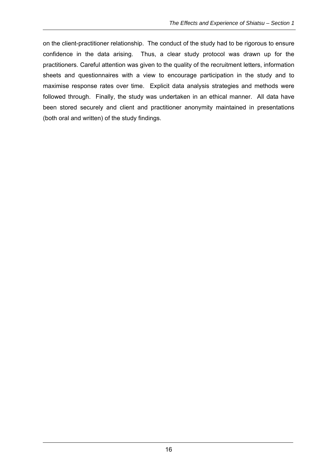on the client-practitioner relationship. The conduct of the study had to be rigorous to ensure confidence in the data arising. Thus, a clear study protocol was drawn up for the practitioners. Careful attention was given to the quality of the recruitment letters, information sheets and questionnaires with a view to encourage participation in the study and to maximise response rates over time. Explicit data analysis strategies and methods were followed through. Finally, the study was undertaken in an ethical manner. All data have been stored securely and client and practitioner anonymity maintained in presentations (both oral and written) of the study findings.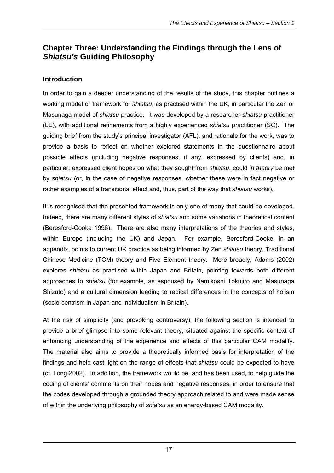# **Chapter Three: Understanding the Findings through the Lens of**  *Shiatsu's* **Guiding Philosophy**

# **Introduction**

In order to gain a deeper understanding of the results of the study, this chapter outlines a working model or framework for *shiatsu*, as practised within the UK, in particular the Zen or Masunaga model of *shiatsu* practice. It was developed by a researcher-*shiatsu* practitioner (LE), with additional refinements from a highly experienced *shiatsu* practitioner (SC). The guiding brief from the study's principal investigator (AFL), and rationale for the work, was to provide a basis to reflect on whether explored statements in the questionnaire about possible effects (including negative responses, if any, expressed by clients) and, in particular, expressed client hopes on what they sought from *shiatsu*, could *in theory* be met by *shiatsu* (or, in the case of negative responses, whether these were in fact negative or rather examples of a transitional effect and, thus, part of the way that *shiatsu* works).

It is recognised that the presented framework is only one of many that could be developed. Indeed, there are many different styles of *shiatsu* and some variations in theoretical content (Beresford-Cooke 1996). There are also many interpretations of the theories and styles, within Europe (including the UK) and Japan. For example, Beresford-Cooke, in an appendix, points to current UK practice as being informed by Zen *shiatsu* theory, Traditional Chinese Medicine (TCM) theory and Five Element theory. More broadly, Adams (2002) explores *shiatsu* as practised within Japan and Britain, pointing towards both different approaches to *shiatsu* (for example, as espoused by Namikoshi Tokujiro and Masunaga Shizuto) and a cultural dimension leading to radical differences in the concepts of holism (socio-centrism in Japan and individualism in Britain).

At the risk of simplicity (and provoking controversy), the following section is intended to provide a brief glimpse into some relevant theory, situated against the specific context of enhancing understanding of the experience and effects of this particular CAM modality. The material also aims to provide a theoretically informed basis for interpretation of the findings and help cast light on the range of effects that *shiatsu* could be expected to have (cf. Long 2002). In addition, the framework would be, and has been used, to help guide the coding of clients' comments on their hopes and negative responses, in order to ensure that the codes developed through a grounded theory approach related to and were made sense of within the underlying philosophy of *shiatsu* as an energy-based CAM modality.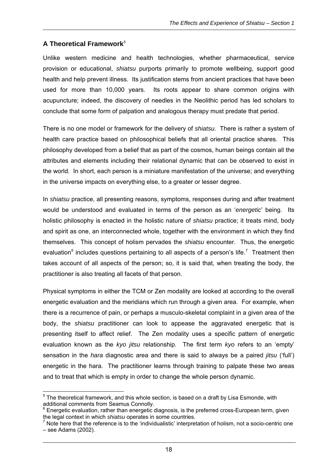#### **A Theoretical Framework**<sup>5</sup>

Unlike western medicine and health technologies, whether pharmaceutical, service provision or educational, *shiatsu* purports primarily to promote wellbeing, support good health and help prevent illness. Its justification stems from ancient practices that have been used for more than 10,000 years. Its roots appear to share common origins with acupuncture; indeed, the discovery of needles in the Neolithic period has led scholars to conclude that some form of palpation and analogous therapy must predate that period.

There is no one model or framework for the delivery of *shiatsu*. There is rather a system of health care practice based on philosophical beliefs that all oriental practice shares. This philosophy developed from a belief that as part of the cosmos, human beings contain all the attributes and elements including their relational dynamic that can be observed to exist in the world. In short, each person is a miniature manifestation of the universe; and everything in the universe impacts on everything else, to a greater or lesser degree.

In *shiatsu* practice, all presenting reasons, symptoms, responses during and after treatment would be understood and evaluated in terms of the person as an '*energetic*' being. Its holistic philosophy is enacted in the holistic nature of *shiatsu* practice; it treats mind, body and spirit as one, an interconnected whole, together with the environment in which they find themselves. This concept of holism pervades the *shiatsu* encounter. Thus, the energetic evaluation<sup>6</sup> includes questions pertaining to all aspects of a person's life.<sup>7</sup> Treatment then takes account of all aspects of the person; so, it is said that, when treating the body, the practitioner is also treating all facets of that person.

Physical symptoms in either the TCM or Zen modality are looked at according to the overall energetic evaluation and the meridians which run through a given area. For example, when there is a recurrence of pain, or perhaps a musculo-skeletal complaint in a given area of the body, the *shiatsu* practitioner can look to appease the aggravated energetic that is presenting itself to affect relief. The Zen modality uses a specific pattern of energetic evaluation known as the *kyo jitsu* relationship. The first term *kyo* refers to an 'empty' sensation in the *hara* diagnostic area and there is said to always be a paired *jitsu* ('full') energetic in the hara. The practitioner learns through training to palpate these two areas and to treat that which is empty in order to change the whole person dynamic.

<sup>————————————————————&</sup>lt;br><sup>5</sup> The theoretical framework, and this whole section, is based on a draft by Lisa Esmonde, with i additional comments from Seamus Connolly.

 $^6$  Energetic evaluation, rather than energetic diagnosis, is the preferred cross-European term, given the legal context in which *shiatsu* operates in some countries. 7

Note here that the reference is to the 'individualistic' interpretation of holism, not a socio-centric one – see Adams (2002).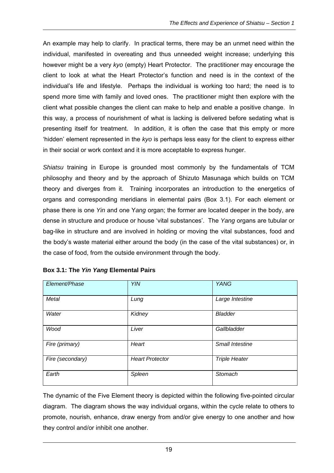An example may help to clarify. In practical terms, there may be an unmet need within the individual, manifested in overeating and thus unneeded weight increase; underlying this however might be a very *kyo* (empty) Heart Protector. The practitioner may encourage the client to look at what the Heart Protector's function and need is in the context of the individual's life and lifestyle. Perhaps the individual is working too hard; the need is to spend more time with family and loved ones. The practitioner might then explore with the client what possible changes the client can make to help and enable a positive change. In this way, a process of nourishment of what is lacking is delivered before sedating what is presenting itself for treatment. In addition, it is often the case that this empty or more 'hidden' element represented in the *kyo* is perhaps less easy for the client to express either in their social or work context and it is more acceptable to express hunger.

*Shiatsu* training in Europe is grounded most commonly by the fundamentals of TCM philosophy and theory and by the approach of Shizuto Masunaga which builds on TCM theory and diverges from it. Training incorporates an introduction to the energetics of organs and corresponding meridians in elemental pairs (Box 3.1). For each element or phase there is one *Yin* and one Y*ang* organ; the former are located deeper in the body, are dense in structure and produce or house 'vital substances'. The *Yang* organs are tubular or bag-like in structure and are involved in holding or moving the vital substances, food and the body's waste material either around the body (in the case of the vital substances) or, in the case of food, from the outside environment through the body.

| Element/Phase    | <b>YIN</b>             | <b>YANG</b>            |
|------------------|------------------------|------------------------|
| <b>Metal</b>     | Lung                   | Large Intestine        |
| Water            | Kidney                 | <b>Bladder</b>         |
| Wood             | Liver                  | Gallbladder            |
| Fire (primary)   | Heart                  | <b>Small Intestine</b> |
| Fire (secondary) | <b>Heart Protector</b> | <b>Triple Heater</b>   |
| Earth            | Spleen                 | Stomach                |

| Box 3.1: The Yin Yang Elemental Pairs |  |  |  |  |  |  |  |
|---------------------------------------|--|--|--|--|--|--|--|
|---------------------------------------|--|--|--|--|--|--|--|

The dynamic of the Five Element theory is depicted within the following five-pointed circular diagram. The diagram shows the way individual organs, within the cycle relate to others to promote, nourish, enhance, draw energy from and/or give energy to one another and how they control and/or inhibit one another.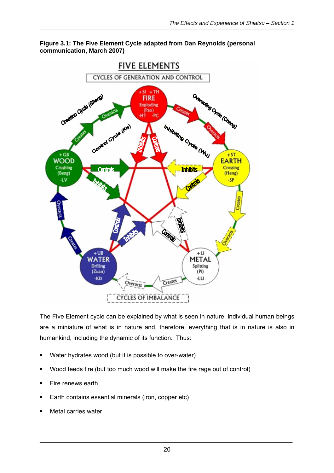

#### **Figure 3.1: The Five Element Cycle adapted from Dan Reynolds (personal communication, March 2007)**

The Five Element cycle can be explained by what is seen in nature; individual human beings are a miniature of what is in nature and, therefore, everything that is in nature is also in humankind, including the dynamic of its function. Thus:

- Water hydrates wood (but it is possible to over-water)
- Wood feeds fire (but too much wood will make the fire rage out of control)
- Fire renews earth
- Earth contains essential minerals (iron, copper etc)
- Metal carries water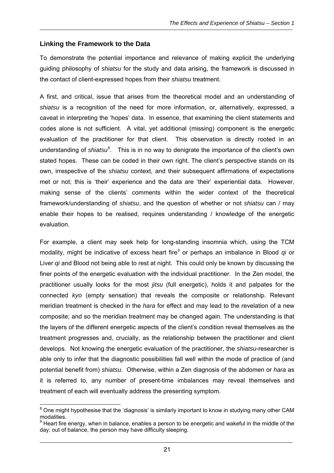### **Linking the Framework to the Data**

To demonstrate the potential importance and relevance of making explicit the underlying guiding philosophy of *shiatsu* for the study and data arising, the framework is discussed in the contact of client-expressed hopes from their *shiatsu* treatment.

A first, and critical, issue that arises from the theoretical model and an understanding of *shiatsu* is a recognition of the need for more information, or, alternatively, expressed, a caveat in interpreting the 'hopes' data. In essence, that examining the client statements and codes alone is not sufficient. A vital, yet additional (missing) component is the energetic evaluation of the practitioner for that client. This observation is directly rooted in an understanding of *shiatsu*<sup>8</sup>. This is in no way to denigrate the importance of the client's own stated hopes. These can be coded in their own right. The client's perspective stands on its own, irrespective of the *shiatsu* context, and their subsequent affirmations of expectations met or not; this is 'their' experience and the data are 'their' experiential data. However, making sense of the clients' comments within the wider context of the theoretical framework/understanding of *shiatsu*, and the question of whether or not *shiatsu* can / may enable their hopes to be realised, requires understanding / knowledge of the energetic evaluation.

For example, a client may seek help for long-standing insomnia which, using the TCM modality, might be indicative of excess heart fire<sup>9</sup> or perhaps an imbalance in Blood qi or Liver *qi* and Blood not being able to rest at night. This could only be known by discussing the finer points of the energetic evaluation with the individual practitioner. In the Zen model, the practitioner usually looks for the most *jitsu* (full energetic), holds it and palpates for the connected *kyo* (empty sensation) that reveals the composite or relationship. Relevant meridian treatment is checked in the *hara* for effect and may lead to the revelation of a new composite; and so the meridian treatment may be changed again. The understanding is that the layers of the different energetic aspects of the client's condition reveal themselves as the treatment progresses and, crucially, as the relationship between the practitioner and client develops. Not knowing the energetic evaluation of the practitioner, the *shiatsu*-researcher is able only to infer that the diagnostic possibilities fall well within the mode of practice of (and potential benefit from) *shiatsu*. Otherwise, within a Zen diagnosis of the abdomen or *hara* as it is referred to, any number of present-time imbalances may reveal themselves and treatment of each will eventually address the presenting symptom.

erthald the might hypothesise that the 'diagnosis' is similarly important to know in studying many other CAM of the state of the control of the control of the control of the control of the control of the control of the con modalities.

 $9$  Heart fire energy, when in balance, enables a person to be energetic and wakeful in the middle of the day; out of balance, the person may have difficulty sleeping.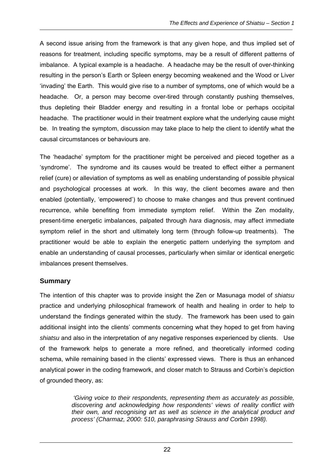A second issue arising from the framework is that any given hope, and thus implied set of reasons for treatment, including specific symptoms, may be a result of different patterns of imbalance. A typical example is a headache. A headache may be the result of over-thinking resulting in the person's Earth or Spleen energy becoming weakened and the Wood or Liver 'invading' the Earth. This would give rise to a number of symptoms, one of which would be a headache. Or, a person may become over-tired through constantly pushing themselves, thus depleting their Bladder energy and resulting in a frontal lobe or perhaps occipital headache. The practitioner would in their treatment explore what the underlying cause might be. In treating the symptom, discussion may take place to help the client to identify what the causal circumstances or behaviours are.

The 'headache' symptom for the practitioner might be perceived and pieced together as a 'syndrome'. The syndrome and its causes would be treated to effect either a permanent relief (cure) or alleviation of symptoms as well as enabling understanding of possible physical and psychological processes at work. In this way, the client becomes aware and then enabled (potentially, 'empowered') to choose to make changes and thus prevent continued recurrence, while benefiting from immediate symptom relief. Within the Zen modality, present-time energetic imbalances, palpated through *hara* diagnosis, may affect immediate symptom relief in the short and ultimately long term (through follow-up treatments). The practitioner would be able to explain the energetic pattern underlying the symptom and enable an understanding of causal processes, particularly when similar or identical energetic imbalances present themselves.

#### **Summary**

The intention of this chapter was to provide insight the Zen or Masunaga model of *shiatsu*  practice and underlying philosophical framework of health and healing in order to help to understand the findings generated within the study. The framework has been used to gain additional insight into the clients' comments concerning what they hoped to get from having *shiatsu* and also in the interpretation of any negative responses experienced by clients. Use of the framework helps to generate a more refined, and theoretically informed coding schema, while remaining based in the clients' expressed views. There is thus an enhanced analytical power in the coding framework, and closer match to Strauss and Corbin's depiction of grounded theory, as:

> *'Giving voice to their respondents, representing them as accurately as possible, discovering and acknowledging how respondents' views of reality conflict with their own, and recognising art as well as science in the analytical product and process' (Charmaz, 2000: 510, paraphrasing Strauss and Corbin 1998).*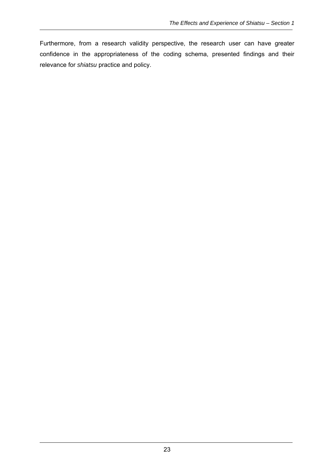Furthermore, from a research validity perspective, the research user can have greater confidence in the appropriateness of the coding schema, presented findings and their relevance for *shiatsu* practice and policy.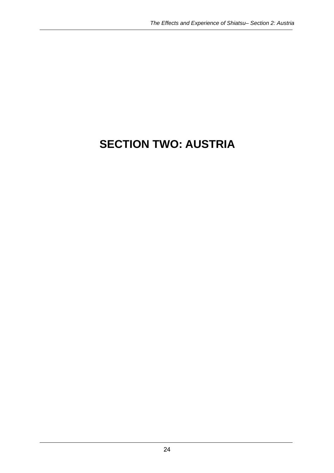# **SECTION TWO: AUSTRIA**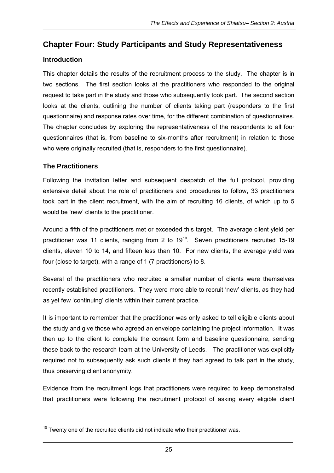# **Chapter Four: Study Participants and Study Representativeness**

## **Introduction**

This chapter details the results of the recruitment process to the study. The chapter is in two sections. The first section looks at the practitioners who responded to the original request to take part in the study and those who subsequently took part. The second section looks at the clients, outlining the number of clients taking part (responders to the first questionnaire) and response rates over time, for the different combination of questionnaires. The chapter concludes by exploring the representativeness of the respondents to all four questionnaires (that is, from baseline to six-months after recruitment) in relation to those who were originally recruited (that is, responders to the first questionnaire).

## **The Practitioners**

Following the invitation letter and subsequent despatch of the full protocol, providing extensive detail about the role of practitioners and procedures to follow, 33 practitioners took part in the client recruitment, with the aim of recruiting 16 clients, of which up to 5 would be 'new' clients to the practitioner.

Around a fifth of the practitioners met or exceeded this target. The average client yield per practitioner was 11 clients, ranging from 2 to 19<sup>10</sup>. Seven practitioners recruited 15-19 clients, eleven 10 to 14, and fifteen less than 10. For new clients, the average yield was four (close to target), with a range of 1 (7 practitioners) to 8.

Several of the practitioners who recruited a smaller number of clients were themselves recently established practitioners. They were more able to recruit 'new' clients, as they had as yet few 'continuing' clients within their current practice.

It is important to remember that the practitioner was only asked to tell eligible clients about the study and give those who agreed an envelope containing the project information. It was then up to the client to complete the consent form and baseline questionnaire, sending these back to the research team at the University of Leeds. The practitioner was explicitly required not to subsequently ask such clients if they had agreed to talk part in the study, thus preserving client anonymity.

Evidence from the recruitment logs that practitioners were required to keep demonstrated that practitioners were following the recruitment protocol of asking every eligible client

 $\overline{a}$  $10$  Twenty one of the recruited clients did not indicate who their practitioner was.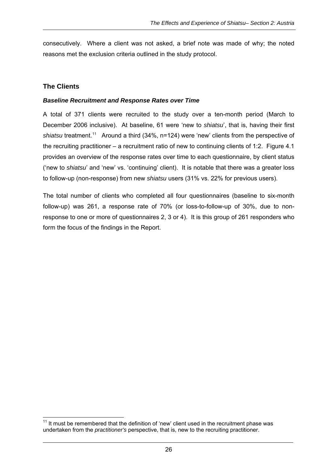consecutively. Where a client was not asked, a brief note was made of why; the noted reasons met the exclusion criteria outlined in the study protocol.

#### **The Clients**

#### *Baseline Recruitment and Response Rates over Time*

A total of 371 clients were recruited to the study over a ten-month period (March to December 2006 inclusive). At baseline, 61 were 'new to *shiatsu*', that is, having their first shiatsu treatment.<sup>11</sup> Around a third (34%, n=124) were 'new' clients from the perspective of the recruiting practitioner – a recruitment ratio of new to continuing clients of 1:2. Figure 4.1 provides an overview of the response rates over time to each questionnaire, by client status ('new to *shiatsu*' and 'new' vs. 'continuing' client). It is notable that there was a greater loss to follow-up (non-response) from new *shiatsu* users (31% vs. 22% for previous users).

The total number of clients who completed all four questionnaires (baseline to six-month follow-up) was 261, a response rate of 70% (or loss-to-follow-up of 30%, due to nonresponse to one or more of questionnaires 2, 3 or 4). It is this group of 261 responders who form the focus of the findings in the Report.

  $11$  It must be remembered that the definition of 'new' client used in the recruitment phase was undertaken from the *practitioner's* perspective, that is, new to the recruiting practitioner.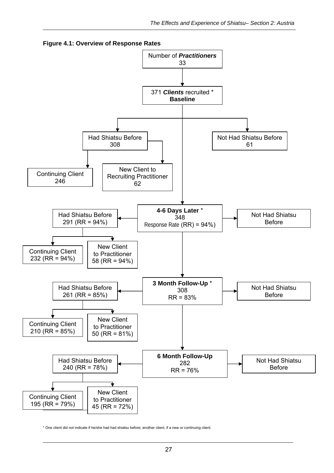

**Figure 4.1: Overview of Response Rates** 

\* One client did not indicate if he/she had had shiatsu before; another client, if a new or continuing client.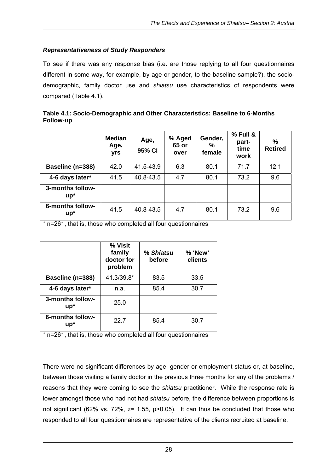#### *Representativeness of Study Responders*

To see if there was any response bias (i.e. are those replying to all four questionnaires different in some way, for example, by age or gender, to the baseline sample?), the sociodemographic, family doctor use and *shiatsu* use characteristics of respondents were compared (Table 4.1).

| Table 4.1: Socio-Demographic and Other Characteristics: Baseline to 6-Months |  |
|------------------------------------------------------------------------------|--|
| Follow-up                                                                    |  |

|                            | <b>Median</b><br>Age,<br>yrs | Age,<br>95% CI | % Aged<br>65 or<br>over | Gender,<br>%<br>female | % Full &<br>part-<br>time<br>work | %<br><b>Retired</b> |
|----------------------------|------------------------------|----------------|-------------------------|------------------------|-----------------------------------|---------------------|
| Baseline (n=388)           | 42.0                         | 41.5-43.9      | 6.3                     | 80.1                   | 71.7                              | 12.1                |
| 4-6 days later*            | 41.5                         | 40.8-43.5      | 4.7                     | 80.1                   | 73.2                              | 9.6                 |
| 3-months follow-<br>$up^*$ |                              |                |                         |                        |                                   |                     |
| 6-months follow-<br>$up^*$ | 41.5                         | 40.8-43.5      | 4.7                     | 80.1                   | 73.2                              | 9.6                 |

\* n=261, that is, those who completed all four questionnaires

|                            | % Visit<br>family<br>doctor for<br>problem | % Shiatsu<br>before | % 'New'<br>clients |
|----------------------------|--------------------------------------------|---------------------|--------------------|
| Baseline (n=388)           | 41.3/39.8*                                 | 83.5                | 33.5               |
| 4-6 days later*            | n.a.                                       | 85.4                | 30.7               |
| 3-months follow-<br>$up^*$ | 25.0                                       |                     |                    |
| 6-months follow-<br>up*    | 22.7                                       | 85.4                | 30.7               |

\* n=261, that is, those who completed all four questionnaires

There were no significant differences by age, gender or employment status or, at baseline, between those visiting a family doctor in the previous three months for any of the problems / reasons that they were coming to see the *shiatsu* practitioner. While the response rate is lower amongst those who had not had *shiatsu* before, the difference between proportions is not significant (62% vs. 72%, z= 1.55, p>0.05). It can thus be concluded that those who responded to all four questionnaires are representative of the clients recruited at baseline.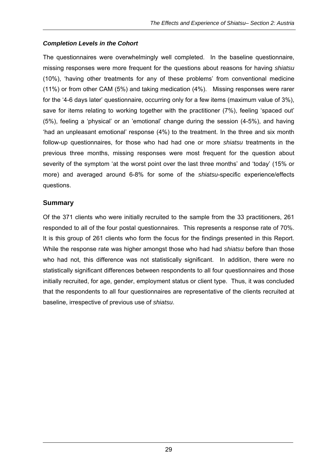#### *Completion Levels in the Cohort*

The questionnaires were overwhelmingly well completed. In the baseline questionnaire, missing responses were more frequent for the questions about reasons for having *shiatsu* (10%), 'having other treatments for any of these problems' from conventional medicine (11%) or from other CAM (5%) and taking medication (4%). Missing responses were rarer for the '4-6 days later' questionnaire, occurring only for a few items (maximum value of 3%), save for items relating to working together with the practitioner (7%), feeling 'spaced out' (5%), feeling a 'physical' or an 'emotional' change during the session (4-5%), and having 'had an unpleasant emotional' response (4%) to the treatment. In the three and six month follow-up questionnaires, for those who had had one or more *shiatsu* treatments in the previous three months, missing responses were most frequent for the question about severity of the symptom 'at the worst point over the last three months' and 'today' (15% or more) and averaged around 6-8% for some of the *shiatsu*-specific experience/effects questions.

#### **Summary**

Of the 371 clients who were initially recruited to the sample from the 33 practitioners, 261 responded to all of the four postal questionnaires. This represents a response rate of 70%. It is this group of 261 clients who form the focus for the findings presented in this Report. While the response rate was higher amongst those who had had *shiatsu* before than those who had not, this difference was not statistically significant. In addition, there were no statistically significant differences between respondents to all four questionnaires and those initially recruited, for age, gender, employment status or client type. Thus, it was concluded that the respondents to all four questionnaires are representative of the clients recruited at baseline, irrespective of previous use of *shiatsu*.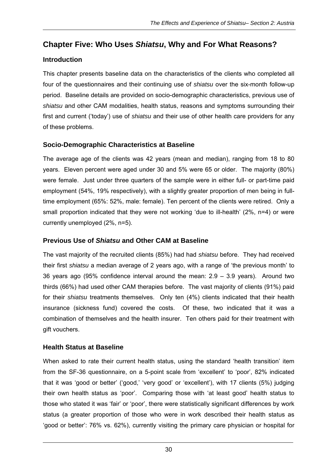# **Chapter Five: Who Uses** *Shiatsu***, Why and For What Reasons?**

# **Introduction**

This chapter presents baseline data on the characteristics of the clients who completed all four of the questionnaires and their continuing use of *shiatsu* over the six-month follow-up period. Baseline details are provided on socio-demographic characteristics, previous use of *shiatsu* and other CAM modalities, health status, reasons and symptoms surrounding their first and current ('today') use of *shiatsu* and their use of other health care providers for any of these problems.

# **Socio-Demographic Characteristics at Baseline**

The average age of the clients was 42 years (mean and median), ranging from 18 to 80 years. Eleven percent were aged under 30 and 5% were 65 or older. The majority (80%) were female. Just under three quarters of the sample were in either full- or part-time paid employment (54%, 19% respectively), with a slightly greater proportion of men being in fulltime employment (65%: 52%, male: female). Ten percent of the clients were retired. Only a small proportion indicated that they were not working 'due to ill-health' (2%, n=4) or were currently unemployed (2%, n=5).

# **Previous Use of** *Shiatsu* **and Other CAM at Baseline**

The vast majority of the recruited clients (85%) had had *shiatsu* before. They had received their first *shiatsu* a median average of 2 years ago, with a range of 'the previous month' to 36 years ago (95% confidence interval around the mean: 2.9 – 3.9 years). Around two thirds (66%) had used other CAM therapies before. The vast majority of clients (91%) paid for their *shiatsu* treatments themselves. Only ten (4%) clients indicated that their health insurance (sickness fund) covered the costs. Of these, two indicated that it was a combination of themselves and the health insurer. Ten others paid for their treatment with gift vouchers.

# **Health Status at Baseline**

When asked to rate their current health status, using the standard 'health transition' item from the SF-36 questionnaire, on a 5-point scale from 'excellent' to 'poor', 82% indicated that it was 'good or better' ('good,' 'very good' or 'excellent'), with 17 clients (5%) judging their own health status as 'poor'. Comparing those with 'at least good' health status to those who stated it was 'fair' or 'poor', there were statistically significant differences by work status (a greater proportion of those who were in work described their health status as 'good or better': 76% vs. 62%), currently visiting the primary care physician or hospital for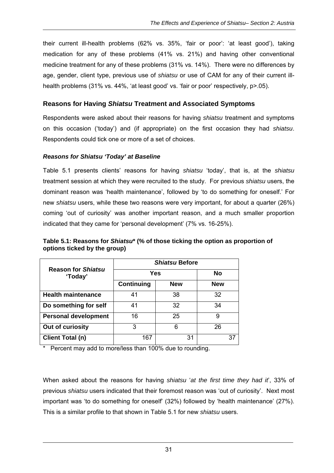their current ill-health problems (62% vs. 35%, 'fair or poor': 'at least good'), taking medication for any of these problems (41% vs. 21%) and having other conventional medicine treatment for any of these problems (31% vs. 14%). There were no differences by age, gender, client type, previous use of *shiatsu* or use of CAM for any of their current illhealth problems (31% vs. 44%, 'at least good' vs. 'fair or poor' respectively, p>.05).

#### **Reasons for Having** *Shiatsu* **Treatment and Associated Symptoms**

Respondents were asked about their reasons for having *shiatsu* treatment and symptoms on this occasion ('today') and (if appropriate) on the first occasion they had *shiatsu*. Respondents could tick one or more of a set of choices.

#### *Reasons for Shiatsu 'Today' at Baseline*

Table 5.1 presents clients' reasons for having *shiatsu* 'today', that is, at the *shiatsu*  treatment session at which they were recruited to the study. For previous *shiatsu* users, the dominant reason was 'health maintenance', followed by 'to do something for oneself.' For new *shiatsu* users, while these two reasons were very important, for about a quarter (26%) coming 'out of curiosity' was another important reason, and a much smaller proportion indicated that they came for 'personal development' (7% vs. 16-25%).

|                                      | <i><b>Shiatsu Before</b></i> |            |            |  |  |  |  |
|--------------------------------------|------------------------------|------------|------------|--|--|--|--|
| <b>Reason for Shiatsu</b><br>'Today' | Yes                          |            | <b>No</b>  |  |  |  |  |
|                                      | <b>Continuing</b>            | <b>New</b> | <b>New</b> |  |  |  |  |
| <b>Health maintenance</b>            | 41                           | 38         | 32         |  |  |  |  |
| Do something for self                | 41                           | 32         | 34         |  |  |  |  |
| <b>Personal development</b>          | 16                           | 25         | 9          |  |  |  |  |
| Out of curiosity                     | 3                            | հ          | 26         |  |  |  |  |
| Client Total (n)                     | 167                          | 31         | 37         |  |  |  |  |

**Table 5.1: Reasons for** *Shiatsu***\* (% of those ticking the option as proportion of options ticked by the group)** 

\* Percent may add to more/less than 100% due to rounding.

When asked about the reasons for having *shiatsu* '*at the first time they had it*', 33% of previous *shiatsu* users indicated that their foremost reason was 'out of curiosity'. Next most important was 'to do something for oneself' (32%) followed by 'health maintenance' (27%). This is a similar profile to that shown in Table 5.1 for new *shiatsu* users.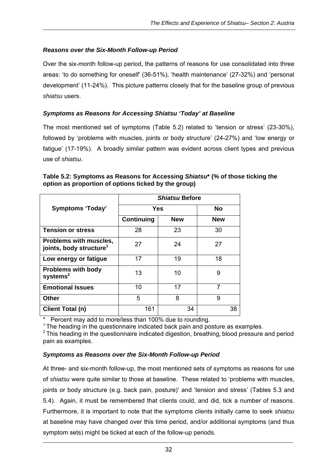#### *Reasons over the Six-Month Follow-up Period*

Over the six-month follow-up period, the patterns of reasons for use consolidated into three areas: 'to do something for oneself' (36-51%), 'health maintenance' (27-32%) and 'personal development' (11-24%). This picture patterns closely that for the baseline group of previous *shiatsu* users.

#### *Symptoms as Reasons for Accessing Shiatsu 'Today' at Baseline*

The most mentioned set of symptoms (Table 5.2) related to 'tension or stress' (23-30%), followed by 'problems with muscles, joints or body structure' (24-27%) and 'low energy or fatigue' (17-19%). A broadly similar pattern was evident across client types and previous use of *shiatsu*.

|                                                               | <b>Shiatsu Before</b> |            |            |  |  |  |  |
|---------------------------------------------------------------|-----------------------|------------|------------|--|--|--|--|
| <b>Symptoms 'Today'</b>                                       | Yes                   | <b>No</b>  |            |  |  |  |  |
|                                                               | <b>Continuing</b>     | <b>New</b> | <b>New</b> |  |  |  |  |
| <b>Tension or stress</b>                                      | 28                    | 23         | 30         |  |  |  |  |
| Problems with muscles,<br>joints, body structure <sup>1</sup> | 27                    | 24         | 27         |  |  |  |  |
| Low energy or fatigue                                         | 17                    | 19         | 18         |  |  |  |  |
| <b>Problems with body</b><br>systems $2$                      | 13                    | 10         | 9          |  |  |  |  |
| <b>Emotional Issues</b>                                       | 10                    | 17         | 7          |  |  |  |  |
| <b>Other</b>                                                  | 5                     | 8          | 9          |  |  |  |  |
| <b>Client Total (n)</b>                                       | 161                   | 34         | 38         |  |  |  |  |

#### **Table 5.2: Symptoms as Reasons for Accessing** *Shiatsu***\* (% of those ticking the option as proportion of options ticked by the group)**

Percent may add to more/less than 100% due to rounding.

 $1$  The heading in the questionnaire indicated back pain and posture as examples.

 $2$  This heading in the questionnaire indicated digestion, breathing, blood pressure and period pain as examples.

#### *Symptoms as Reasons over the Six-Month Follow-up Period*

At three- and six-month follow-up, the most mentioned sets of symptoms as reasons for use of *shiatsu* were quite similar to those at baseline. These related to 'problems with muscles, joints or body structure (e.g. back pain, posture)' and 'tension and stress' (Tables 5.3 and 5.4). Again, it must be remembered that clients could, and did, tick a number of reasons. Furthermore, it is important to note that the symptoms clients initially came to seek *shiatsu* at baseline may have changed over this time period, and/or additional symptoms (and thus symptom sets) might be ticked at each of the follow-up periods.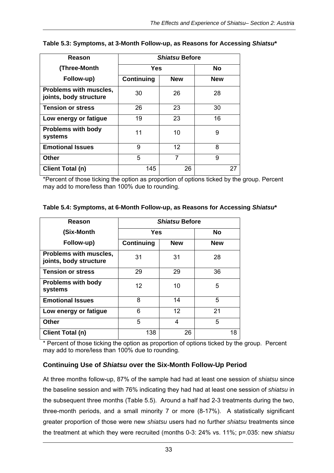| Reason                                                  | <b>Shiatsu Before</b>    |           |     |  |  |
|---------------------------------------------------------|--------------------------|-----------|-----|--|--|
| (Three-Month                                            | Yes                      | <b>No</b> |     |  |  |
| Follow-up)                                              | Continuing<br><b>New</b> |           | New |  |  |
| <b>Problems with muscles,</b><br>joints, body structure | 30                       | 26        | 28  |  |  |
| <b>Tension or stress</b>                                | 26                       | 23        | 30  |  |  |
| Low energy or fatigue                                   | 19                       | 23        | 16  |  |  |
| <b>Problems with body</b><br>systems                    | 11                       | 10        | 9   |  |  |
| <b>Emotional Issues</b>                                 | 9                        | 12        | 8   |  |  |
| <b>Other</b>                                            | 5                        | 7         | 9   |  |  |
| Client Total (n)                                        | 145                      | 26        | 27  |  |  |

#### **Table 5.3: Symptoms, at 3-Month Follow-up, as Reasons for Accessing** *Shiatsu***\***

\*Percent of those ticking the option as proportion of options ticked by the group. Percent may add to more/less than 100% due to rounding.

| Table 5.4: Symptoms, at 6-Month Follow-up, as Reasons for Accessing Shiatsu* |  |  |  |  |  |
|------------------------------------------------------------------------------|--|--|--|--|--|
|------------------------------------------------------------------------------|--|--|--|--|--|

| Reason                                           | <b>Shiatsu Before</b> |            |            |  |  |
|--------------------------------------------------|-----------------------|------------|------------|--|--|
| (Six-Month                                       | <b>Yes</b>            |            | No         |  |  |
| Follow-up)                                       | Continuing            | <b>New</b> | <b>New</b> |  |  |
| Problems with muscles,<br>joints, body structure | 31                    | 31         | 28         |  |  |
| <b>Tension or stress</b>                         | 29                    | 29         | 36         |  |  |
| <b>Problems with body</b><br>systems             | 12                    | 10         | 5          |  |  |
| <b>Emotional Issues</b>                          | 8                     | 14         | 5          |  |  |
| Low energy or fatigue                            | 6                     | 12         | 21         |  |  |
| <b>Other</b>                                     | 5                     | 4          | 5          |  |  |
| <b>Client Total (n)</b>                          | 138                   | 26         | 18         |  |  |

\* Percent of those ticking the option as proportion of options ticked by the group. Percent may add to more/less than 100% due to rounding.

#### **Continuing Use of** *Shiatsu* **over the Six-Month Follow-Up Period**

At three months follow-up, 87% of the sample had had at least one session of *shiatsu* since the baseline session and with 76% indicating they had had at least one session of *shiatsu* in the subsequent three months (Table 5.5). Around a half had 2-3 treatments during the two, three-month periods, and a small minority 7 or more (8-17%). A statistically significant greater proportion of those were new *shiatsu* users had no further *shiatsu* treatments since the treatment at which they were recruited (months 0-3: 24% vs. 11%; p=.035: new *shiatsu*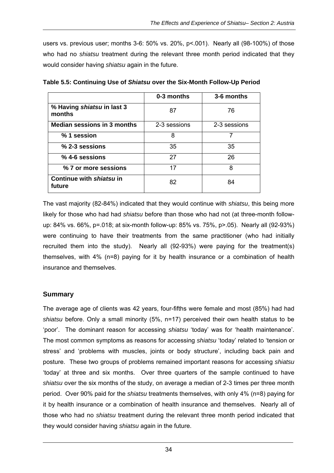users vs. previous user; months 3-6: 50% vs. 20%, p<.001). Nearly all (98-100%) of those who had no *shiatsu* treatment during the relevant three month period indicated that they would consider having *shiatsu* again in the future.

|                                      | 0-3 months   | 3-6 months   |
|--------------------------------------|--------------|--------------|
| % Having shiatsu in last 3<br>months | 87           | 76           |
| <b>Median sessions in 3 months</b>   | 2-3 sessions | 2-3 sessions |
| % 1 session                          | 8            | 7            |
| % 2-3 sessions                       | 35           | 35           |
| $%$ 4-6 sessions                     | 27           | 26           |
| % 7 or more sessions                 | 17           | 8            |
| Continue with shiatsu in<br>future   | 82           | 84           |

**Table 5.5: Continuing Use of** *Shiatsu* **over the Six-Month Follow-Up Period** 

The vast majority (82-84%) indicated that they would continue with *shiatsu*, this being more likely for those who had had *shiatsu* before than those who had not (at three-month followup: 84% vs. 66%, p=.018; at six-month follow-up: 85% vs. 75%, p>.05). Nearly all (92-93%) were continuing to have their treatments from the same practitioner (who had initially recruited them into the study). Nearly all (92-93%) were paying for the treatment(s) themselves, with 4% (n=8) paying for it by health insurance or a combination of health insurance and themselves.

#### **Summary**

The average age of clients was 42 years, four-fifths were female and most (85%) had had *shiatsu* before. Only a small minority (5%, n=17) perceived their own health status to be 'poor'. The dominant reason for accessing *shiatsu* 'today' was for 'health maintenance'. The most common symptoms as reasons for accessing *shiatsu* 'today' related to 'tension or stress' and 'problems with muscles, joints or body structure', including back pain and posture. These two groups of problems remained important reasons for accessing *shiatsu* 'today' at three and six months. Over three quarters of the sample continued to have *shiatsu* over the six months of the study, on average a median of 2-3 times per three month period. Over 90% paid for the *shiatsu* treatments themselves, with only 4% (n=8) paying for it by health insurance or a combination of health insurance and themselves. Nearly all of those who had no *shiatsu* treatment during the relevant three month period indicated that they would consider having *shiatsu* again in the future.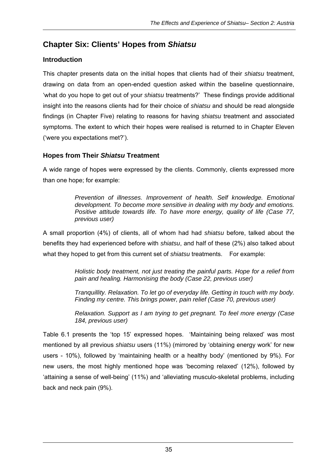# **Chapter Six: Clients' Hopes from** *Shiatsu*

## **Introduction**

This chapter presents data on the initial hopes that clients had of their *shiatsu* treatment, drawing on data from an open-ended question asked within the baseline questionnaire, 'what do you hope to get out of your *shiatsu* treatments?' These findings provide additional insight into the reasons clients had for their choice of *shiatsu* and should be read alongside findings (in Chapter Five) relating to reasons for having *shiatsu* treatment and associated symptoms. The extent to which their hopes were realised is returned to in Chapter Eleven ('were you expectations met?').

## **Hopes from Their** *Shiatsu* **Treatment**

A wide range of hopes were expressed by the clients. Commonly, clients expressed more than one hope; for example:

> *Prevention of illnesses. Improvement of health. Self knowledge. Emotional development. To become more sensitive in dealing with my body and emotions. Positive attitude towards life. To have more energy, quality of life (Case 77, previous user)*

A small proportion (4%) of clients, all of whom had had *shiatsu* before, talked about the benefits they had experienced before with *shiatsu*, and half of these (2%) also talked about what they hoped to get from this current set of *shiatsu* treatments. For example:

> *Holistic body treatment, not just treating the painful parts. Hope for a relief from pain and healing. Harmonising the body (Case 22, previous user)*

> *Tranquillity. Relaxation. To let go of everyday life. Getting in touch with my body. Finding my centre. This brings power, pain relief (Case 70, previous user)*

> *Relaxation. Support as I am trying to get pregnant. To feel more energy (Case 184, previous user)*

Table 6.1 presents the 'top 15' expressed hopes. 'Maintaining being relaxed' was most mentioned by all previous *shiatsu* users (11%) (mirrored by 'obtaining energy work' for new users - 10%), followed by 'maintaining health or a healthy body' (mentioned by 9%). For new users, the most highly mentioned hope was 'becoming relaxed' (12%), followed by 'attaining a sense of well-being' (11%) and 'alleviating musculo-skeletal problems, including back and neck pain (9%).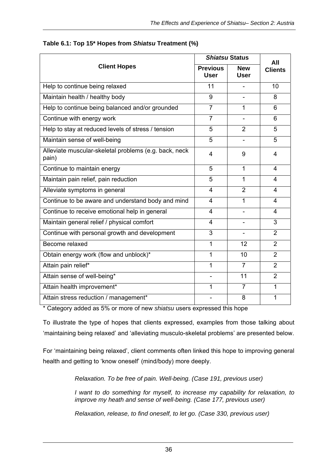|                                                                |                                | <b>Shiatsu Status</b>     |                         |  |
|----------------------------------------------------------------|--------------------------------|---------------------------|-------------------------|--|
| <b>Client Hopes</b>                                            | <b>Previous</b><br><b>User</b> | <b>New</b><br><b>User</b> | All<br><b>Clients</b>   |  |
| Help to continue being relaxed                                 | 11                             |                           | 10                      |  |
| Maintain health / healthy body                                 | 9                              |                           | 8                       |  |
| Help to continue being balanced and/or grounded                | $\overline{7}$                 | 1                         | 6                       |  |
| Continue with energy work                                      | $\overline{7}$                 |                           | 6                       |  |
| Help to stay at reduced levels of stress / tension             | 5                              | $\overline{2}$            | 5                       |  |
| Maintain sense of well-being                                   | 5                              |                           | 5                       |  |
| Alleviate muscular-skeletal problems (e.g. back, neck<br>pain) | 4                              | 9                         | $\overline{\mathbf{4}}$ |  |
| Continue to maintain energy                                    | 5                              | $\mathbf 1$               | 4                       |  |
| Maintain pain relief, pain reduction                           | 5                              | $\mathbf{1}$              | 4                       |  |
| Alleviate symptoms in general                                  | $\overline{\mathbf{4}}$        | $\overline{2}$            | 4                       |  |
| Continue to be aware and understand body and mind              | $\overline{\mathbf{4}}$        | 1                         | 4                       |  |
| Continue to receive emotional help in general                  | $\overline{4}$                 |                           | 4                       |  |
| Maintain general relief / physical comfort                     | $\overline{4}$                 |                           | 3                       |  |
| Continue with personal growth and development                  | 3                              |                           | 2                       |  |
| Become relaxed                                                 | 1                              | 12                        | $\overline{2}$          |  |
| Obtain energy work (flow and unblock)*                         | 1                              | 10                        | $\overline{2}$          |  |
| Attain pain relief*                                            | 1                              | $\overline{7}$            | $\overline{2}$          |  |
| Attain sense of well-being*                                    |                                | $\overline{11}$           | $\overline{2}$          |  |
| Attain health improvement*                                     | 1                              | $\overline{7}$            | 1                       |  |
| Attain stress reduction / management*                          |                                | 8                         | $\mathbf{1}$            |  |

#### **Table 6.1: Top 15\* Hopes from** *Shiatsu* **Treatment (%)**

\* Category added as 5% or more of new *shiatsu* users expressed this hope

To illustrate the type of hopes that clients expressed, examples from those talking about 'maintaining being relaxed' and 'alleviating musculo-skeletal problems' are presented below.

For 'maintaining being relaxed', client comments often linked this hope to improving general health and getting to 'know oneself' (mind/body) more deeply.

*Relaxation. To be free of pain. Well-being. (Case 191, previous user)* 

*I* want to do something for myself, to increase my capability for relaxation, to *improve my heath and sense of well-being. (Case 177, previous user)* 

*Relaxation, release, to find oneself, to let go. (Case 330, previous user)*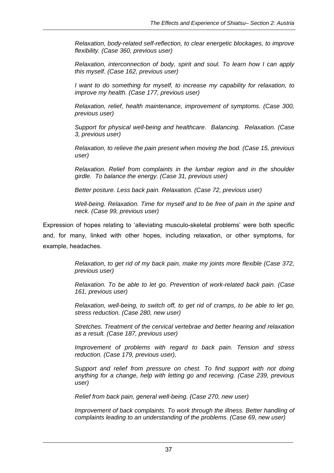*Relaxation, body-related self-reflection, to clear energetic blockages, to improve flexibility. (Case 360, previous user)* 

*Relaxation, interconnection of body, spirit and soul. To learn how I can apply this myself. (Case 162, previous user)* 

*I want to do something for myself, to increase my capability for relaxation, to improve my health. (Case 177, previous user)* 

*Relaxation, relief, health maintenance, improvement of symptoms. (Case 300, previous user)* 

*Support for physical well-being and healthcare. Balancing. Relaxation. (Case 3, previous user)* 

*Relaxation, to relieve the pain present when moving the bod. (Case 15, previous user)* 

*Relaxation. Relief from complaints in the lumbar region and in the shoulder girdle. To balance the energy. (Case 31, previous user)* 

*Better posture. Less back pain. Relaxation. (Case 72, previous user)* 

*Well-being. Relaxation. Time for myself and to be free of pain in the spine and neck. (Case 99, previous user)* 

Expression of hopes relating to 'alleviating musculo-skeletal problems' were both specific and, for many, linked with other hopes, including relaxation, or other symptoms, for example, headaches.

> *Relaxation, to get rid of my back pain, make my joints more flexible (Case 372, previous user)*

> *Relaxation. To be able to let go. Prevention of work-related back pain. (Case 161, previous user)*

> *Relaxation, well-being, to switch off, to get rid of cramps, to be able to let go, stress reduction. (Case 280, new user)*

> *Stretches. Treatment of the cervical vertebrae and better hearing and relaxation as a result. (Case 187, previous user)*

> *Improvement of problems with regard to back pain. Tension and stress reduction. (Case 179, previous user),*

> *Support and relief from pressure on chest. To find support with not doing anything for a change, help with letting go and receiving. (Case 239, previous user)*

*Relief from back pain, general well-being. (Case 270, new user)* 

*Improvement of back complaints. To work through the illness. Better handling of complaints leading to an understanding of the problems. (Case 69, new user)*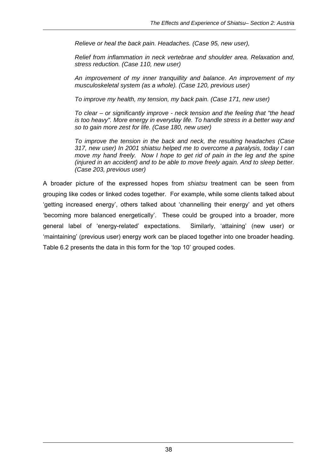*Relieve or heal the back pain. Headaches. (Case 95, new user),* 

*Relief from inflammation in neck vertebrae and shoulder area. Relaxation and, stress reduction. (Case 110, new user)* 

*An improvement of my inner tranquillity and balance. An improvement of my musculoskeletal system (as a whole). (Case 120, previous user)* 

*To improve my health, my tension, my back pain. (Case 171, new user)* 

*To clear – or significantly improve - neck tension and the feeling that "the head*  is too heavy". More energy in everyday life. To handle stress in a better way and *so to gain more zest for life. (Case 180, new user)* 

*To improve the tension in the back and neck, the resulting headaches (Case 317, new user) In 2001 shiatsu helped me to overcome a paralysis, today I can move my hand freely. Now I hope to get rid of pain in the leg and the spine (injured in an accident) and to be able to move freely again. And to sleep better. (Case 203, previous user)* 

A broader picture of the expressed hopes from *shiatsu* treatment can be seen from grouping like codes or linked codes together. For example, while some clients talked about 'getting increased energy', others talked about 'channelling their energy' and yet others 'becoming more balanced energetically'. These could be grouped into a broader, more general label of 'energy-related' expectations. Similarly, 'attaining' (new user) or 'maintaining' (previous user) energy work can be placed together into one broader heading. Table 6.2 presents the data in this form for the 'top 10' grouped codes.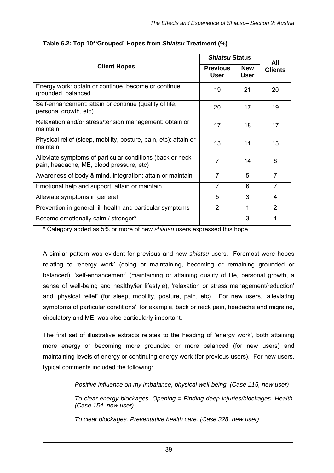| <b>Client Hopes</b>                                                                                    | <i><b>Shiatsu Status</b></i>   |                           | All            |
|--------------------------------------------------------------------------------------------------------|--------------------------------|---------------------------|----------------|
|                                                                                                        | <b>Previous</b><br><b>User</b> | <b>New</b><br><b>User</b> | <b>Clients</b> |
| Energy work: obtain or continue, become or continue<br>grounded, balanced                              | 19                             | 21                        | 20             |
| Self-enhancement: attain or continue (quality of life,<br>personal growth, etc)                        | 20                             | 17                        | 19             |
| Relaxation and/or stress/tension management: obtain or<br>maintain                                     | 17                             | 18                        | 17             |
| Physical relief (sleep, mobility, posture, pain, etc): attain or<br>maintain                           | 13                             | 11                        | 13             |
| Alleviate symptoms of particular conditions (back or neck)<br>pain, headache, ME, blood pressure, etc) | 7                              | 14                        | 8              |
| Awareness of body & mind, integration: attain or maintain                                              | $\overline{7}$                 | 5                         | $\overline{7}$ |
| Emotional help and support: attain or maintain                                                         | $\overline{7}$                 | 6                         | $\overline{7}$ |
| Alleviate symptoms in general                                                                          | 5                              | 3                         | 4              |
| Prevention in general, ill-health and particular symptoms                                              | $\overline{2}$                 | 1                         | $\mathcal{P}$  |
| Become emotionally calm / stronger*                                                                    |                                | 3                         | 1              |

#### **Table 6.2: Top 10\*'Grouped' Hopes from** *Shiatsu* **Treatment (%)**

\* Category added as 5% or more of new *shiatsu* users expressed this hope

A similar pattern was evident for previous and new *shiatsu* users. Foremost were hopes relating to 'energy work' (doing or maintaining, becoming or remaining grounded or balanced), 'self-enhancement' (maintaining or attaining quality of life, personal growth, a sense of well-being and healthy/ier lifestyle), 'relaxation or stress management/reduction' and 'physical relief' (for sleep, mobility, posture, pain, etc). For new users, 'alleviating symptoms of particular conditions', for example, back or neck pain, headache and migraine, circulatory and ME, was also particularly important.

The first set of illustrative extracts relates to the heading of 'energy work', both attaining more energy or becoming more grounded or more balanced (for new users) and maintaining levels of energy or continuing energy work (for previous users). For new users, typical comments included the following:

*Positive influence on my imbalance, physical well-being. (Case 115, new user)* 

*To clear energy blockages. Opening = Finding deep injuries/blockages. Health. (Case 154, new user)* 

*To clear blockages. Preventative health care. (Case 328, new user)*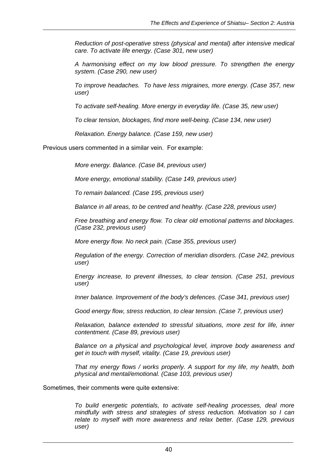*Reduction of post-operative stress (physical and mental) after intensive medical care. To activate life energy. (Case 301, new user)* 

*A harmonising effect on my low blood pressure. To strengthen the energy system. (Case 290, new user)* 

*To improve headaches. To have less migraines, more energy. (Case 357, new user)* 

*To activate self-healing. More energy in everyday life. (Case 35, new user)* 

*To clear tension, blockages, find more well-being. (Case 134, new user)* 

*Relaxation. Energy balance. (Case 159, new user)* 

Previous users commented in a similar vein. For example:

*More energy. Balance. (Case 84, previous user)* 

*More energy, emotional stability. (Case 149, previous user)* 

*To remain balanced. (Case 195, previous user)* 

*Balance in all areas, to be centred and healthy. (Case 228, previous user)* 

*Free breathing and energy flow. To clear old emotional patterns and blockages. (Case 232, previous user)* 

*More energy flow. No neck pain. (Case 355, previous user)* 

*Regulation of the energy. Correction of meridian disorders. (Case 242, previous user)* 

*Energy increase, to prevent illnesses, to clear tension. (Case 251, previous user)* 

*Inner balance. Improvement of the body's defences. (Case 341, previous user)* 

*Good energy flow, stress reduction, to clear tension. (Case 7, previous user)* 

*Relaxation, balance extended to stressful situations, more zest for life, inner contentment. (Case 89, previous user)* 

*Balance on a physical and psychological level, improve body awareness and get in touch with myself, vitality. (Case 19, previous user)* 

*That my energy flows / works properly. A support for my life, my health, both physical and mental/emotional. (Case 103, previous user)* 

Sometimes, their comments were quite extensive:

*To build energetic potentials, to activate self-healing processes, deal more mindfully with stress and strategies of stress reduction. Motivation so I can relate to myself with more awareness and relax better. (Case 129, previous user)*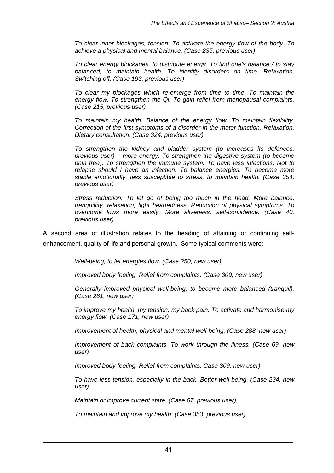*To clear inner blockages, tension. To activate the energy flow of the body. To achieve a physical and mental balance. (Case 235, previous user)* 

*To clear energy blockages, to distribute energy. To find one's balance / to stay balanced, to maintain health. To identify disorders on time. Relaxation. Switching off. (Case 193, previous user)* 

*To clear my blockages which re-emerge from time to time. To maintain the energy flow. To strengthen the Qi. To gain relief from menopausal complaints. (Case 215, previous user)* 

*To maintain my health. Balance of the energy flow. To maintain flexibility. Correction of the first symptoms of a disorder in the motor function. Relaxation. Dietary consultation. (Case 324, previous user)* 

*To strengthen the kidney and bladder system (to increases its defences, previous user) – more energy. To strengthen the digestive system (to become*  pain free). To strengthen the immune system. To have less infections. Not to *relapse should I have an infection. To balance energies. To become more stable emotionally, less susceptible to stress, to maintain health. (Case 354, previous user)* 

*Stress reduction. To let go of being too much in the head. More balance, tranquillity, relaxation, light heartedness. Reduction of physical symptoms. To overcome lows more easily. More aliveness, self-confidence. (Case 40, previous user)* 

A second area of illustration relates to the heading of attaining or continuing selfenhancement, quality of life and personal growth. Some typical comments were:

*Well-being, to let energies flow. (Case 250, new user)* 

*Improved body feeling. Relief from complaints. (Case 309, new user)* 

*Generally improved physical well-being, to become more balanced (tranquil). (Case 281, new user)* 

*To improve my health, my tension, my back pain. To activate and harmonise my energy flow. (Case 171, new user)* 

*Improvement of health, physical and mental well-being. (Case 288, new user)* 

*Improvement of back complaints. To work through the illness. (Case 69, new user)* 

*Improved body feeling. Relief from complaints. Case 309, new user)* 

*To have less tension, especially in the back. Better well-being. (Case 234, new user)* 

*Maintain or improve current state. (Case 67, previous user),* 

*To maintain and improve my health. (Case 353, previous user),*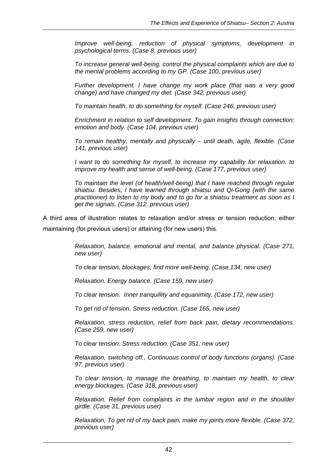*Improve well-being, reduction of physical symptoms, development in psychological terms. (Case 8, previous user)* 

*To increase general well-being, control the physical complaints which are due to the mental problems according to my GP. (Case 100, previous user)* 

*Further development. I have change my work place (that was a very good change) and have changed my diet. (Case 342, previous user)* 

*To maintain health, to do something for myself. (Case 246, previous user)* 

*Enrichment in relation to self development. To gain insights through connection: emotion and body. (Case 104, previous user)* 

*To remain healthy, mentally and physically – until death, agile, flexible. (Case 141, previous user)* 

*I* want to do something for myself, to increase my capability for relaxation, to *improve my health and sense of well-being. (Case 177, previous user)* 

*To maintain the level (of health/well-being) that I have reached through regular shiatsu. Besides, I have learned through shiatsu and Qi-Gong (with the same practitioner) to listen to my body and to go for a shiatsu treatment as soon as I get the signals. (Case 312, previous user)* 

A third area of illustration relates to relaxation and/or stress or tension reduction, either maintaining (for previous users) or attaining (for new users) this.

> *Relaxation, balance, emotional and mental, and balance physical. (Case 271, new user)*

*To clear tension, blockages, find more well-being. (Case 134, new user)* 

*Relaxation. Energy balance. (Case 159, new user)* 

*To clear tension. Inner tranquillity and equanimity. (Case 172, new user)* 

*To get rid of tension. Stress reduction. (Case 165, new user)* 

*Relaxation, stress reduction, relief from back pain, dietary recommendations. (Case 259, new user)* 

*To clear tension. Stress reduction. (Case 351, new user)* 

*Relaxation, switching off., Continuous control of body functions (organs). (Case 97, previous user)* 

*To clear tension, to manage the breathing, to maintain my health, to clear energy blockages. (Case 318, previous user)* 

*Relaxation. Relief from complaints in the lumbar region and in the shoulder girdle. (Case 31, previous user)* 

*Relaxation, To get rid of my back pain, make my joints more flexible. (Case 372, previous user)*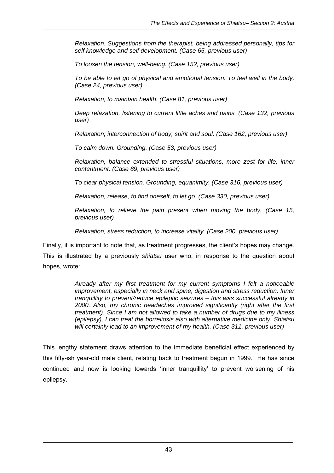*Relaxation. Suggestions from the therapist, being addressed personally, tips for self knowledge and self development. (Case 65, previous user)* 

*To loosen the tension, well-being. (Case 152, previous user)* 

*To be able to let go of physical and emotional tension. To feel well in the body. (Case 24, previous user)* 

*Relaxation, to maintain health. (Case 81, previous user)* 

*Deep relaxation, listening to current little aches and pains. (Case 132, previous user)* 

*Relaxation; interconnection of body, spirit and soul. (Case 162, previous user)* 

*To calm down. Grounding. (Case 53, previous user)* 

*Relaxation, balance extended to stressful situations, more zest for life, inner contentment. (Case 89, previous user)* 

*To clear physical tension. Grounding, equanimity. (Case 316, previous user)* 

*Relaxation, release, to find oneself, to let go. (Case 330, previous user)* 

*Relaxation, to relieve the pain present when moving the body. (Case 15, previous user)* 

*Relaxation, stress reduction, to increase vitality. (Case 200, previous user)* 

Finally, it is important to note that, as treatment progresses, the client's hopes may change. This is illustrated by a previously *shiatsu* user who, in response to the question about hopes, wrote:

> *Already after my first treatment for my current symptoms I felt a noticeable improvement, especially in neck and spine, digestion and stress reduction. Inner tranquillity to prevent/reduce epileptic seizures – this was successful already in 2000. Also, my chronic headaches improved significantly (right after the first treatment). Since I am not allowed to take a number of drugs due to my illness (epilepsy), I can treat the borreliosis also with alternative medicine only. Shiatsu will certainly lead to an improvement of my health. (Case 311, previous user)*

This lengthy statement draws attention to the immediate beneficial effect experienced by this fifty-ish year-old male client, relating back to treatment begun in 1999. He has since continued and now is looking towards 'inner tranquillity' to prevent worsening of his epilepsy.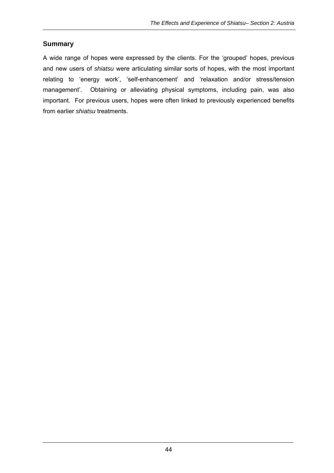## **Summary**

A wide range of hopes were expressed by the clients. For the 'grouped' hopes, previous and new users of *shiatsu* were articulating similar sorts of hopes, with the most important relating to 'energy work', 'self-enhancement' and 'relaxation and/or stress/tension management'. Obtaining or alleviating physical symptoms, including pain, was also important. For previous users, hopes were often linked to previously experienced benefits from earlier *shiatsu* treatments.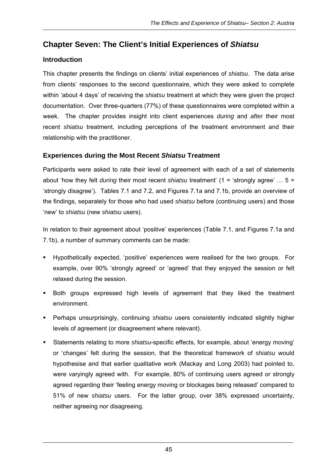# **Chapter Seven: The Client's Initial Experiences of** *Shiatsu*

# **Introduction**

This chapter presents the findings on clients' initial experiences of *shiatsu*. The data arise from clients' responses to the second questionnaire, which they were asked to complete within 'about 4 days' of receiving the *shiatsu* treatment at which they were given the project documentation. Over three-quarters (77%) of these questionnaires were completed within a week. The chapter provides insight into client experiences *during* and *after* their most recent *shiatsu* treatment, including perceptions of the treatment environment and their relationship with the practitioner.

#### **Experiences during the Most Recent** *Shiatsu* **Treatment**

Participants were asked to rate their level of agreement with each of a set of statements about 'how they felt *during* their most recent *shiatsu* treatment' (1 = 'strongly agree' … 5 = 'strongly disagree'). Tables 7.1 and 7.2, and Figures 7.1a and 7.1b, provide an overview of the findings, separately for those who had used *shiatsu* before (continuing users) and those 'new' to *shiatsu* (new *shiatsu* users).

In relation to their agreement about 'positive' experiences (Table 7.1, and Figures 7.1a and 7.1b), a number of summary comments can be made:

- Hypothetically expected, 'positive' experiences were realised for the two groups. For example, over 90% 'strongly agreed' or 'agreed' that they enjoyed the session or felt relaxed during the session.
- Both groups expressed high levels of agreement that they liked the treatment environment.
- Perhaps unsurprisingly, continuing *shiatsu* users consistently indicated slightly higher levels of agreement (or disagreement where relevant).
- Statements relating to more *shiatsu*-specific effects, for example, about 'energy moving' or 'changes' felt during the session, that the theoretical framework of *shiatsu* would hypothesise and that earlier qualitative work (Mackay and Long 2003) had pointed to, were varyingly agreed with. For example, 80% of continuing users agreed or strongly agreed regarding their 'feeling energy moving or blockages being released' compared to 51% of new *shiatsu* users. For the latter group, over 38% expressed uncertainty, neither agreeing nor disagreeing.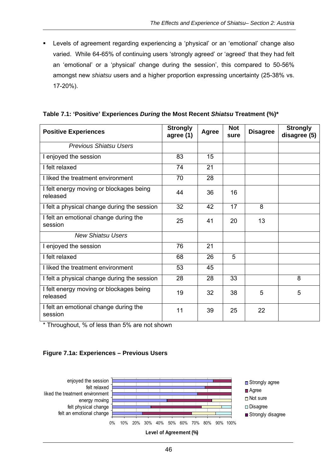Levels of agreement regarding experiencing a 'physical' or an 'emotional' change also varied. While 64-65% of continuing users 'strongly agreed' or 'agreed' that they had felt an 'emotional' or a 'physical' change during the session', this compared to 50-56% amongst new *shiatsu* users and a higher proportion expressing uncertainty (25-38% vs. 17-20%).

| <b>Positive Experiences</b>                         | <b>Strongly</b><br>agree (1) | <b>Agree</b> | <b>Not</b><br>sure | <b>Disagree</b> | <b>Strongly</b><br>disagree (5) |
|-----------------------------------------------------|------------------------------|--------------|--------------------|-----------------|---------------------------------|
| <b>Previous Shiatsu Users</b>                       |                              |              |                    |                 |                                 |
| I enjoyed the session                               | 83                           | 15           |                    |                 |                                 |
| I felt relaxed                                      | 74                           | 21           |                    |                 |                                 |
| I liked the treatment environment                   | 70                           | 28           |                    |                 |                                 |
| I felt energy moving or blockages being<br>released | 44                           | 36           | 16                 |                 |                                 |
| I felt a physical change during the session         | 32                           | 42           | 17                 | 8               |                                 |
| I felt an emotional change during the<br>session    | 25                           | 41           | 20                 | 13              |                                 |
| <b>New Shiatsu Users</b>                            |                              |              |                    |                 |                                 |
| I enjoyed the session                               | 76                           | 21           |                    |                 |                                 |
| I felt relaxed                                      | 68                           | 26           | 5                  |                 |                                 |
| I liked the treatment environment                   | 53                           | 45           |                    |                 |                                 |
| I felt a physical change during the session         | 28                           | 28           | 33                 |                 | 8                               |
| I felt energy moving or blockages being<br>released | 19                           | 32           | 38                 | 5               | 5                               |
| I felt an emotional change during the<br>session    | 11                           | 39           | 25                 | 22              |                                 |

|  |  | Table 7.1: 'Positive' Experiences During the Most Recent Shiatsu Treatment (%)* |  |  |
|--|--|---------------------------------------------------------------------------------|--|--|
|  |  |                                                                                 |  |  |

\* Throughout, % of less than 5% are not shown

#### **Figure 7.1a: Experiences – Previous Users**

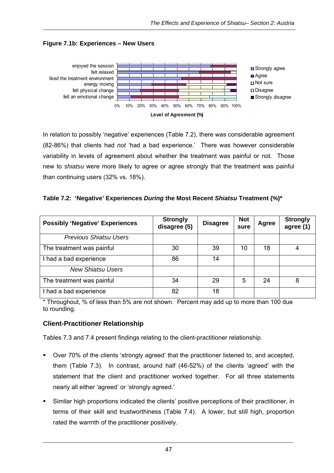

#### **Figure 7.1b: Experiences – New Users**

In relation to possibly 'negative' experiences (Table 7.2), there was considerable agreement (82-86%) that clients had *not* 'had a bad experience.' There was however considerable variability in levels of agreement about whether the treatment was painful or not. Those new to *shiatsu* were more likely to agree or agree strongly that the treatment was painful than continuing users (32% vs. 18%).

| Table 7.2: 'Negative' Experiences During the Most Recent Shiatsu Treatment (%)* |  |  |  |  |
|---------------------------------------------------------------------------------|--|--|--|--|
|---------------------------------------------------------------------------------|--|--|--|--|

| <b>Possibly 'Negative' Experiences</b> | <b>Strongly</b><br>disagree (5) | <b>Disagree</b> | <b>Not</b><br>sure | <b>Agree</b> | <b>Strongly</b><br>agree (1) |
|----------------------------------------|---------------------------------|-----------------|--------------------|--------------|------------------------------|
| <b>Previous Shiatsu Users</b>          |                                 |                 |                    |              |                              |
| The treatment was painful              | 30                              | 39              | 10                 | 18           |                              |
| I had a bad experience                 | 86                              | 14              |                    |              |                              |
| <b>New Shiatsu Users</b>               |                                 |                 |                    |              |                              |
| The treatment was painful              | 34                              | 29              | 5                  | 24           | 8                            |
| I had a bad experience                 | 82                              | 18              |                    |              |                              |

\* Throughout, % of less than 5% are not shown. Percent may add up to more than 100 due to rounding.

#### **Client-Practitioner Relationship**

Tables 7.3 and 7.4 present findings relating to the client-practitioner relationship.

- Over 70% of the clients 'strongly agreed' that the practitioner listened to, and accepted, them (Table 7.3). In contrast, around half (46-52%) of the clients 'agreed' with the statement that the client and practitioner worked together. For all three statements nearly all either 'agreed' or 'strongly agreed.'
- Similar high proportions indicated the clients' positive perceptions of their practitioner, in terms of their skill and trustworthiness (Table 7.4). A lower, but still high, proportion rated the warmth of the practitioner positively.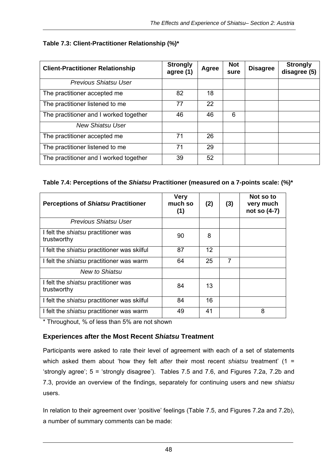## **Table 7.3: Client-Practitioner Relationship (%)\***

| <b>Client-Practitioner Relationship</b> | <b>Strongly</b><br>agree (1) | Agree | <b>Not</b><br>sure | <b>Disagree</b> | <b>Strongly</b><br>disagree (5) |
|-----------------------------------------|------------------------------|-------|--------------------|-----------------|---------------------------------|
| Previous Shiatsu User                   |                              |       |                    |                 |                                 |
| The practitioner accepted me            | 82                           | 18    |                    |                 |                                 |
| The practitioner listened to me         | 77                           | 22    |                    |                 |                                 |
| The practitioner and I worked together  | 46                           | 46    | 6                  |                 |                                 |
| <b>New Shiatsu User</b>                 |                              |       |                    |                 |                                 |
| The practitioner accepted me            | 71                           | 26    |                    |                 |                                 |
| The practitioner listened to me         | 71                           | 29    |                    |                 |                                 |
| The practitioner and I worked together  | 39                           | 52    |                    |                 |                                 |

#### **Table 7.4: Perceptions of the** *Shiatsu* **Practitioner (measured on a 7-points scale: (%)\***

| <b>Perceptions of Shiatsu Practitioner</b>                | <b>Very</b><br>much so<br>(1) | (2)               | (3)            | Not so to<br>very much<br>not so (4-7) |
|-----------------------------------------------------------|-------------------------------|-------------------|----------------|----------------------------------------|
| Previous Shiatsu User                                     |                               |                   |                |                                        |
| I felt the <i>shiatsu</i> practitioner was<br>trustworthy | 90                            | 8                 |                |                                        |
| I felt the <i>shiatsu</i> practitioner was skilful        | 87                            | $12 \overline{ }$ |                |                                        |
| I felt the <i>shiatsu</i> practitioner was warm           | 64                            | 25                | $\overline{7}$ |                                        |
| New to Shiatsu                                            |                               |                   |                |                                        |
| I felt the <i>shiatsu</i> practitioner was<br>trustworthy | 84                            | 13                |                |                                        |
| I felt the <i>shiatsu</i> practitioner was skilful        | 84                            | 16                |                |                                        |
| I felt the <i>shiatsu</i> practitioner was warm           | 49                            | 41                |                | 8                                      |

\* Throughout, % of less than 5% are not shown

#### **Experiences after the Most Recent** *Shiatsu* **Treatment**

Participants were asked to rate their level of agreement with each of a set of statements which asked them about 'how they felt *after* their most recent *shiatsu* treatment' (1 = 'strongly agree'; 5 = 'strongly disagree'). Tables 7.5 and 7.6, and Figures 7.2a, 7.2b and 7.3, provide an overview of the findings, separately for continuing users and new *shiatsu*  users.

In relation to their agreement over 'positive' feelings (Table 7.5, and Figures 7.2a and 7.2b), a number of summary comments can be made: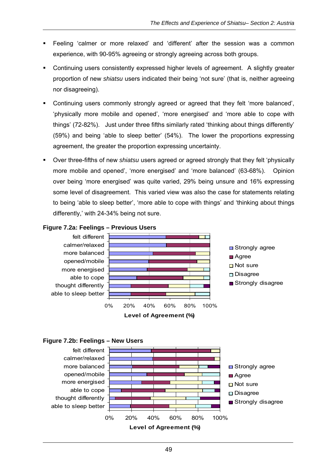- Feeling 'calmer or more relaxed' and 'different' after the session was a common experience, with 90-95% agreeing or strongly agreeing across both groups.
- Continuing users consistently expressed higher levels of agreement. A slightly greater proportion of new *shiatsu* users indicated their being 'not sure' (that is, neither agreeing nor disagreeing).
- Continuing users commonly strongly agreed or agreed that they felt 'more balanced', 'physically more mobile and opened', 'more energised' and 'more able to cope with things' (72-82%). Just under three fifths similarly rated 'thinking about things differently' (59%) and being 'able to sleep better' (54%). The lower the proportions expressing agreement, the greater the proportion expressing uncertainty.
- Over three-fifths of new *shiatsu* users agreed or agreed strongly that they felt 'physically more mobile and opened', 'more energised' and 'more balanced' (63-68%). Opinion over being 'more energised' was quite varied, 29% being unsure and 16% expressing some level of disagreement. This varied view was also the case for statements relating to being 'able to sleep better', 'more able to cope with things' and 'thinking about things differently,' with 24-34% being not sure.



#### **Figure 7.2a: Feelings – Previous Users**

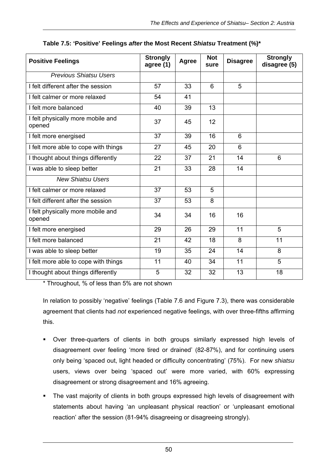| <b>Positive Feelings</b>                    | <b>Strongly</b><br>agree (1) | Agree | <b>Not</b><br>sure | <b>Disagree</b> | <b>Strongly</b><br>disagree (5) |
|---------------------------------------------|------------------------------|-------|--------------------|-----------------|---------------------------------|
| <b>Previous Shiatsu Users</b>               |                              |       |                    |                 |                                 |
| I felt different after the session          | 57                           | 33    | 6                  | 5               |                                 |
| I felt calmer or more relaxed               | 54                           | 41    |                    |                 |                                 |
| I felt more balanced                        | 40                           | 39    | 13                 |                 |                                 |
| I felt physically more mobile and<br>opened | 37                           | 45    | 12                 |                 |                                 |
| I felt more energised                       | 37                           | 39    | 16                 | 6               |                                 |
| I felt more able to cope with things        | 27                           | 45    | 20                 | 6               |                                 |
| I thought about things differently          | 22                           | 37    | 21                 | 14              | 6                               |
| I was able to sleep better                  | 21                           | 33    | 28                 | 14              |                                 |
| <b>New Shiatsu Users</b>                    |                              |       |                    |                 |                                 |
| I felt calmer or more relaxed               | 37                           | 53    | 5                  |                 |                                 |
| I felt different after the session          | 37                           | 53    | 8                  |                 |                                 |
| I felt physically more mobile and<br>opened | 34                           | 34    | 16                 | 16              |                                 |
| I felt more energised                       | 29                           | 26    | 29                 | 11              | 5                               |
| I felt more balanced                        | 21                           | 42    | 18                 | 8               | 11                              |
| I was able to sleep better                  | 19                           | 35    | 24                 | 14              | 8                               |
| I felt more able to cope with things        | 11                           | 40    | 34                 | 11              | 5                               |
| I thought about things differently          | 5                            | 32    | 32                 | 13              | 18                              |

|  |  | Table 7.5: 'Positive' Feelings <i>after</i> the Most Recent <i>Shiatsu</i> Treatment (%)* |  |  |
|--|--|-------------------------------------------------------------------------------------------|--|--|
|  |  |                                                                                           |  |  |

\* Throughout, % of less than 5% are not shown

In relation to possibly 'negative' feelings (Table 7.6 and Figure 7.3), there was considerable agreement that clients had *not* experienced negative feelings, with over three-fifths affirming this.

- Over three-quarters of clients in both groups similarly expressed high levels of disagreement over feeling 'more tired or drained' (82-87%), and for continuing users only being 'spaced out, light headed or difficulty concentrating' (75%). For new *shiatsu* users, views over being 'spaced out' were more varied, with 60% expressing disagreement or strong disagreement and 16% agreeing.
- The vast majority of clients in both groups expressed high levels of disagreement with statements about having 'an unpleasant physical reaction' or 'unpleasant emotional reaction' after the session (81-94% disagreeing or disagreeing strongly).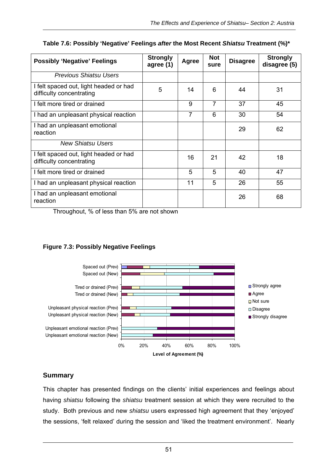| <b>Possibly 'Negative' Feelings</b>                                | <b>Strongly</b><br>agree (1) | Agree | <b>Not</b><br>sure | <b>Disagree</b> | <b>Strongly</b><br>disagree (5) |
|--------------------------------------------------------------------|------------------------------|-------|--------------------|-----------------|---------------------------------|
| Previous Shiatsu Users                                             |                              |       |                    |                 |                                 |
| I felt spaced out, light headed or had<br>difficulty concentrating | 5                            | 14    | 6                  | 44              | 31                              |
| I felt more tired or drained                                       |                              | 9     | 7                  | 37              | 45                              |
| I had an unpleasant physical reaction                              |                              | 7     | 6                  | 30              | 54                              |
| I had an unpleasant emotional<br>reaction                          |                              |       |                    | 29              | 62                              |
| New Shiatsu Users                                                  |                              |       |                    |                 |                                 |
| I felt spaced out, light headed or had<br>difficulty concentrating |                              | 16    | 21                 | 42              | 18                              |
| I felt more tired or drained                                       |                              | 5     | 5                  | 40              | 47                              |
| I had an unpleasant physical reaction                              |                              | 11    | 5                  | 26              | 55                              |
| I had an unpleasant emotional<br>reaction                          |                              |       |                    | 26              | 68                              |

#### **Table 7.6: Possibly 'Negative' Feelings** *after* **the Most Recent** *Shiatsu* **Treatment (%)\***

Throughout, % of less than 5% are not shown

#### **Figure 7.3: Possibly Negative Feelings**



#### **Summary**

This chapter has presented findings on the clients' initial experiences and feelings about having *shiatsu* following the *shiatsu* treatment session at which they were recruited to the study. Both previous and new *shiatsu* users expressed high agreement that they 'enjoyed' the sessions, 'felt relaxed' during the session and 'liked the treatment environment'. Nearly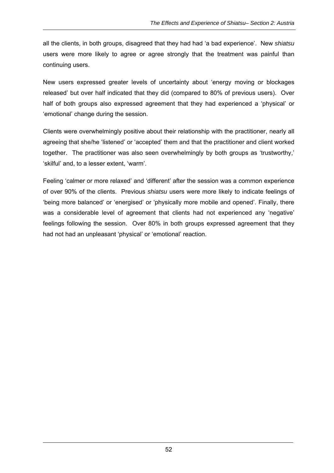all the clients, in both groups, disagreed that they had had 'a bad experience'. New *shiatsu*  users were more likely to agree or agree strongly that the treatment was painful than continuing users.

New users expressed greater levels of uncertainty about 'energy moving or blockages released' but over half indicated that they did (compared to 80% of previous users). Over half of both groups also expressed agreement that they had experienced a 'physical' or 'emotional' change during the session.

Clients were overwhelmingly positive about their relationship with the practitioner, nearly all agreeing that she/he 'listened' or 'accepted' them and that the practitioner and client worked together. The practitioner was also seen overwhelmingly by both groups as 'trustworthy,' 'skilful' and, to a lesser extent, 'warm'.

Feeling 'calmer or more relaxed' and 'different' after the session was a common experience of over 90% of the clients. Previous *shiatsu* users were more likely to indicate feelings of 'being more balanced' or 'energised' or 'physically more mobile and opened'. Finally, there was a considerable level of agreement that clients had not experienced any 'negative' feelings following the session. Over 80% in both groups expressed agreement that they had not had an unpleasant 'physical' or 'emotional' reaction.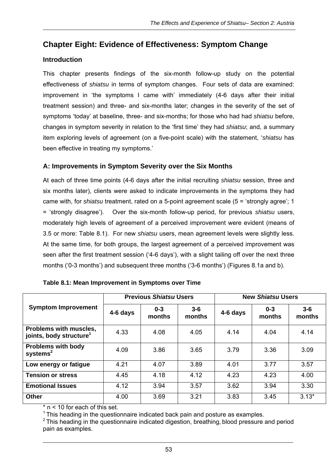# **Chapter Eight: Evidence of Effectiveness: Symptom Change**

# **Introduction**

This chapter presents findings of the six-month follow-up study on the potential effectiveness of *shiatsu* in terms of symptom changes. Four sets of data are examined: improvement in 'the symptoms I came with' immediately (4-6 days after their initial treatment session) and three- and six-months later; changes in the severity of the set of symptoms 'today' at baseline, three- and six-months; for those who had had *shiatsu* before, changes in symptom severity in relation to the 'first time' they had *shiatsu*; and, a summary item exploring levels of agreement (on a five-point scale) with the statement, '*shiatsu* has been effective in treating my symptoms.'

# **A: Improvements in Symptom Severity over the Six Months**

At each of three time points (4-6 days after the initial recruiting *shiatsu* session, three and six months later), clients were asked to indicate improvements in the symptoms they had came with, for *shiatsu* treatment, rated on a 5-point agreement scale (5 = 'strongly agree'; 1 = 'strongly disagree'). Over the six-month follow-up period, for previous *shiatsu* users, moderately high levels of agreement of a perceived improvement were evident (means of 3.5 or more: Table 8.1). For new *shiatsu* users, mean agreement levels were slightly less. At the same time, for both groups, the largest agreement of a perceived improvement was seen after the first treatment session ('4-6 days'), with a slight tailing off over the next three months ('0-3 months') and subsequent three months ('3-6 months') (Figures 8.1a and b).

|                                                               |          | <b>Previous Shiatsu Users</b> |                   | <b>New Shiatsu Users</b> |                   |                 |
|---------------------------------------------------------------|----------|-------------------------------|-------------------|--------------------------|-------------------|-----------------|
| <b>Symptom Improvement</b>                                    | 4-6 days | $0 - 3$<br>months             | $3 - 6$<br>months | 4-6 days                 | $0 - 3$<br>months | $3-6$<br>months |
| Problems with muscles,<br>joints, body structure <sup>1</sup> | 4.33     | 4.08                          | 4.05              | 4.14                     | 4.04              | 4.14            |
| <b>Problems with body</b><br>systems $2$                      | 4.09     | 3.86                          | 3.65              | 3.79                     | 3.36              | 3.09            |
| Low energy or fatigue                                         | 4.21     | 4.07                          | 3.89              | 4.01                     | 3.77              | 3.57            |
| <b>Tension or stress</b>                                      | 4.45     | 4.18                          | 4.12              | 4.23                     | 4.23              | 4.00            |
| <b>Emotional Issues</b>                                       | 4.12     | 3.94                          | 3.57              | 3.62                     | 3.94              | 3.30            |
| <b>Other</b>                                                  | 4.00     | 3.69                          | 3.21              | 3.83                     | 3.45              | $3.13*$         |

|  | Table 8.1: Mean Improvement in Symptoms over Time |
|--|---------------------------------------------------|
|--|---------------------------------------------------|

 $* n < 10$  for each of this set.

 $1$  This heading in the questionnaire indicated back pain and posture as examples.

 $2$  This heading in the questionnaire indicated digestion, breathing, blood pressure and period pain as examples.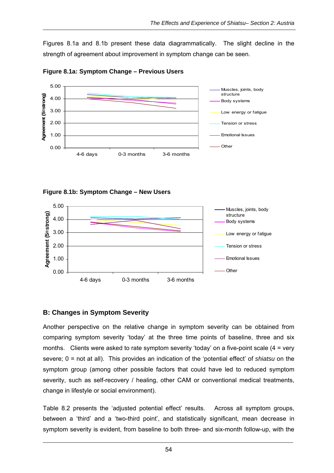Figures 8.1a and 8.1b present these data diagrammatically. The slight decline in the strength of agreement about improvement in symptom change can be seen.



#### **Figure 8.1a: Symptom Change – Previous Users**

**Figure 8.1b: Symptom Change – New Users** 



#### **B: Changes in Symptom Severity**

Another perspective on the relative change in symptom severity can be obtained from comparing symptom severity 'today' at the three time points of baseline, three and six months. Clients were asked to rate symptom severity 'today' on a five-point scale (4 = very severe; 0 = not at all). This provides an indication of the 'potential effect' of *shiatsu* on the symptom group (among other possible factors that could have led to reduced symptom severity, such as self-recovery / healing, other CAM or conventional medical treatments, change in lifestyle or social environment).

Table 8.2 presents the 'adjusted potential effect' results. Across all symptom groups, between a 'third' and a 'two-third point', and statistically significant, mean decrease in symptom severity is evident, from baseline to both three- and six-month follow-up, with the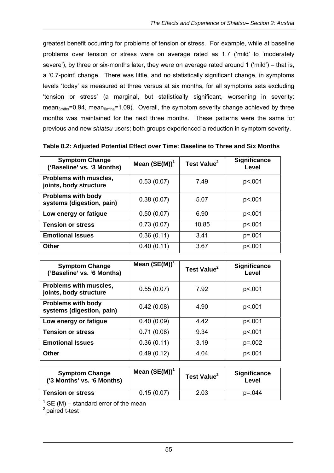greatest benefit occurring for problems of tension or stress. For example, while at baseline problems over tension or stress were on average rated as 1.7 ('mild' to 'moderately severe'), by three or six-months later, they were on average rated around 1 ('mild') – that is, a '0.7-point' change. There was little, and no statistically significant change, in symptoms levels 'today' as measured at three versus at six months, for all symptoms sets excluding 'tension or stress' (a marginal, but statistically significant, worsening in severity: mean<sub>3mths</sub>=0.94, mean<sub>6mths</sub>=1.09). Overall, the symptom severity change achieved by three months was maintained for the next three months. These patterns were the same for previous and new *shiatsu* users; both groups experienced a reduction in symptom severity.

| <b>Symptom Change</b><br>('Baseline' vs. '3 Months)    | Mean $(SE(M))^1$ | Test Value <sup>2</sup> | <b>Significance</b><br>Level |
|--------------------------------------------------------|------------------|-------------------------|------------------------------|
| Problems with muscles,<br>joints, body structure       | 0.53(0.07)       | 7.49                    | p<.001                       |
| <b>Problems with body</b><br>systems (digestion, pain) | 0.38(0.07)       | 5.07                    | p<.001                       |
| Low energy or fatigue                                  | 0.50(0.07)       | 6.90                    | p<.001                       |
| <b>Tension or stress</b>                               | 0.73(0.07)       | 10.85                   | p<.001                       |
| <b>Emotional Issues</b>                                | 0.36(0.11)       | 3.41                    | $p = 001$                    |
| <b>Other</b>                                           | 0.40(0.11)       | 3.67                    | p<.001                       |

| <b>Symptom Change</b><br>('Baseline' vs. '6 Months)    | Mean $(SE(M))^T$ | Test Value <sup>2</sup> | <b>Significance</b><br>Level |
|--------------------------------------------------------|------------------|-------------------------|------------------------------|
| Problems with muscles,<br>joints, body structure       | 0.55(0.07)       | 7.92                    | p<.001                       |
| <b>Problems with body</b><br>systems (digestion, pain) | 0.42(0.08)       | 4.90                    | p<.001                       |
| Low energy or fatigue                                  | 0.40(0.09)       | 4.42                    | p<.001                       |
| <b>Tension or stress</b>                               | 0.71(0.08)       | 9.34                    | p<.001                       |
| <b>Emotional Issues</b>                                | 0.36(0.11)       | 3.19                    | $p = 0.002$                  |
| <b>Other</b>                                           | 0.49(0.12)       | 4.04                    | p<.001                       |

| <b>Symptom Change</b><br>('3 Months' vs. '6 Months) | Mean $(SE(M))^T$ | Test Value <sup>2</sup> | <b>Significance</b><br>Level |
|-----------------------------------------------------|------------------|-------------------------|------------------------------|
| <b>Tension or stress</b>                            | 0.15(0.07)       | 2.03                    | $p = 0.044$                  |
| .<br>-- - -                                         |                  |                         |                              |

 $1$  SE (M) – standard error of the mean

2 paired t-test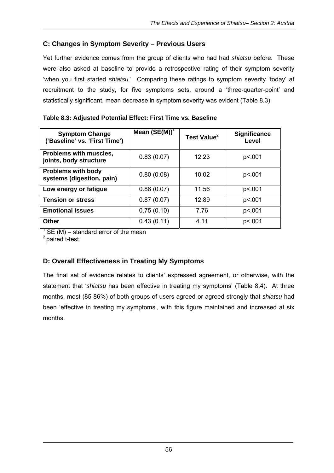# **C: Changes in Symptom Severity – Previous Users**

Yet further evidence comes from the group of clients who had had *shiatsu* before. These were also asked at baseline to provide a retrospective rating of their symptom severity 'when you first started *shiatsu*.' Comparing these ratings to symptom severity 'today' at recruitment to the study, for five symptoms sets, around a 'three-quarter-point' and statistically significant, mean decrease in symptom severity was evident (Table 8.3).

| <b>Symptom Change</b><br>('Baseline' vs. 'First Time') | Mean $(SE(M))^1$ | Test Value <sup>2</sup> | <b>Significance</b><br>Level |
|--------------------------------------------------------|------------------|-------------------------|------------------------------|
| Problems with muscles,<br>joints, body structure       | 0.83(0.07)       | 12.23                   | p<.001                       |
| <b>Problems with body</b><br>systems (digestion, pain) | 0.80(0.08)       | 10.02                   | p<.001                       |
| Low energy or fatigue                                  | 0.86(0.07)       | 11.56                   | p<.001                       |
| <b>Tension or stress</b>                               | 0.87(0.07)       | 12.89                   | p<.001                       |
| <b>Emotional Issues</b>                                | 0.75(0.10)       | 7.76                    | p<.001                       |
| Other                                                  | 0.43(0.11)       | 4.11                    | p<.001                       |

## **Table 8.3: Adjusted Potential Effect: First Time vs. Baseline**

 $1$  SE (M) – standard error of the mean

2 paired t-test

# **D: Overall Effectiveness in Treating My Symptoms**

The final set of evidence relates to clients' expressed agreement, or otherwise, with the statement that '*shiatsu* has been effective in treating my symptoms' (Table 8.4). At three months, most (85-86%) of both groups of users agreed or agreed strongly that *shiatsu* had been 'effective in treating my symptoms', with this figure maintained and increased at six months.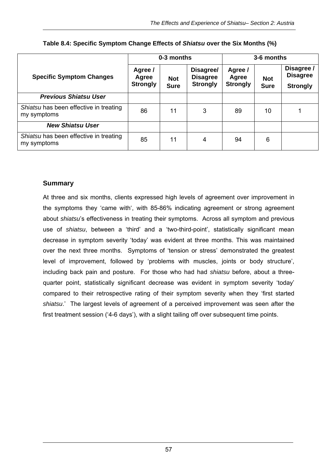|                                                       | 0-3 months                          |                           |                                                 | 3-6 months                          |                           |                                                  |
|-------------------------------------------------------|-------------------------------------|---------------------------|-------------------------------------------------|-------------------------------------|---------------------------|--------------------------------------------------|
| <b>Specific Symptom Changes</b>                       | Agree /<br>Agree<br><b>Strongly</b> | <b>Not</b><br><b>Sure</b> | Disagree/<br><b>Disagree</b><br><b>Strongly</b> | Agree /<br>Agree<br><b>Strongly</b> | <b>Not</b><br><b>Sure</b> | Disagree /<br><b>Disagree</b><br><b>Strongly</b> |
| <b>Previous Shiatsu User</b>                          |                                     |                           |                                                 |                                     |                           |                                                  |
| Shiatsu has been effective in treating<br>my symptoms | 86                                  | 11                        | 3                                               | 89                                  | 10                        |                                                  |
| <b>New Shiatsu User</b>                               |                                     |                           |                                                 |                                     |                           |                                                  |
| Shiatsu has been effective in treating<br>my symptoms | 85                                  | 11                        | 4                                               | 94                                  | 6                         |                                                  |

| Table 8.4: Specific Symptom Change Effects of Shiatsu over the Six Months (%) |  |  |  |  |
|-------------------------------------------------------------------------------|--|--|--|--|
|                                                                               |  |  |  |  |

# **Summary**

At three and six months, clients expressed high levels of agreement over improvement in the symptoms they 'came with', with 85-86% indicating agreement or strong agreement about *shiatsu*'s effectiveness in treating their symptoms. Across all symptom and previous use of *shiatsu*, between a 'third' and a 'two-third-point', statistically significant mean decrease in symptom severity 'today' was evident at three months. This was maintained over the next three months. Symptoms of 'tension or stress' demonstrated the greatest level of improvement, followed by 'problems with muscles, joints or body structure', including back pain and posture. For those who had had *shiatsu* before, about a threequarter point, statistically significant decrease was evident in symptom severity 'today' compared to their retrospective rating of their symptom severity when they 'first started *shiatsu*.' The largest levels of agreement of a perceived improvement was seen after the first treatment session ('4-6 days'), with a slight tailing off over subsequent time points.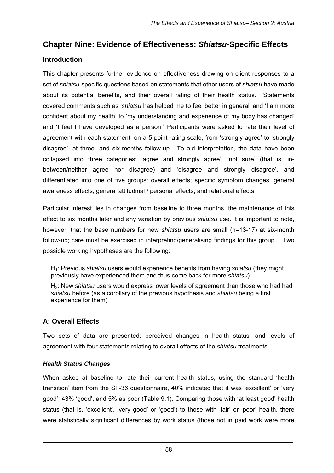# **Chapter Nine: Evidence of Effectiveness:** *Shiatsu***-Specific Effects**

# **Introduction**

This chapter presents further evidence on effectiveness drawing on client responses to a set of *shiatsu*-specific questions based on statements that other users of *shiatsu* have made about its potential benefits, and their overall rating of their health status. Statements covered comments such as '*shiatsu* has helped me to feel better in general' and 'I am more confident about my health' to 'my understanding and experience of my body has changed' and 'I feel I have developed as a person.' Participants were asked to rate their level of agreement with each statement, on a 5-point rating scale, from 'strongly agree' to 'strongly disagree', at three- and six-months follow-up. To aid interpretation, the data have been collapsed into three categories: 'agree and strongly agree', 'not sure' (that is, inbetween/neither agree nor disagree) and 'disagree and strongly disagree', and differentiated into one of five groups: overall effects; specific symptom changes; general awareness effects; general attitudinal / personal effects; and relational effects.

Particular interest lies in changes from baseline to three months, the maintenance of this effect to six months later and any variation by previous *shiatsu* use. It is important to note, however, that the base numbers for new *shiatsu* users are small (n=13-17) at six-month follow-up; care must be exercised in interpreting/generalising findings for this group. Two possible working hypotheses are the following:

H1: Previous *shiatsu* users would experience benefits from having *shiatsu* (they might previously have experienced them and thus come back for more *shiatsu*)

H2: New *shiatsu* users would express lower levels of agreement than those who had had *shiatsu* before (as a corollary of the previous hypothesis and *shiatsu* being a first experience for them)

# **A: Overall Effects**

Two sets of data are presented: perceived changes in health status, and levels of agreement with four statements relating to overall effects of the *shiatsu* treatments.

#### *Health Status Changes*

When asked at baseline to rate their current health status, using the standard 'health transition' item from the SF-36 questionnaire, 40% indicated that it was 'excellent' or 'very good', 43% 'good', and 5% as poor (Table 9.1). Comparing those with 'at least good' health status (that is, 'excellent', 'very good' or 'good') to those with 'fair' or 'poor' health, there were statistically significant differences by work status (those not in paid work were more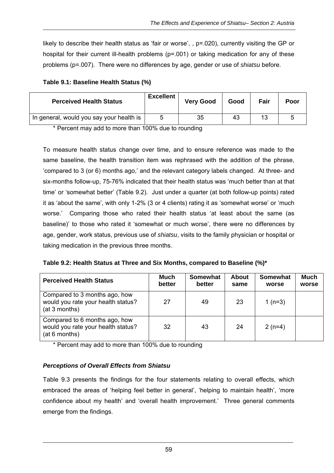likely to describe their health status as 'fair or worse', , p=.020), currently visiting the GP or hospital for their current ill-health problems ( $p=0.01$ ) or taking medication for any of these problems (p=.007). There were no differences by age, gender or use of *shiatsu* before.

| Table 9.1: Baseline Health Status (%) |  |  |  |  |
|---------------------------------------|--|--|--|--|
|---------------------------------------|--|--|--|--|

| <b>Perceived Health Status</b>           | <b>Excellent</b> | <b>Very Good</b> | Good | Fair | Poor |
|------------------------------------------|------------------|------------------|------|------|------|
| In general, would you say your health is | Б,               | 35               | 43   | 13   |      |

\* Percent may add to more than 100% due to rounding

To measure health status change over time, and to ensure reference was made to the same baseline, the health transition item was rephrased with the addition of the phrase, 'compared to 3 (or 6) months ago,' and the relevant category labels changed. At three- and six-months follow-up, 75-76% indicated that their health status was 'much better than at that time' or 'somewhat better' (Table 9.2). Just under a quarter (at both follow-up points) rated it as 'about the same', with only 1-2% (3 or 4 clients) rating it as 'somewhat worse' or 'much worse.' Comparing those who rated their health status 'at least about the same (as baseline)' to those who rated it 'somewhat or much worse', there were no differences by age, gender, work status, previous use of *shiatsu*, visits to the family physician or hospital or taking medication in the previous three months.

|  | Table 9.2: Health Status at Three and Six Months, compared to Baseline (%)* |  |
|--|-----------------------------------------------------------------------------|--|
|  |                                                                             |  |

| <b>Perceived Health Status</b>                                                       | Much<br>better | <b>Somewhat</b><br>better | <b>About</b><br>same | <b>Somewhat</b><br>worse | <b>Much</b><br>worse |
|--------------------------------------------------------------------------------------|----------------|---------------------------|----------------------|--------------------------|----------------------|
| Compared to 3 months ago, how<br>would you rate your health status?<br>(at 3 months) | 27             | 49                        | 23                   | 1 $(n=3)$                |                      |
| Compared to 6 months ago, how<br>would you rate your health status?<br>(at 6 months) | 32             | 43                        | 24                   | $2(n=4)$                 |                      |

\* Percent may add to more than 100% due to rounding

#### *Perceptions of Overall Effects from Shiatsu*

Table 9.3 presents the findings for the four statements relating to overall effects, which embraced the areas of 'helping feel better in general', 'helping to maintain health', 'more confidence about my health' and 'overall health improvement.' Three general comments emerge from the findings.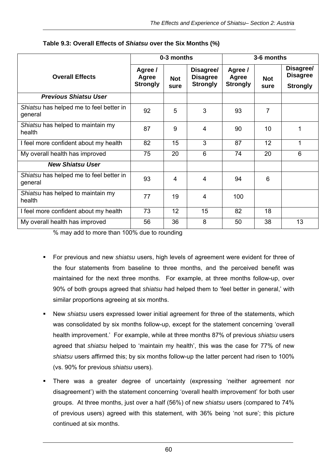|                                                    | 0-3 months                          |                    |                                                 | 3-6 months                          |                    |                                                 |
|----------------------------------------------------|-------------------------------------|--------------------|-------------------------------------------------|-------------------------------------|--------------------|-------------------------------------------------|
| <b>Overall Effects</b>                             | Agree /<br>Agree<br><b>Strongly</b> | <b>Not</b><br>sure | Disagree/<br><b>Disagree</b><br><b>Strongly</b> | Agree /<br>Agree<br><b>Strongly</b> | <b>Not</b><br>sure | Disagree/<br><b>Disagree</b><br><b>Strongly</b> |
| <b>Previous Shiatsu User</b>                       |                                     |                    |                                                 |                                     |                    |                                                 |
| Shiatsu has helped me to feel better in<br>general | 92                                  | 5                  | 3                                               | 93                                  | 7                  |                                                 |
| Shiatsu has helped to maintain my<br>health        | 87                                  | 9                  | 4                                               | 90                                  | 10                 | 1                                               |
| I feel more confident about my health              | 82                                  | 15                 | 3                                               | 87                                  | 12                 | 1                                               |
| My overall health has improved                     | 75                                  | 20                 | 6                                               | 74                                  | 20                 | 6                                               |
| <b>New Shiatsu User</b>                            |                                     |                    |                                                 |                                     |                    |                                                 |
| Shiatsu has helped me to feel better in<br>general | 93                                  | 4                  | 4                                               | 94                                  | 6                  |                                                 |
| Shiatsu has helped to maintain my<br>health        | 77                                  | 19                 | 4                                               | 100                                 |                    |                                                 |
| I feel more confident about my health              | 73                                  | 12 <sup>2</sup>    | 15                                              | 82                                  | 18                 |                                                 |
| My overall health has improved                     | 56                                  | 36                 | 8                                               | 50                                  | 38                 | 13                                              |

**Table 9.3: Overall Effects of** *Shiatsu* **over the Six Months (%)** 

% may add to more than 100% due to rounding

- For previous and new *shiatsu* users, high levels of agreement were evident for three of the four statements from baseline to three months, and the perceived benefit was maintained for the next three months. For example, at three months follow-up, over 90% of both groups agreed that *shiatsu* had helped them to 'feel better in general,' with similar proportions agreeing at six months.
- New *shiatsu* users expressed lower initial agreement for three of the statements, which was consolidated by six months follow-up, except for the statement concerning 'overall health improvement.' For example, while at three months 87% of previous *shiatsu* users agreed that *shiatsu* helped to 'maintain my health', this was the case for 77% of new *shiatsu* users affirmed this; by six months follow-up the latter percent had risen to 100% (vs. 90% for previous *shiatsu* users).
- There was a greater degree of uncertainty (expressing 'neither agreement nor disagreement') with the statement concerning 'overall health improvement' for both user groups. At three months, just over a half (56%) of new *shiatsu* users (compared to 74% of previous users) agreed with this statement, with 36% being 'not sure'; this picture continued at six months.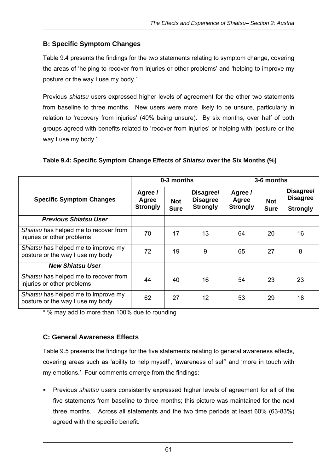# **B: Specific Symptom Changes**

Table 9.4 presents the findings for the two statements relating to symptom change, covering the areas of 'helping to recover from injuries or other problems' and 'helping to improve my posture or the way I use my body.'

Previous *shiatsu* users expressed higher levels of agreement for the other two statements from baseline to three months. New users were more likely to be unsure, particularly in relation to 'recovery from injuries' (40% being unsure). By six months, over half of both groups agreed with benefits related to 'recover from injuries' or helping with 'posture or the way I use my body.'

|                                                                         | 0-3 months                          |                           |                                                 | 3-6 months                          |                           |                                                 |
|-------------------------------------------------------------------------|-------------------------------------|---------------------------|-------------------------------------------------|-------------------------------------|---------------------------|-------------------------------------------------|
| <b>Specific Symptom Changes</b>                                         | Agree /<br>Agree<br><b>Strongly</b> | <b>Not</b><br><b>Sure</b> | Disagree/<br><b>Disagree</b><br><b>Strongly</b> | Agree /<br>Agree<br><b>Strongly</b> | <b>Not</b><br><b>Sure</b> | Disagree/<br><b>Disagree</b><br><b>Strongly</b> |
| <b>Previous Shiatsu User</b>                                            |                                     |                           |                                                 |                                     |                           |                                                 |
| Shiatsu has helped me to recover from<br>injuries or other problems     | 70                                  | 17                        | 13                                              | 64                                  | 20                        | 16                                              |
| Shiatsu has helped me to improve my<br>posture or the way I use my body | 72                                  | 19                        | 9                                               | 65                                  | 27                        | 8                                               |
| <b>New Shiatsu User</b>                                                 |                                     |                           |                                                 |                                     |                           |                                                 |
| Shiatsu has helped me to recover from<br>injuries or other problems     | 44                                  | 40                        | 16                                              | 54                                  | 23                        | 23                                              |
| Shiatsu has helped me to improve my<br>posture or the way I use my body | 62                                  | 27                        | 12                                              | 53                                  | 29                        | 18                                              |

#### **Table 9.4: Specific Symptom Change Effects of** *Shiatsu* **over the Six Months (%)**

\* % may add to more than 100% due to rounding

#### **C: General Awareness Effects**

Table 9.5 presents the findings for the five statements relating to general awareness effects, covering areas such as 'ability to help myself', 'awareness of self' and 'more in touch with my emotions.' Four comments emerge from the findings:

 Previous *shiatsu* users consistently expressed higher levels of agreement for all of the five statements from baseline to three months; this picture was maintained for the next three months. Across all statements and the two time periods at least 60% (63-83%) agreed with the specific benefit.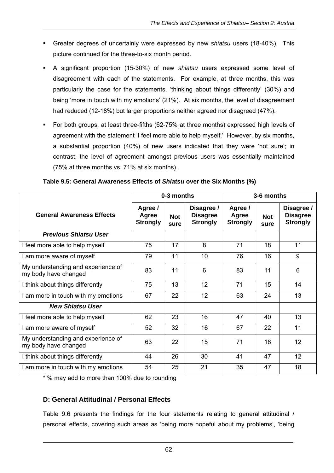- Greater degrees of uncertainly were expressed by new *shiatsu* users (18-40%). This picture continued for the three-to-six month period.
- A significant proportion (15-30%) of new *shiatsu* users expressed some level of disagreement with each of the statements. For example, at three months, this was particularly the case for the statements, 'thinking about things differently' (30%) and being 'more in touch with my emotions' (21%). At six months, the level of disagreement had reduced (12-18%) but larger proportions neither agreed nor disagreed (47%).
- For both groups, at least three-fifths (62-75% at three months) expressed high levels of agreement with the statement 'I feel more able to help myself.' However, by six months, a substantial proportion (40%) of new users indicated that they were 'not sure'; in contrast, the level of agreement amongst previous users was essentially maintained (75% at three months vs. 71% at six months).

|                                                            | 0-3 months<br>3-6 months            |                    |                                                  |                                     |                    |                                                  |  |
|------------------------------------------------------------|-------------------------------------|--------------------|--------------------------------------------------|-------------------------------------|--------------------|--------------------------------------------------|--|
| <b>General Awareness Effects</b>                           | Agree /<br>Agree<br><b>Strongly</b> | <b>Not</b><br>sure | Disagree /<br><b>Disagree</b><br><b>Strongly</b> | Agree /<br>Agree<br><b>Strongly</b> | <b>Not</b><br>sure | Disagree /<br><b>Disagree</b><br><b>Strongly</b> |  |
| <b>Previous Shiatsu User</b>                               |                                     |                    |                                                  |                                     |                    |                                                  |  |
| I feel more able to help myself                            | 75                                  | 17                 | 8                                                | 71                                  | 18                 | 11                                               |  |
| I am more aware of myself                                  | 79                                  | 11                 | 10                                               | 76                                  | 16                 | 9                                                |  |
| My understanding and experience of<br>my body have changed | 83                                  | 11                 | 6                                                | 83                                  | 11                 | 6                                                |  |
| I think about things differently                           | 75                                  | 13                 | 12                                               | 71                                  | 15                 | 14                                               |  |
| I am more in touch with my emotions                        | 67                                  | 22                 | 12                                               | 63                                  | 24                 | 13                                               |  |
| <b>New Shiatsu User</b>                                    |                                     |                    |                                                  |                                     |                    |                                                  |  |
| I feel more able to help myself                            | 62                                  | 23                 | 16                                               | 47                                  | 40                 | 13                                               |  |
| I am more aware of myself                                  | 52                                  | 32                 | 16                                               | 67                                  | 22                 | 11                                               |  |
| My understanding and experience of<br>my body have changed | 63                                  | 22                 | 15                                               | 71                                  | 18                 | 12                                               |  |
| I think about things differently                           | 44                                  | 26                 | 30                                               | 41                                  | 47                 | 12                                               |  |
| I am more in touch with my emotions                        | 54                                  | 25                 | 21                                               | 35                                  | 47                 | 18                                               |  |

**Table 9.5: General Awareness Effects of** *Shiatsu* **over the Six Months (%)** 

\* % may add to more than 100% due to rounding

#### **D: General Attitudinal / Personal Effects**

Table 9.6 presents the findings for the four statements relating to general attitudinal / personal effects, covering such areas as 'being more hopeful about my problems', 'being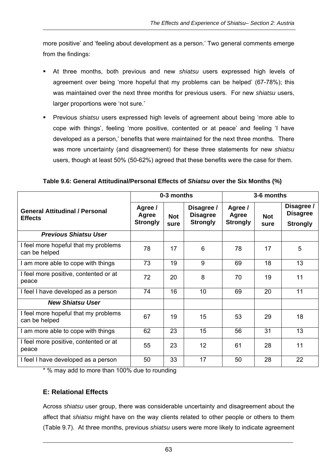more positive' and 'feeling about development as a person.' Two general comments emerge from the findings:

- At three months, both previous and new *shiatsu* users expressed high levels of agreement over being 'more hopeful that my problems can be helped' (67-78%); this was maintained over the next three months for previous users. For new *shiatsu* users, larger proportions were 'not sure.'
- Previous *shiatsu* users expressed high levels of agreement about being 'more able to cope with things', feeling 'more positive, contented or at peace' and feeling 'I have developed as a person,' benefits that were maintained for the next three months. There was more uncertainty (and disagreement) for these three statements for new *shiatsu* users, though at least 50% (50-62%) agreed that these benefits were the case for them.

| Table 9.6: General Attitudinal/Personal Effects of Shiatsu over the Six Months (%) |  |
|------------------------------------------------------------------------------------|--|
|------------------------------------------------------------------------------------|--|

|                                                         |                                     | 0-3 months         |                                                  |                                     | 3-6 months         |                                                  |
|---------------------------------------------------------|-------------------------------------|--------------------|--------------------------------------------------|-------------------------------------|--------------------|--------------------------------------------------|
| <b>General Attitudinal / Personal</b><br><b>Effects</b> | Agree /<br>Agree<br><b>Strongly</b> | <b>Not</b><br>sure | Disagree /<br><b>Disagree</b><br><b>Strongly</b> | Agree /<br>Agree<br><b>Strongly</b> | <b>Not</b><br>sure | Disagree /<br><b>Disagree</b><br><b>Strongly</b> |
| <b>Previous Shiatsu User</b>                            |                                     |                    |                                                  |                                     |                    |                                                  |
| I feel more hopeful that my problems<br>can be helped   | 78                                  | 17                 | 6                                                | 78                                  | 17                 | 5                                                |
| I am more able to cope with things                      | 73                                  | 19                 | 9                                                | 69                                  | 18                 | 13                                               |
| I feel more positive, contented or at<br>peace          | 72                                  | 20                 | 8                                                | 70                                  | 19                 | 11                                               |
| I feel I have developed as a person                     | 74                                  | 16                 | 10                                               | 69                                  | 20                 | 11                                               |
| <b>New Shiatsu User</b>                                 |                                     |                    |                                                  |                                     |                    |                                                  |
| I feel more hopeful that my problems<br>can be helped   | 67                                  | 19                 | 15                                               | 53                                  | 29                 | 18                                               |
| I am more able to cope with things                      | 62                                  | 23                 | 15                                               | 56                                  | 31                 | 13                                               |
| I feel more positive, contented or at<br>peace          | 55                                  | 23                 | 12                                               | 61                                  | 28                 | 11                                               |
| I feel I have developed as a person                     | 50                                  | 33                 | 17                                               | 50                                  | 28                 | 22                                               |

\* % may add to more than 100% due to rounding

#### **E: Relational Effects**

Across *shiatsu* user group, there was considerable uncertainty and disagreement about the affect that *shiatsu* might have on the way clients related to other people or others to them (Table 9.7). At three months, previous *shiatsu* users were more likely to indicate agreement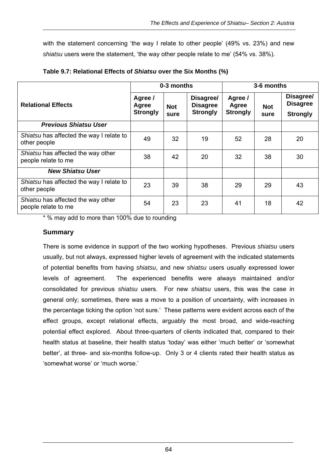with the statement concerning 'the way I relate to other people' (49% vs. 23%) and new *shiatsu* users were the statement, 'the way other people relate to me' (54% vs. 38%).

|                                                           |                                     | 0-3 months         |                                                 |                                     | 3-6 months         |                                                 |
|-----------------------------------------------------------|-------------------------------------|--------------------|-------------------------------------------------|-------------------------------------|--------------------|-------------------------------------------------|
| <b>Relational Effects</b>                                 | Agree /<br>Agree<br><b>Strongly</b> | <b>Not</b><br>sure | Disagree/<br><b>Disagree</b><br><b>Strongly</b> | Agree /<br>Agree<br><b>Strongly</b> | <b>Not</b><br>sure | Disagree/<br><b>Disagree</b><br><b>Strongly</b> |
| <b>Previous Shiatsu User</b>                              |                                     |                    |                                                 |                                     |                    |                                                 |
| Shiatsu has affected the way I relate to<br>other people  | 49                                  | 32                 | 19                                              | 52                                  | 28                 | 20                                              |
| Shiatsu has affected the way other<br>people relate to me | 38                                  | 42                 | 20                                              | 32                                  | 38                 | 30                                              |
| <b>New Shiatsu User</b>                                   |                                     |                    |                                                 |                                     |                    |                                                 |
| Shiatsu has affected the way I relate to<br>other people  | 23                                  | 39                 | 38                                              | 29                                  | 29                 | 43                                              |
| Shiatsu has affected the way other<br>people relate to me | 54                                  | 23                 | 23                                              | 41                                  | 18                 | 42                                              |

| Table 9.7: Relational Effects of Shiatsu over the Six Months (%) |  |  |
|------------------------------------------------------------------|--|--|
|------------------------------------------------------------------|--|--|

\* % may add to more than 100% due to rounding

#### **Summary**

There is some evidence in support of the two working hypotheses. Previous *shiatsu* users usually, but not always, expressed higher levels of agreement with the indicated statements of potential benefits from having *shiatsu*, and new *shiatsu* users usually expressed lower levels of agreement. The experienced benefits were always maintained and/or consolidated for previous *shiatsu* users. For new *shiatsu* users, this was the case in general only; sometimes, there was a move to a position of uncertainty, with increases in the percentage ticking the option 'not sure.' These patterns were evident across each of the effect groups, except relational effects, arguably the most broad, and wide-reaching potential effect explored. About three-quarters of clients indicated that, compared to their health status at baseline, their health status 'today' was either 'much better' or 'somewhat better', at three- and six-months follow-up. Only 3 or 4 clients rated their health status as 'somewhat worse' or 'much worse.'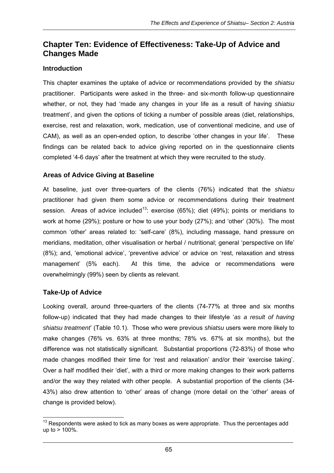# **Chapter Ten: Evidence of Effectiveness: Take-Up of Advice and Changes Made**

#### **Introduction**

This chapter examines the uptake of advice or recommendations provided by the *shiatsu*  practitioner. Participants were asked in the three- and six-month follow-up questionnaire whether, or not, they had 'made any changes in your life as a result of having *shiatsu* treatment', and given the options of ticking a number of possible areas (diet, relationships, exercise, rest and relaxation, work, medication, use of conventional medicine, and use of CAM), as well as an open-ended option, to describe 'other changes in your life'. These findings can be related back to advice giving reported on in the questionnaire clients completed '4-6 days' after the treatment at which they were recruited to the study.

#### **Areas of Advice Giving at Baseline**

At baseline, just over three-quarters of the clients (76%) indicated that the *shiatsu* practitioner had given them some advice or recommendations during their treatment session. Areas of advice included<sup>13</sup>: exercise (65%); diet (49%); points or meridians to work at home (29%); posture or how to use your body (27%); and 'other' (30%). The most common 'other' areas related to: 'self-care' (8%), including massage, hand pressure on meridians, meditation, other visualisation or herbal / nutritional; general 'perspective on life' (8%); and, 'emotional advice', 'preventive advice' or advice on 'rest, relaxation and stress management' (5% each). At this time, the advice or recommendations were overwhelmingly (99%) seen by clients as relevant.

#### **Take-Up of Advice**

Looking overall, around three-quarters of the clients (74-77% at three and six months follow-up) indicated that they had made changes to their lifestyle '*as a result of having shiatsu treatment*' (Table 10.1). Those who were previous *shiatsu* users were more likely to make changes (76% vs. 63% at three months; 78% vs. 67% at six months), but the difference was not statistically significant. Substantial proportions (72-83%) of those who made changes modified their time for 'rest and relaxation' and/or their 'exercise taking'. Over a half modified their 'diet', with a third or more making changes to their work patterns and/or the way they related with other people. A substantial proportion of the clients (34- 43%) also drew attention to 'other' areas of change (more detail on the 'other' areas of change is provided below).

  $13$  Respondents were asked to tick as many boxes as were appropriate. Thus the percentages add up to  $> 100\%$ .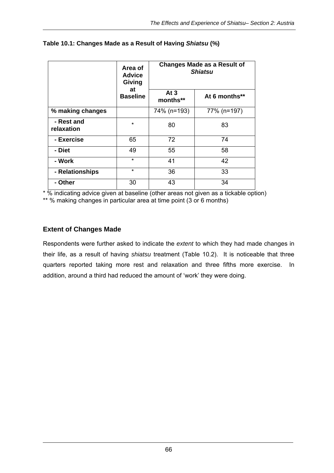|                          | Area of<br><b>Advice</b><br>Giving |                    | <b>Changes Made as a Result of</b><br><b>Shiatsu</b> |  |  |
|--------------------------|------------------------------------|--------------------|------------------------------------------------------|--|--|
|                          | at<br><b>Baseline</b>              | At $3$<br>months** | At 6 months**                                        |  |  |
| % making changes         |                                    | 74% (n=193)        | 77% (n=197)                                          |  |  |
| - Rest and<br>relaxation | $\star$                            | 80                 | 83                                                   |  |  |
| - Exercise               | 65                                 | 72                 | 74                                                   |  |  |
| - Diet                   | 49                                 | 55                 | 58                                                   |  |  |
| - Work                   | $\star$                            | 41                 | 42                                                   |  |  |
| - Relationships          | $\star$                            | 36                 | 33                                                   |  |  |
| - Other                  | 30                                 | 43                 | 34                                                   |  |  |

#### **Table 10.1: Changes Made as a Result of Having** *Shiatsu* **(%)**

\* % indicating advice given at baseline (other areas not given as a tickable option) \*\* % making changes in particular area at time point (3 or 6 months)

# **Extent of Changes Made**

Respondents were further asked to indicate the *extent* to which they had made changes in their life, as a result of having *shiatsu* treatment (Table 10.2). It is noticeable that three quarters reported taking more rest and relaxation and three fifths more exercise. In addition, around a third had reduced the amount of 'work' they were doing.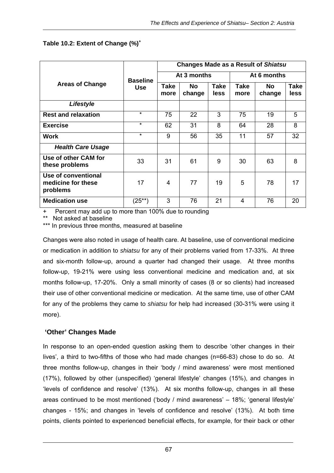|                                                       |                 | <b>Changes Made as a Result of Shiatsu</b> |               |              |                     |               |                     |  |
|-------------------------------------------------------|-----------------|--------------------------------------------|---------------|--------------|---------------------|---------------|---------------------|--|
|                                                       | <b>Baseline</b> |                                            | At 3 months   | At 6 months  |                     |               |                     |  |
| <b>Areas of Change</b>                                | <b>Use</b>      | Take<br>more<br>75<br>62<br>9<br>31<br>4   | No.<br>change | Take<br>less | <b>Take</b><br>more | No.<br>change | <b>Take</b><br>less |  |
| Lifestyle                                             |                 |                                            |               |              |                     |               |                     |  |
| <b>Rest and relaxation</b>                            | $\star$         |                                            | 22            | 3            | 75                  | 19            | 5                   |  |
| <b>Exercise</b>                                       | $\star$         |                                            | 31            | 8            | 64                  | 28            | 8                   |  |
| <b>Work</b>                                           | $\star$         |                                            | 56            | 35           | 11                  | 57            | 32                  |  |
| <b>Health Care Usage</b>                              |                 |                                            |               |              |                     |               |                     |  |
| Use of other CAM for<br>these problems                | 33              |                                            | 61            | 9            | 30                  | 63            | 8                   |  |
| Use of conventional<br>medicine for these<br>problems | 17              |                                            | 77            | 19           | 5                   | 78            | 17                  |  |
| <b>Medication use</b>                                 | $(25^{**})$     | 3                                          | 76            | 21           | 4                   | 76            | 20                  |  |

#### **Table 10.2: Extent of Change (%)<sup>+</sup>**

Percent may add up to more than 100% due to rounding

Not asked at baseline

\*\*\* In previous three months, measured at baseline

Changes were also noted in usage of health care. At baseline, use of conventional medicine or medication in addition to *shiatsu* for any of their problems varied from 17-33%. At three and six-month follow-up, around a quarter had changed their usage. At three months follow-up, 19-21% were using less conventional medicine and medication and, at six months follow-up, 17-20%. Only a small minority of cases (8 or so clients) had increased their use of other conventional medicine or medication. At the same time, use of other CAM for any of the problems they came to *shiatsu* for help had increased (30-31% were using it more).

#### **'Other' Changes Made**

In response to an open-ended question asking them to describe 'other changes in their lives', a third to two-fifths of those who had made changes (n=66-83) chose to do so. At three months follow-up, changes in their 'body / mind awareness' were most mentioned (17%), followed by other (unspecified) 'general lifestyle' changes (15%), and changes in 'levels of confidence and resolve' (13%). At six months follow-up, changes in all these areas continued to be most mentioned ('body / mind awareness' – 18%; 'general lifestyle' changes - 15%; and changes in 'levels of confidence and resolve' (13%). At both time points, clients pointed to experienced beneficial effects, for example, for their back or other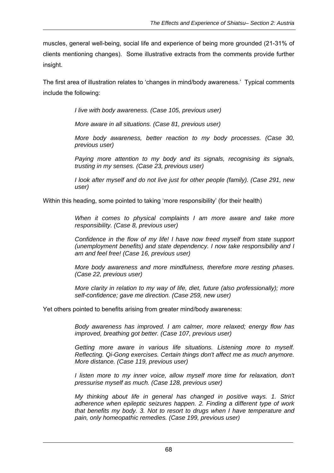muscles, general well-being, social life and experience of being more grounded (21-31% of clients mentioning changes). Some illustrative extracts from the comments provide further insight.

The first area of illustration relates to 'changes in mind/body awareness.' Typical comments include the following:

*I live with body awareness. (Case 105, previous user)* 

*More aware in all situations. (Case 81, previous user)* 

*More body awareness, better reaction to my body processes. (Case 30, previous user)* 

*Paying more attention to my body and its signals, recognising its signals, trusting in my senses. (Case 23, previous user)* 

*I look after myself and do not live just for other people (family). (Case 291, new user)* 

Within this heading, some pointed to taking 'more responsibility' (for their health)

*When it comes to physical complaints I am more aware and take more responsibility. (Case 8, previous user)* 

*Confidence in the flow of my life! I have now freed myself from state support (unemployment benefits) and state dependency. I now take responsibility and I am and feel free! (Case 16, previous user)* 

*More body awareness and more mindfulness, therefore more resting phases. (Case 22, previous user)* 

*More clarity in relation to my way of life, diet, future (also professionally); more self-confidence; gave me direction. (Case 259, new user)* 

Yet others pointed to benefits arising from greater mind/body awareness:

*Body awareness has improved. I am calmer, more relaxed; energy flow has improved, breathing got better. (Case 107, previous user)* 

*Getting more aware in various life situations. Listening more to myself. Reflecting. Qi-Gong exercises. Certain things don't affect me as much anymore. More distance. (Case 119, previous user)* 

*I* listen more to my inner voice, allow myself more time for relaxation, don't *pressurise myself as much. (Case 128, previous user)* 

*My thinking about life in general has changed in positive ways. 1. Strict adherence when epileptic seizures happen. 2. Finding a different type of work that benefits my body. 3. Not to resort to drugs when I have temperature and pain, only homeopathic remedies. (Case 199, previous user)*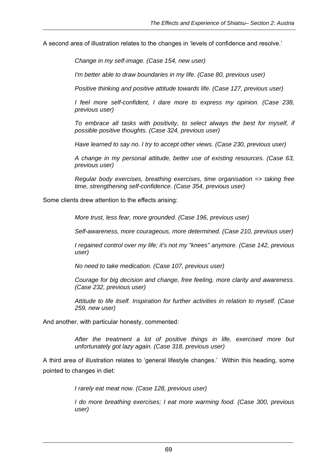A second area of illustration relates to the changes in 'levels of confidence and resolve.'

*Change in my self-image. (Case 154, new user)* 

*I'm better able to draw boundaries in my life. (Case 80, previous user)* 

*Positive thinking and positive attitude towards life. (Case 127, previous user)* 

*I feel more self-confident, I dare more to express my opinion. (Case 238, previous user)* 

*To embrace all tasks with positivity, to select always the best for myself, if possible positive thoughts. (Case 324, previous user)* 

*Have learned to say no. I try to accept other views. (Case 230, previous user)* 

*A change in my personal attitude, better use of existing resources. (Case 63, previous user)* 

*Regular body exercises, breathing exercises, time organisation => taking free time, strengthening self-confidence. (Case 354, previous user)* 

Some clients drew attention to the effects arising:

*More trust, less fear, more grounded. (Case 196, previous user)* 

*Self-awareness, more courageous, more determined. (Case 210, previous user)* 

*I regained control over my life; it's not my "knees" anymore. (Case 142, previous user)* 

*No need to take medication. (Case 107, previous user)* 

*Courage for big decision and change, free feeling, more clarity and awareness. (Case 232, previous user)* 

*Attitude to life itself. Inspiration for further activities in relation to myself. (Case 259, new user)* 

And another, with particular honesty, commented:

*After the treatment a lot of positive things in life, exercised more but unfortunately got lazy again. (Case 318, previous user)* 

A third area of illustration relates to 'general lifestyle changes.' Within this heading, some pointed to changes in diet:

*I rarely eat meat now. (Case 128, previous user)* 

*I do more breathing exercises; I eat more warming food. (Case 300, previous user)*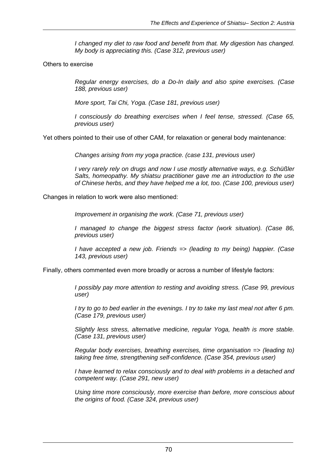*I changed my diet to raw food and benefit from that. My digestion has changed. My body is appreciating this. (Case 312, previous user)* 

Others to exercise

*Regular energy exercises, do a Do-In daily and also spine exercises. (Case 188, previous user)* 

*More sport, Tai Chi, Yoga. (Case 181, previous user)* 

*I consciously do breathing exercises when I feel tense, stressed. (Case 65, previous user)* 

Yet others pointed to their use of other CAM, for relaxation or general body maintenance:

*Changes arising from my yoga practice. (case 131, previous user)* 

*I very rarely rely on drugs and now I use mostly alternative ways, e.g. Schüßler Salts, homeopathy. My shiatsu practitioner gave me an introduction to the use of Chinese herbs, and they have helped me a lot, too. (Case 100, previous user)* 

Changes in relation to work were also mentioned:

*Improvement in organising the work. (Case 71, previous user)* 

*I managed to change the biggest stress factor (work situation). (Case 86, previous user)* 

*I have accepted a new job. Friends => (leading to my being) happier. (Case 143, previous user)* 

Finally, others commented even more broadly or across a number of lifestyle factors:

*I possibly pay more attention to resting and avoiding stress. (Case 99, previous user)* 

*I try to go to bed earlier in the evenings. I try to take my last meal not after 6 pm. (Case 179, previous user)* 

*Slightly less stress, alternative medicine, regular Yoga, health is more stable. (Case 131, previous user)* 

*Regular body exercises, breathing exercises, time organisation => (leading to) taking free time, strengthening self-confidence. (Case 354, previous user)* 

*I have learned to relax consciously and to deal with problems in a detached and competent way. (Case 291, new user)* 

*Using time more consciously, more exercise than before, more conscious about the origins of food. (Case 324, previous user)*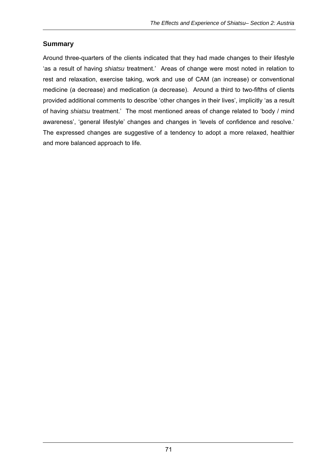# **Summary**

Around three-quarters of the clients indicated that they had made changes to their lifestyle 'as a result of having *shiatsu* treatment.' Areas of change were most noted in relation to rest and relaxation, exercise taking, work and use of CAM (an increase) or conventional medicine (a decrease) and medication (a decrease). Around a third to two-fifths of clients provided additional comments to describe 'other changes in their lives', implicitly 'as a result of having *shiatsu* treatment.' The most mentioned areas of change related to 'body / mind awareness', 'general lifestyle' changes and changes in 'levels of confidence and resolve.' The expressed changes are suggestive of a tendency to adopt a more relaxed, healthier and more balanced approach to life.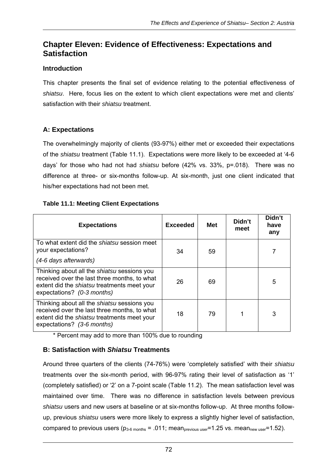# **Chapter Eleven: Evidence of Effectiveness: Expectations and Satisfaction**

## **Introduction**

This chapter presents the final set of evidence relating to the potential effectiveness of *shiatsu*. Here, focus lies on the extent to which client expectations were met and clients' satisfaction with their *shiatsu* treatment.

# **A: Expectations**

The overwhelmingly majority of clients (93-97%) either met or exceeded their expectations of the *shiatsu* treatment (Table 11.1). Expectations were more likely to be exceeded at '4-6 days' for those who had not had *shiatsu* before (42% vs. 33%, p=.018). There was no difference at three- or six-months follow-up. At six-month, just one client indicated that his/her expectations had not been met.

#### **Table 11.1: Meeting Client Expectations**

| <b>Expectations</b>                                                                                                                                                             | <b>Exceeded</b> | <b>Met</b> | Didn't<br>meet | Didn't<br>have<br>any |
|---------------------------------------------------------------------------------------------------------------------------------------------------------------------------------|-----------------|------------|----------------|-----------------------|
| To what extent did the shiatsu session meet<br>your expectations?<br>(4-6 days afterwards)                                                                                      | 34              | 59         |                |                       |
| Thinking about all the shiatsu sessions you<br>received over the last three months, to what<br>extent did the shiatsu treatments meet your<br>expectations? (0-3 months)        | 26              | 69         |                | 5                     |
| Thinking about all the <i>shiatsu</i> sessions you<br>received over the last three months, to what<br>extent did the shiatsu treatments meet your<br>expectations? (3-6 months) | 18              | 79         |                | 3                     |

\* Percent may add to more than 100% due to rounding

# **B: Satisfaction with** *Shiatsu* **Treatments**

Around three quarters of the clients (74-76%) were 'completely satisfied' with their *shiatsu* treatments over the six-month period, with 96-97% rating their level of satisfaction as '1' (completely satisfied) or '2' on a 7-point scale (Table 11.2). The mean satisfaction level was maintained over time. There was no difference in satisfaction levels between previous *shiatsu* users and new users at baseline or at six-months follow-up. At three months followup, previous *shiatsu* users were more likely to express a slightly higher level of satisfaction, compared to previous users  $(p_{3-6 \text{ months}} = .011; \text{ mean}_{\text{previous user}} = 1.25 \text{ vs. mean}_{\text{new user}} = 1.52)$ .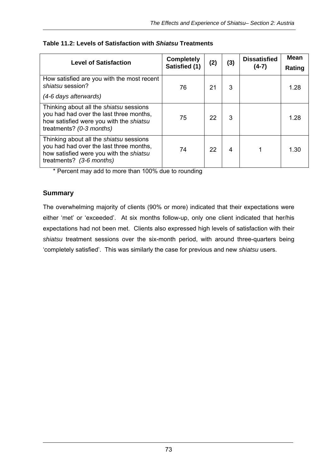| <b>Level of Satisfaction</b>                                                                                                                                     | <b>Completely</b><br>Satisfied (1) | (2) | (3) | <b>Dissatisfied</b><br>$(4-7)$ | <b>Mean</b><br>Rating |
|------------------------------------------------------------------------------------------------------------------------------------------------------------------|------------------------------------|-----|-----|--------------------------------|-----------------------|
| How satisfied are you with the most recent<br>shiatsu session?<br>(4-6 days afterwards)                                                                          | 76                                 | 21  | 3   |                                | 1.28                  |
| Thinking about all the shiatsu sessions<br>you had had over the last three months,<br>how satisfied were you with the shiatsu<br>treatments? (0-3 months)        | 75                                 | 22  | 3   |                                | 1.28                  |
| Thinking about all the <i>shiatsu</i> sessions<br>you had had over the last three months,<br>how satisfied were you with the shiatsu<br>treatments? (3-6 months) | 74                                 | 22  | 4   |                                | 1.30                  |

#### **Table 11.2: Levels of Satisfaction with** *Shiatsu* **Treatments**

\* Percent may add to more than 100% due to rounding

#### **Summary**

The overwhelming majority of clients (90% or more) indicated that their expectations were either 'met' or 'exceeded'. At six months follow-up, only one client indicated that her/his expectations had not been met. Clients also expressed high levels of satisfaction with their *shiatsu* treatment sessions over the six-month period, with around three-quarters being 'completely satisfied'. This was similarly the case for previous and new *shiatsu* users.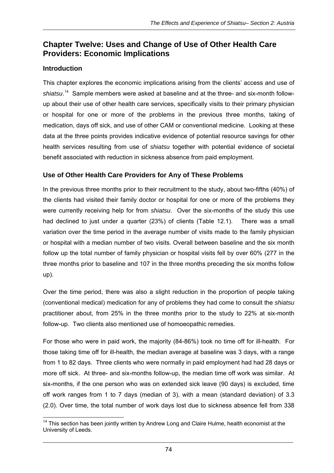# **Chapter Twelve: Uses and Change of Use of Other Health Care Providers: Economic Implications**

# **Introduction**

This chapter explores the economic implications arising from the clients' access and use of shiatsu.<sup>14</sup> Sample members were asked at baseline and at the three- and six-month followup about their use of other health care services, specifically visits to their primary physician or hospital for one or more of the problems in the previous three months, taking of medication, days off sick, and use of other CAM or conventional medicine. Looking at these data at the three points provides indicative evidence of potential resource savings for other health services resulting from use of *shiatsu* together with potential evidence of societal benefit associated with reduction in sickness absence from paid employment.

# **Use of Other Health Care Providers for Any of These Problems**

In the previous three months prior to their recruitment to the study, about two-fifths (40%) of the clients had visited their family doctor or hospital for one or more of the problems they were currently receiving help for from *shiatsu*. Over the six-months of the study this use had declined to just under a quarter (23%) of clients (Table 12.1). There was a small variation over the time period in the average number of visits made to the family physician or hospital with a median number of two visits. Overall between baseline and the six month follow up the total number of family physician or hospital visits fell by over 60% (277 in the three months prior to baseline and 107 in the three months preceding the six months follow up).

Over the time period, there was also a slight reduction in the proportion of people taking (conventional medical) medication for any of problems they had come to consult the *shiatsu* practitioner about, from 25% in the three months prior to the study to 22% at six-month follow-up. Two clients also mentioned use of homoeopathic remedies.

For those who were in paid work, the majority (84-86%) took no time off for ill-health. For those taking time off for ill-health, the median average at baseline was 3 days, with a range from 1 to 82 days. Three clients who were normally in paid employment had had 28 days or more off sick. At three- and six-months follow-up, the median time off work was similar. At six-months, if the one person who was on extended sick leave (90 days) is excluded, time off work ranges from 1 to 7 days (median of 3), with a mean (standard deviation) of 3.3 (2.0). Over time, the total number of work days lost due to sickness absence fell from 338

  $14$  This section has been jointly written by Andrew Long and Claire Hulme, health economist at the University of Leeds.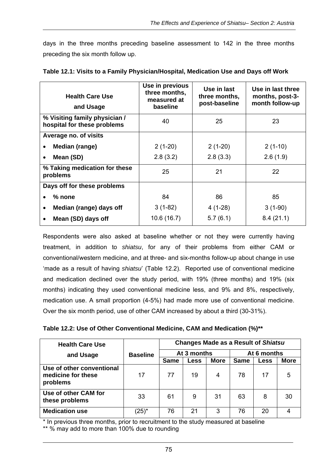days in the three months preceding baseline assessment to 142 in the three months preceding the six month follow up.

| <b>Health Care Use</b><br>and Usage                          | Use in previous<br>three months,<br>measured at<br>baseline | Use in last<br>three months,<br>post-baseline | Use in last three<br>months, post-3-<br>month follow-up |
|--------------------------------------------------------------|-------------------------------------------------------------|-----------------------------------------------|---------------------------------------------------------|
| % Visiting family physician /<br>hospital for these problems | 40                                                          | 25                                            | 23                                                      |
| Average no. of visits                                        |                                                             |                                               |                                                         |
| Median (range)<br>$\bullet$                                  | $2(1-20)$                                                   | $2(1-20)$                                     | $2(1-10)$                                               |
| Mean (SD)<br>$\bullet$                                       | 2.8(3.2)                                                    | 2.8(3.3)                                      | 2.6(1.9)                                                |
| % Taking medication for these<br>problems                    | 25                                                          | 21                                            | 22                                                      |
| Days off for these problems                                  |                                                             |                                               |                                                         |
| $%$ none<br>$\bullet$                                        | 84                                                          | 86                                            | 85                                                      |
| Median (range) days off<br>$\bullet$                         | $3(1-82)$                                                   | $4(1-28)$                                     | $3(1-90)$                                               |
| Mean (SD) days off<br>$\bullet$                              | 10.6 (16.7)                                                 | 5.7(6.1)                                      | 8.4(21.1)                                               |

| Table 12.1: Visits to a Family Physician/Hospital, Medication Use and Days off Work |  |  |  |
|-------------------------------------------------------------------------------------|--|--|--|
|                                                                                     |  |  |  |

Respondents were also asked at baseline whether or not they were currently having treatment, in addition to *shiatsu*, for any of their problems from either CAM or conventional/western medicine, and at three- and six-months follow-up about change in use 'made as a result of having *shiatsu*' (Table 12.2). Reported use of conventional medicine and medication declined over the study period, with 19% (three months) and 19% (six months) indicating they used conventional medicine less, and 9% and 8%, respectively, medication use. A small proportion (4-5%) had made more use of conventional medicine. Over the six month period, use of other CAM increased by about a third (30-31%).

| Table 12.2: Use of Other Conventional Medicine, CAM and Medication (%)** |  |  |
|--------------------------------------------------------------------------|--|--|
|--------------------------------------------------------------------------|--|--|

| <b>Health Care Use</b>                                      |                 | <b>Changes Made as a Result of Shiatsu</b> |             |             |             |             |             |
|-------------------------------------------------------------|-----------------|--------------------------------------------|-------------|-------------|-------------|-------------|-------------|
| and Usage                                                   | <b>Baseline</b> | At 3 months                                |             |             | At 6 months |             |             |
|                                                             |                 | <b>Same</b>                                | <b>Less</b> | <b>More</b> | <b>Same</b> | <b>Less</b> | <b>More</b> |
| Use of other conventional<br>medicine for these<br>problems | 17              | 77                                         | 19          | 4           | 78          | 17          | 5           |
| Use of other CAM for<br>these problems                      | 33              | 61                                         | 9           | 31          | 63          | 8           | 30          |
| <b>Medication use</b>                                       | $(25)^{*}$      | 76                                         | 21          | 3           | 76          | 20          |             |

\* In previous three months, prior to recruitment to the study measured at baseline

\*\* % may add to more than 100% due to rounding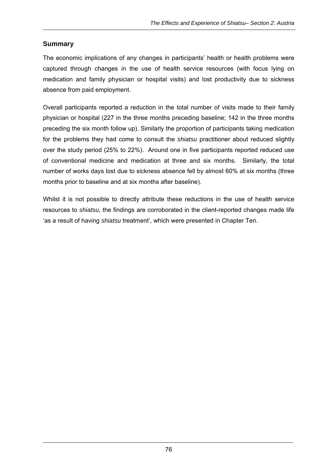# **Summary**

The economic implications of any changes in participants' health or health problems were captured through changes in the use of health service resources (with focus lying on medication and family physician or hospital visits) and lost productivity due to sickness absence from paid employment.

Overall participants reported a reduction in the total number of visits made to their family physician or hospital (227 in the three months preceding baseline; 142 in the three months preceding the six month follow up). Similarly the proportion of participants taking medication for the problems they had come to consult the *shiatsu* practitioner about reduced slightly over the study period (25% to 22%). Around one in five participants reported reduced use of conventional medicine and medication at three and six months. Similarly, the total number of works days lost due to sickness absence fell by almost 60% at six months (three months prior to baseline and at six months after baseline).

Whilst it is not possible to directly attribute these reductions in the use of health service resources to *shiatsu*, the findings are corroborated in the client-reported changes made life 'as a result of having *shiatsu* treatment', which were presented in Chapter Ten.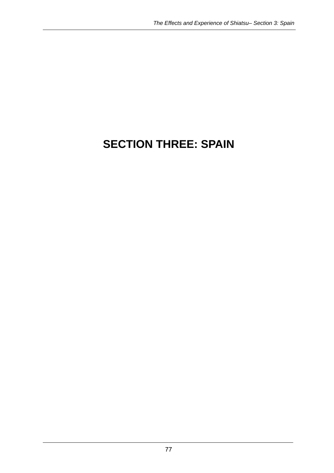# **SECTION THREE: SPAIN**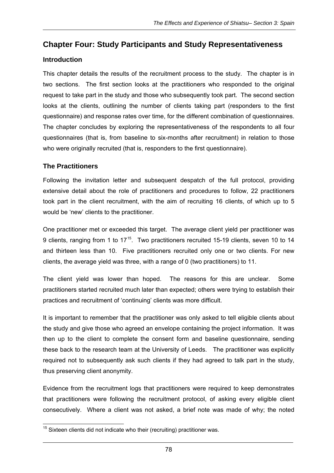# **Chapter Four: Study Participants and Study Representativeness**

# **Introduction**

This chapter details the results of the recruitment process to the study. The chapter is in two sections. The first section looks at the practitioners who responded to the original request to take part in the study and those who subsequently took part. The second section looks at the clients, outlining the number of clients taking part (responders to the first questionnaire) and response rates over time, for the different combination of questionnaires. The chapter concludes by exploring the representativeness of the respondents to all four questionnaires (that is, from baseline to six-months after recruitment) in relation to those who were originally recruited (that is, responders to the first questionnaire).

# **The Practitioners**

Following the invitation letter and subsequent despatch of the full protocol, providing extensive detail about the role of practitioners and procedures to follow, 22 practitioners took part in the client recruitment, with the aim of recruiting 16 clients, of which up to 5 would be 'new' clients to the practitioner.

One practitioner met or exceeded this target. The average client yield per practitioner was 9 clients, ranging from 1 to 17<sup>15</sup>. Two practitioners recruited 15-19 clients, seven 10 to 14 and thirteen less than 10. Five practitioners recruited only one or two clients. For new clients, the average yield was three, with a range of 0 (two practitioners) to 11.

The client yield was lower than hoped. The reasons for this are unclear. Some practitioners started recruited much later than expected; others were trying to establish their practices and recruitment of 'continuing' clients was more difficult.

It is important to remember that the practitioner was only asked to tell eligible clients about the study and give those who agreed an envelope containing the project information. It was then up to the client to complete the consent form and baseline questionnaire, sending these back to the research team at the University of Leeds. The practitioner was explicitly required not to subsequently ask such clients if they had agreed to talk part in the study, thus preserving client anonymity.

Evidence from the recruitment logs that practitioners were required to keep demonstrates that practitioners were following the recruitment protocol, of asking every eligible client consecutively. Where a client was not asked, a brief note was made of why; the noted

 $\overline{a}$  $15$  Sixteen clients did not indicate who their (recruiting) practitioner was.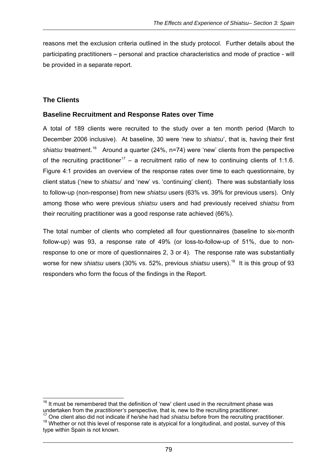reasons met the exclusion criteria outlined in the study protocol. Further details about the participating practitioners – personal and practice characteristics and mode of practice - will be provided in a separate report.

#### **The Clients**

#### **Baseline Recruitment and Response Rates over Time**

A total of 189 clients were recruited to the study over a ten month period (March to December 2006 inclusive). At baseline, 30 were 'new to *shiatsu*', that is, having their first shiatsu treatment.<sup>16</sup> Around a quarter (24%, n=74) were 'new' clients from the perspective of the recruiting practitioner<sup>17</sup> – a recruitment ratio of new to continuing clients of 1:1.6. Figure 4:1 provides an overview of the response rates over time to each questionnaire, by client status ('new to *shiatsu*' and 'new' vs. 'continuing' client). There was substantially loss to follow-up (non-response) from new *shiatsu* users (63% vs. 39% for previous users). Only among those who were previous *shiatsu* users and had previously received *shiatsu* from their recruiting practitioner was a good response rate achieved (66%).

The total number of clients who completed all four questionnaires (baseline to six-month follow-up) was 93, a response rate of 49% (or loss-to-follow-up of 51%, due to nonresponse to one or more of questionnaires 2, 3 or 4). The response rate was substantially worse for new *shiatsu* users (30% vs. 52%, previous *shiatsu* users).<sup>18</sup> It is this group of 93 responders who form the focus of the findings in the Report.

 $\overline{a}$  $16$  It must be remembered that the definition of 'new' client used in the recruitment phase was

undertaken from the *practitioner's* perspective, that is, new to the recruiting practitioner.<br><sup>17</sup> One client also did not indicate if he/she had had *shiatsu* before from the recruiting practitioner.<br><sup>18</sup> Whether or not type within Spain is not known.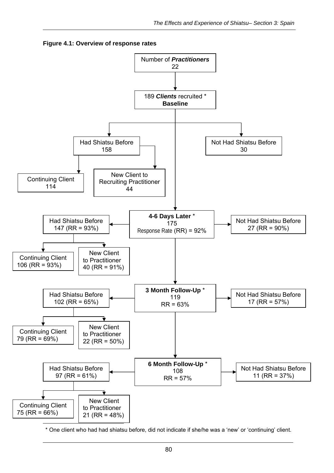



\* One client who had had shiatsu before, did not indicate if she/he was a 'new' or 'continuing' client.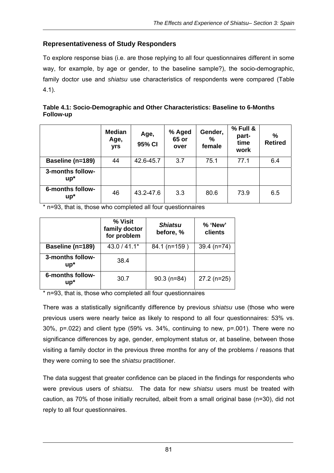## **Representativeness of Study Responders**

To explore response bias (i.e. are those replying to all four questionnaires different in some way, for example, by age or gender, to the baseline sample?), the socio-demographic, family doctor use and *shiatsu* use characteristics of respondents were compared (Table 4.1).

| Table 4.1: Socio-Demographic and Other Characteristics: Baseline to 6-Months |  |
|------------------------------------------------------------------------------|--|
| Follow-up                                                                    |  |

|                            | <b>Median</b><br>Age,<br>yrs | Age,<br>95% CI | % Aged<br>65 or<br>over | Gender,<br>%<br>female | % Full &<br>part-<br>time<br>work | $\frac{9}{6}$<br><b>Retired</b> |
|----------------------------|------------------------------|----------------|-------------------------|------------------------|-----------------------------------|---------------------------------|
| Baseline (n=189)           | 44                           | 42.6-45.7      | 3.7                     | 75.1                   | 77.1                              | 6.4                             |
| 3-months follow-<br>$up^*$ |                              |                |                         |                        |                                   |                                 |
| 6-months follow-<br>$up^*$ | 46                           | 43.2-47.6      | 3.3                     | 80.6                   | 73.9                              | 6.5                             |

\* n=93, that is, those who completed all four questionnaires

|                            | % Visit<br>family doctor<br>for problem | <b>Shiatsu</b><br>before, % | % 'New'<br>clients |
|----------------------------|-----------------------------------------|-----------------------------|--------------------|
| Baseline (n=189)           | 43.0 / 41.1*                            | 84.1 (n=159)                | $39.4$ (n=74)      |
| 3-months follow-<br>$up^*$ | 38.4                                    |                             |                    |
| 6-months follow-<br>$up^*$ | 30.7                                    | $90.3$ (n=84)               | $27.2$ (n=25)      |

\* n=93, that is, those who completed all four questionnaires

There was a statistically significantly difference by previous *shiatsu* use (those who were previous users were nearly twice as likely to respond to all four questionnaires: 53% vs. 30%, p=.022) and client type (59% vs. 34%, continuing to new, p=.001). There were no significance differences by age, gender, employment status or, at baseline, between those visiting a family doctor in the previous three months for any of the problems / reasons that they were coming to see the *shiatsu* practitioner.

The data suggest that greater confidence can be placed in the findings for respondents who were previous users of *shiatsu*. The data for new *shiatsu* users must be treated with caution, as 70% of those initially recruited, albeit from a small original base (n=30), did not reply to all four questionnaires.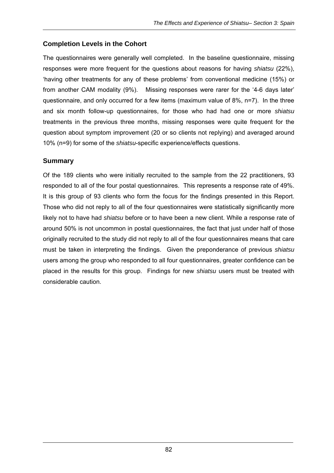# **Completion Levels in the Cohort**

The questionnaires were generally well completed. In the baseline questionnaire, missing responses were more frequent for the questions about reasons for having *shiatsu* (22%), 'having other treatments for any of these problems' from conventional medicine (15%) or from another CAM modality (9%). Missing responses were rarer for the '4-6 days later' questionnaire, and only occurred for a few items (maximum value of 8%, n=7). In the three and six month follow-up questionnaires, for those who had had one or more *shiatsu* treatments in the previous three months, missing responses were quite frequent for the question about symptom improvement (20 or so clients not replying) and averaged around 10% (n=9) for some of the *shiatsu*-specific experience/effects questions.

# **Summary**

Of the 189 clients who were initially recruited to the sample from the 22 practitioners, 93 responded to all of the four postal questionnaires. This represents a response rate of 49%. It is this group of 93 clients who form the focus for the findings presented in this Report. Those who did not reply to all of the four questionnaires were statistically significantly more likely not to have had *shiatsu* before or to have been a new client. While a response rate of around 50% is not uncommon in postal questionnaires, the fact that just under half of those originally recruited to the study did not reply to all of the four questionnaires means that care must be taken in interpreting the findings. Given the preponderance of previous *shiatsu* users among the group who responded to all four questionnaires, greater confidence can be placed in the results for this group. Findings for new *shiatsu* users must be treated with considerable caution.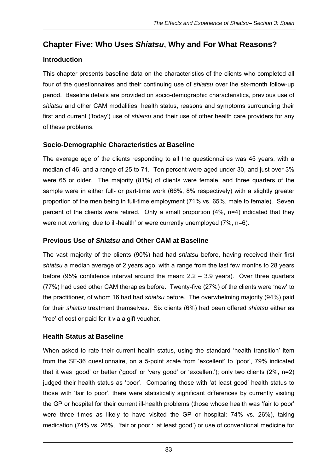# **Chapter Five: Who Uses** *Shiatsu***, Why and For What Reasons?**

# **Introduction**

This chapter presents baseline data on the characteristics of the clients who completed all four of the questionnaires and their continuing use of *shiatsu* over the six-month follow-up period. Baseline details are provided on socio-demographic characteristics, previous use of *shiatsu* and other CAM modalities, health status, reasons and symptoms surrounding their first and current ('today') use of *shiatsu* and their use of other health care providers for any of these problems.

# **Socio-Demographic Characteristics at Baseline**

The average age of the clients responding to all the questionnaires was 45 years, with a median of 46, and a range of 25 to 71. Ten percent were aged under 30, and just over 3% were 65 or older. The majority (81%) of clients were female, and three quarters of the sample were in either full- or part-time work (66%, 8% respectively) with a slightly greater proportion of the men being in full-time employment (71% vs. 65%, male to female). Seven percent of the clients were retired. Only a small proportion (4%, n=4) indicated that they were not working 'due to ill-health' or were currently unemployed (7%, n=6).

# **Previous Use of** *Shiatsu* **and Other CAM at Baseline**

The vast majority of the clients (90%) had had *shiatsu* before, having received their first *shiatsu* a median average of 2 years ago, with a range from the last few months to 28 years before (95% confidence interval around the mean:  $2.2 - 3.9$  years). Over three quarters (77%) had used other CAM therapies before. Twenty-five (27%) of the clients were 'new' to the practitioner, of whom 16 had had *shiatsu* before. The overwhelming majority (94%) paid for their *shiatsu* treatment themselves. Six clients (6%) had been offered *shiatsu* either as 'free' of cost or paid for it via a gift voucher.

# **Health Status at Baseline**

When asked to rate their current health status, using the standard 'health transition' item from the SF-36 questionnaire, on a 5-point scale from 'excellent' to 'poor', 79% indicated that it was 'good' or better ('good' or 'very good' or 'excellent'); only two clients (2%, n=2) judged their health status as 'poor'. Comparing those with 'at least good' health status to those with 'fair to poor', there were statistically significant differences by currently visiting the GP or hospital for their current ill-health problems (those whose health was 'fair to poor' were three times as likely to have visited the GP or hospital: 74% vs. 26%), taking medication (74% vs. 26%, 'fair or poor': 'at least good') or use of conventional medicine for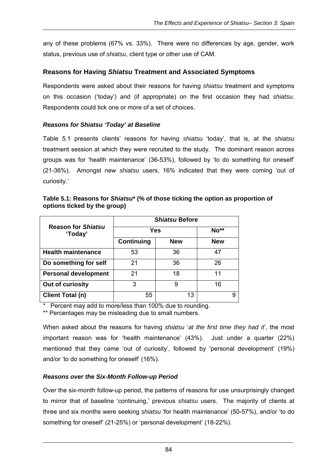any of these problems (67% vs. 33%). There were no differences by age, gender, work status, previous use of *shiatsu*, client type or other use of CAM.

### **Reasons for Having** *Shiatsu* **Treatment and Associated Symptoms**

Respondents were asked about their reasons for having *shiatsu* treatment and symptoms on this occasion ('today') and (if appropriate) on the first occasion they had *shiatsu*. Respondents could tick one or more of a set of choices.

#### *Reasons for Shiatsu 'Today' at Baseline*

Table 5.1 presents clients' reasons for having *shiatsu* 'today', that is, at the *shiatsu*  treatment session at which they were recruited to the study. The dominant reason across groups was for 'health maintenance' (36-53%), followed by 'to do something for oneself' (21-36%). Amongst new *shiatsu* users, 16% indicated that they were coming 'out of curiosity.'

| Table 5.1: Reasons for Shiatsu* (% of those ticking the option as proportion of |
|---------------------------------------------------------------------------------|
| options ticked by the group)                                                    |

|                                      | <i><b>Shiatsu Before</b></i> |            |            |  |
|--------------------------------------|------------------------------|------------|------------|--|
| <b>Reason for Shiatsu</b><br>'Today' | Yes                          |            | $No**$     |  |
|                                      | <b>Continuing</b>            | <b>New</b> | <b>New</b> |  |
| <b>Health maintenance</b>            | 53                           | 36         | 47         |  |
| Do something for self                | 21                           | 36         | 26         |  |
| <b>Personal development</b>          | 21                           | 18         | 11         |  |
| Out of curiosity                     | 3                            | 9          | 16         |  |
| <b>Client Total (n)</b>              | 55                           | 13         | 9          |  |

Percent may add to more/less than 100% due to rounding.

\*\* Percentages may be misleading due to small numbers.

When asked about the reasons for having *shiatsu* '*at the first time they had it*', the most important reason was for 'health maintenance' (43%). Just under a quarter (22%) mentioned that they came 'out of curiosity', followed by 'personal development' (19%) and/or 'to do something for oneself' (16%).

#### *Reasons over the Six-Month Follow-up Period*

Over the six-month follow-up period, the patterns of reasons for use unsurprisingly changed to mirror that of baseline 'continuing,' previous *shiatsu* users. The majority of clients at three and six months were seeking *shiatsu* 'for health maintenance' (50-57%), and/or 'to do something for oneself' (21-25%) or 'personal development' (18-22%).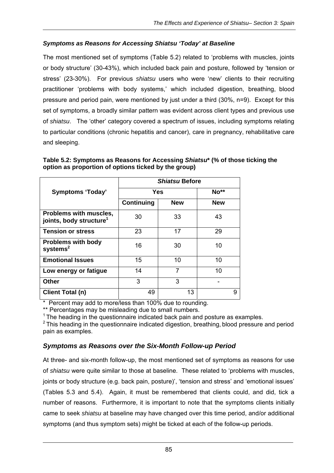### *Symptoms as Reasons for Accessing Shiatsu 'Today' at Baseline*

The most mentioned set of symptoms (Table 5.2) related to 'problems with muscles, joints or body structure' (30-43%), which included back pain and posture, followed by 'tension or stress' (23-30%). For previous *shiatsu* users who were 'new' clients to their recruiting practitioner 'problems with body systems,' which included digestion, breathing, blood pressure and period pain, were mentioned by just under a third (30%, n=9). Except for this set of symptoms, a broadly similar pattern was evident across client types and previous use of *shiatsu*. The 'other' category covered a spectrum of issues, including symptoms relating to particular conditions (chronic hepatitis and cancer), care in pregnancy, rehabilitative care and sleeping.

| Table 5.2: Symptoms as Reasons for Accessing Shiatsu* (% of those ticking the |  |
|-------------------------------------------------------------------------------|--|
| option as proportion of options ticked by the group)                          |  |

|                                                               | <b>Shiatsu Before</b> |            |            |
|---------------------------------------------------------------|-----------------------|------------|------------|
| <b>Symptoms 'Today'</b>                                       |                       | Yes        |            |
|                                                               | Continuing            | <b>New</b> | <b>New</b> |
| Problems with muscles,<br>joints, body structure <sup>1</sup> | 30                    | 33         | 43         |
| <b>Tension or stress</b>                                      | 23                    | 17         | 29         |
| <b>Problems with body</b><br>$s$ ystems $2$                   | 16                    | 30         | 10         |
| <b>Emotional Issues</b>                                       | 15                    | 10         | 10         |
| Low energy or fatigue                                         | 14                    |            | 10         |
| <b>Other</b>                                                  | 3                     | 3          |            |
| Client Total (n)                                              | 49                    | 13         | 9          |

\* Percent may add to more/less than 100% due to rounding.

\*\* Percentages may be misleading due to small numbers.

 $1$  The heading in the questionnaire indicated back pain and posture as examples.

 $2$  This heading in the questionnaire indicated digestion, breathing, blood pressure and period pain as examples.

### *Symptoms as Reasons over the Six-Month Follow-up Period*

At three- and six-month follow-up, the most mentioned set of symptoms as reasons for use of *shiatsu* were quite similar to those at baseline. These related to 'problems with muscles, joints or body structure (e.g. back pain, posture)', 'tension and stress' and 'emotional issues' (Tables 5.3 and 5.4). Again, it must be remembered that clients could, and did, tick a number of reasons. Furthermore, it is important to note that the symptoms clients initially came to seek *shiatsu* at baseline may have changed over this time period, and/or additional symptoms (and thus symptom sets) might be ticked at each of the follow-up periods.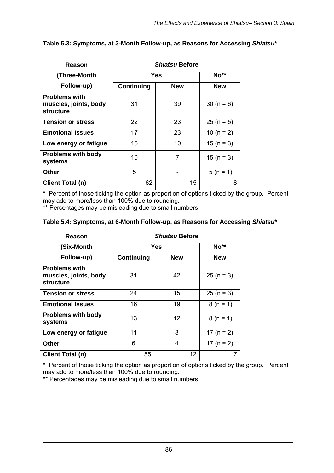| Reason                                                            | <b>Shiatsu Before</b> |            |                |
|-------------------------------------------------------------------|-----------------------|------------|----------------|
| (Three-Month                                                      | <b>Yes</b>            |            | No**           |
| Follow-up)                                                        | Continuing            | <b>New</b> | <b>New</b>     |
| <b>Problems with</b><br>muscles, joints, body<br><b>structure</b> | 31                    | 39         | $30 (n = 6)$   |
| <b>Tension or stress</b>                                          | 22                    | 23         | $25 (n = 5)$   |
| <b>Emotional Issues</b>                                           | 17                    | 23         | 10 ( $n = 2$ ) |
| Low energy or fatigue                                             | 15                    | 10         | $15(n = 3)$    |
| <b>Problems with body</b><br>systems                              | 10                    | 7          | $15(n = 3)$    |
| <b>Other</b>                                                      | 5                     |            | $5(n = 1)$     |
| <b>Client Total (n)</b>                                           | 62                    | 15         | 8              |

#### **Table 5.3: Symptoms, at 3-Month Follow-up, as Reasons for Accessing** *Shiatsu***\***

\* Percent of those ticking the option as proportion of options ticked by the group. Percent may add to more/less than 100% due to rounding.

\*\* Percentages may be misleading due to small numbers.

#### **Table 5.4: Symptoms, at 6-Month Follow-up, as Reasons for Accessing** *Shiatsu***\***

| Reason                                                     | <i><b>Shiatsu Before</b></i> |                   |                |  |
|------------------------------------------------------------|------------------------------|-------------------|----------------|--|
| (Six-Month                                                 | Yes                          |                   | $No**$         |  |
| Follow-up)                                                 | Continuing<br><b>New</b>     |                   | <b>New</b>     |  |
| <b>Problems with</b><br>muscles, joints, body<br>structure | 31                           | 42                | $25 (n = 3)$   |  |
| <b>Tension or stress</b>                                   | 24                           | 15                | $25 (n = 3)$   |  |
| <b>Emotional Issues</b>                                    | 16                           | 19                | $8(n = 1)$     |  |
| <b>Problems with body</b><br>systems                       | 13                           | $12 \overline{ }$ | $8(n = 1)$     |  |
| Low energy or fatigue                                      | 11                           | 8                 | 17 ( $n = 2$ ) |  |
| Other                                                      | 6                            | 4                 | 17 ( $n = 2$ ) |  |
| <b>Client Total (n)</b>                                    | 55                           | 12.               | 7              |  |

\* Percent of those ticking the option as proportion of options ticked by the group. Percent may add to more/less than 100% due to rounding.

\*\* Percentages may be misleading due to small numbers.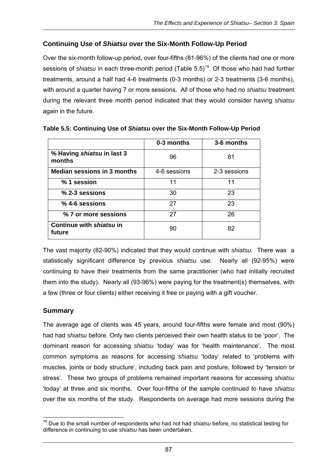# **Continuing Use of** *Shiatsu* **over the Six-Month Follow-Up Period**

Over the six-month follow-up period, over four-fifths (81-96%) of the clients had one or more sessions of *shiatsu* in each three-month period (Table 5.5)<sup>19</sup>. Of those who had had further treatments, around a half had 4-6 treatments (0-3 months) or 2-3 treatments (3-6 months), with around a quarter having 7 or more sessions. All of those who had no *shiatsu* treatment during the relevant three month period indicated that they would consider having *shiatsu* again in the future.

|                                      | 0-3 months   | 3-6 months   |
|--------------------------------------|--------------|--------------|
| % Having shiatsu in last 3<br>months | 96           | 81           |
| <b>Median sessions in 3 months</b>   | 4-6 sessions | 2-3 sessions |
| % 1 session                          | 11           | 11           |
| % 2-3 sessions                       | 30           | 23           |
| % 4-6 sessions                       | 27           | 23           |
| % 7 or more sessions                 | 27           | 26           |
| Continue with shiatsu in<br>future   | 90           | 82           |

**Table 5.5: Continuing Use of** *Shiatsu* **over the Six-Month Follow-Up Period** 

The vast majority (82-90%) indicated that they would continue with *shiatsu*. There was a statistically significant difference by previous *shiatsu* use. Nearly all (92-95%) were continuing to have their treatments from the same practitioner (who had initially recruited them into the study). Nearly all (93-96%) were paying for the treatment(s) themselves, with a few (three or four clients) either receiving it free or paying with a gift voucher.

### **Summary**

The average age of clients was 45 years, around four-fifths were female and most (90%) had had *shiatsu* before. Only two clients perceived their own health status to be 'poor'. The dominant reason for accessing *shiatsu* 'today' was for 'health maintenance'. The most common symptoms as reasons for accessing *shiatsu* 'today' related to 'problems with muscles, joints or body structure', including back pain and posture, followed by 'tension or stress'. These two groups of problems remained important reasons for accessing *shiatsu* 'today' at three and six months. Over four-fifths of the sample continued to have *shiatsu* over the six months of the study. Respondents on average had more sessions during the

 19 Due to the small number of respondents who had not had *shiatsu* before, no statistical testing for difference in continuing to use *shiatsu* has been undertaken.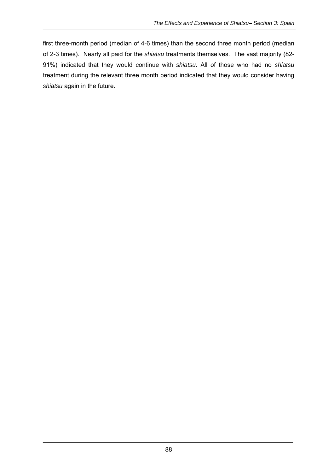first three-month period (median of 4-6 times) than the second three month period (median of 2-3 times). Nearly all paid for the *shiatsu* treatments themselves. The vast majority (82- 91%) indicated that they would continue with *shiatsu*. All of those who had no *shiatsu*  treatment during the relevant three month period indicated that they would consider having *shiatsu* again in the future.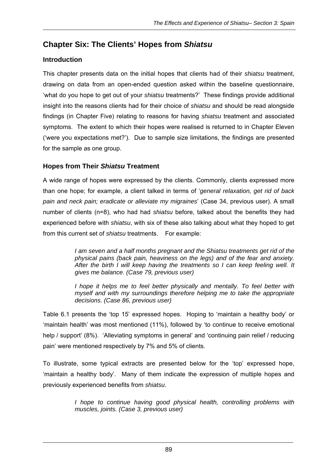# **Chapter Six: The Clients' Hopes from** *Shiatsu*

# **Introduction**

This chapter presents data on the initial hopes that clients had of their *shiatsu* treatment, drawing on data from an open-ended question asked within the baseline questionnaire, 'what do you hope to get out of your *shiatsu* treatments?' These findings provide additional insight into the reasons clients had for their choice of *shiatsu* and should be read alongside findings (in Chapter Five) relating to reasons for having *shiatsu* treatment and associated symptoms. The extent to which their hopes were realised is returned to in Chapter Eleven ('were you expectations met?'). Due to sample size limitations, the findings are presented for the sample as one group.

# **Hopes from Their** *Shiatsu* **Treatment**

A wide range of hopes were expressed by the clients. Commonly, clients expressed more than one hope; for example, a client talked in terms of '*general relaxation, get rid of back pain and neck pain; eradicate or alleviate my migraines*' (Case 34, previous user). A small number of clients (n=8), who had had *shiatsu* before, talked about the benefits they had experienced before with *shiatsu*, with six of these also talking about what they hoped to get from this current set of *shiatsu* treatments. For example:

> *I am seven and a half months pregnant and the Shiatsu treatments get rid of the physical pains (back pain, heaviness on the legs) and of the fear and anxiety. After the birth I will keep having the treatments so I can keep feeling well. It gives me balance. (Case 79, previous user)*

> *I hope it helps me to feel better physically and mentally. To feel better with myself and with my surroundings therefore helping me to take the appropriate decisions. (Case 86, previous user)*

Table 6.1 presents the 'top 15' expressed hopes. Hoping to 'maintain a healthy body' or 'maintain health' was most mentioned (11%), followed by 'to continue to receive emotional help / support' (8%). 'Alleviating symptoms in general' and 'continuing pain relief / reducing pain' were mentioned respectively by 7% and 5% of clients.

To illustrate, some typical extracts are presented below for the 'top' expressed hope, 'maintain a healthy body'. Many of them indicate the expression of multiple hopes and previously experienced benefits from *shiatsu*.

> *I hope to continue having good physical health, controlling problems with muscles, joints. (Case 3, previous user)*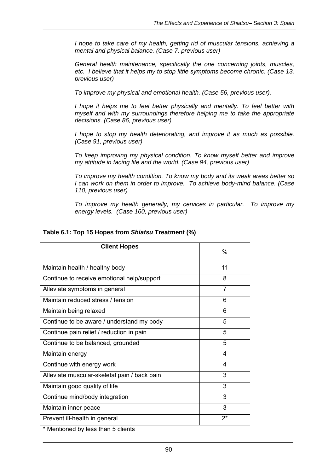*I hope to take care of my health, getting rid of muscular tensions, achieving a mental and physical balance. (Case 7, previous user)* 

*General health maintenance, specifically the one concerning joints, muscles, etc. I believe that it helps my to stop little symptoms become chronic. (Case 13, previous user)* 

*To improve my physical and emotional health. (Case 56, previous user),* 

*I hope it helps me to feel better physically and mentally. To feel better with myself and with my surroundings therefore helping me to take the appropriate decisions. (Case 86, previous user)* 

*I hope to stop my health deteriorating, and improve it as much as possible. (Case 91, previous user)* 

*To keep improving my physical condition. To know myself better and improve my attitude in facing life and the world. (Case 94, previous user)* 

*To improve my health condition. To know my body and its weak areas better so I can work on them in order to improve. To achieve body-mind balance. (Case 110, previous user)* 

*To improve my health generally, my cervices in particular. To improve my energy levels. (Case 160, previous user)* 

| <b>Client Hopes</b>                          | %     |
|----------------------------------------------|-------|
| Maintain health / healthy body               | 11    |
| Continue to receive emotional help/support   | 8     |
| Alleviate symptoms in general                | 7     |
| Maintain reduced stress / tension            | 6     |
| Maintain being relaxed                       | 6     |
| Continue to be aware / understand my body    | 5     |
| Continue pain relief / reduction in pain     | 5     |
| Continue to be balanced, grounded            | 5     |
| Maintain energy                              | 4     |
| Continue with energy work                    | 4     |
| Alleviate muscular-skeletal pain / back pain | 3     |
| Maintain good quality of life                | 3     |
| Continue mind/body integration               | 3     |
| Maintain inner peace                         | 3     |
| Prevent ill-health in general                | $2^*$ |
| * Marchine and booking a three Frances       |       |

#### **Table 6.1: Top 15 Hopes from** *Shiatsu* **Treatment (%)**

\* Mentioned by less than 5 clients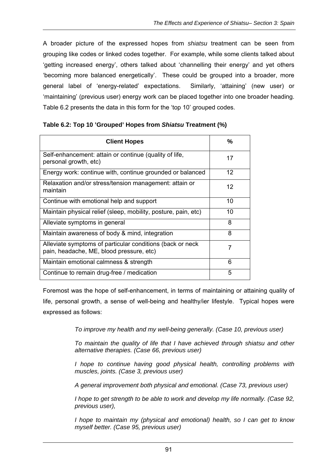A broader picture of the expressed hopes from *shiatsu* treatment can be seen from grouping like codes or linked codes together. For example, while some clients talked about 'getting increased energy', others talked about 'channelling their energy' and yet others 'becoming more balanced energetically'. These could be grouped into a broader, more general label of 'energy-related' expectations. Similarly, 'attaining' (new user) or 'maintaining' (previous user) energy work can be placed together into one broader heading. Table 6.2 presents the data in this form for the 'top 10' grouped codes.

| <b>Client Hopes</b>                                                                                   | %  |
|-------------------------------------------------------------------------------------------------------|----|
| Self-enhancement: attain or continue (quality of life,<br>personal growth, etc)                       | 17 |
| Energy work: continue with, continue grounded or balanced                                             | 12 |
| Relaxation and/or stress/tension management: attain or<br>maintain                                    | 12 |
| Continue with emotional help and support                                                              | 10 |
| Maintain physical relief (sleep, mobility, posture, pain, etc)                                        | 10 |
| Alleviate symptoms in general                                                                         | 8  |
| Maintain awareness of body & mind, integration                                                        | 8  |
| Alleviate symptoms of particular conditions (back or neck<br>pain, headache, ME, blood pressure, etc) | 7  |
| Maintain emotional calmness & strength                                                                | 6  |
| Continue to remain drug-free / medication                                                             | 5  |

#### **Table 6.2: Top 10 'Grouped' Hopes from** *Shiatsu* **Treatment (%)**

Foremost was the hope of self-enhancement, in terms of maintaining or attaining quality of life, personal growth, a sense of well-being and healthy/ier lifestyle. Typical hopes were expressed as follows:

*To improve my health and my well-being generally. (Case 10, previous user)* 

*To maintain the quality of life that I have achieved through shiatsu and other alternative therapies. (Case 66, previous user)* 

*I hope to continue having good physical health, controlling problems with muscles, joints. (Case 3, previous user)* 

*A general improvement both physical and emotional. (Case 73, previous user)* 

*I hope to get strength to be able to work and develop my life normally. (Case 92, previous user),* 

*I hope to maintain my (physical and emotional) health, so I can get to know myself better. (Case 95, previous user)*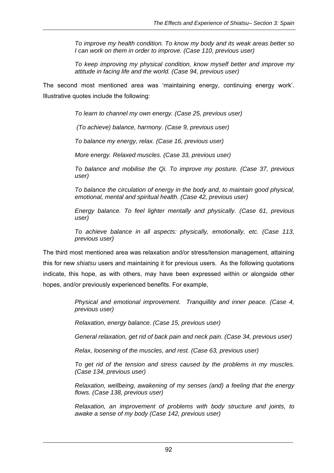*To improve my health condition. To know my body and its weak areas better so I can work on them in order to improve. (Case 110, previous user)* 

*To keep improving my physical condition, know myself better and improve my attitude in facing life and the world. (Case 94, previous user)* 

The second most mentioned area was 'maintaining energy, continuing energy work'. Illustrative quotes include the following:

*To learn to channel my own energy. (Case 25, previous user)* 

 *(To achieve) balance, harmony. (Case 9, previous user)* 

*To balance my energy, relax. (Case 16, previous user)* 

*More energy. Relaxed muscles. (Case 33, previous user)* 

*To balance and mobilise the Qi. To improve my posture. (Case 37, previous user)* 

*To balance the circulation of energy in the body and, to maintain good physical, emotional, mental and spiritual health. (Case 42, previous user)* 

*Energy balance. To feel lighter mentally and physically. (Case 61, previous user)* 

*To achieve balance in all aspects: physically, emotionally, etc. (Case 113, previous user)* 

The third most mentioned area was relaxation and/or stress/tension management, attaining this for new *shiatsu* users and maintaining it for previous users. As the following quotations indicate, this hope, as with others, may have been expressed within or alongside other hopes, and/or previously experienced benefits. For example,

> *Physical and emotional improvement. Tranquillity and inner peace. (Case 4, previous user)*

*Relaxation, energy balance. (Case 15, previous user)* 

*General relaxation, get rid of back pain and neck pain. (Case 34, previous user)* 

*Relax, loosening of the muscles, and rest. (Case 63, previous user)* 

*To get rid of the tension and stress caused by the problems in my muscles. (Case 134, previous user)* 

*Relaxation, wellbeing, awakening of my senses (and) a feeling that the energy flows. (Case 138, previous user)* 

*Relaxation, an improvement of problems with body structure and joints, to awake a sense of my body (Case 142, previous user)*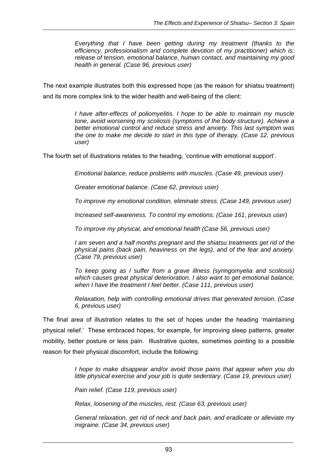*Everything that I have been getting during my treatment (thanks to the efficiency, professionalism and complete devotion of my practitioner) which is: release of tension, emotional balance, human contact, and maintaining my good health in general. (Case 96, previous user)* 

The next example illustrates both this expressed hope (as the reason for shiatsu treatment) and its more complex link to the wider health and well-being of the client:

> *I have after-effects of poliomyelitis. I hope to be able to maintain my muscle tone, avoid worsening my scoliosis (symptoms of the body structure). Achieve a better emotional control and reduce stress and anxiety. This last symptom was the one to make me decide to start in this type of therapy. (Case 12, previous user)*

The fourth set of illustrations relates to the heading, 'continue with emotional support'.

*Emotional balance, reduce problems with muscles. (Case 49, previous user)* 

*Greater emotional balance. (Case 62, previous user)* 

*To improve my emotional condition, eliminate stress. (Case 149, previous user)* 

*Increased self-awareness. To control my emotions. (Case 161, previous user)* 

*To improve my physical, and emotional health (Case 56, previous user)* 

*I am seven and a half months pregnant and the shiatsu treatments get rid of the physical pains (back pain, heaviness on the legs), and of the fear and anxiety. (Case 79, previous user)* 

*To keep going as I suffer from a grave illness (syringomyelia and scoliosis) which causes great physical deterioration. I also want to get emotional balance, when I have the treatment I feel better. (Case 111, previous user)* 

*Relaxation, help with controlling emotional drives that generated tension. (Case 6, previous user)* 

The final area of illustration relates to the set of hopes under the heading 'maintaining physical relief.' These embraced hopes, for example, for improving sleep patterns, greater mobility, better posture or less pain. Illustrative quotes, sometimes pointing to a possible reason for their physical discomfort, include the following:

> *I hope to make disappear and/or avoid those pains that appear when you do little physical exercise and your job is quite sedentary. (Case 19, previous user)*

*Pain relief. (Case 119, previous user)* 

*Relax, loosening of the muscles, rest. (Case 63, previous user)* 

*General relaxation, get rid of neck and back pain, and eradicate or alleviate my migraine. (Case 34, previous user)*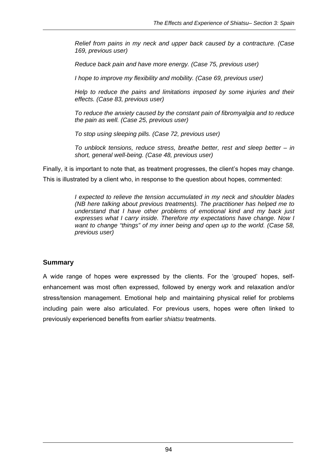*Relief from pains in my neck and upper back caused by a contracture. (Case 169, previous user)* 

*Reduce back pain and have more energy. (Case 75, previous user)* 

*I hope to improve my flexibility and mobility. (Case 69, previous user)* 

*Help to reduce the pains and limitations imposed by some injuries and their effects. (Case 83, previous user)* 

*To reduce the anxiety caused by the constant pain of fibromyalgia and to reduce the pain as well. (Case 25, previous user)* 

*To stop using sleeping pills. (Case 72, previous user)* 

*To unblock tensions, reduce stress, breathe better, rest and sleep better – in short, general well-being. (Case 48, previous user)* 

Finally, it is important to note that, as treatment progresses, the client's hopes may change. This is illustrated by a client who, in response to the question about hopes, commented:

> *I expected to relieve the tension accumulated in my neck and shoulder blades (NB here talking about previous treatments). The practitioner has helped me to understand that I have other problems of emotional kind and my back just expresses what I carry inside. Therefore my expectations have change. Now I want to change "things" of my inner being and open up to the world. (Case 58, previous user)*

#### **Summary**

A wide range of hopes were expressed by the clients. For the 'grouped' hopes, selfenhancement was most often expressed, followed by energy work and relaxation and/or stress/tension management. Emotional help and maintaining physical relief for problems including pain were also articulated. For previous users, hopes were often linked to previously experienced benefits from earlier *shiatsu* treatments.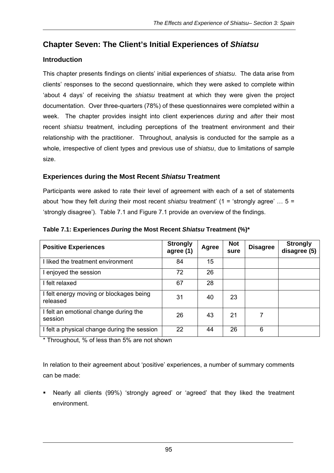# **Chapter Seven: The Client's Initial Experiences of** *Shiatsu*

## **Introduction**

This chapter presents findings on clients' initial experiences of *shiatsu*. The data arise from clients' responses to the second questionnaire, which they were asked to complete within 'about 4 days' of receiving the *shiatsu* treatment at which they were given the project documentation. Over three-quarters (78%) of these questionnaires were completed within a week. The chapter provides insight into client experiences *during* and *after* their most recent *shiatsu* treatment, including perceptions of the treatment environment and their relationship with the practitioner. Throughout, analysis is conducted for the sample as a whole, irrespective of client types and previous use of *shiatsu*, due to limitations of sample size.

## **Experiences during the Most Recent** *Shiatsu* **Treatment**

Participants were asked to rate their level of agreement with each of a set of statements about 'how they felt *during* their most recent *shiatsu* treatment' (1 = 'strongly agree' … 5 = 'strongly disagree'). Table 7.1 and Figure 7.1 provide an overview of the findings.

| <b>Positive Experiences</b>                         | <b>Strongly</b><br>agree (1) | Agree | <b>Not</b><br>sure | <b>Disagree</b> | <b>Strongly</b><br>disagree (5) |
|-----------------------------------------------------|------------------------------|-------|--------------------|-----------------|---------------------------------|
| I liked the treatment environment                   | 84                           | 15    |                    |                 |                                 |
| I enjoyed the session                               | 72                           | 26    |                    |                 |                                 |
| I felt relaxed                                      | 67                           | 28    |                    |                 |                                 |
| I felt energy moving or blockages being<br>released | 31                           | 40    | 23                 |                 |                                 |
| I felt an emotional change during the<br>session    | 26                           | 43    | 21                 | 7               |                                 |
| I felt a physical change during the session         | 22                           | 44    | 26                 | 6               |                                 |

**Table 7.1: Experiences** *During* **the Most Recent** *Shiatsu* **Treatment (%)\*** 

\* Throughout, % of less than 5% are not shown

In relation to their agreement about 'positive' experiences, a number of summary comments can be made:

 Nearly all clients (99%) 'strongly agreed' or 'agreed' that they liked the treatment environment.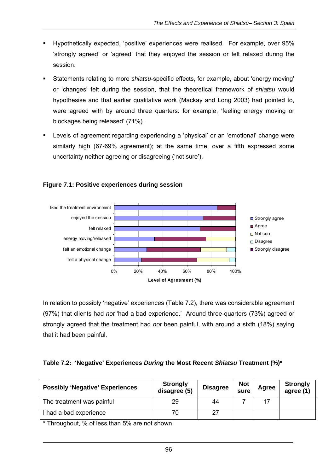- Hypothetically expected, 'positive' experiences were realised. For example, over 95% 'strongly agreed' or 'agreed' that they enjoyed the session or felt relaxed during the session.
- Statements relating to more *shiatsu*-specific effects, for example, about 'energy moving' or 'changes' felt during the session, that the theoretical framework of *shiatsu* would hypothesise and that earlier qualitative work (Mackay and Long 2003) had pointed to, were agreed with by around three quarters: for example, 'feeling energy moving or blockages being released' (71%).
- Levels of agreement regarding experiencing a 'physical' or an 'emotional' change were similarly high (67-69% agreement); at the same time, over a fifth expressed some uncertainty neither agreeing or disagreeing ('not sure').



#### **Figure 7.1: Positive experiences during session**

In relation to possibly 'negative' experiences (Table 7.2), there was considerable agreement (97%) that clients had *not* 'had a bad experience.' Around three-quarters (73%) agreed or strongly agreed that the treatment had *not* been painful, with around a sixth (18%) saying that it had been painful.

### **Table 7.2: 'Negative' Experiences** *During* **the Most Recent** *Shiatsu* **Treatment (%)\***

| <b>Possibly 'Negative' Experiences</b> | <b>Strongly</b><br>disagree (5) | <b>Disagree</b> | <b>Not</b><br>sure | Agree | <b>Strongly</b><br>agree (1) |
|----------------------------------------|---------------------------------|-----------------|--------------------|-------|------------------------------|
| The treatment was painful              | 29                              | 44              |                    |       |                              |
| had a bad experience                   | 70                              | 27              |                    |       |                              |

\* Throughout, % of less than 5% are not shown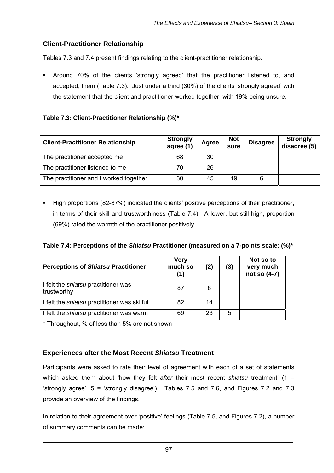### **Client-Practitioner Relationship**

Tables 7.3 and 7.4 present findings relating to the client-practitioner relationship.

 Around 70% of the clients 'strongly agreed' that the practitioner listened to, and accepted, them (Table 7.3). Just under a third (30%) of the clients 'strongly agreed' with the statement that the client and practitioner worked together, with 19% being unsure.

### **Table 7.3: Client-Practitioner Relationship (%)\***

| <b>Client-Practitioner Relationship</b> | <b>Strongly</b><br>agree(1) | Agree | <b>Not</b><br>sure | <b>Disagree</b> | <b>Strongly</b><br>disagree (5) |
|-----------------------------------------|-----------------------------|-------|--------------------|-----------------|---------------------------------|
| The practitioner accepted me            | 68                          | 30    |                    |                 |                                 |
| The practitioner listened to me         | 70                          | 26    |                    |                 |                                 |
| The practitioner and I worked together  | 30                          | 45    | 19                 |                 |                                 |

 High proportions (82-87%) indicated the clients' positive perceptions of their practitioner, in terms of their skill and trustworthiness (Table 7.4). A lower, but still high, proportion (69%) rated the warmth of the practitioner positively.

#### **Table 7.4: Perceptions of the** *Shiatsu* **Practitioner (measured on a 7-points scale: (%)\***

| <b>Perceptions of Shiatsu Practitioner</b>                | <b>Very</b><br>much so<br>(1) | (2) | (3) | Not so to<br>very much<br>not so (4-7) |
|-----------------------------------------------------------|-------------------------------|-----|-----|----------------------------------------|
| I felt the <i>shiatsu</i> practitioner was<br>trustworthy | 87                            | 8   |     |                                        |
| I felt the <i>shiatsu</i> practitioner was skilful        | 82                            | 14  |     |                                        |
| I felt the <i>shiatsu</i> practitioner was warm           | 69                            | 23  | 5   |                                        |

\* Throughout, % of less than 5% are not shown

### **Experiences after the Most Recent** *Shiatsu* **Treatment**

Participants were asked to rate their level of agreement with each of a set of statements which asked them about 'how they felt *after* their most recent *shiatsu* treatment' (1 = 'strongly agree'; 5 = 'strongly disagree'). Tables 7.5 and 7.6, and Figures 7.2 and 7.3 provide an overview of the findings.

In relation to their agreement over 'positive' feelings (Table 7.5, and Figures 7.2), a number of summary comments can be made: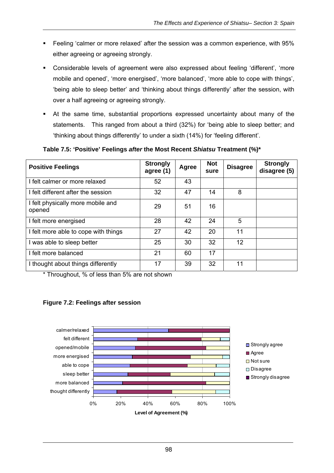- Feeling 'calmer or more relaxed' after the session was a common experience, with 95% either agreeing or agreeing strongly.
- Considerable levels of agreement were also expressed about feeling 'different', 'more mobile and opened', 'more energised', 'more balanced', 'more able to cope with things', 'being able to sleep better' and 'thinking about things differently' after the session, with over a half agreeing or agreeing strongly.
- At the same time, substantial proportions expressed uncertainty about many of the statements. This ranged from about a third (32%) for 'being able to sleep better; and 'thinking about things differently' to under a sixth (14%) for 'feeling different'.

**Positive Feelings and Strongly agree (1)** Agree | Not **agree** (1) **sure Disagree Strongly disagree (5)** I felt calmer or more relaxed  $\vert$  52  $\vert$  43 I felt different after the session 1 32 47 14 8 I felt physically more mobile and opened **29** and 29 51 16 I felt more energised 28 42 24 5 I felt more able to cope with things 27 42 20 11 I was able to sleep better 25 30 32 12 I felt more balanced 21 60 17 I thought about things differently 17 17 39 32 11

#### **Table 7.5: 'Positive' Feelings** *after* **the Most Recent** *Shiatsu* **Treatment (%)\***

\* Throughout, % of less than 5% are not shown



### **Figure 7.2: Feelings after session**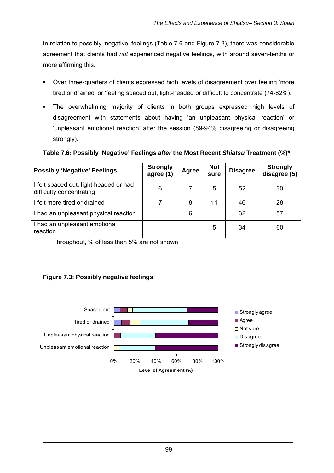In relation to possibly 'negative' feelings (Table 7.6 and Figure 7.3), there was considerable agreement that clients had *not* experienced negative feelings, with around seven-tenths or more affirming this.

- Over three-quarters of clients expressed high levels of disagreement over feeling 'more tired or drained' or 'feeling spaced out, light-headed or difficult to concentrate (74-82%).
- The overwhelming majority of clients in both groups expressed high levels of disagreement with statements about having 'an unpleasant physical reaction' or 'unpleasant emotional reaction' after the session (89-94% disagreeing or disagreeing strongly).

**Table 7.6: Possibly 'Negative' Feelings** *after* **the Most Recent** *Shiatsu* **Treatment (%)\*** 

| <b>Possibly 'Negative' Feelings</b>                                | <b>Strongly</b><br>agree (1) | <b>Agree</b> | <b>Not</b><br>sure | <b>Disagree</b> | <b>Strongly</b><br>disagree (5) |
|--------------------------------------------------------------------|------------------------------|--------------|--------------------|-----------------|---------------------------------|
| I felt spaced out, light headed or had<br>difficulty concentrating | 6                            |              | 5                  | 52              | 30                              |
| I felt more tired or drained                                       |                              | 8            |                    | 46              | 28                              |
| I had an unpleasant physical reaction                              |                              | 6            |                    | 32              | 57                              |
| I had an unpleasant emotional<br>reaction                          |                              |              | 5                  | 34              | 60                              |

Throughout, % of less than 5% are not shown

# **Figure 7.3: Possibly negative feelings**

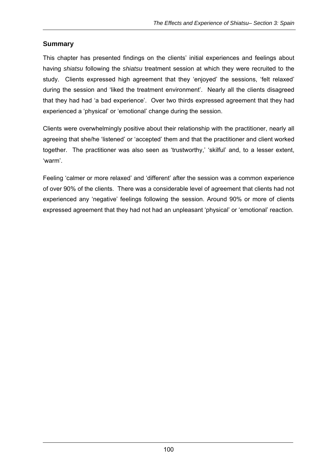## **Summary**

This chapter has presented findings on the clients' initial experiences and feelings about having *shiatsu* following the *shiatsu* treatment session at which they were recruited to the study. Clients expressed high agreement that they 'enjoyed' the sessions, 'felt relaxed' during the session and 'liked the treatment environment'. Nearly all the clients disagreed that they had had 'a bad experience'. Over two thirds expressed agreement that they had experienced a 'physical' or 'emotional' change during the session.

Clients were overwhelmingly positive about their relationship with the practitioner, nearly all agreeing that she/he 'listened' or 'accepted' them and that the practitioner and client worked together. The practitioner was also seen as 'trustworthy,' 'skilful' and, to a lesser extent, 'warm'.

Feeling 'calmer or more relaxed' and 'different' after the session was a common experience of over 90% of the clients. There was a considerable level of agreement that clients had not experienced any 'negative' feelings following the session. Around 90% or more of clients expressed agreement that they had not had an unpleasant 'physical' or 'emotional' reaction.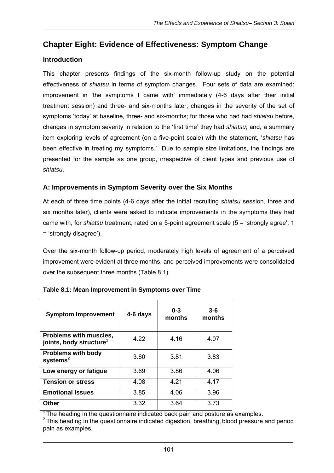# **Chapter Eight: Evidence of Effectiveness: Symptom Change**

## **Introduction**

This chapter presents findings of the six-month follow-up study on the potential effectiveness of *shiatsu* in terms of symptom changes. Four sets of data are examined: improvement in 'the symptoms I came with' immediately (4-6 days after their initial treatment session) and three- and six-months later; changes in the severity of the set of symptoms 'today' at baseline, three- and six-months; for those who had had *shiatsu* before, changes in symptom severity in relation to the 'first time' they had *shiatsu*; and, a summary item exploring levels of agreement (on a five-point scale) with the statement, '*shiatsu* has been effective in treating my symptoms.' Due to sample size limitations, the findings are presented for the sample as one group, irrespective of client types and previous use of *shiatsu*.

## **A: Improvements in Symptom Severity over the Six Months**

At each of three time points (4-6 days after the initial recruiting *shiatsu* session, three and six months later), clients were asked to indicate improvements in the symptoms they had came with, for *shiatsu* treatment, rated on a 5-point agreement scale (5 = 'strongly agree'; 1 = 'strongly disagree').

Over the six-month follow-up period, moderately high levels of agreement of a perceived improvement were evident at three months, and perceived improvements were consolidated over the subsequent three months (Table 8.1).

| <b>Symptom Improvement</b>                                    | 4-6 days | $0 - 3$<br>months | $3 - 6$<br>months |
|---------------------------------------------------------------|----------|-------------------|-------------------|
| Problems with muscles,<br>joints, body structure <sup>1</sup> | 4.22     | 4.16              | 4.07              |
| <b>Problems with body</b><br>$s$ ystems $2$                   | 3.60     | 3.81              | 3.83              |
| Low energy or fatigue                                         | 3.69     | 3.86              | 4.06              |
| <b>Tension or stress</b>                                      | 4.08     | 4.21              | 4.17              |
| <b>Emotional Issues</b>                                       | 3.85     | 4.06              | 3.96              |
| Other                                                         | 3.32     | 3.64              | 3.73              |

#### **Table 8.1: Mean Improvement in Symptoms over Time**

 $1$ <sup>1</sup> The heading in the questionnaire indicated back pain and posture as examples.

 $2$  This heading in the questionnaire indicated digestion, breathing, blood pressure and period pain as examples.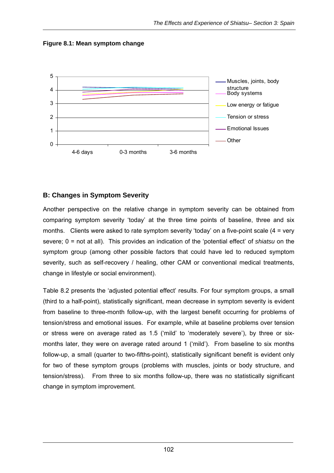



### **B: Changes in Symptom Severity**

Another perspective on the relative change in symptom severity can be obtained from comparing symptom severity 'today' at the three time points of baseline, three and six months. Clients were asked to rate symptom severity 'today' on a five-point scale (4 = very severe; 0 = not at all). This provides an indication of the 'potential effect' of *shiatsu* on the symptom group (among other possible factors that could have led to reduced symptom severity, such as self-recovery / healing, other CAM or conventional medical treatments, change in lifestyle or social environment).

Table 8.2 presents the 'adjusted potential effect' results. For four symptom groups, a small (third to a half-point), statistically significant, mean decrease in symptom severity is evident from baseline to three-month follow-up, with the largest benefit occurring for problems of tension/stress and emotional issues. For example, while at baseline problems over tension or stress were on average rated as 1.5 ('mild' to 'moderately severe'), by three or sixmonths later, they were on average rated around 1 ('mild'). From baseline to six months follow-up, a small (quarter to two-fifths-point), statistically significant benefit is evident only for two of these symptom groups (problems with muscles, joints or body structure, and tension/stress). From three to six months follow-up, there was no statistically significant change in symptom improvement.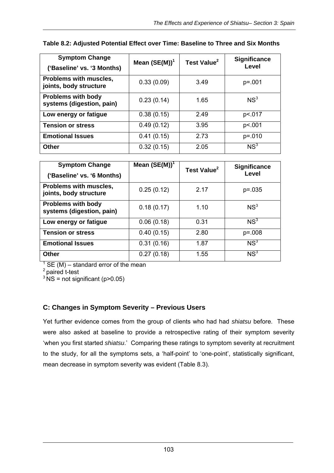| <b>Symptom Change</b>                                  | Mean $(SE(M))^1$ | Test Value <sup>2</sup> | <b>Significance</b><br>Level |
|--------------------------------------------------------|------------------|-------------------------|------------------------------|
| ('Baseline' vs. '3 Months)                             |                  |                         |                              |
| Problems with muscles,<br>joints, body structure       | 0.33(0.09)       | 3.49                    | $p = 001$                    |
| <b>Problems with body</b><br>systems (digestion, pain) | 0.23(0.14)       | 1.65                    | NS <sup>3</sup>              |
| Low energy or fatigue                                  | 0.38(0.15)       | 2.49                    | p<.017                       |
| <b>Tension or stress</b>                               | 0.49(0.12)       | 3.95                    | p<.001                       |
| <b>Emotional Issues</b>                                | 0.41(0.15)       | 2.73                    | $p = 010$                    |
| <b>Other</b>                                           | 0.32(0.15)       | 2.05                    | NS <sup>3</sup>              |

### **Table 8.2: Adjusted Potential Effect over Time: Baseline to Three and Six Months**

| <b>Symptom Change</b>                                  | Mean $(SE(M))^1$ | Test Value <sup>2</sup> | <b>Significance</b> |
|--------------------------------------------------------|------------------|-------------------------|---------------------|
| ('Baseline' vs. '6 Months)                             |                  |                         | Level               |
| Problems with muscles,<br>joints, body structure       | 0.25(0.12)       | 2.17                    | $p = 0.035$         |
| <b>Problems with body</b><br>systems (digestion, pain) | 0.18(0.17)       | 1.10                    | NS <sup>3</sup>     |
| Low energy or fatigue                                  | 0.06(0.18)       | 0.31                    | NS <sup>3</sup>     |
| <b>Tension or stress</b>                               | 0.40(0.15)       | 2.80                    | $p = 008$           |
| <b>Emotional Issues</b>                                | 0.31(0.16)       | 1.87                    | NS <sup>3</sup>     |
| <b>Other</b>                                           | 0.27(0.18)       | 1.55                    | NS <sup>3</sup>     |

 $1$  SE (M) – standard error of the mean

 $2$  paired t-test

 $3^{3}$  NS = not significant (p>0.05)

# **C: Changes in Symptom Severity – Previous Users**

Yet further evidence comes from the group of clients who had had *shiatsu* before. These were also asked at baseline to provide a retrospective rating of their symptom severity 'when you first started *shiatsu*.' Comparing these ratings to symptom severity at recruitment to the study, for all the symptoms sets, a 'half-point' to 'one-point', statistically significant, mean decrease in symptom severity was evident (Table 8.3).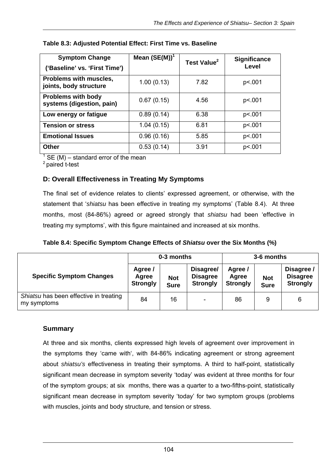| <b>Symptom Change</b><br>('Baseline' vs. 'First Time') | Mean $(SE(M))^1$ | Test Value <sup>2</sup> | <b>Significance</b><br>Level |
|--------------------------------------------------------|------------------|-------------------------|------------------------------|
| Problems with muscles,<br>joints, body structure       | 1.00(0.13)       | 7.82                    | p<.001                       |
| <b>Problems with body</b><br>systems (digestion, pain) | 0.67(0.15)       | 4.56                    | p<.001                       |
| Low energy or fatigue                                  | 0.89(0.14)       | 6.38                    | p<.001                       |
| <b>Tension or stress</b>                               | 1.04(0.15)       | 6.81                    | p<.001                       |
| <b>Emotional Issues</b>                                | 0.96(0.16)       | 5.85                    | p<.001                       |
| <b>Other</b>                                           | 0.53(0.14)       | 3.91                    | p<.001                       |

#### **Table 8.3: Adjusted Potential Effect: First Time vs. Baseline**

 $1$  SE (M) – standard error of the mean

2 paired t-test

## **D: Overall Effectiveness in Treating My Symptoms**

The final set of evidence relates to clients' expressed agreement, or otherwise, with the statement that '*shiatsu* has been effective in treating my symptoms' (Table 8.4). At three months, most (84-86%) agreed or agreed strongly that *shiatsu* had been 'effective in treating my symptoms', with this figure maintained and increased at six months.

|  |  |  | Table 8.4: Specific Symptom Change Effects of Shiatsu over the Six Months (%) |  |
|--|--|--|-------------------------------------------------------------------------------|--|
|  |  |  |                                                                               |  |

|                                                       | 0-3 months                          |                           |                                                 | 3-6 months                          |                           |                                                  |
|-------------------------------------------------------|-------------------------------------|---------------------------|-------------------------------------------------|-------------------------------------|---------------------------|--------------------------------------------------|
| <b>Specific Symptom Changes</b>                       | Agree /<br>Agree<br><b>Strongly</b> | <b>Not</b><br><b>Sure</b> | Disagree/<br><b>Disagree</b><br><b>Strongly</b> | Agree /<br>Agree<br><b>Strongly</b> | <b>Not</b><br><b>Sure</b> | Disagree /<br><b>Disagree</b><br><b>Strongly</b> |
| Shiatsu has been effective in treating<br>my symptoms | 84                                  | 16                        | ۰                                               | 86                                  | 9                         | 6                                                |

### **Summary**

At three and six months, clients expressed high levels of agreement over improvement in the symptoms they 'came with', with 84-86% indicating agreement or strong agreement about *shiatsu's* effectiveness in treating their symptoms. A third to half-point, statistically significant mean decrease in symptom severity 'today' was evident at three months for four of the symptom groups; at six months, there was a quarter to a two-fifths-point, statistically significant mean decrease in symptom severity 'today' for two symptom groups (problems with muscles, joints and body structure, and tension or stress.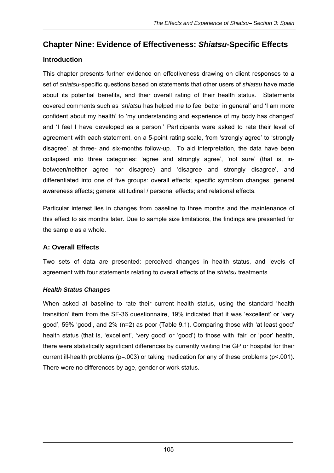# **Chapter Nine: Evidence of Effectiveness:** *Shiatsu***-Specific Effects**

# **Introduction**

This chapter presents further evidence on effectiveness drawing on client responses to a set of *shiatsu*-specific questions based on statements that other users of *shiatsu* have made about its potential benefits, and their overall rating of their health status. Statements covered comments such as '*shiatsu* has helped me to feel better in general' and 'I am more confident about my health' to 'my understanding and experience of my body has changed' and 'I feel I have developed as a person.' Participants were asked to rate their level of agreement with each statement, on a 5-point rating scale, from 'strongly agree' to 'strongly disagree', at three- and six-months follow-up. To aid interpretation, the data have been collapsed into three categories: 'agree and strongly agree', 'not sure' (that is, inbetween/neither agree nor disagree) and 'disagree and strongly disagree', and differentiated into one of five groups: overall effects; specific symptom changes; general awareness effects; general attitudinal / personal effects; and relational effects.

Particular interest lies in changes from baseline to three months and the maintenance of this effect to six months later. Due to sample size limitations, the findings are presented for the sample as a whole.

# **A: Overall Effects**

Two sets of data are presented: perceived changes in health status, and levels of agreement with four statements relating to overall effects of the *shiatsu* treatments.

# *Health Status Changes*

When asked at baseline to rate their current health status, using the standard 'health transition' item from the SF-36 questionnaire, 19% indicated that it was 'excellent' or 'very good', 59% 'good', and 2% (n=2) as poor (Table 9.1). Comparing those with 'at least good' health status (that is, 'excellent', 'very good' or 'good') to those with 'fair' or 'poor' health, there were statistically significant differences by currently visiting the GP or hospital for their current ill-health problems (p=.003) or taking medication for any of these problems (p<.001). There were no differences by age, gender or work status.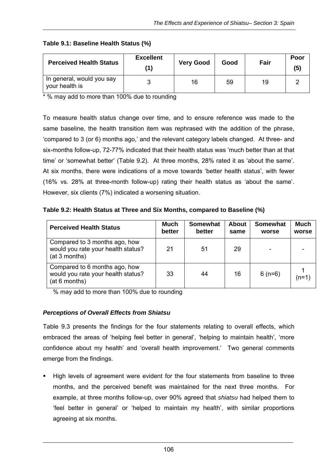| <b>Perceived Health Status</b>              | <b>Excellent</b> | <b>Very Good</b> | Good | Fair | Poor<br>(5) |
|---------------------------------------------|------------------|------------------|------|------|-------------|
| In general, would you say<br>your health is |                  | 16               | 59   | 19   |             |

#### **Table 9.1: Baseline Health Status (%)**

\* % may add to more than 100% due to rounding

To measure health status change over time, and to ensure reference was made to the same baseline, the health transition item was rephrased with the addition of the phrase, 'compared to 3 (or 6) months ago,' and the relevant category labels changed. At three- and six-months follow-up, 72-77% indicated that their health status was 'much better than at that time' or 'somewhat better' (Table 9.2). At three months, 28% rated it as 'about the same'. At six months, there were indications of a move towards 'better health status', with fewer (16% vs. 28% at three-month follow-up) rating their health status as 'about the same'. However, six clients (7%) indicated a worsening situation.

**Table 9.2: Health Status at Three and Six Months, compared to Baseline (%)** 

| <b>Perceived Health Status</b>                                                       | <b>Much</b><br>better | <b>Somewhat</b><br>better | <b>About</b><br>same | <b>Somewhat</b><br>worse | <b>Much</b><br>worse |
|--------------------------------------------------------------------------------------|-----------------------|---------------------------|----------------------|--------------------------|----------------------|
| Compared to 3 months ago, how<br>would you rate your health status?<br>(at 3 months) | 21                    | 51                        | 29                   |                          |                      |
| Compared to 6 months ago, how<br>would you rate your health status?<br>(at 6 months) | 33                    | 44                        | 16                   | $6(n=6)$                 | (n=1)                |

% may add to more than 100% due to rounding

#### *Perceptions of Overall Effects from Shiatsu*

Table 9.3 presents the findings for the four statements relating to overall effects, which embraced the areas of 'helping feel better in general', 'helping to maintain health', 'more confidence about my health' and 'overall health improvement.' Two general comments emerge from the findings.

 High levels of agreement were evident for the four statements from baseline to three months, and the perceived benefit was maintained for the next three months. For example, at three months follow-up, over 90% agreed that *shiatsu* had helped them to 'feel better in general' or 'helped to maintain my health', with similar proportions agreeing at six months.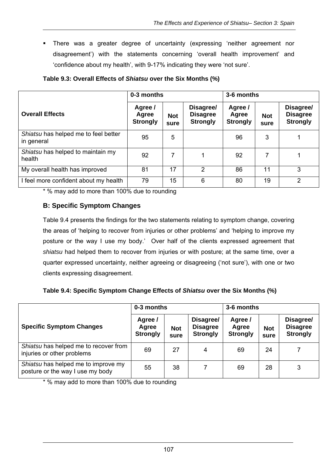There was a greater degree of uncertainty (expressing 'neither agreement nor disagreement') with the statements concerning 'overall health improvement' and 'confidence about my health', with 9-17% indicating they were 'not sure'.

|                                                    | 0-3 months                          |                    |                                                 | 3-6 months                          |                    |                                                 |  |  |
|----------------------------------------------------|-------------------------------------|--------------------|-------------------------------------------------|-------------------------------------|--------------------|-------------------------------------------------|--|--|
| <b>Overall Effects</b>                             | Agree /<br>Agree<br><b>Strongly</b> | <b>Not</b><br>sure | Disagree/<br><b>Disagree</b><br><b>Strongly</b> | Agree /<br>Agree<br><b>Strongly</b> | <b>Not</b><br>sure | Disagree/<br><b>Disagree</b><br><b>Strongly</b> |  |  |
| Shiatsu has helped me to feel better<br>in general | 95                                  | 5                  |                                                 | 96                                  | 3                  |                                                 |  |  |
| Shiatsu has helped to maintain my<br>health        | 92                                  | 7                  |                                                 | 92                                  | 7                  |                                                 |  |  |
| My overall health has improved                     | 81                                  | 17                 | 2                                               | 86                                  | 11                 | 3                                               |  |  |
| I feel more confident about my health              | 79                                  | 15                 | 6                                               | 80                                  | 19                 | 2                                               |  |  |

#### **Table 9.3: Overall Effects of** *Shiatsu* **over the Six Months (%)**

\* % may add to more than 100% due to rounding

### **B: Specific Symptom Changes**

Table 9.4 presents the findings for the two statements relating to symptom change, covering the areas of 'helping to recover from injuries or other problems' and 'helping to improve my posture or the way I use my body.' Over half of the clients expressed agreement that *shiatsu* had helped them to recover from injuries or with posture; at the same time, over a quarter expressed uncertainty, neither agreeing or disagreeing ('not sure'), with one or two clients expressing disagreement.

| Table 9.4: Specific Symptom Change Effects of Shiatsu over the Six Months (%) |
|-------------------------------------------------------------------------------|
|-------------------------------------------------------------------------------|

|                                                                         | 0-3 months                          |                    |                                                 | 3-6 months                          |                    |                                                 |  |
|-------------------------------------------------------------------------|-------------------------------------|--------------------|-------------------------------------------------|-------------------------------------|--------------------|-------------------------------------------------|--|
| <b>Specific Symptom Changes</b>                                         | Agree /<br>Agree<br><b>Strongly</b> | <b>Not</b><br>sure | Disagree/<br><b>Disagree</b><br><b>Strongly</b> | Agree /<br>Agree<br><b>Strongly</b> | <b>Not</b><br>sure | Disagree/<br><b>Disagree</b><br><b>Strongly</b> |  |
| Shiatsu has helped me to recover from<br>injuries or other problems     | 69                                  | 27                 | 4                                               | 69                                  | 24                 | 7                                               |  |
| Shiatsu has helped me to improve my<br>posture or the way I use my body | 55                                  | 38                 |                                                 | 69                                  | 28                 | 3                                               |  |

\* % may add to more than 100% due to rounding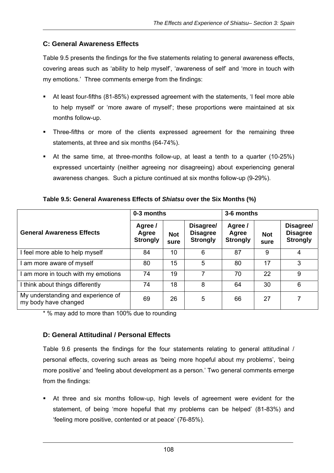## **C: General Awareness Effects**

Table 9.5 presents the findings for the five statements relating to general awareness effects, covering areas such as 'ability to help myself', 'awareness of self' and 'more in touch with my emotions.' Three comments emerge from the findings:

- At least four-fifths (81-85%) expressed agreement with the statements, 'I feel more able to help myself' or 'more aware of myself'; these proportions were maintained at six months follow-up.
- Three-fifths or more of the clients expressed agreement for the remaining three statements, at three and six months (64-74%).
- At the same time, at three-months follow-up, at least a tenth to a quarter (10-25%) expressed uncertainty (neither agreeing nor disagreeing) about experiencing general awareness changes. Such a picture continued at six months follow-up (9-29%).

|                                                            | 0-3 months                          |                    |                                                 | 3-6 months                          |                    |                                                 |  |  |
|------------------------------------------------------------|-------------------------------------|--------------------|-------------------------------------------------|-------------------------------------|--------------------|-------------------------------------------------|--|--|
| <b>General Awareness Effects</b>                           | Agree /<br>Agree<br><b>Strongly</b> | <b>Not</b><br>sure | Disagree/<br><b>Disagree</b><br><b>Strongly</b> | Agree /<br>Agree<br><b>Strongly</b> | <b>Not</b><br>sure | Disagree/<br><b>Disagree</b><br><b>Strongly</b> |  |  |
| I feel more able to help myself                            | 84                                  | 10                 | 6                                               | 87                                  | 9                  | 4                                               |  |  |
| I am more aware of myself                                  | 80                                  | 15                 | 5                                               | 80                                  | 17                 | 3                                               |  |  |
| I am more in touch with my emotions                        | 74                                  | 19                 | 7                                               | 70                                  | 22                 | 9                                               |  |  |
| I think about things differently                           | 74                                  | 18                 | 8                                               | 64                                  | 30                 | 6                                               |  |  |
| My understanding and experience of<br>my body have changed | 69                                  | 26                 | 5                                               | 66                                  | 27                 | 7                                               |  |  |

**Table 9.5: General Awareness Effects of** *Shiatsu* **over the Six Months (%)** 

\* % may add to more than 100% due to rounding

# **D: General Attitudinal / Personal Effects**

Table 9.6 presents the findings for the four statements relating to general attitudinal / personal effects, covering such areas as 'being more hopeful about my problems', 'being more positive' and 'feeling about development as a person.' Two general comments emerge from the findings:

 At three and six months follow-up, high levels of agreement were evident for the statement, of being 'more hopeful that my problems can be helped' (81-83%) and 'feeling more positive, contented or at peace' (76-85%).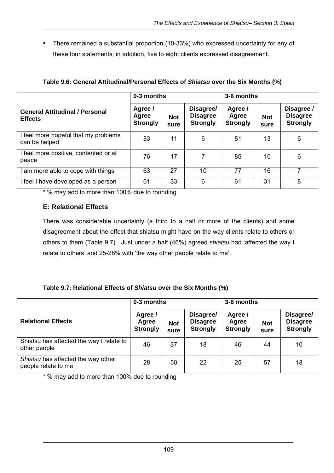There remained a substantial proportion (10-33%) who expressed uncertainty for any of these four statements; in addition, five to eight clients expressed disagreement.

|                                                         | 0-3 months                          |                    |                                                 | 3-6 months                          |                    |                                                  |  |  |
|---------------------------------------------------------|-------------------------------------|--------------------|-------------------------------------------------|-------------------------------------|--------------------|--------------------------------------------------|--|--|
| <b>General Attitudinal / Personal</b><br><b>Effects</b> | Agree /<br>Agree<br><b>Strongly</b> | <b>Not</b><br>sure | Disagree/<br><b>Disagree</b><br><b>Strongly</b> | Agree /<br>Agree<br><b>Strongly</b> | <b>Not</b><br>sure | Disagree /<br><b>Disagree</b><br><b>Strongly</b> |  |  |
| I feel more hopeful that my problems<br>can be helped   | 83                                  | 11                 | 6                                               | 81                                  | 13                 | 6                                                |  |  |
| I feel more positive, contented or at<br>peace          | 76                                  | 17                 | 7                                               | 85                                  | 10                 | 6                                                |  |  |
| I am more able to cope with things                      | 63                                  | 27                 | 10                                              | 77                                  | 16                 | 7                                                |  |  |
| I feel I have developed as a person                     | 61                                  | 33                 | 6                                               | 61                                  | 31                 | 8                                                |  |  |

#### **Table 9.6: General Attitudinal/Personal Effects of** *Shiatsu* **over the Six Months (%)**

\* % may add to more than 100% due to rounding

### **E: Relational Effects**

There was considerable uncertainty (a third to a half or more of the clients) and some disagreement about the effect that shiatsu might have on the way clients relate to others or others to them (Table 9.7). Just under a half (46%) agreed *shiatsu* had 'affected the way I relate to others' and 25-28% with 'the way other people relate to me'.

#### **Table 9.7: Relational Effects of** *Shiatsu* **over the Six Months (%)**

|                                                           | 0-3 months                          |                    |                                                 | 3-6 months                          |                    |                                                 |  |
|-----------------------------------------------------------|-------------------------------------|--------------------|-------------------------------------------------|-------------------------------------|--------------------|-------------------------------------------------|--|
| <b>Relational Effects</b>                                 | Agree /<br>Agree<br><b>Strongly</b> | <b>Not</b><br>sure | Disagree/<br><b>Disagree</b><br><b>Strongly</b> | Agree /<br>Agree<br><b>Strongly</b> | <b>Not</b><br>sure | Disagree/<br><b>Disagree</b><br><b>Strongly</b> |  |
| Shiatsu has affected the way I relate to<br>other people  | 46                                  | 37                 | 18                                              | 46                                  | 44                 | 10                                              |  |
| Shiatsu has affected the way other<br>people relate to me | 28                                  | 50                 | 22                                              | 25                                  | 57                 | 18                                              |  |

\* % may add to more than 100% due to rounding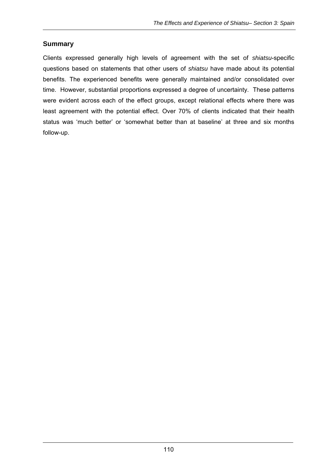## **Summary**

Clients expressed generally high levels of agreement with the set of *shiatsu*-specific questions based on statements that other users of *shiatsu* have made about its potential benefits. The experienced benefits were generally maintained and/or consolidated over time. However, substantial proportions expressed a degree of uncertainty. These patterns were evident across each of the effect groups, except relational effects where there was least agreement with the potential effect. Over 70% of clients indicated that their health status was 'much better' or 'somewhat better than at baseline' at three and six months follow-up.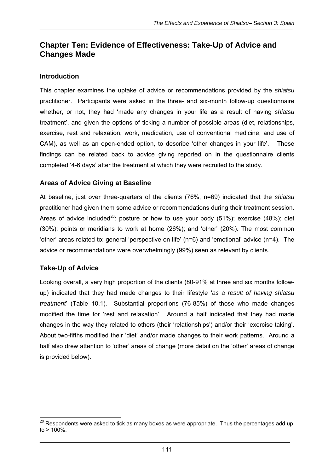# **Chapter Ten: Evidence of Effectiveness: Take-Up of Advice and Changes Made**

## **Introduction**

This chapter examines the uptake of advice or recommendations provided by the *shiatsu*  practitioner. Participants were asked in the three- and six-month follow-up questionnaire whether, or not, they had 'made any changes in your life as a result of having *shiatsu* treatment', and given the options of ticking a number of possible areas (diet, relationships, exercise, rest and relaxation, work, medication, use of conventional medicine, and use of CAM), as well as an open-ended option, to describe 'other changes in your life'. These findings can be related back to advice giving reported on in the questionnaire clients completed '4-6 days' after the treatment at which they were recruited to the study.

## **Areas of Advice Giving at Baseline**

At baseline, just over three-quarters of the clients (76%, n=69) indicated that the *shiatsu* practitioner had given them some advice or recommendations during their treatment session. Areas of advice included<sup>20</sup>: posture or how to use your body  $(51\%)$ ; exercise  $(48\%)$ ; diet (30%); points or meridians to work at home (26%); and 'other' (20%). The most common 'other' areas related to: general 'perspective on life' (n=6) and 'emotional' advice (n=4). The advice or recommendations were overwhelmingly (99%) seen as relevant by clients.

# **Take-Up of Advice**

Looking overall, a very high proportion of the clients (80-91% at three and six months followup) indicated that they had made changes to their lifestyle '*as a result of having shiatsu treatment*' (Table 10.1). Substantial proportions (76-85%) of those who made changes modified the time for 'rest and relaxation'. Around a half indicated that they had made changes in the way they related to others (their 'relationships') and/or their 'exercise taking'. About two-fifths modified their 'diet' and/or made changes to their work patterns. Around a half also drew attention to 'other' areas of change (more detail on the 'other' areas of change is provided below).

  $^{20}$  Respondents were asked to tick as many boxes as were appropriate. Thus the percentages add up  $to$  > 100%.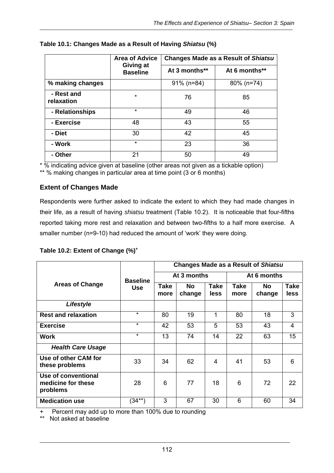|                          | <b>Area of Advice</b>        |               | <b>Changes Made as a Result of Shiatsu</b> |  |  |
|--------------------------|------------------------------|---------------|--------------------------------------------|--|--|
|                          | Giving at<br><b>Baseline</b> | At 3 months** | At 6 months**                              |  |  |
| % making changes         |                              | $91\%$ (n=84) | $80\%$ (n=74)                              |  |  |
| - Rest and<br>relaxation | $\star$                      | 76            | 85                                         |  |  |
| - Relationships          | $\star$                      | 49            | 46                                         |  |  |
| - Exercise               | 48                           | 43            | 55                                         |  |  |
| - Diet                   | 30                           | 42            | 45                                         |  |  |
| - Work                   | $\star$                      | 23            | 36                                         |  |  |
| - Other                  | 21                           | 50            | 49                                         |  |  |

#### **Table 10.1: Changes Made as a Result of Having** *Shiatsu* **(%)**

\* % indicating advice given at baseline (other areas not given as a tickable option) \*\* % making changes in particular area at time point (3 or 6 months)

## **Extent of Changes Made**

Respondents were further asked to indicate the extent to which they had made changes in their life, as a result of having *shiatsu* treatment (Table 10.2). It is noticeable that four-fifths reported taking more rest and relaxation and between two-fifths to a half more exercise. A smaller number (n=9-10) had reduced the amount of 'work' they were doing.

|  |  | Table 10.2: Extent of Change (%) <sup>+</sup> |  |
|--|--|-----------------------------------------------|--|
|  |  |                                               |  |

|                                                       |                 | <b>Changes Made as a Result of Shiatsu</b> |                     |                     |                     |               |                            |  |
|-------------------------------------------------------|-----------------|--------------------------------------------|---------------------|---------------------|---------------------|---------------|----------------------------|--|
|                                                       | <b>Baseline</b> |                                            | At 3 months         |                     | At 6 months         |               |                            |  |
| <b>Areas of Change</b>                                | <b>Use</b>      | Take<br>more                               | <b>No</b><br>change | <b>Take</b><br>less | <b>Take</b><br>more | No.<br>change | <b>Take</b><br><b>less</b> |  |
| Lifestyle                                             |                 |                                            |                     |                     |                     |               |                            |  |
| <b>Rest and relaxation</b>                            | $\star$         | 80                                         | 19                  | 1                   | 80                  | 18            | 3                          |  |
| <b>Exercise</b>                                       | $\star$         | 42                                         | 53                  | 5                   | 53                  | 43            | 4                          |  |
| <b>Work</b>                                           | $\star$         | 13                                         | 74                  | 14                  | 22                  | 63            | 15                         |  |
| <b>Health Care Usage</b>                              |                 |                                            |                     |                     |                     |               |                            |  |
| Use of other CAM for<br>these problems                | 33              | 34                                         | 62                  | 4                   | 41                  | 53            | 6                          |  |
| Use of conventional<br>medicine for these<br>problems | 28              | 6                                          | 77                  | 18                  | 6                   | 72            | 22                         |  |
| <b>Medication use</b>                                 | (34**)          | 3                                          | 67                  | 30                  | 6                   | 60            | 34                         |  |

Percent may add up to more than 100% due to rounding

\*\* Not asked at baseline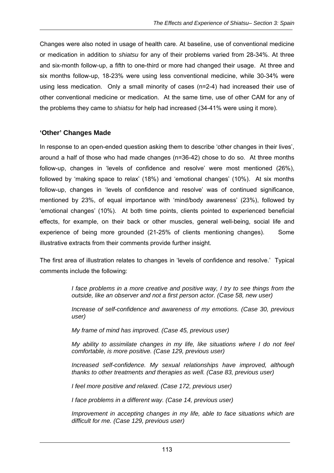Changes were also noted in usage of health care. At baseline, use of conventional medicine or medication in addition to *shiatsu* for any of their problems varied from 28-34%. At three and six-month follow-up, a fifth to one-third or more had changed their usage. At three and six months follow-up, 18-23% were using less conventional medicine, while 30-34% were using less medication. Only a small minority of cases (n=2-4) had increased their use of other conventional medicine or medication. At the same time, use of other CAM for any of the problems they came to *shiatsu* for help had increased (34-41% were using it more).

#### **'Other' Changes Made**

In response to an open-ended question asking them to describe 'other changes in their lives', around a half of those who had made changes (n=36-42) chose to do so. At three months follow-up, changes in 'levels of confidence and resolve' were most mentioned (26%), followed by 'making space to relax' (18%) and 'emotional changes' (10%). At six months follow-up, changes in 'levels of confidence and resolve' was of continued significance, mentioned by 23%, of equal importance with 'mind/body awareness' (23%), followed by 'emotional changes' (10%). At both time points, clients pointed to experienced beneficial effects, for example, on their back or other muscles, general well-being, social life and experience of being more grounded (21-25% of clients mentioning changes). Some illustrative extracts from their comments provide further insight.

The first area of illustration relates to changes in 'levels of confidence and resolve.' Typical comments include the following:

> *I face problems in a more creative and positive way, I try to see things from the outside, like an observer and not a first person actor. (Case 58, new user)*

> *Increase of self-confidence and awareness of my emotions. (Case 30, previous user)*

*My frame of mind has improved. (Case 45, previous user)* 

*My ability to assimilate changes in my life, like situations where I do not feel comfortable, is more positive. (Case 129, previous user)* 

*Increased self-confidence. My sexual relationships have improved, although thanks to other treatments and therapies as well. (Case 83, previous user)* 

*I feel more positive and relaxed. (Case 172, previous user)* 

*I face problems in a different way. (Case 14, previous user)* 

*Improvement in accepting changes in my life, able to face situations which are difficult for me. (Case 129, previous user)*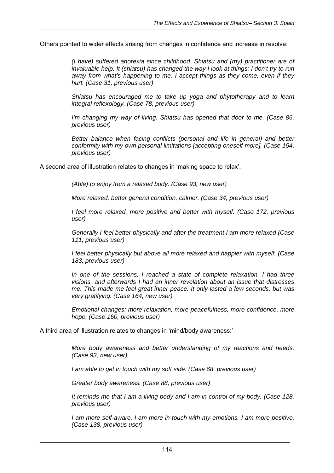Others pointed to wider effects arising from changes in confidence and increase in resolve:

*(I have) suffered anorexia since childhood. Shiatsu and (my) practitioner are of invaluable help. It (shiatsu) has changed the way I look at things; I don't try to run away from what's happening to me. I accept things as they come, even if they hurt. (Case 31, previous user)* 

*Shiatsu has encouraged me to take up yoga and phytotherapy and to learn integral reflexology. (Case 78, previous user)* 

*I'm changing my way of living. Shiatsu has opened that door to me. (Case 86, previous user)* 

*Better balance when facing conflicts (personal and life in general) and better conformity with my own personal limitations [accepting oneself more]. (Case 154, previous user)* 

A second area of illustration relates to changes in 'making space to relax'.

*(Able) to enjoy from a relaxed body. (Case 93, new user)* 

*More relaxed, better general condition, calmer. (Case 34, previous user)* 

*I feel more relaxed, more positive and better with myself. (Case 172, previous user)* 

*Generally I feel better physically and after the treatment I am more relaxed (Case 111, previous user)* 

*I feel better physically but above all more relaxed and happier with myself. (Case 183, previous user)* 

*In one of the sessions, I reached a state of complete relaxation. I had three visions, and afterwards I had an inner revelation about an issue that distresses me. This made me feel great inner peace. It only lasted a few seconds, but was very gratifying. (Case 164, new user)* 

*Emotional changes: more relaxation, more peacefulness, more confidence, more hope. (Case 160, previous user)* 

A third area of illustration relates to changes in 'mind/body awareness:'

*More body awareness and better understanding of my reactions and needs. (Case 93, new user)* 

*I am able to get in touch with my soft side. (Case 68, previous user)* 

*Greater body awareness. (Case 88, previous user)* 

*It reminds me that I am a living body and I am in control of my body. (Case 128, previous user)* 

*I am more self-aware, I am more in touch with my emotions. I am more positive. (Case 138, previous user)*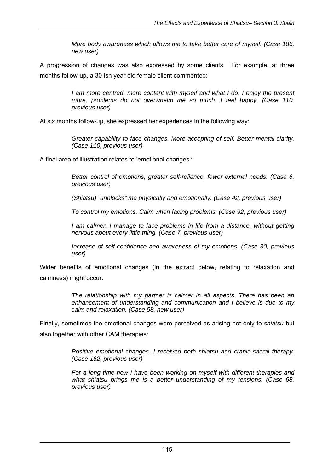*More body awareness which allows me to take better care of myself. (Case 186, new user)* 

A progression of changes was also expressed by some clients. For example, at three months follow-up, a 30-ish year old female client commented:

> *I am more centred, more content with myself and what I do. I enjoy the present more, problems do not overwhelm me so much. I feel happy. (Case 110, previous user)*

At six months follow-up, she expressed her experiences in the following way:

*Greater capability to face changes. More accepting of self. Better mental clarity. (Case 110, previous user)* 

A final area of illustration relates to 'emotional changes':

*Better control of emotions, greater self-reliance, fewer external needs. (Case 6, previous user)* 

*(Shiatsu) "unblocks" me physically and emotionally. (Case 42, previous user)* 

*To control my emotions. Calm when facing problems. (Case 92, previous user)* 

*I* am calmer. *I* manage to face problems in life from a distance, without getting *nervous about every little thing. (Case 7, previous user)* 

*Increase of self-confidence and awareness of my emotions. (Case 30, previous user)* 

Wider benefits of emotional changes (in the extract below, relating to relaxation and calmness) might occur:

> *The relationship with my partner is calmer in all aspects. There has been an enhancement of understanding and communication and I believe is due to my calm and relaxation. (Case 58, new user)*

Finally, sometimes the emotional changes were perceived as arising not only to *shiatsu* but also together with other CAM therapies:

> *Positive emotional changes. I received both shiatsu and cranio-sacral therapy. (Case 162, previous user)*

> *For a long time now I have been working on myself with different therapies and what shiatsu brings me is a better understanding of my tensions. (Case 68, previous user)*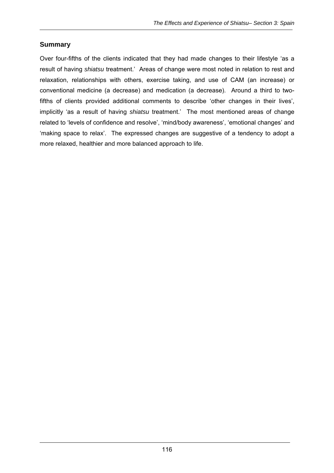### **Summary**

Over four-fifths of the clients indicated that they had made changes to their lifestyle 'as a result of having *shiatsu* treatment.' Areas of change were most noted in relation to rest and relaxation, relationships with others, exercise taking, and use of CAM (an increase) or conventional medicine (a decrease) and medication (a decrease). Around a third to twofifths of clients provided additional comments to describe 'other changes in their lives', implicitly 'as a result of having *shiatsu* treatment.' The most mentioned areas of change related to 'levels of confidence and resolve', 'mind/body awareness', 'emotional changes' and 'making space to relax'. The expressed changes are suggestive of a tendency to adopt a more relaxed, healthier and more balanced approach to life.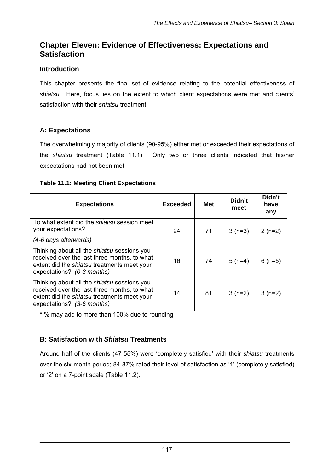# **Chapter Eleven: Evidence of Effectiveness: Expectations and Satisfaction**

## **Introduction**

This chapter presents the final set of evidence relating to the potential effectiveness of *shiatsu*. Here, focus lies on the extent to which client expectations were met and clients' satisfaction with their *shiatsu* treatment.

## **A: Expectations**

The overwhelmingly majority of clients (90-95%) either met or exceeded their expectations of the *shiatsu* treatment (Table 11.1). Only two or three clients indicated that his/her expectations had not been met.

#### **Table 11.1: Meeting Client Expectations**

| <b>Expectations</b>                                                                                                                                                             | <b>Exceeded</b> | <b>Met</b> | Didn't<br>meet | Didn't<br>have<br>any |
|---------------------------------------------------------------------------------------------------------------------------------------------------------------------------------|-----------------|------------|----------------|-----------------------|
| To what extent did the <i>shiatsu</i> session meet<br>your expectations?<br>(4-6 days afterwards)                                                                               | 24              | 71         | $3(n=3)$       | $2(n=2)$              |
| Thinking about all the <i>shiatsu</i> sessions you<br>received over the last three months, to what<br>extent did the shiatsu treatments meet your<br>expectations? (0-3 months) | 16              | 74         | $5(n=4)$       | $6(n=5)$              |
| Thinking about all the shiatsu sessions you<br>received over the last three months, to what<br>extent did the <i>shiatsu</i> treatments meet your<br>expectations? (3-6 months) | 14              | 81         | $3(n=2)$       | $3(n=2)$              |

\* % may add to more than 100% due to rounding

## **B: Satisfaction with** *Shiatsu* **Treatments**

Around half of the clients (47-55%) were 'completely satisfied' with their *shiatsu* treatments over the six-month period; 84-87% rated their level of satisfaction as '1' (completely satisfied) or '2' on a 7-point scale (Table 11.2).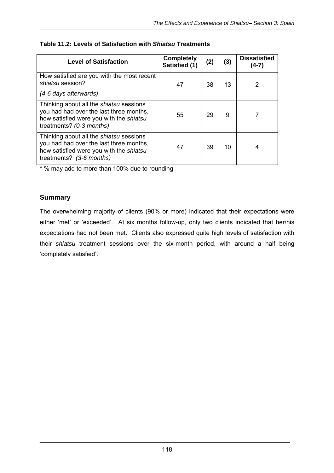| <b>Level of Satisfaction</b>                                                                                                                                     | <b>Completely</b><br>Satisfied (1) | (2) | (3) | <b>Dissatisfied</b><br>$(4-7)$ |
|------------------------------------------------------------------------------------------------------------------------------------------------------------------|------------------------------------|-----|-----|--------------------------------|
| How satisfied are you with the most recent<br>shiatsu session?<br>(4-6 days afterwards)                                                                          | 47                                 | 38  | 13  |                                |
| Thinking about all the <i>shiatsu</i> sessions<br>you had had over the last three months,<br>how satisfied were you with the shiatsu<br>treatments? (0-3 months) | 55                                 | 29  | 9   |                                |
| Thinking about all the <i>shiatsu</i> sessions<br>you had had over the last three months,<br>how satisfied were you with the shiatsu<br>treatments? (3-6 months) | 47                                 | 39  | 10  | 4                              |

#### **Table 11.2: Levels of Satisfaction with** *Shiatsu* **Treatments**

\* % may add to more than 100% due to rounding

#### **Summary**

The overwhelming majority of clients (90% or more) indicated that their expectations were either 'met' or 'exceeded'. At six months follow-up, only two clients indicated that her/his expectations had not been met. Clients also expressed quite high levels of satisfaction with their *shiatsu* treatment sessions over the six-month period, with around a half being 'completely satisfied'.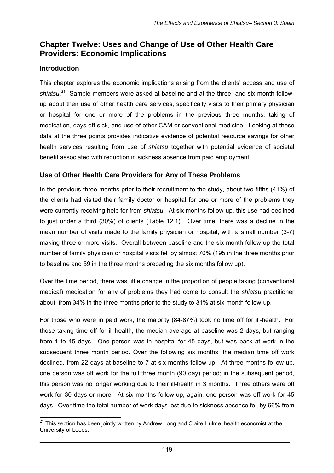# **Chapter Twelve: Uses and Change of Use of Other Health Care Providers: Economic Implications**

## **Introduction**

This chapter explores the economic implications arising from the clients' access and use of shiatsu.<sup>21</sup> Sample members were asked at baseline and at the three- and six-month followup about their use of other health care services, specifically visits to their primary physician or hospital for one or more of the problems in the previous three months, taking of medication, days off sick, and use of other CAM or conventional medicine. Looking at these data at the three points provides indicative evidence of potential resource savings for other health services resulting from use of *shiatsu* together with potential evidence of societal benefit associated with reduction in sickness absence from paid employment.

## **Use of Other Health Care Providers for Any of These Problems**

In the previous three months prior to their recruitment to the study, about two-fifths (41%) of the clients had visited their family doctor or hospital for one or more of the problems they were currently receiving help for from *shiatsu*. At six months follow-up, this use had declined to just under a third (30%) of clients (Table 12.1). Over time, there was a decline in the mean number of visits made to the family physician or hospital, with a small number (3-7) making three or more visits. Overall between baseline and the six month follow up the total number of family physician or hospital visits fell by almost 70% (195 in the three months prior to baseline and 59 in the three months preceding the six months follow up).

Over the time period, there was little change in the proportion of people taking (conventional medical) medication for any of problems they had come to consult the *shiatsu* practitioner about, from 34% in the three months prior to the study to 31% at six-month follow-up.

For those who were in paid work, the majority (84-87%) took no time off for ill-health. For those taking time off for ill-health, the median average at baseline was 2 days, but ranging from 1 to 45 days. One person was in hospital for 45 days, but was back at work in the subsequent three month period. Over the following six months, the median time off work declined, from 22 days at baseline to 7 at six months follow-up. At three months follow-up, one person was off work for the full three month (90 day) period; in the subsequent period, this person was no longer working due to their ill-health in 3 months. Three others were off work for 30 days or more. At six months follow-up, again, one person was off work for 45 days. Over time the total number of work days lost due to sickness absence fell by 66% from

  $21$  This section has been jointly written by Andrew Long and Claire Hulme, health economist at the University of Leeds.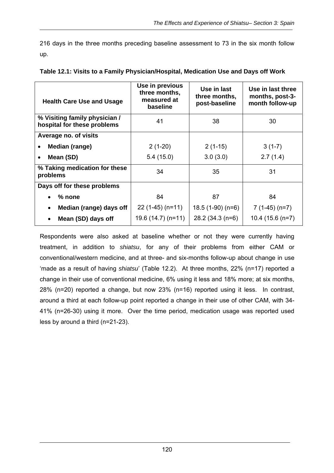216 days in the three months preceding baseline assessment to 73 in the six month follow up.

| <b>Health Care Use and Usage</b>                             | Use in previous<br>three months,<br>measured at<br>baseline | Use in last<br>three months,<br>post-baseline | Use in last three<br>months, post-3-<br>month follow-up |
|--------------------------------------------------------------|-------------------------------------------------------------|-----------------------------------------------|---------------------------------------------------------|
| % Visiting family physician /<br>hospital for these problems | 41                                                          | 38                                            | 30                                                      |
| Average no. of visits                                        |                                                             |                                               |                                                         |
| <b>Median (range)</b>                                        | $2(1-20)$                                                   | $2(1-15)$                                     | $3(1-7)$                                                |
| Mean (SD)                                                    | 5.4(15.0)                                                   | 3.0(3.0)                                      | 2.7(1.4)                                                |
| % Taking medication for these<br>problems                    | 34                                                          | 35                                            | 31                                                      |
| Days off for these problems                                  |                                                             |                                               |                                                         |
| $%$ none                                                     | 84                                                          | 87                                            | 84                                                      |
| Median (range) days off                                      | $22(1-45)$ (n=11)                                           | $18.5(1-90)(n=6)$                             | $7(1-45)(n=7)$                                          |
| Mean (SD) days off<br>$\bullet$                              | $19.6(14.7)(n=11)$                                          | 28.2 (34.3 (n=6)                              | $10.4(15.6(n=7))$                                       |

| Table 12.1: Visits to a Family Physician/Hospital, Medication Use and Days off Work |  |  |  |
|-------------------------------------------------------------------------------------|--|--|--|
|                                                                                     |  |  |  |

Respondents were also asked at baseline whether or not they were currently having treatment, in addition to *shiatsu*, for any of their problems from either CAM or conventional/western medicine, and at three- and six-months follow-up about change in use 'made as a result of having *shiatsu*' (Table 12.2). At three months, 22% (n=17) reported a change in their use of conventional medicine, 6% using it less and 18% more; at six months, 28% (n=20) reported a change, but now 23% (n=16) reported using it less. In contrast, around a third at each follow-up point reported a change in their use of other CAM, with 34- 41% (n=26-30) using it more. Over the time period, medication usage was reported used less by around a third (n=21-23).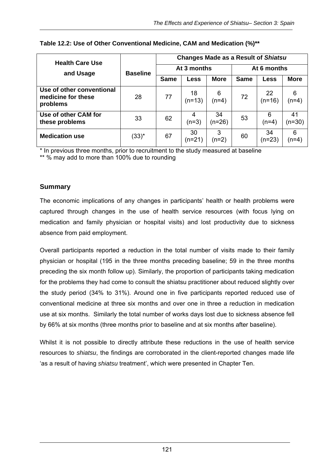| <b>Health Care Use</b>                                      |                 | <b>Changes Made as a Result of Shiatsu</b> |                |                |             |                |                |  |
|-------------------------------------------------------------|-----------------|--------------------------------------------|----------------|----------------|-------------|----------------|----------------|--|
| and Usage                                                   | <b>Baseline</b> |                                            | At 3 months    |                |             | At 6 months    |                |  |
|                                                             |                 | <b>Same</b>                                | Less           | <b>More</b>    | <b>Same</b> | Less           | <b>More</b>    |  |
| Use of other conventional<br>medicine for these<br>problems | 28              | 77                                         | 18<br>$(n=13)$ | 6<br>$(n=4)$   | 72          | 22<br>$(n=16)$ | 6<br>(n=4)     |  |
| Use of other CAM for<br>these problems                      | 33              | 62                                         | $(n=3)$        | 34<br>$(n=26)$ | 53          | 6<br>(n=4)     | 41<br>$(n=30)$ |  |
| <b>Medication use</b>                                       | $(33)^{*}$      | 67                                         | 30<br>(n=21)   | 3<br>$(n=2)$   | 60          | 34<br>$(n=23)$ | 6<br>(n=4)     |  |

#### **Table 12.2: Use of Other Conventional Medicine, CAM and Medication (%)\*\***

\* In previous three months, prior to recruitment to the study measured at baseline

\*\* % may add to more than 100% due to rounding

## **Summary**

The economic implications of any changes in participants' health or health problems were captured through changes in the use of health service resources (with focus lying on medication and family physician or hospital visits) and lost productivity due to sickness absence from paid employment.

Overall participants reported a reduction in the total number of visits made to their family physician or hospital (195 in the three months preceding baseline; 59 in the three months preceding the six month follow up). Similarly, the proportion of participants taking medication for the problems they had come to consult the shiatsu practitioner about reduced slightly over the study period (34% to 31%). Around one in five participants reported reduced use of conventional medicine at three six months and over one in three a reduction in medication use at six months. Similarly the total number of works days lost due to sickness absence fell by 66% at six months (three months prior to baseline and at six months after baseline).

Whilst it is not possible to directly attribute these reductions in the use of health service resources to *shiatsu*, the findings are corroborated in the client-reported changes made life 'as a result of having *shiatsu* treatment', which were presented in Chapter Ten.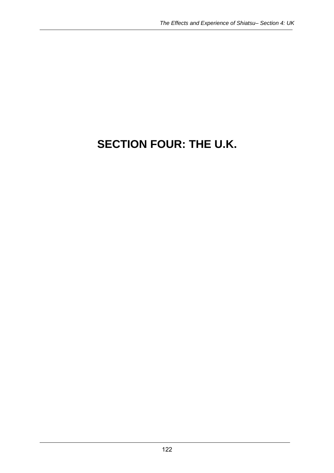# **SECTION FOUR: THE U.K.**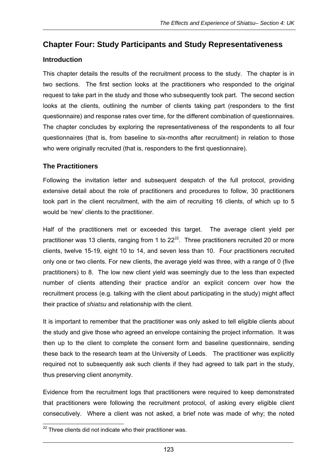## **Chapter Four: Study Participants and Study Representativeness**

## **Introduction**

This chapter details the results of the recruitment process to the study. The chapter is in two sections. The first section looks at the practitioners who responded to the original request to take part in the study and those who subsequently took part. The second section looks at the clients, outlining the number of clients taking part (responders to the first questionnaire) and response rates over time, for the different combination of questionnaires. The chapter concludes by exploring the representativeness of the respondents to all four questionnaires (that is, from baseline to six-months after recruitment) in relation to those who were originally recruited (that is, responders to the first questionnaire).

## **The Practitioners**

Following the invitation letter and subsequent despatch of the full protocol, providing extensive detail about the role of practitioners and procedures to follow, 30 practitioners took part in the client recruitment, with the aim of recruiting 16 clients, of which up to 5 would be 'new' clients to the practitioner.

Half of the practitioners met or exceeded this target. The average client yield per practitioner was 13 clients, ranging from 1 to  $22^{22}$ . Three practitioners recruited 20 or more clients, twelve 15-19, eight 10 to 14, and seven less than 10.Four practitioners recruited only one or two clients. For new clients, the average yield was three, with a range of 0 (five practitioners) to 8. The low new client yield was seemingly due to the less than expected number of clients attending their practice and/or an explicit concern over how the recruitment process (e.g. talking with the client about participating in the study) might affect their practice of *shiatsu* and relationship with the client.

It is important to remember that the practitioner was only asked to tell eligible clients about the study and give those who agreed an envelope containing the project information. It was then up to the client to complete the consent form and baseline questionnaire, sending these back to the research team at the University of Leeds. The practitioner was explicitly required not to subsequently ask such clients if they had agreed to talk part in the study, thus preserving client anonymity.

Evidence from the recruitment logs that practitioners were required to keep demonstrated that practitioners were following the recruitment protocol, of asking every eligible client consecutively. Where a client was not asked, a brief note was made of why; the noted

 $\overline{a}$  $22$  Three clients did not indicate who their practitioner was.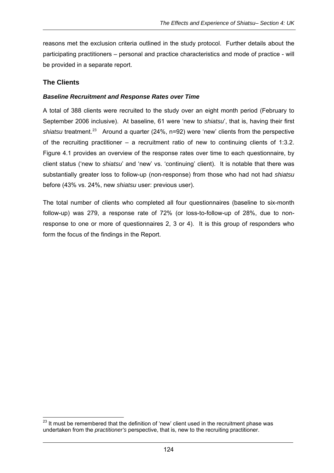reasons met the exclusion criteria outlined in the study protocol. Further details about the participating practitioners – personal and practice characteristics and mode of practice - will be provided in a separate report.

## **The Clients**

#### *Baseline Recruitment and Response Rates over Time*

A total of 388 clients were recruited to the study over an eight month period (February to September 2006 inclusive). At baseline, 61 were 'new to *shiatsu*', that is, having their first shiatsu treatment.<sup>23</sup> Around a quarter (24%, n=92) were 'new' clients from the perspective of the recruiting practitioner – a recruitment ratio of new to continuing clients of 1:3.2. Figure 4.1 provides an overview of the response rates over time to each questionnaire, by client status ('new to *shiatsu*' and 'new' vs. 'continuing' client). It is notable that there was substantially greater loss to follow-up (non-response) from those who had not had *shiatsu* before (43% vs. 24%, new *shiatsu* user: previous user).

The total number of clients who completed all four questionnaires (baseline to six-month follow-up) was 279, a response rate of 72% (or loss-to-follow-up of 28%, due to nonresponse to one or more of questionnaires 2, 3 or 4). It is this group of responders who form the focus of the findings in the Report.

  $^{23}$  It must be remembered that the definition of 'new' client used in the recruitment phase was undertaken from the *practitioner's* perspective, that is, new to the recruiting practitioner.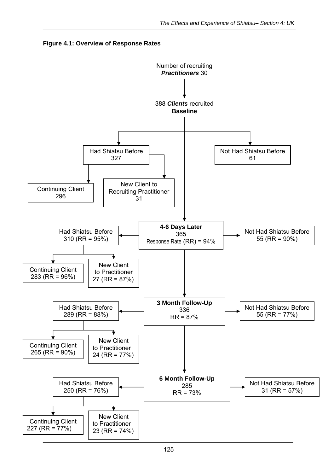

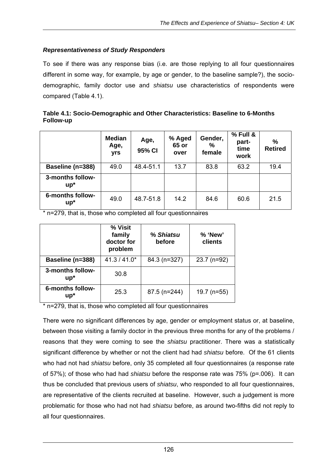#### *Representativeness of Study Responders*

To see if there was any response bias (i.e. are those replying to all four questionnaires different in some way, for example, by age or gender, to the baseline sample?), the sociodemographic, family doctor use and *shiatsu* use characteristics of respondents were compared (Table 4.1).

| Table 4.1: Socio-Demographic and Other Characteristics: Baseline to 6-Months |  |
|------------------------------------------------------------------------------|--|
| Follow-up                                                                    |  |

|                            | <b>Median</b><br>Age,<br>yrs | Age,<br>95% CI | % Aged<br>65 or<br>over | Gender,<br>%<br>female | % Full &<br>part-<br>time<br>work | %<br><b>Retired</b> |
|----------------------------|------------------------------|----------------|-------------------------|------------------------|-----------------------------------|---------------------|
| Baseline (n=388)           | 49.0                         | 48.4-51.1      | 13.7                    | 83.8                   | 63.2                              | 19.4                |
| 3-months follow-<br>$up^*$ |                              |                |                         |                        |                                   |                     |
| 6-months follow-<br>$up^*$ | 49.0                         | 48.7-51.8      | 14.2                    | 84.6                   | 60.6                              | 21.5                |

\* n=279, that is, those who completed all four questionnaires

|                            | % Visit<br>family<br>doctor for<br>problem | % Shiatsu<br>before | % 'New'<br>clients |
|----------------------------|--------------------------------------------|---------------------|--------------------|
| Baseline (n=388)           | $41.3 / 41.0*$                             | 84.3 (n=327)        | $23.7$ (n=92)      |
| 3-months follow-<br>$up^*$ | 30.8                                       |                     |                    |
| 6-months follow-<br>$up^*$ | 25.3                                       | 87.5 (n=244)        | $19.7$ (n=55)      |

\* n=279, that is, those who completed all four questionnaires

There were no significant differences by age, gender or employment status or, at baseline, between those visiting a family doctor in the previous three months for any of the problems / reasons that they were coming to see the *shiatsu* practitioner. There was a statistically significant difference by whether or not the client had had *shiatsu* before. Of the 61 clients who had not had *shiatsu* before, only 35 completed all four questionnaires (a response rate of 57%); of those who had had *shiatsu* before the response rate was 75% (p=.006). It can thus be concluded that previous users of *shiatsu*, who responded to all four questionnaires, are representative of the clients recruited at baseline. However, such a judgement is more problematic for those who had not had *shiatsu* before, as around two-fifths did not reply to all four questionnaires.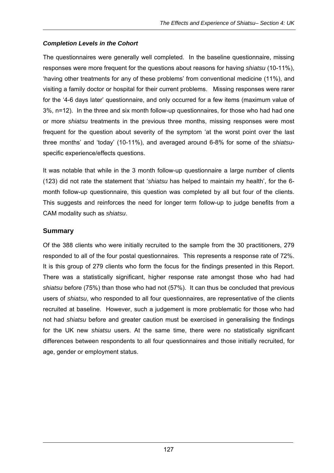#### *Completion Levels in the Cohort*

The questionnaires were generally well completed. In the baseline questionnaire, missing responses were more frequent for the questions about reasons for having *shiatsu* (10-11%), 'having other treatments for any of these problems' from conventional medicine (11%), and visiting a family doctor or hospital for their current problems. Missing responses were rarer for the '4-6 days later' questionnaire, and only occurred for a few items (maximum value of 3%, n=12). In the three and six month follow-up questionnaires, for those who had had one or more *shiatsu* treatments in the previous three months, missing responses were most frequent for the question about severity of the symptom 'at the worst point over the last three months' and 'today' (10-11%), and averaged around 6-8% for some of the *shiatsu*specific experience/effects questions.

It was notable that while in the 3 month follow-up questionnaire a large number of clients (123) did not rate the statement that '*shiatsu* has helped to maintain my health', for the 6 month follow-up questionnaire, this question was completed by all but four of the clients. This suggests and reinforces the need for longer term follow-up to judge benefits from a CAM modality such as *shiatsu*.

## **Summary**

Of the 388 clients who were initially recruited to the sample from the 30 practitioners, 279 responded to all of the four postal questionnaires. This represents a response rate of 72%. It is this group of 279 clients who form the focus for the findings presented in this Report. There was a statistically significant, higher response rate amongst those who had had *shiatsu* before (75%) than those who had not (57%). It can thus be concluded that previous users of *shiatsu*, who responded to all four questionnaires, are representative of the clients recruited at baseline. However, such a judgement is more problematic for those who had not had *shiatsu* before and greater caution must be exercised in generalising the findings for the UK new *shiatsu* users. At the same time, there were no statistically significant differences between respondents to all four questionnaires and those initially recruited, for age, gender or employment status.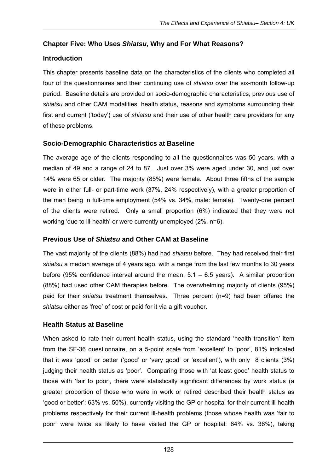## **Chapter Five: Who Uses** *Shiatsu***, Why and For What Reasons?**

## **Introduction**

This chapter presents baseline data on the characteristics of the clients who completed all four of the questionnaires and their continuing use of *shiatsu* over the six-month follow-up period. Baseline details are provided on socio-demographic characteristics, previous use of *shiatsu* and other CAM modalities, health status, reasons and symptoms surrounding their first and current ('today') use of *shiatsu* and their use of other health care providers for any of these problems.

## **Socio-Demographic Characteristics at Baseline**

The average age of the clients responding to all the questionnaires was 50 years, with a median of 49 and a range of 24 to 87. Just over 3% were aged under 30, and just over 14% were 65 or older. The majority (85%) were female. About three fifths of the sample were in either full- or part-time work (37%, 24% respectively), with a greater proportion of the men being in full-time employment (54% vs. 34%, male: female). Twenty-one percent of the clients were retired. Only a small proportion (6%) indicated that they were not working 'due to ill-health' or were currently unemployed (2%, n=6).

## **Previous Use of** *Shiatsu* **and Other CAM at Baseline**

The vast majority of the clients (88%) had had *shiatsu* before. They had received their first *shiatsu* a median average of 4 years ago, with a range from the last few months to 30 years before (95% confidence interval around the mean:  $5.1 - 6.5$  years). A similar proportion (88%) had used other CAM therapies before. The overwhelming majority of clients (95%) paid for their *shiatsu* treatment themselves. Three percent (n=9) had been offered the *shiatsu* either as 'free' of cost or paid for it via a gift voucher.

## **Health Status at Baseline**

When asked to rate their current health status, using the standard 'health transition' item from the SF-36 questionnaire, on a 5-point scale from 'excellent' to 'poor', 81% indicated that it was 'good' or better ('good' or 'very good' or 'excellent'), with only 8 clients (3%) judging their health status as 'poor'. Comparing those with 'at least good' health status to those with 'fair to poor', there were statistically significant differences by work status (a greater proportion of those who were in work or retired described their health status as 'good or better': 63% vs. 50%), currently visiting the GP or hospital for their current ill-health problems respectively for their current ill-health problems (those whose health was 'fair to poor' were twice as likely to have visited the GP or hospital: 64% vs. 36%), taking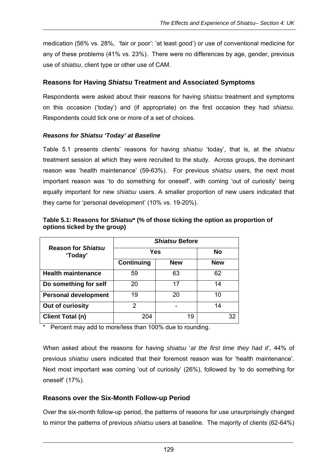medication (56% vs. 28%, 'fair or poor': 'at least good') or use of conventional medicine for any of these problems (41% vs. 23%). There were no differences by age, gender, previous use of *shiatsu*, client type or other use of CAM.

## **Reasons for Having** *Shiatsu* **Treatment and Associated Symptoms**

Respondents were asked about their reasons for having *shiatsu* treatment and symptoms on this occasion ('today') and (if appropriate) on the first occasion they had *shiatsu*. Respondents could tick one or more of a set of choices.

#### *Reasons for Shiatsu 'Today' at Baseline*

Table 5.1 presents clients' reasons for having *shiatsu* 'today', that is, at the *shiatsu*  treatment session at which they were recruited to the study. Across groups, the dominant reason was 'health maintenance' (59-63%). For previous *shiatsu* users, the next most important reason was 'to do something for oneself', with coming 'out of curiosity' being equally important for new *shiatsu* users. A smaller proportion of new users indicated that they came for 'personal development' (10% vs. 19-20%).

|                                      | <b>Shiatsu Before</b> |            |            |  |  |  |
|--------------------------------------|-----------------------|------------|------------|--|--|--|
| <b>Reason for Shiatsu</b><br>'Today' | Yes                   | No         |            |  |  |  |
|                                      | Continuing            | <b>New</b> | <b>New</b> |  |  |  |
| <b>Health maintenance</b>            | 59                    | 63         | 62         |  |  |  |
| Do something for self                | 20                    | 17         | 14         |  |  |  |
| <b>Personal development</b>          | 19                    | 20         | 10         |  |  |  |
| Out of curiosity                     | 2                     |            | 14         |  |  |  |
| <b>Client Total (n)</b>              | 204                   | 19         | 32         |  |  |  |

**Table 5.1: Reasons for** *Shiatsu***\* (% of those ticking the option as proportion of options ticked by the group)** 

Percent may add to more/less than 100% due to rounding.

When asked about the reasons for having *shiatsu* '*at the first time they had it*', 44% of previous *shiatsu* users indicated that their foremost reason was for 'health maintenance'. Next most important was coming 'out of curiosity' (26%), followed by 'to do something for oneself' (17%).

## **Reasons over the Six-Month Follow-up Period**

Over the six-month follow-up period, the patterns of reasons for use unsurprisingly changed to mirror the patterns of previous *shiatsu* users at baseline. The majority of clients (62-64%)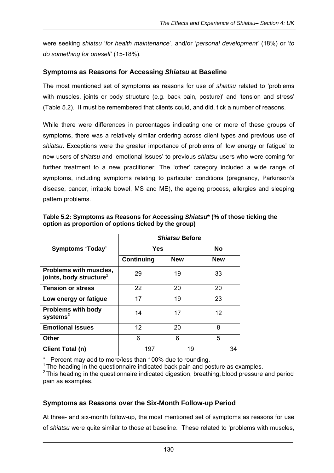were seeking *shiatsu* '*for health maintenance*', and/or '*personal development*' (18%) or '*to do something for oneself*' (15-18%).

## **Symptoms as Reasons for Accessing** *Shiatsu* **at Baseline**

The most mentioned set of symptoms as reasons for use of *shiatsu* related to 'problems with muscles, joints or body structure (e.g. back pain, posture)' and 'tension and stress' (Table 5.2). It must be remembered that clients could, and did, tick a number of reasons.

While there were differences in percentages indicating one or more of these groups of symptoms, there was a relatively similar ordering across client types and previous use of *shiatsu*. Exceptions were the greater importance of problems of 'low energy or fatigue' to new users of *shiatsu* and 'emotional issues' to previous *shiatsu* users who were coming for further treatment to a new practitioner. The 'other' category included a wide range of symptoms, including symptoms relating to particular conditions (pregnancy, Parkinson's disease, cancer, irritable bowel, MS and ME), the ageing process, allergies and sleeping pattern problems.

|                                                               | <b>Shiatsu Before</b> |            |            |  |  |  |
|---------------------------------------------------------------|-----------------------|------------|------------|--|--|--|
| <b>Symptoms 'Today'</b>                                       | Yes                   | Nο         |            |  |  |  |
|                                                               | Continuing            | <b>New</b> | <b>New</b> |  |  |  |
| Problems with muscles,<br>joints, body structure <sup>1</sup> | 29                    | 19         | 33         |  |  |  |
| <b>Tension or stress</b>                                      | 22                    | 20         | 20         |  |  |  |
| Low energy or fatigue                                         | 17                    | 19         | 23         |  |  |  |
| <b>Problems with body</b><br>systems $2$                      | 14                    | 17         | 12         |  |  |  |
| <b>Emotional Issues</b>                                       | 12                    | 20         | 8          |  |  |  |
| <b>Other</b>                                                  | 6                     | 6          | 5          |  |  |  |
| Client Total (n)                                              | 197                   | 19         | 34         |  |  |  |

**Table 5.2: Symptoms as Reasons for Accessing** *Shiatsu***\* (% of those ticking the option as proportion of options ticked by the group)** 

Percent may add to more/less than 100% due to rounding.

 $1$ <sup>1</sup> The heading in the questionnaire indicated back pain and posture as examples.

 $2$  This heading in the questionnaire indicated digestion, breathing, blood pressure and period pain as examples.

#### **Symptoms as Reasons over the Six-Month Follow-up Period**

At three- and six-month follow-up, the most mentioned set of symptoms as reasons for use of *shiatsu* were quite similar to those at baseline. These related to 'problems with muscles,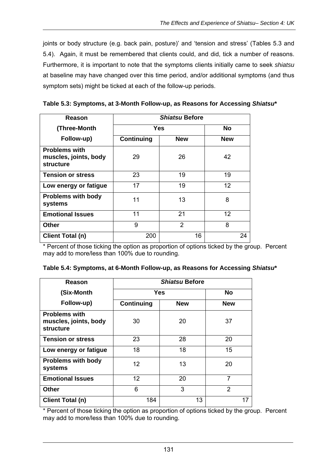joints or body structure (e.g. back pain, posture)' and 'tension and stress' (Tables 5.3 and 5.4). Again, it must be remembered that clients could, and did, tick a number of reasons. Furthermore, it is important to note that the symptoms clients initially came to seek *shiatsu* at baseline may have changed over this time period, and/or additional symptoms (and thus symptom sets) might be ticked at each of the follow-up periods.

**Table 5.3: Symptoms, at 3-Month Follow-up, as Reasons for Accessing** *Shiatsu***\*** 

| Reason                                                            | <b>Shiatsu Before</b> |            |            |  |
|-------------------------------------------------------------------|-----------------------|------------|------------|--|
| (Three-Month                                                      | Yes                   |            | No         |  |
| Follow-up)                                                        | Continuing            | <b>New</b> | <b>New</b> |  |
| <b>Problems with</b><br>muscles, joints, body<br><b>structure</b> | 29                    | 26         | 42         |  |
| <b>Tension or stress</b>                                          | 23                    | 19         | 19         |  |
| Low energy or fatigue                                             | 17                    | 19         | 12         |  |
| <b>Problems with body</b><br>systems                              | 11                    | 13         | 8          |  |
| <b>Emotional Issues</b>                                           | 11                    | 21         | 12         |  |
| <b>Other</b>                                                      | 9                     | 2          | 8          |  |
| Client Total (n)                                                  | 200                   | 16         | 24         |  |

\* Percent of those ticking the option as proportion of options ticked by the group. Percent may add to more/less than 100% due to rounding.

| Reason                                                            | <i><b>Shiatsu Before</b></i> |            |                |  |
|-------------------------------------------------------------------|------------------------------|------------|----------------|--|
| (Six-Month                                                        | Yes                          |            | No             |  |
| Follow-up)                                                        | Continuing                   | <b>New</b> | <b>New</b>     |  |
| <b>Problems with</b><br>muscles, joints, body<br><b>structure</b> | 30                           | 20         | 37             |  |
| <b>Tension or stress</b>                                          | 23                           | 28         | 20             |  |
| Low energy or fatigue                                             | 18                           | 18         | 15             |  |
| <b>Problems with body</b><br>systems                              | 12                           | 13         | 20             |  |
| <b>Emotional Issues</b>                                           | 12                           | 20         | 7              |  |
| Other                                                             | 6                            | 3          | $\overline{2}$ |  |
| Client Total (n)                                                  | 184                          | 13         | 17             |  |

**Table 5.4: Symptoms, at 6-Month Follow-up, as Reasons for Accessing** *Shiatsu***\*** 

\* Percent of those ticking the option as proportion of options ticked by the group. Percent may add to more/less than 100% due to rounding.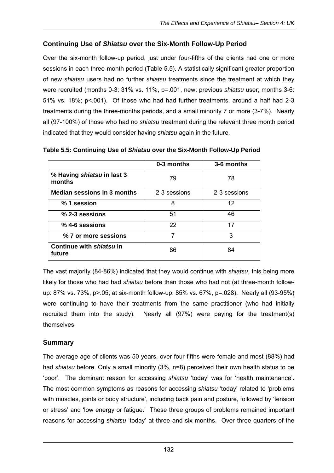## **Continuing Use of** *Shiatsu* **over the Six-Month Follow-Up Period**

Over the six-month follow-up period, just under four-fifths of the clients had one or more sessions in each three-month period (Table 5.5). A statistically significant greater proportion of new *shiatsu* users had no further *shiatsu* treatments since the treatment at which they were recruited (months 0-3: 31% vs. 11%, p=.001, new: previous *shiatsu* user; months 3-6: 51% vs. 18%; p<.001). Of those who had had further treatments, around a half had 2-3 treatments during the three-months periods, and a small minority 7 or more (3-7%). Nearly all (97-100%) of those who had no *shiatsu* treatment during the relevant three month period indicated that they would consider having *shiatsu* again in the future.

|                                      | 0-3 months   | 3-6 months   |
|--------------------------------------|--------------|--------------|
| % Having shiatsu in last 3<br>months | 79           | 78           |
| <b>Median sessions in 3 months</b>   | 2-3 sessions | 2-3 sessions |
| % 1 session                          | 8            | 12           |
| $%$ 2-3 sessions                     | 51           | 46           |
| $%$ 4-6 sessions                     | 22           | 17           |
| % 7 or more sessions                 | 7            | 3            |
| Continue with shiatsu in<br>future   | 86           | 84           |

**Table 5.5: Continuing Use of** *Shiatsu* **over the Six-Month Follow-Up Period** 

The vast majority (84-86%) indicated that they would continue with *shiatsu*, this being more likely for those who had had *shiatsu* before than those who had not (at three-month followup: 87% vs. 73%, p>.05; at six-month follow-up: 85% vs. 67%, p=.028). Nearly all (93-95%) were continuing to have their treatments from the same practitioner (who had initially recruited them into the study). Nearly all (97%) were paying for the treatment(s) themselves.

## **Summary**

The average age of clients was 50 years, over four-fifths were female and most (88%) had had *shiatsu* before. Only a small minority (3%, n=8) perceived their own health status to be 'poor'. The dominant reason for accessing *shiatsu* 'today' was for 'health maintenance'. The most common symptoms as reasons for accessing *shiatsu* 'today' related to 'problems with muscles, joints or body structure', including back pain and posture, followed by 'tension or stress' and 'low energy or fatigue.' These three groups of problems remained important reasons for accessing *shiatsu* 'today' at three and six months. Over three quarters of the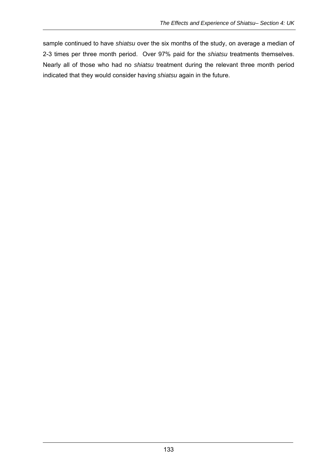sample continued to have *shiatsu* over the six months of the study, on average a median of 2-3 times per three month period. Over 97% paid for the *shiatsu* treatments themselves. Nearly all of those who had no *shiatsu* treatment during the relevant three month period indicated that they would consider having *shiatsu* again in the future.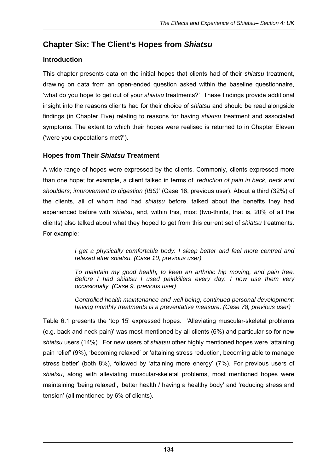# **Chapter Six: The Client's Hopes from** *Shiatsu*

## **Introduction**

This chapter presents data on the initial hopes that clients had of their *shiatsu* treatment, drawing on data from an open-ended question asked within the baseline questionnaire, 'what do you hope to get out of your *shiatsu* treatments?' These findings provide additional insight into the reasons clients had for their choice of *shiatsu* and should be read alongside findings (in Chapter Five) relating to reasons for having *shiatsu* treatment and associated symptoms. The extent to which their hopes were realised is returned to in Chapter Eleven ('were you expectations met?').

## **Hopes from Their** *Shiatsu* **Treatment**

A wide range of hopes were expressed by the clients. Commonly, clients expressed more than one hope; for example, a client talked in terms of '*reduction of pain in back, neck and shoulders; improvement to digestion (IBS)*' (Case 16, previous user). About a third (32%) of the clients, all of whom had had *shiatsu* before, talked about the benefits they had experienced before with *shiatsu*, and, within this, most (two-thirds, that is, 20% of all the clients) also talked about what they hoped to get from this current set of *shiatsu* treatments. For example:

> *I get a physically comfortable body. I sleep better and feel more centred and relaxed after shiatsu. (Case 10, previous user)*

> *To maintain my good health, to keep an arthritic hip moving, and pain free. Before I had shiatsu I used painkillers every day. I now use them very occasionally. (Case 9, previous user)*

> *Controlled health maintenance and well being; continued personal development; having monthly treatments is a preventative measure. (Case 78, previous user)*

Table 6.1 presents the 'top 15' expressed hopes. 'Alleviating muscular-skeletal problems (e.g. back and neck pain)' was most mentioned by all clients (6%) and particular so for new *shiatsu* users (14%). For new users of *shiatsu* other highly mentioned hopes were 'attaining pain relief' (9%), 'becoming relaxed' or 'attaining stress reduction, becoming able to manage stress better' (both 8%), followed by 'attaining more energy' (7%). For previous users of *shiatsu*, along with alleviating muscular-skeletal problems, most mentioned hopes were maintaining 'being relaxed', 'better health / having a healthy body' and 'reducing stress and tension' (all mentioned by 6% of clients).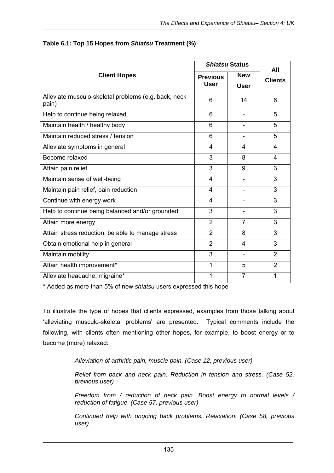|                                                               | <b>Shiatsu Status</b>          |                           | All            |
|---------------------------------------------------------------|--------------------------------|---------------------------|----------------|
| <b>Client Hopes</b>                                           | <b>Previous</b><br><b>User</b> | <b>New</b><br><b>User</b> | <b>Clients</b> |
| Alleviate musculo-skeletal problems (e.g. back, neck<br>pain) | 6                              | 14                        | 6              |
| Help to continue being relaxed                                | 6                              | $\overline{\phantom{a}}$  | 5              |
| Maintain health / healthy body                                | 6                              |                           | 5              |
| Maintain reduced stress / tension                             | 6                              |                           | 5              |
| Alleviate symptoms in general                                 | 4                              | 4                         | 4              |
| Become relaxed                                                | 3                              | 8                         | 4              |
| Attain pain relief                                            | 3                              | 9                         | 3              |
| Maintain sense of well-being                                  | $\overline{4}$                 |                           | 3              |
| Maintain pain relief, pain reduction                          | 4                              | $\overline{\phantom{0}}$  | 3              |
| Continue with energy work                                     | 4                              |                           | 3              |
| Help to continue being balanced and/or grounded               | 3                              |                           | 3              |
| Attain more energy                                            | $\overline{2}$                 | $\overline{7}$            | 3              |
| Attain stress reduction, be able to manage stress             | $\overline{2}$                 | 8                         | 3              |
| Obtain emotional help in general                              | $\overline{2}$                 | $\overline{\mathbf{4}}$   | 3              |
| Maintain mobility                                             | 3                              |                           | $\overline{2}$ |
| Attain health improvement*                                    | 1                              | 5                         | $\overline{2}$ |
| Alleviate headache, migraine*                                 | 1                              | $\overline{7}$            | 1              |

#### **Table 6.1: Top 15 Hopes from** *Shiatsu* **Treatment (%)**

\* Added as more than 5% of new *shiatsu* users expressed this hope

To illustrate the type of hopes that clients expressed, examples from those talking about 'alleviating musculo-skeletal problems' are presented. Typical comments include the following, with clients often mentioning other hopes, for example, to boost energy or to become (more) relaxed:

*Alleviation of arthritic pain, muscle pain. (Case 12, previous user)* 

*Relief from back and neck pain. Reduction in tension and stress. (Case 52, previous user)* 

*Freedom from / reduction of neck pain. Boost energy to normal levels / reduction of fatigue. (Case 57, previous user)* 

*Continued help with ongoing back problems. Relaxation. (Case 58, previous user)*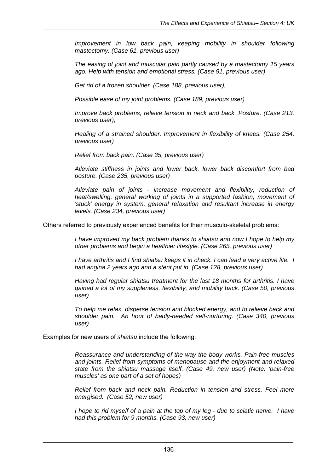*Improvement in low back pain, keeping mobility in shoulder following mastectomy. (Case 61, previous user)* 

*The easing of joint and muscular pain partly caused by a mastectomy 15 years ago. Help with tension and emotional stress. (Case 91, previous user)* 

*Get rid of a frozen shoulder. (Case 188, previous user),* 

*Possible ease of my joint problems. (Case 189, previous user)* 

*Improve back problems, relieve tension in neck and back. Posture. (Case 213, previous user),* 

*Healing of a strained shoulder. Improvement in flexibility of knees. (Case 254, previous user)* 

*Relief from back pain. (Case 35, previous user)* 

*Alleviate stiffness in joints and lower back, lower back discomfort from bad posture. (Case 235, previous user)* 

*Alleviate pain of joints - increase movement and flexibility, reduction of heat/swelling, general working of joints in a supported fashion, movement of 'stuck' energy in system, general relaxation and resultant increase in energy levels. (Case 234, previous user)* 

Others referred to previously experienced benefits for their musculo-skeletal problems:

*I have improved my back problem thanks to shiatsu and now I hope to help my other problems and begin a healthier lifestyle. (Case 265, previous user)* 

*I have arthritis and I find shiatsu keeps it in check. I can lead a very active life. I had angina 2 years ago and a stent put in. (Case 128, previous user)* 

*Having had regular shiatsu treatment for the last 18 months for arthritis. I have gained a lot of my suppleness, flexibility, and mobility back. (Case 50, previous user)* 

*To help me relax, disperse tension and blocked energy, and to relieve back and shoulder pain. An hour of badly-needed self-nurturing. (Case 340, previous user)* 

Examples for new users of *shiatsu* include the following:

*Reassurance and understanding of the way the body works. Pain-free muscles and joints. Relief from symptoms of menopause and the enjoyment and relaxed state from the shiatsu massage itself. (Case 49, new user) (Note: 'pain-free muscles' as one part of a set of hopes)* 

*Relief from back and neck pain. Reduction in tension and stress. Feel more energised. (Case 52, new user)* 

*I hope to rid myself of a pain at the top of my leg - due to sciatic nerve. I have had this problem for 9 months. (Case 93, new user)*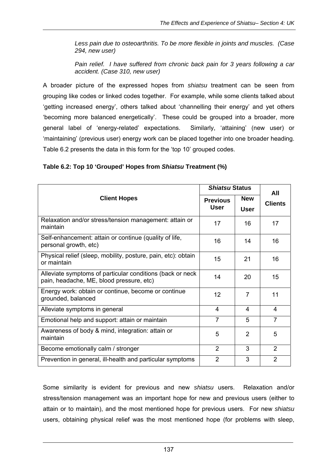*Less pain due to osteoarthritis. To be more flexible in joints and muscles. (Case 294, new user)* 

*Pain relief. I have suffered from chronic back pain for 3 years following a car accident. (Case 310, new user)* 

A broader picture of the expressed hopes from *shiatsu* treatment can be seen from grouping like codes or linked codes together. For example, while some clients talked about 'getting increased energy', others talked about 'channelling their energy' and yet others 'becoming more balanced energetically'. These could be grouped into a broader, more general label of 'energy-related' expectations. Similarly, 'attaining' (new user) or 'maintaining' (previous user) energy work can be placed together into one broader heading. Table 6.2 presents the data in this form for the 'top 10' grouped codes.

**Table 6.2: Top 10 'Grouped' Hopes from** *Shiatsu* **Treatment (%)** 

|                                                                                                        | <i><b>Shiatsu Status</b></i> |                           | All            |
|--------------------------------------------------------------------------------------------------------|------------------------------|---------------------------|----------------|
| <b>Client Hopes</b>                                                                                    | <b>Previous</b><br>User      | <b>New</b><br><b>User</b> | <b>Clients</b> |
| Relaxation and/or stress/tension management: attain or<br>maintain                                     | 17                           | 16                        | 17             |
| Self-enhancement: attain or continue (quality of life,<br>personal growth, etc)                        | 16                           | 14                        | 16             |
| Physical relief (sleep, mobility, posture, pain, etc): obtain<br>or maintain                           | 15                           | 21                        | 16             |
| Alleviate symptoms of particular conditions (back or neck)<br>pain, headache, ME, blood pressure, etc) | 14                           | 20                        | 15             |
| Energy work: obtain or continue, become or continue<br>grounded, balanced                              | 12 <sup>2</sup>              | 7                         | 11             |
| Alleviate symptoms in general                                                                          | 4                            | 4                         | 4              |
| Emotional help and support: attain or maintain                                                         | $\overline{7}$               | 5                         | $\overline{7}$ |
| Awareness of body & mind, integration: attain or<br>maintain                                           | 5                            | 2                         | 5              |
| Become emotionally calm / stronger                                                                     | $\overline{2}$               | 3                         | $\overline{2}$ |
| Prevention in general, ill-health and particular symptoms                                              | 2                            | 3                         | $\mathcal{P}$  |

Some similarity is evident for previous and new *shiatsu* users. Relaxation and/or stress/tension management was an important hope for new and previous users (either to attain or to maintain), and the most mentioned hope for previous users. For new *shiatsu*  users, obtaining physical relief was the most mentioned hope (for problems with sleep,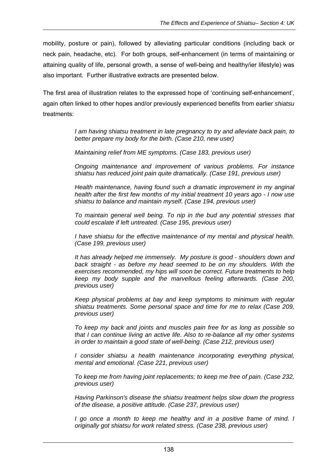mobility, posture or pain), followed by alleviating particular conditions (including back or neck pain, headache, etc). For both groups, self-enhancement (in terms of maintaining or attaining quality of life, personal growth, a sense of well-being and healthy/ier lifestyle) was also important. Further illustrative extracts are presented below.

The first area of illustration relates to the expressed hope of 'continuing self-enhancement', again often linked to other hopes and/or previously experienced benefits from earlier *shiatsu* treatments:

> *I am having shiatsu treatment in late pregnancy to try and alleviate back pain, to better prepare my body for the birth. (Case 210, new user)*

*Maintaining relief from ME symptoms. (Case 183, previous user)* 

*Ongoing maintenance and improvement of various problems. For instance shiatsu has reduced joint pain quite dramatically. (Case 191, previous user)* 

*Health maintenance, having found such a dramatic improvement in my anginal health after the first few months of my initial treatment 10 years ago - I now use shiatsu to balance and maintain myself. (Case 194, previous user)* 

*To maintain general well being. To nip in the bud any potential stresses that could escalate if left untreated. (Case 195, previous user)* 

*I have shiatsu for the effective maintenance of my mental and physical health. (Case 199, previous user)* 

*It has already helped me immensely. My posture is good - shoulders down and back straight - as before my head seemed to be on my shoulders. With the exercises recommended, my hips will soon be correct. Future treatments to help keep my body supple and the marvellous feeling afterwards. (Case 200, previous user)* 

*Keep physical problems at bay and keep symptoms to minimum with regular shiatsu treatments. Some personal space and time for me to relax (Case 209, previous user)* 

*To keep my back and joints and muscles pain free for as long as possible so that I can continue living an active life. Also to re-balance all my other systems in order to maintain a good state of well-being. (Case 212, previous user)* 

*I consider shiatsu a health maintenance incorporating everything physical, mental and emotional. (Case 221, previous user)* 

*To keep me from having joint replacements; to keep me free of pain. (Case 232, previous user)* 

*Having Parkinson's disease the shiatsu treatment helps slow down the progress of the disease, a positive attitude. (Case 237, previous user)* 

*I* go once a month to keep me healthy and in a positive frame of mind. I *originally got shiatsu for work related stress. (Case 238, previous user)*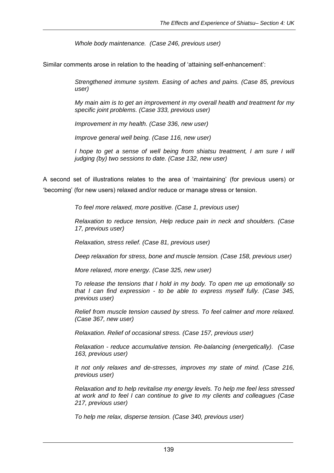*Whole body maintenance. (Case 246, previous user)* 

Similar comments arose in relation to the heading of 'attaining self-enhancement':

*Strengthened immune system. Easing of aches and pains. (Case 85, previous user)* 

*My main aim is to get an improvement in my overall health and treatment for my specific joint problems. (Case 333, previous user)* 

*Improvement in my health. (Case 336, new user)* 

*Improve general well being. (Case 116, new user)* 

*I hope to get a sense of well being from shiatsu treatment, I am sure I will judging (by) two sessions to date. (Case 132, new user)* 

A second set of illustrations relates to the area of 'maintaining' (for previous users) or 'becoming' (for new users) relaxed and/or reduce or manage stress or tension.

*To feel more relaxed, more positive. (Case 1, previous user)* 

*Relaxation to reduce tension, Help reduce pain in neck and shoulders. (Case 17, previous user)* 

*Relaxation, stress relief. (Case 81, previous user)* 

*Deep relaxation for stress, bone and muscle tension. (Case 158, previous user)* 

*More relaxed, more energy. (Case 325, new user)* 

*To release the tensions that I hold in my body. To open me up emotionally so that I can find expression - to be able to express myself fully. (Case 345, previous user)* 

*Relief from muscle tension caused by stress. To feel calmer and more relaxed. (Case 367, new user)* 

*Relaxation. Relief of occasional stress. (Case 157, previous user)* 

*Relaxation - reduce accumulative tension. Re-balancing (energetically). (Case 163, previous user)* 

*It not only relaxes and de-stresses, improves my state of mind. (Case 216, previous user)* 

*Relaxation and to help revitalise my energy levels. To help me feel less stressed at work and to feel I can continue to give to my clients and colleagues (Case 217, previous user)* 

*To help me relax, disperse tension. (Case 340, previous user)*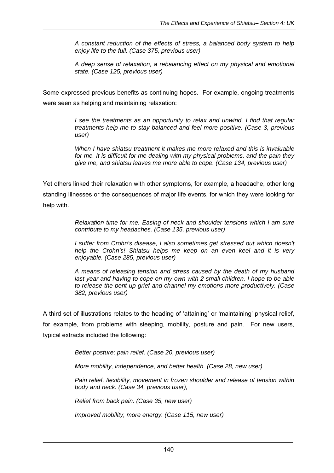*A constant reduction of the effects of stress, a balanced body system to help enjoy life to the full. (Case 375, previous user)* 

*A deep sense of relaxation, a rebalancing effect on my physical and emotional state. (Case 125, previous user)* 

Some expressed previous benefits as continuing hopes. For example, ongoing treatments were seen as helping and maintaining relaxation:

> *I see the treatments as an opportunity to relax and unwind. I find that regular treatments help me to stay balanced and feel more positive. (Case 3, previous user)*

> *When I have shiatsu treatment it makes me more relaxed and this is invaluable for me. It is difficult for me dealing with my physical problems, and the pain they give me, and shiatsu leaves me more able to cope. (Case 134, previous user)*

Yet others linked their relaxation with other symptoms, for example, a headache, other long standing illnesses or the consequences of major life events, for which they were looking for help with.

> *Relaxation time for me. Easing of neck and shoulder tensions which I am sure contribute to my headaches. (Case 135, previous user)*

> *I* suffer from Crohn's disease, I also sometimes get stressed out which doesn't *help the Crohn's! Shiatsu helps me keep on an even keel and it is very enjoyable. (Case 285, previous user)*

> *A means of releasing tension and stress caused by the death of my husband*  last year and having to cope on my own with 2 small children. I hope to be able *to release the pent-up grief and channel my emotions more productively. (Case 382, previous user)*

A third set of illustrations relates to the heading of 'attaining' or 'maintaining' physical relief, for example, from problems with sleeping, mobility, posture and pain. For new users, typical extracts included the following:

*Better posture; pain relief. (Case 20, previous user)* 

*More mobility, independence, and better health. (Case 28, new user)* 

*Pain relief, flexibility, movement in frozen shoulder and release of tension within body and neck. (Case 34, previous user),* 

*Relief from back pain. (Case 35, new user)* 

*Improved mobility, more energy. (Case 115, new user)*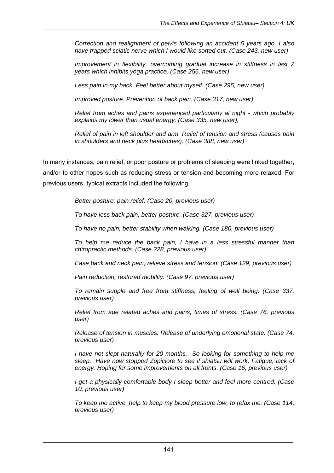*Correction and realignment of pelvis following an accident 5 years ago. I also have trapped sciatic nerve which I would like sorted out. (Case 243, new user)* 

*Improvement in flexibility, overcoming gradual increase in stiffness in last 2 years which inhibits yoga practice. (Case 256, new user)* 

*Less pain in my back. Feel better about myself. (Case 295, new user)* 

*Improved posture. Prevention of back pain. (Case 317, new user)* 

*Relief from aches and pains experienced particularly at night - which probably explains my lower than usual energy. (Case 335, new user),* 

*Relief of pain in left shoulder and arm. Relief of tension and stress (causes pain in shoulders and neck plus headaches). (Case 388, new user)* 

In many instances, pain relief, or poor posture or problems of sleeping were linked together, and/or to other hopes such as reducing stress or tension and becoming more relaxed. For previous users, typical extracts included the following.

*Better posture; pain relief. (Case 20, previous user)* 

*To have less back pain, better posture. (Case 327, previous user)* 

*To have no pain, better stability when walking. (Case 180, previous user)* 

*To help me reduce the back pain, I have in a less stressful manner than chiropractic methods. (Case 228, previous user)* 

*Ease back and neck pain, relieve stress and tension. (Case 129, previous user)* 

*Pain reduction, restored mobility. (Case 97, previous user)* 

*To remain supple and free from stiffness, feeling of well being. (Case 337, previous user)* 

*Relief from age related aches and pains, times of stress. (Case 76, previous user)* 

*Release of tension in muscles. Release of underlying emotional state. (Case 74, previous user)* 

*I have not slept naturally for 20 months. So looking for something to help me sleep. Have now stopped Zopiclore to see if shiatsu will work. Fatigue, lack of energy. Hoping for some improvements on all fronts. (Case 16, previous user)* 

*I get a physically comfortable body I sleep better and feel more centred. (Case 10, previous user)* 

*To keep me active, help to keep my blood pressure low, to relax me. (Case 114, previous user)*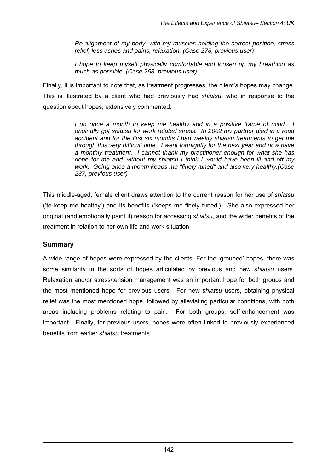*Re-alignment of my body, with my muscles holding the correct position, stress relief, less aches and pains, relaxation. (Case 278, previous user)* 

*I hope to keep myself physically comfortable and loosen up my breathing as much as possible. (Case 268, previous user)* 

Finally, it is important to note that, as treatment progresses, the client's hopes may change. This is illustrated by a client who had previously had *shiatsu*, who in response to the question about hopes, extensively commented:

> *I go once a month to keep me healthy and in a positive frame of mind. I originally got shiatsu for work related stress. In 2002 my partner died in a road accident and for the first six months I had weekly shiatsu treatments to get me through this very difficult time. I went fortnightly for the next year and now have a monthly treatment. I cannot thank my practitioner enough for what she has done for me and without my shiatsu I think I would have been ill and off my work. Going once a month keeps me "finely tuned" and also very healthy.(Case 237, previous user)*

This middle-aged, female client draws attention to the current reason for her use of *shiatsu* ('to keep me healthy') and its benefits ('keeps me finely tuned'). She also expressed her original (and emotionally painful) reason for accessing *shiatsu*, and the wider benefits of the treatment in relation to her own life and work situation.

## **Summary**

A wide range of hopes were expressed by the clients. For the 'grouped' hopes, there was some similarity in the sorts of hopes articulated by previous and new *shiatsu* users. Relaxation and/or stress/tension management was an important hope for both groups and the most mentioned hope for previous users. For new *shiatsu* users, obtaining physical relief was the most mentioned hope, followed by alleviating particular conditions, with both areas including problems relating to pain. For both groups, self-enhancement was important. Finally, for previous users, hopes were often linked to previously experienced benefits from earlier *shiatsu* treatments.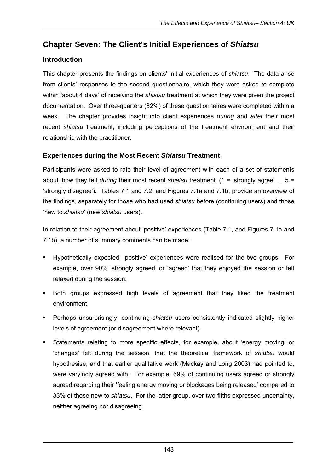# **Chapter Seven: The Client's Initial Experiences of** *Shiatsu*

## **Introduction**

This chapter presents the findings on clients' initial experiences of *shiatsu*. The data arise from clients' responses to the second questionnaire, which they were asked to complete within 'about 4 days' of receiving the *shiatsu* treatment at which they were given the project documentation. Over three-quarters (82%) of these questionnaires were completed within a week. The chapter provides insight into client experiences *during* and *after* their most recent *shiatsu* treatment, including perceptions of the treatment environment and their relationship with the practitioner.

## **Experiences during the Most Recent** *Shiatsu* **Treatment**

Participants were asked to rate their level of agreement with each of a set of statements about 'how they felt *during* their most recent *shiatsu* treatment' (1 = 'strongly agree' … 5 = 'strongly disagree'). Tables 7.1 and 7.2, and Figures 7.1a and 7.1b, provide an overview of the findings, separately for those who had used *shiatsu* before (continuing users) and those 'new to *shiatsu*' (new *shiatsu* users).

In relation to their agreement about 'positive' experiences (Table 7.1, and Figures 7.1a and 7.1b), a number of summary comments can be made:

- Hypothetically expected, 'positive' experiences were realised for the two groups. For example, over 90% 'strongly agreed' or 'agreed' that they enjoyed the session or felt relaxed during the session.
- Both groups expressed high levels of agreement that they liked the treatment environment.
- Perhaps unsurprisingly, continuing *shiatsu* users consistently indicated slightly higher levels of agreement (or disagreement where relevant).
- Statements relating to more specific effects, for example, about 'energy moving' or 'changes' felt during the session, that the theoretical framework of *shiatsu* would hypothesise, and that earlier qualitative work (Mackay and Long 2003) had pointed to, were varyingly agreed with. For example, 69% of continuing users agreed or strongly agreed regarding their 'feeling energy moving or blockages being released' compared to 33% of those new to *shiatsu*. For the latter group, over two-fifths expressed uncertainty, neither agreeing nor disagreeing.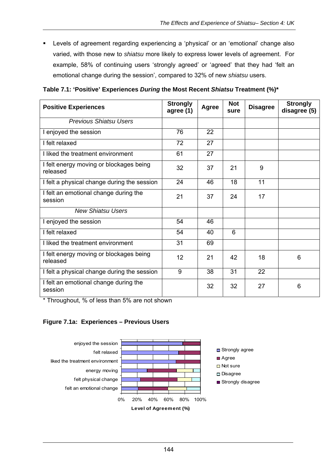Levels of agreement regarding experiencing a 'physical' or an 'emotional' change also varied, with those new to *shiatsu* more likely to express lower levels of agreement. For example, 58% of continuing users 'strongly agreed' or 'agreed' that they had 'felt an emotional change during the session', compared to 32% of new *shiatsu* users.

**Table 7.1: 'Positive' Experiences** *During* **the Most Recent** *Shiatsu* **Treatment (%)\*** 

| <b>Positive Experiences</b>                         | <b>Strongly</b><br>agree (1) | Agree | <b>Not</b><br>sure | <b>Disagree</b> | <b>Strongly</b><br>disagree (5) |
|-----------------------------------------------------|------------------------------|-------|--------------------|-----------------|---------------------------------|
| <b>Previous Shiatsu Users</b>                       |                              |       |                    |                 |                                 |
| I enjoyed the session                               | 76                           | 22    |                    |                 |                                 |
| I felt relaxed                                      | 72                           | 27    |                    |                 |                                 |
| I liked the treatment environment                   | 61                           | 27    |                    |                 |                                 |
| I felt energy moving or blockages being<br>released | 32                           | 37    | 21                 | 9               |                                 |
| I felt a physical change during the session         | 24                           | 46    | 18                 | 11              |                                 |
| I felt an emotional change during the<br>session    | 21                           | 37    | 24                 | 17              |                                 |
| <b>New Shiatsu Users</b>                            |                              |       |                    |                 |                                 |
| I enjoyed the session                               | 54                           | 46    |                    |                 |                                 |
| I felt relaxed                                      | 54                           | 40    | 6                  |                 |                                 |
| I liked the treatment environment                   | 31                           | 69    |                    |                 |                                 |
| I felt energy moving or blockages being<br>released | 12                           | 21    | 42                 | 18              | 6                               |
| I felt a physical change during the session         | 9                            | 38    | 31                 | 22              |                                 |
| I felt an emotional change during the<br>session    |                              | 32    | 32                 | 27              | 6                               |

\* Throughout, % of less than 5% are not shown

#### **Figure 7.1a: Experiences – Previous Users**

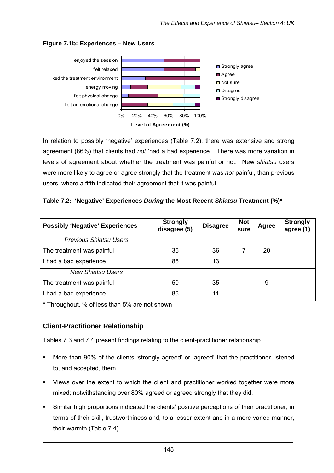

#### **Figure 7.1b: Experiences – New Users**

In relation to possibly 'negative' experiences (Table 7.2), there was extensive and strong agreement (86%) that clients had *not* 'had a bad experience.' There was more variation in levels of agreement about whether the treatment was painful or not. New *shiatsu* users were more likely to agree or agree strongly that the treatment was *not* painful, than previous users, where a fifth indicated their agreement that it was painful.

|  |  |  | Table 7.2: 'Negative' Experiences During the Most Recent Shiatsu Treatment (%)* |
|--|--|--|---------------------------------------------------------------------------------|
|  |  |  |                                                                                 |

| <b>Possibly 'Negative' Experiences</b> | <b>Strongly</b><br>disagree (5) | <b>Disagree</b> | <b>Not</b><br>sure | Agree | <b>Strongly</b><br>agree (1) |
|----------------------------------------|---------------------------------|-----------------|--------------------|-------|------------------------------|
| <b>Previous Shiatsu Users</b>          |                                 |                 |                    |       |                              |
| The treatment was painful              | 35                              | 36              |                    | 20    |                              |
| I had a bad experience                 | 86                              | 13              |                    |       |                              |
| <b>New Shiatsu Users</b>               |                                 |                 |                    |       |                              |
| The treatment was painful              | 50                              | 35              |                    | 9     |                              |
| I had a bad experience                 | 86                              | 11              |                    |       |                              |

\* Throughout, % of less than 5% are not shown

## **Client-Practitioner Relationship**

Tables 7.3 and 7.4 present findings relating to the client-practitioner relationship.

- More than 90% of the clients 'strongly agreed' or 'agreed' that the practitioner listened to, and accepted, them.
- Views over the extent to which the client and practitioner worked together were more mixed; notwithstanding over 80% agreed or agreed strongly that they did.
- Similar high proportions indicated the clients' positive perceptions of their practitioner, in terms of their skill, trustworthiness and, to a lesser extent and in a more varied manner, their warmth (Table 7.4).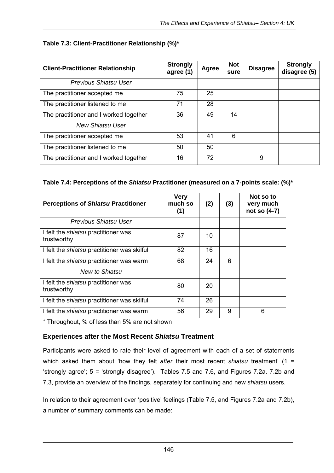## **Table 7.3: Client-Practitioner Relationship (%)\***

| <b>Client-Practitioner Relationship</b> | <b>Strongly</b><br>agree (1) | Agree | <b>Not</b><br>sure | <b>Disagree</b> | <b>Strongly</b><br>disagree (5) |
|-----------------------------------------|------------------------------|-------|--------------------|-----------------|---------------------------------|
| Previous Shiatsu User                   |                              |       |                    |                 |                                 |
| The practitioner accepted me            | 75                           | 25    |                    |                 |                                 |
| The practitioner listened to me         | 71                           | 28    |                    |                 |                                 |
| The practitioner and I worked together  | 36                           | 49    | 14                 |                 |                                 |
| <b>New Shiatsu User</b>                 |                              |       |                    |                 |                                 |
| The practitioner accepted me            | 53                           | 41    | 6                  |                 |                                 |
| The practitioner listened to me         | 50                           | 50    |                    |                 |                                 |
| The practitioner and I worked together  | 16                           | 72    |                    | 9               |                                 |

#### **Table 7.4: Perceptions of the** *Shiatsu* **Practitioner (measured on a 7-points scale: (%)\***

| <b>Perceptions of Shiatsu Practitioner</b>                | <b>Very</b><br>much so<br>(1) | (2) | (3) | Not so to<br>very much<br>not so (4-7) |
|-----------------------------------------------------------|-------------------------------|-----|-----|----------------------------------------|
| Previous Shiatsu User                                     |                               |     |     |                                        |
| I felt the <i>shiatsu</i> practitioner was<br>trustworthy | 87                            | 10  |     |                                        |
| I felt the <i>shiatsu</i> practitioner was skilful        | 82                            | 16  |     |                                        |
| I felt the <i>shiatsu</i> practitioner was warm           | 68                            | 24  | 6   |                                        |
| New to Shiatsu                                            |                               |     |     |                                        |
| I felt the <i>shiatsu</i> practitioner was<br>trustworthy | 80                            | 20  |     |                                        |
| I felt the <i>shiatsu</i> practitioner was skilful        | 74                            | 26  |     |                                        |
| I felt the <i>shiatsu</i> practitioner was warm           | 56                            | 29  | 9   | 6                                      |

\* Throughout, % of less than 5% are not shown

## **Experiences after the Most Recent** *Shiatsu* **Treatment**

Participants were asked to rate their level of agreement with each of a set of statements which asked them about 'how they felt *after* their most recent *shiatsu* treatment' (1 = 'strongly agree'; 5 = 'strongly disagree'). Tables 7.5 and 7.6, and Figures 7.2a. 7.2b and 7.3, provide an overview of the findings, separately for continuing and new *shiatsu* users.

In relation to their agreement over 'positive' feelings (Table 7.5, and Figures 7.2a and 7.2b), a number of summary comments can be made: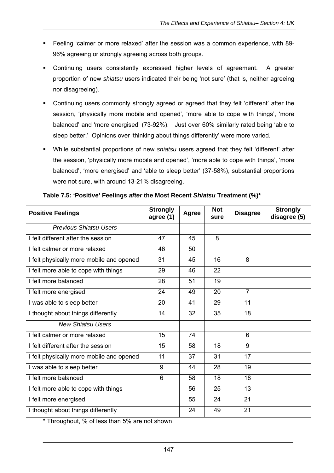- Feeling 'calmer or more relaxed' after the session was a common experience, with 89- 96% agreeing or strongly agreeing across both groups.
- Continuing users consistently expressed higher levels of agreement. A greater proportion of new *shiatsu* users indicated their being 'not sure' (that is, neither agreeing nor disagreeing).
- Continuing users commonly strongly agreed or agreed that they felt 'different' after the session, 'physically more mobile and opened', 'more able to cope with things', 'more balanced' and 'more energised' (73-92%). Just over 60% similarly rated being 'able to sleep better.' Opinions over 'thinking about things differently' were more varied.
- While substantial proportions of new *shiatsu* users agreed that they felt 'different' after the session, 'physically more mobile and opened', 'more able to cope with things', 'more balanced', 'more energised' and 'able to sleep better' (37-58%), substantial proportions were not sure, with around 13-21% disagreeing.

| <b>Positive Feelings</b>                 | <b>Strongly</b><br>agree (1) | <b>Agree</b> | <b>Not</b><br>sure | <b>Disagree</b> | <b>Strongly</b><br>disagree (5) |
|------------------------------------------|------------------------------|--------------|--------------------|-----------------|---------------------------------|
| <b>Previous Shiatsu Users</b>            |                              |              |                    |                 |                                 |
| I felt different after the session       | 47                           | 45           | 8                  |                 |                                 |
| I felt calmer or more relaxed            | 46                           | 50           |                    |                 |                                 |
| I felt physically more mobile and opened | $\overline{31}$              | 45           | 16                 | 8               |                                 |
| I felt more able to cope with things     | 29                           | 46           | 22                 |                 |                                 |
| I felt more balanced                     | 28                           | 51           | 19                 |                 |                                 |
| I felt more energised                    | 24                           | 49           | 20                 | $\overline{7}$  |                                 |
| I was able to sleep better               | 20                           | 41           | 29                 | 11              |                                 |
| I thought about things differently       | 14                           | 32           | 35                 | 18              |                                 |
| <b>New Shiatsu Users</b>                 |                              |              |                    |                 |                                 |
| I felt calmer or more relaxed            | 15                           | 74           |                    | 6               |                                 |
| I felt different after the session       | 15                           | 58           | 18                 | 9               |                                 |
| I felt physically more mobile and opened | 11                           | 37           | 31                 | 17              |                                 |
| I was able to sleep better               | 9                            | 44           | 28                 | 19              |                                 |
| I felt more balanced                     | 6                            | 58           | 18                 | 18              |                                 |
| I felt more able to cope with things     |                              | 56           | 25                 | 13              |                                 |
| I felt more energised                    |                              | 55           | 24                 | 21              |                                 |
| I thought about things differently       |                              | 24           | 49                 | 21              |                                 |

#### **Table 7.5: 'Positive' Feelings** *after* **the Most Recent** *Shiatsu* **Treatment (%)\***

\* Throughout, % of less than 5% are not shown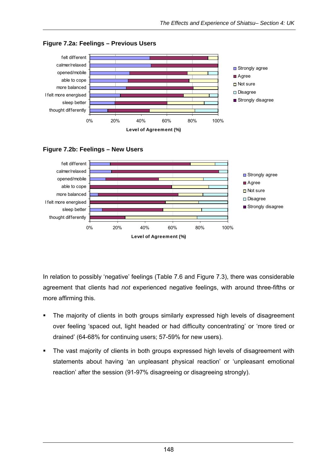

**Figure 7.2a: Feelings – Previous Users** 





In relation to possibly 'negative' feelings (Table 7.6 and Figure 7.3), there was considerable agreement that clients had *not* experienced negative feelings, with around three-fifths or more affirming this.

- The majority of clients in both groups similarly expressed high levels of disagreement over feeling 'spaced out, light headed or had difficulty concentrating' or 'more tired or drained' (64-68% for continuing users; 57-59% for new users).
- The vast majority of clients in both groups expressed high levels of disagreement with statements about having 'an unpleasant physical reaction' or 'unpleasant emotional reaction' after the session (91-97% disagreeing or disagreeing strongly).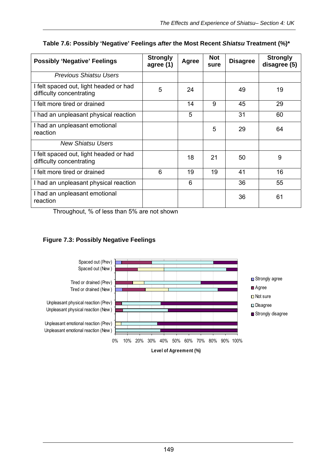| <b>Possibly 'Negative' Feelings</b>                                | <b>Strongly</b><br>agree (1) | Agree | <b>Not</b><br>sure | <b>Disagree</b> | <b>Strongly</b><br>disagree (5) |
|--------------------------------------------------------------------|------------------------------|-------|--------------------|-----------------|---------------------------------|
| <b>Previous Shiatsu Users</b>                                      |                              |       |                    |                 |                                 |
| I felt spaced out, light headed or had<br>difficulty concentrating | 5                            | 24    |                    | 49              | 19                              |
| I felt more tired or drained                                       |                              | 14    | 9                  | 45              | 29                              |
| I had an unpleasant physical reaction                              |                              | 5     |                    | 31              | 60                              |
| I had an unpleasant emotional<br>reaction                          |                              |       | 5                  | 29              | 64                              |
| <b>New Shiatsu Users</b>                                           |                              |       |                    |                 |                                 |
| I felt spaced out, light headed or had<br>difficulty concentrating |                              | 18    | 21                 | 50              | 9                               |
| I felt more tired or drained                                       | 6                            | 19    | 19                 | 41              | 16                              |
| I had an unpleasant physical reaction                              |                              | 6     |                    | 36              | 55                              |
| I had an unpleasant emotional<br>reaction                          |                              |       |                    | 36              | 61                              |

## **Table 7.6: Possibly 'Negative' Feelings** *after* **the Most Recent** *Shiatsu* **Treatment (%)\***

Throughout, % of less than 5% are not shown

## **Figure 7.3: Possibly Negative Feelings**

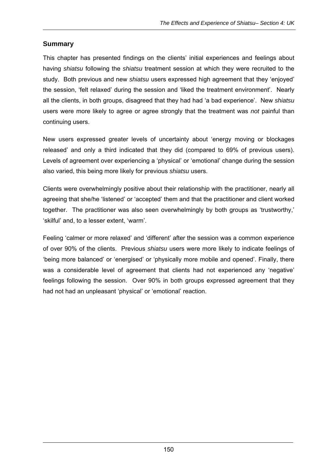## **Summary**

This chapter has presented findings on the clients' initial experiences and feelings about having *shiatsu* following the *shiatsu* treatment session at which they were recruited to the study. Both previous and new *shiatsu* users expressed high agreement that they 'enjoyed' the session, 'felt relaxed' during the session and 'liked the treatment environment'. Nearly all the clients, in both groups, disagreed that they had had 'a bad experience'. New *shiatsu*  users were more likely to agree or agree strongly that the treatment was *not* painful than continuing users.

New users expressed greater levels of uncertainty about 'energy moving or blockages released' and only a third indicated that they did (compared to 69% of previous users). Levels of agreement over experiencing a 'physical' or 'emotional' change during the session also varied, this being more likely for previous *shiatsu* users.

Clients were overwhelmingly positive about their relationship with the practitioner, nearly all agreeing that she/he 'listened' or 'accepted' them and that the practitioner and client worked together. The practitioner was also seen overwhelmingly by both groups as 'trustworthy,' 'skilful' and, to a lesser extent, 'warm'.

Feeling 'calmer or more relaxed' and 'different' after the session was a common experience of over 90% of the clients. Previous *shiatsu* users were more likely to indicate feelings of 'being more balanced' or 'energised' or 'physically more mobile and opened'. Finally, there was a considerable level of agreement that clients had not experienced any 'negative' feelings following the session. Over 90% in both groups expressed agreement that they had not had an unpleasant 'physical' or 'emotional' reaction.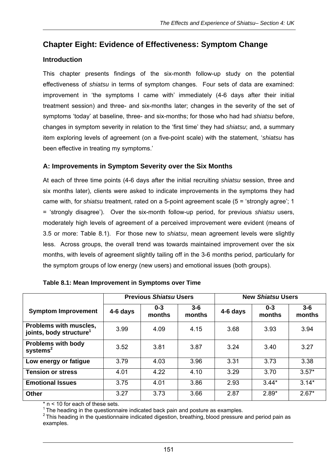# **Chapter Eight: Evidence of Effectiveness: Symptom Change**

## **Introduction**

This chapter presents findings of the six-month follow-up study on the potential effectiveness of *shiatsu* in terms of symptom changes. Four sets of data are examined: improvement in 'the symptoms I came with' immediately (4-6 days after their initial treatment session) and three- and six-months later; changes in the severity of the set of symptoms 'today' at baseline, three- and six-months; for those who had had *shiatsu* before, changes in symptom severity in relation to the 'first time' they had *shiatsu*; and, a summary item exploring levels of agreement (on a five-point scale) with the statement, '*shiatsu* has been effective in treating my symptoms.'

## **A: Improvements in Symptom Severity over the Six Months**

At each of three time points (4-6 days after the initial recruiting *shiatsu* session, three and six months later), clients were asked to indicate improvements in the symptoms they had came with, for *shiatsu* treatment, rated on a 5-point agreement scale (5 = 'strongly agree'; 1 = 'strongly disagree'). Over the six-month follow-up period, for previous *shiatsu* users, moderately high levels of agreement of a perceived improvement were evident (means of 3.5 or more: Table 8.1). For those new to *shiatsu*, mean agreement levels were slightly less. Across groups, the overall trend was towards maintained improvement over the six months, with levels of agreement slightly tailing off in the 3-6 months period, particularly for the symptom groups of low energy (new users) and emotional issues (both groups).

|                                                               | <b>Previous Shiatsu Users</b> |                   |                   | <b>New Shiatsu Users</b> |                   |                   |
|---------------------------------------------------------------|-------------------------------|-------------------|-------------------|--------------------------|-------------------|-------------------|
| <b>Symptom Improvement</b>                                    | 4-6 days                      | $0 - 3$<br>months | $3 - 6$<br>months | 4-6 days                 | $0 - 3$<br>months | $3 - 6$<br>months |
| Problems with muscles,<br>joints, body structure <sup>1</sup> | 3.99                          | 4.09              | 4.15              | 3.68                     | 3.93              | 3.94              |
| <b>Problems with body</b><br>systems $2$                      | 3.52                          | 3.81              | 3.87              | 3.24                     | 3.40              | 3.27              |
| Low energy or fatigue                                         | 3.79                          | 4.03              | 3.96              | 3.31                     | 3.73              | 3.38              |
| <b>Tension or stress</b>                                      | 4.01                          | 4.22              | 4.10              | 3.29                     | 3.70              | $3.57*$           |
| <b>Emotional Issues</b>                                       | 3.75                          | 4.01              | 3.86              | 2.93                     | $3.44*$           | $3.14*$           |
| <b>Other</b>                                                  | 3.27                          | 3.73              | 3.66              | 2.87                     | $2.89*$           | $2.67*$           |

| Table 8.1: Mean Improvement in Symptoms over Time |  |
|---------------------------------------------------|--|
|---------------------------------------------------|--|

 $n < 10$  for each of these sets.

 $1$  The heading in the questionnaire indicated back pain and posture as examples.

 $2$  This heading in the questionnaire indicated digestion, breathing, blood pressure and period pain as examples.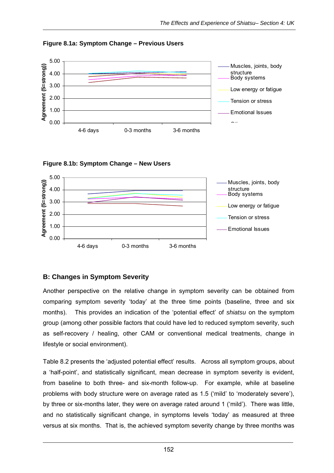

**Figure 8.1a: Symptom Change – Previous Users** 





## **B: Changes in Symptom Severity**

Another perspective on the relative change in symptom severity can be obtained from comparing symptom severity 'today' at the three time points (baseline, three and six months). This provides an indication of the 'potential effect' of *shiatsu* on the symptom group (among other possible factors that could have led to reduced symptom severity, such as self-recovery / healing, other CAM or conventional medical treatments, change in lifestyle or social environment).

Table 8.2 presents the 'adjusted potential effect' results. Across all symptom groups, about a 'half-point', and statistically significant, mean decrease in symptom severity is evident, from baseline to both three- and six-month follow-up. For example, while at baseline problems with body structure were on average rated as 1.5 ('mild' to 'moderately severe'), by three or six-months later, they were on average rated around 1 ('mild'). There was little, and no statistically significant change, in symptoms levels 'today' as measured at three versus at six months. That is, the achieved symptom severity change by three months was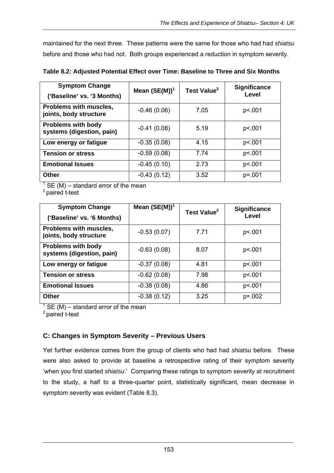maintained for the next three. These patterns were the same for those who had had *shiatsu* before and those who had not. Both groups experienced a reduction in symptom severity.

| <b>Symptom Change</b><br>('Baseline' vs. '3 Months)    | Mean $(SE(M))^1$ | Test Value <sup>2</sup> | <b>Significance</b><br>Level |
|--------------------------------------------------------|------------------|-------------------------|------------------------------|
| Problems with muscles,<br>joints, body structure       | $-0.46(0.06)$    | 7.05                    | p<.001                       |
| <b>Problems with body</b><br>systems (digestion, pain) | $-0.41(0.08)$    | 5.19                    | p<.001                       |
| Low energy or fatigue                                  | $-0.35(0.08)$    | 4.15                    | p<.001                       |
| <b>Tension or stress</b>                               | $-0.59(0.08)$    | 7.74                    | p<.001                       |
| <b>Emotional Issues</b>                                | $-0.45(0.10)$    | 2.73                    | p<.001                       |
| <b>Other</b>                                           | $-0.43(0.12)$    | 3.52                    | $p = 001$                    |

**Table 8.2: Adjusted Potential Effect over Time: Baseline to Three and Six Months** 

 $1$  SE (M) – standard error of the mean

2 paired t-test

| <b>Symptom Change</b>                                  | Mean $(SE(M))^1$ | Test Value <sup>2</sup> | <b>Significance</b> |
|--------------------------------------------------------|------------------|-------------------------|---------------------|
| ('Baseline' vs. '6 Months)                             |                  |                         | Level               |
| Problems with muscles,<br>joints, body structure       | $-0.53(0.07)$    | 7.71                    | p<.001              |
| <b>Problems with body</b><br>systems (digestion, pain) | $-0.63(0.08)$    | 8.07                    | p<.001              |
| Low energy or fatigue                                  | $-0.37(0.08)$    | 4.81                    | p<.001              |
| <b>Tension or stress</b>                               | $-0.62(0.08)$    | 7.98                    | p<.001              |
| <b>Emotional Issues</b>                                | $-0.38(0.08)$    | 4.86                    | p<.001              |
| <b>Other</b>                                           | $-0.38(0.12)$    | 3.25                    | $p = 0.002$         |

 $1$  SE (M) – standard error of the mean

2 paired t-test

# **C: Changes in Symptom Severity – Previous Users**

Yet further evidence comes from the group of clients who had had *shiatsu* before. These were also asked to provide at baseline a retrospective rating of their symptom severity 'when you first started *shiatsu*.' Comparing these ratings to symptom severity at recruitment to the study, a half to a three-quarter point, statistically significant, mean decrease in symptom severity was evident (Table 8.3).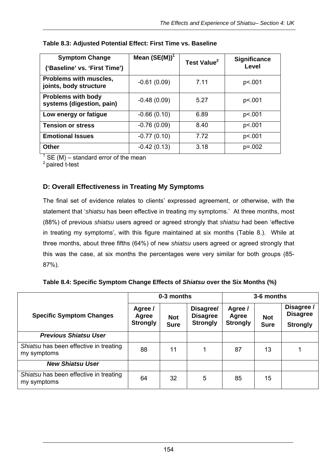| <b>Symptom Change</b><br>('Baseline' vs. 'First Time') | Mean $(SE(M))^1$ | Test Value <sup>2</sup> | <b>Significance</b><br>Level |
|--------------------------------------------------------|------------------|-------------------------|------------------------------|
| Problems with muscles,<br>joints, body structure       | $-0.61(0.09)$    | 7.11                    | p<.001                       |
| <b>Problems with body</b><br>systems (digestion, pain) | $-0.48(0.09)$    | 5.27                    | p<.001                       |
| Low energy or fatigue                                  | $-0.66(0.10)$    | 6.89                    | p<.001                       |
| <b>Tension or stress</b>                               | $-0.76(0.09)$    | 8.40                    | p<.001                       |
| <b>Emotional Issues</b>                                | $-0.77(0.10)$    | 7.72                    | p<.001                       |
| <b>Other</b>                                           | $-0.42(0.13)$    | 3.18                    | $p = 0.002$                  |

#### **Table 8.3: Adjusted Potential Effect: First Time vs. Baseline**

 $1$  SE (M) – standard error of the mean

<sup>2</sup> paired t-test

## **D: Overall Effectiveness in Treating My Symptoms**

The final set of evidence relates to clients' expressed agreement, or otherwise, with the statement that '*shiatsu* has been effective in treating my symptoms.' At three months, most (88%) of previous *shiatsu* users agreed or agreed strongly that *shiatsu* had been 'effective in treating my symptoms', with this figure maintained at six months (Table 8.). While at three months, about three fifths (64%) of new *shiatsu* users agreed or agreed strongly that this was the case, at six months the percentages were very similar for both groups (85- 87%).

|  |  |  | Table 8.4: Specific Symptom Change Effects of Shiatsu over the Six Months (%) |  |
|--|--|--|-------------------------------------------------------------------------------|--|
|  |  |  |                                                                               |  |

|                                                       |                                     | 0-3 months                |                                                 | 3-6 months                          |                           |                                                  |  |
|-------------------------------------------------------|-------------------------------------|---------------------------|-------------------------------------------------|-------------------------------------|---------------------------|--------------------------------------------------|--|
| <b>Specific Symptom Changes</b>                       | Agree /<br>Agree<br><b>Strongly</b> | <b>Not</b><br><b>Sure</b> | Disagree/<br><b>Disagree</b><br><b>Strongly</b> | Agree /<br>Agree<br><b>Strongly</b> | <b>Not</b><br><b>Sure</b> | Disagree /<br><b>Disagree</b><br><b>Strongly</b> |  |
| <b>Previous Shiatsu User</b>                          |                                     |                           |                                                 |                                     |                           |                                                  |  |
| Shiatsu has been effective in treating<br>my symptoms | 88                                  | 11                        | 1                                               | 87                                  | 13                        | 1                                                |  |
| <b>New Shiatsu User</b>                               |                                     |                           |                                                 |                                     |                           |                                                  |  |
| Shiatsu has been effective in treating<br>my symptoms | 64                                  | 32                        | 5                                               | 85                                  | 15                        |                                                  |  |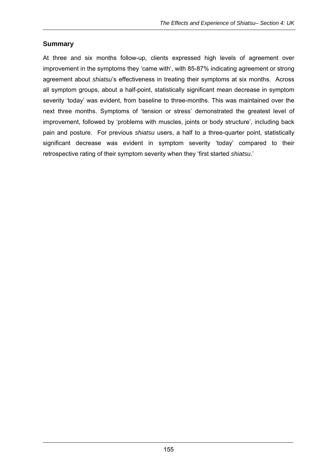#### **Summary**

At three and six months follow-up, clients expressed high levels of agreement over improvement in the symptoms they 'came with', with 85-87% indicating agreement or strong agreement about *shiatsu*'s effectiveness in treating their symptoms at six months. Across all symptom groups, about a half-point, statistically significant mean decrease in symptom severity 'today' was evident, from baseline to three-months. This was maintained over the next three months. Symptoms of 'tension or stress' demonstrated the greatest level of improvement, followed by 'problems with muscles, joints or body structure', including back pain and posture. For previous *shiatsu* users, a half to a three-quarter point, statistically significant decrease was evident in symptom severity 'today' compared to their retrospective rating of their symptom severity when they 'first started *shiatsu*.'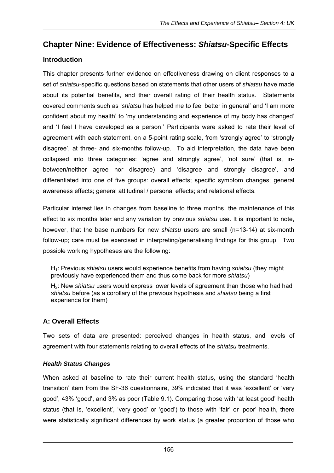# **Chapter Nine: Evidence of Effectiveness:** *Shiatsu***-Specific Effects**

## **Introduction**

This chapter presents further evidence on effectiveness drawing on client responses to a set of *shiatsu*-specific questions based on statements that other users of *shiatsu* have made about its potential benefits, and their overall rating of their health status. Statements covered comments such as '*shiatsu* has helped me to feel better in general' and 'I am more confident about my health' to 'my understanding and experience of my body has changed' and 'I feel I have developed as a person.' Participants were asked to rate their level of agreement with each statement, on a 5-point rating scale, from 'strongly agree' to 'strongly disagree', at three- and six-months follow-up. To aid interpretation, the data have been collapsed into three categories: 'agree and strongly agree', 'not sure' (that is, inbetween/neither agree nor disagree) and 'disagree and strongly disagree', and differentiated into one of five groups: overall effects; specific symptom changes; general awareness effects; general attitudinal / personal effects; and relational effects.

Particular interest lies in changes from baseline to three months, the maintenance of this effect to six months later and any variation by previous *shiatsu* use. It is important to note, however, that the base numbers for new *shiatsu* users are small (n=13-14) at six-month follow-up; care must be exercised in interpreting/generalising findings for this group. Two possible working hypotheses are the following:

H1: Previous *shiatsu* users would experience benefits from having *shiatsu* (they might previously have experienced them and thus come back for more *shiatsu*)

H2: New *shiatsu* users would express lower levels of agreement than those who had had *shiatsu* before (as a corollary of the previous hypothesis and *shiatsu* being a first experience for them)

# **A: Overall Effects**

Two sets of data are presented: perceived changes in health status, and levels of agreement with four statements relating to overall effects of the *shiatsu* treatments.

#### *Health Status Changes*

When asked at baseline to rate their current health status, using the standard 'health transition' item from the SF-36 questionnaire, 39% indicated that it was 'excellent' or 'very good', 43% 'good', and 3% as poor (Table 9.1). Comparing those with 'at least good' health status (that is, 'excellent', 'very good' or 'good') to those with 'fair' or 'poor' health, there were statistically significant differences by work status (a greater proportion of those who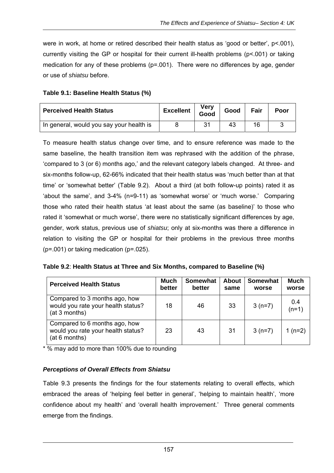were in work, at home or retired described their health status as 'good or better', p<.001), currently visiting the GP or hospital for their current ill-health problems (p<.001) or taking medication for any of these problems (p=.001). There were no differences by age, gender or use of *shiatsu* before.

| <b>Perceived Health Status</b>           | <b>Excellent</b> | <b>Very</b><br>Good | Good | Fair | Poor |
|------------------------------------------|------------------|---------------------|------|------|------|
| In general, would you say your health is |                  | 31                  | 43   | 16   |      |

To measure health status change over time, and to ensure reference was made to the same baseline, the health transition item was rephrased with the addition of the phrase, 'compared to 3 (or 6) months ago,' and the relevant category labels changed. At three- and six-months follow-up, 62-66% indicated that their health status was 'much better than at that time' or 'somewhat better' (Table 9.2). About a third (at both follow-up points) rated it as 'about the same', and 3-4% (n=9-11) as 'somewhat worse' or 'much worse.' Comparing those who rated their health status 'at least about the same (as baseline)' to those who rated it 'somewhat or much worse', there were no statistically significant differences by age, gender, work status, previous use of *shiatsu*; only at six-months was there a difference in relation to visiting the GP or hospital for their problems in the previous three months  $(p=001)$  or taking medication  $(p=025)$ .

| Table 9.2: Health Status at Three and Six Months, compared to Baseline (%) |  |  |  |  |
|----------------------------------------------------------------------------|--|--|--|--|
|----------------------------------------------------------------------------|--|--|--|--|

| <b>Perceived Health Status</b>                                                       | <b>Much</b><br>better | <b>Somewhat</b><br>better | <b>About</b><br>same | Somewhat<br>worse | <b>Much</b><br>worse |
|--------------------------------------------------------------------------------------|-----------------------|---------------------------|----------------------|-------------------|----------------------|
| Compared to 3 months ago, how<br>would you rate your health status?<br>(at 3 months) | 18                    | 46                        | 33                   | $3(n=7)$          | 0.4<br>$(n=1)$       |
| Compared to 6 months ago, how<br>would you rate your health status?<br>(at 6 months) | 23                    | 43                        | 31                   | $3(n=7)$          | 1 $(n=2)$            |

\* % may add to more than 100% due to rounding

#### *Perceptions of Overall Effects from Shiatsu*

Table 9.3 presents the findings for the four statements relating to overall effects, which embraced the areas of 'helping feel better in general', 'helping to maintain health', 'more confidence about my health' and 'overall health improvement.' Three general comments emerge from the findings.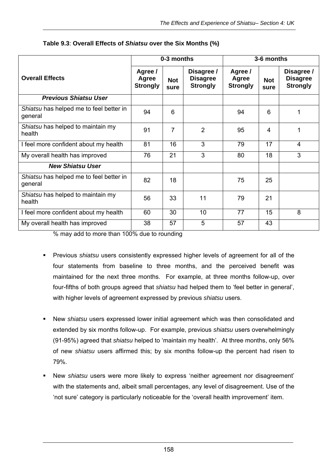|                                                    | 0-3 months                          |                    |                                                  | 3-6 months                          |                    |                                                  |
|----------------------------------------------------|-------------------------------------|--------------------|--------------------------------------------------|-------------------------------------|--------------------|--------------------------------------------------|
| <b>Overall Effects</b>                             | Agree /<br>Agree<br><b>Strongly</b> | <b>Not</b><br>sure | Disagree /<br><b>Disagree</b><br><b>Strongly</b> | Agree /<br>Agree<br><b>Strongly</b> | <b>Not</b><br>sure | Disagree /<br><b>Disagree</b><br><b>Strongly</b> |
| <b>Previous Shiatsu User</b>                       |                                     |                    |                                                  |                                     |                    |                                                  |
| Shiatsu has helped me to feel better in<br>general | 94                                  | 6                  |                                                  | 94                                  | 6                  | 1                                                |
| Shiatsu has helped to maintain my<br>health        | 91                                  | $\overline{7}$     | $\overline{2}$                                   | 95                                  | 4                  | 1                                                |
| I feel more confident about my health              | 81                                  | 16                 | 3                                                | 79                                  | 17                 | 4                                                |
| My overall health has improved                     | 76                                  | 21                 | 3                                                | 80                                  | 18                 | 3                                                |
| <b>New Shiatsu User</b>                            |                                     |                    |                                                  |                                     |                    |                                                  |
| Shiatsu has helped me to feel better in<br>general | 82                                  | 18                 |                                                  | 75                                  | 25                 |                                                  |
| Shiatsu has helped to maintain my<br>health        | 56                                  | 33                 | 11                                               | 79                                  | 21                 |                                                  |
| I feel more confident about my health              | 60                                  | 30                 | 10                                               | 77                                  | 15                 | 8                                                |
| My overall health has improved                     | 38                                  | 57                 | 5                                                | 57                                  | 43                 |                                                  |

#### **Table 9.3**: **Overall Effects of** *Shiatsu* **over the Six Months (%)**

% may add to more than 100% due to rounding

- Previous *shiatsu* users consistently expressed higher levels of agreement for all of the four statements from baseline to three months, and the perceived benefit was maintained for the next three months. For example, at three months follow-up, over four-fifths of both groups agreed that *shiatsu* had helped them to 'feel better in general', with higher levels of agreement expressed by previous *shiatsu* users.
- New *shiatsu* users expressed lower initial agreement which was then consolidated and extended by six months follow-up. For example, previous *shiatsu* users overwhelmingly (91-95%) agreed that *shiatsu* helped to 'maintain my health'. At three months, only 56% of new *shiatsu* users affirmed this; by six months follow-up the percent had risen to 79%.
- New *shiatsu* users were more likely to express 'neither agreement nor disagreement' with the statements and, albeit small percentages, any level of disagreement. Use of the 'not sure' category is particularly noticeable for the 'overall health improvement' item.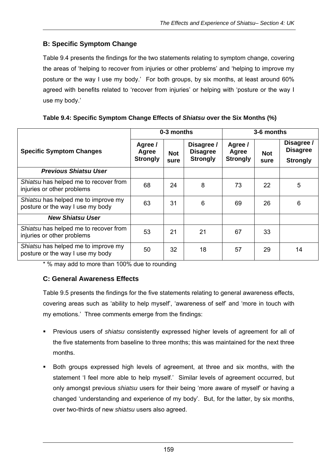# **B: Specific Symptom Change**

Table 9.4 presents the findings for the two statements relating to symptom change, covering the areas of 'helping to recover from injuries or other problems' and 'helping to improve my posture or the way I use my body.' For both groups, by six months, at least around 60% agreed with benefits related to 'recover from injuries' or helping with 'posture or the way I use my body.'

|                                                                         |                                     | 0-3 months         |                                                  |                                     | 3-6 months         |                                                  |  |
|-------------------------------------------------------------------------|-------------------------------------|--------------------|--------------------------------------------------|-------------------------------------|--------------------|--------------------------------------------------|--|
| <b>Specific Symptom Changes</b>                                         | Agree /<br>Agree<br><b>Strongly</b> | <b>Not</b><br>sure | Disagree /<br><b>Disagree</b><br><b>Strongly</b> | Agree /<br>Agree<br><b>Strongly</b> | <b>Not</b><br>sure | Disagree /<br><b>Disagree</b><br><b>Strongly</b> |  |
| <b>Previous Shiatsu User</b>                                            |                                     |                    |                                                  |                                     |                    |                                                  |  |
| Shiatsu has helped me to recover from<br>injuries or other problems     | 68                                  | 24                 | 8                                                | 73                                  | 22                 | 5                                                |  |
| Shiatsu has helped me to improve my<br>posture or the way I use my body | 63                                  | 31                 | 6                                                | 69                                  | 26                 | 6                                                |  |
| <b>New Shiatsu User</b>                                                 |                                     |                    |                                                  |                                     |                    |                                                  |  |
| Shiatsu has helped me to recover from<br>injuries or other problems     | 53                                  | 21                 | 21                                               | 67                                  | 33                 |                                                  |  |
| Shiatsu has helped me to improve my<br>posture or the way I use my body | 50                                  | 32                 | 18                                               | 57                                  | 29                 | 14                                               |  |

| Table 9.4: Specific Symptom Change Effects of Shiatsu over the Six Months (%) |  |  |  |
|-------------------------------------------------------------------------------|--|--|--|

\* % may add to more than 100% due to rounding

#### **C: General Awareness Effects**

Table 9.5 presents the findings for the five statements relating to general awareness effects, covering areas such as 'ability to help myself', 'awareness of self' and 'more in touch with my emotions.' Three comments emerge from the findings:

- Previous users of *shiatsu* consistently expressed higher levels of agreement for all of the five statements from baseline to three months; this was maintained for the next three months.
- Both groups expressed high levels of agreement, at three and six months, with the statement 'I feel more able to help myself.' Similar levels of agreement occurred, but only amongst previous *shiatsu* users for their being 'more aware of myself' or having a changed 'understanding and experience of my body'. But, for the latter, by six months, over two-thirds of new *shiatsu* users also agreed.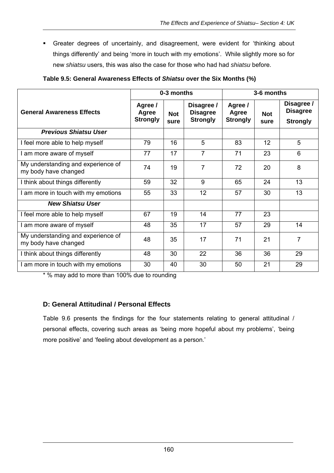Greater degrees of uncertainly, and disagreement, were evident for 'thinking about things differently' and being 'more in touch with my emotions'. While slightly more so for new *shiatsu* users, this was also the case for those who had had *shiatsu* before.

|                                                            | 0-3 months                          |                    |                                                  | 3-6 months                          |                    |                                                  |
|------------------------------------------------------------|-------------------------------------|--------------------|--------------------------------------------------|-------------------------------------|--------------------|--------------------------------------------------|
| <b>General Awareness Effects</b>                           | Agree /<br>Agree<br><b>Strongly</b> | <b>Not</b><br>sure | Disagree /<br><b>Disagree</b><br><b>Strongly</b> | Agree /<br>Agree<br><b>Strongly</b> | <b>Not</b><br>sure | Disagree /<br><b>Disagree</b><br><b>Strongly</b> |
| <b>Previous Shiatsu User</b>                               |                                     |                    |                                                  |                                     |                    |                                                  |
| I feel more able to help myself                            | 79                                  | 16                 | 5                                                | 83                                  | 12                 | 5                                                |
| I am more aware of myself                                  | 77                                  | 17                 | $\overline{7}$                                   | 71                                  | 23                 | 6                                                |
| My understanding and experience of<br>my body have changed | 74                                  | 19                 | $\overline{7}$                                   | 72                                  | 20                 | 8                                                |
| I think about things differently                           | 59                                  | 32                 | 9                                                | 65                                  | 24                 | 13                                               |
| I am more in touch with my emotions                        | 55                                  | 33                 | 12                                               | 57                                  | 30                 | 13                                               |
| <b>New Shiatsu User</b>                                    |                                     |                    |                                                  |                                     |                    |                                                  |
| I feel more able to help myself                            | 67                                  | 19                 | 14                                               | 77                                  | 23                 |                                                  |
| I am more aware of myself                                  | 48                                  | 35                 | 17                                               | 57                                  | 29                 | 14                                               |
| My understanding and experience of<br>my body have changed | 48                                  | 35                 | 17                                               | 71                                  | 21                 | $\overline{7}$                                   |
| I think about things differently                           | 48                                  | 30                 | 22                                               | 36                                  | 36                 | 29                                               |
| I am more in touch with my emotions                        | 30                                  | 40                 | 30                                               | 50                                  | 21                 | 29                                               |

#### **Table 9.5: General Awareness Effects of** *Shiatsu* **over the Six Months (%)**

\* % may add to more than 100% due to rounding

# **D: General Attitudinal / Personal Effects**

Table 9.6 presents the findings for the four statements relating to general attitudinal / personal effects, covering such areas as 'being more hopeful about my problems', 'being more positive' and 'feeling about development as a person.'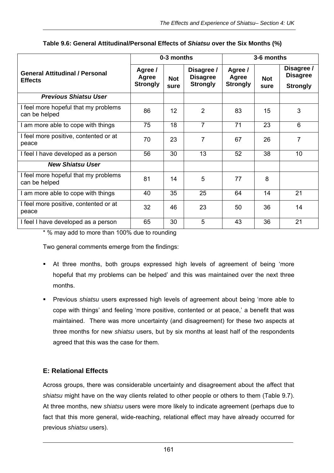|                                                         | 0-3 months                          |                    | 3-6 months                                       |                                     |                    |                                                  |
|---------------------------------------------------------|-------------------------------------|--------------------|--------------------------------------------------|-------------------------------------|--------------------|--------------------------------------------------|
| <b>General Attitudinal / Personal</b><br><b>Effects</b> | Agree /<br>Agree<br><b>Strongly</b> | <b>Not</b><br>sure | Disagree /<br><b>Disagree</b><br><b>Strongly</b> | Agree /<br>Agree<br><b>Strongly</b> | <b>Not</b><br>sure | Disagree /<br><b>Disagree</b><br><b>Strongly</b> |
| <b>Previous Shiatsu User</b>                            |                                     |                    |                                                  |                                     |                    |                                                  |
| I feel more hopeful that my problems<br>can be helped   | 86                                  | 12                 | $\overline{2}$                                   | 83                                  | 15                 | 3                                                |
| I am more able to cope with things                      | 75                                  | 18                 | 7                                                | 71                                  | 23                 | 6                                                |
| I feel more positive, contented or at<br>peace          | 70                                  | 23                 | 7                                                | 67                                  | 26                 | 7                                                |
| I feel I have developed as a person                     | 56                                  | 30                 | 13                                               | 52                                  | 38                 | 10                                               |
| <b>New Shiatsu User</b>                                 |                                     |                    |                                                  |                                     |                    |                                                  |
| I feel more hopeful that my problems<br>can be helped   | 81                                  | 14                 | 5                                                | 77                                  | 8                  |                                                  |
| I am more able to cope with things                      | 40                                  | 35                 | 25                                               | 64                                  | 14                 | 21                                               |
| I feel more positive, contented or at<br>peace          | 32                                  | 46                 | 23                                               | 50                                  | 36                 | 14                                               |
| I feel I have developed as a person                     | 65                                  | 30                 | 5                                                | 43                                  | 36                 | 21                                               |

#### **Table 9.6: General Attitudinal/Personal Effects of** *Shiatsu* **over the Six Months (%)**

\* % may add to more than 100% due to rounding

Two general comments emerge from the findings:

- At three months, both groups expressed high levels of agreement of being 'more hopeful that my problems can be helped' and this was maintained over the next three months.
- Previous *shiatsu* users expressed high levels of agreement about being 'more able to cope with things' and feeling 'more positive, contented or at peace,' a benefit that was maintained. There was more uncertainty (and disagreement) for these two aspects at three months for new *shiatsu* users, but by six months at least half of the respondents agreed that this was the case for them.

#### **E: Relational Effects**

Across groups, there was considerable uncertainty and disagreement about the affect that *shiatsu* might have on the way clients related to other people or others to them (Table 9.7). At three months, new *shiatsu* users were more likely to indicate agreement (perhaps due to fact that this more general, wide-reaching, relational effect may have already occurred for previous *shiatsu* users).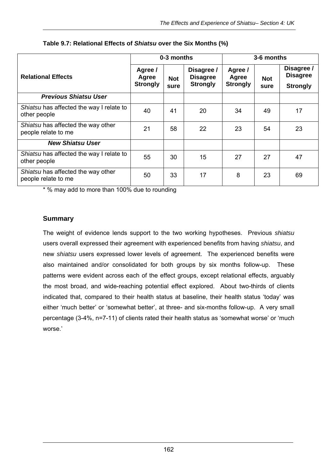|                                                           | 0-3 months                          |                    |                                                  | 3-6 months                          |                    |                                                  |  |
|-----------------------------------------------------------|-------------------------------------|--------------------|--------------------------------------------------|-------------------------------------|--------------------|--------------------------------------------------|--|
| <b>Relational Effects</b>                                 | Agree /<br>Agree<br><b>Strongly</b> | <b>Not</b><br>sure | Disagree /<br><b>Disagree</b><br><b>Strongly</b> | Agree /<br>Agree<br><b>Strongly</b> | <b>Not</b><br>sure | Disagree /<br><b>Disagree</b><br><b>Strongly</b> |  |
| <b>Previous Shiatsu User</b>                              |                                     |                    |                                                  |                                     |                    |                                                  |  |
| Shiatsu has affected the way I relate to<br>other people  | 40                                  | 41                 | 20                                               | 34                                  | 49                 | 17                                               |  |
| Shiatsu has affected the way other<br>people relate to me | 21                                  | 58                 | 22                                               | 23                                  | 54                 | 23                                               |  |
| <b>New Shiatsu User</b>                                   |                                     |                    |                                                  |                                     |                    |                                                  |  |
| Shiatsu has affected the way I relate to<br>other people  | 55                                  | 30                 | 15                                               | 27                                  | 27                 | 47                                               |  |
| Shiatsu has affected the way other<br>people relate to me | 50                                  | 33                 | 17                                               | 8                                   | 23                 | 69                                               |  |

#### **Table 9.7: Relational Effects of** *Shiatsu* **over the Six Months (%)**

\* % may add to more than 100% due to rounding

#### **Summary**

The weight of evidence lends support to the two working hypotheses. Previous *shiatsu* users overall expressed their agreement with experienced benefits from having *shiatsu*, and new *shiatsu* users expressed lower levels of agreement. The experienced benefits were also maintained and/or consolidated for both groups by six months follow-up. These patterns were evident across each of the effect groups, except relational effects, arguably the most broad, and wide-reaching potential effect explored. About two-thirds of clients indicated that, compared to their health status at baseline, their health status 'today' was either 'much better' or 'somewhat better', at three- and six-months follow-up. A very small percentage (3-4%, n=7-11) of clients rated their health status as 'somewhat worse' or 'much worse.'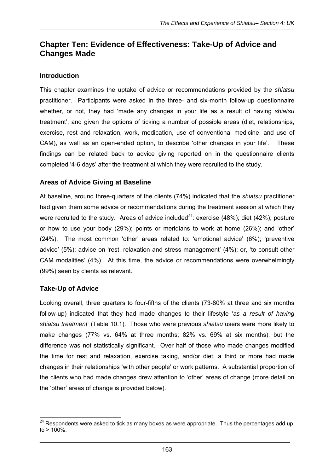# **Chapter Ten: Evidence of Effectiveness: Take-Up of Advice and Changes Made**

#### **Introduction**

This chapter examines the uptake of advice or recommendations provided by the *shiatsu*  practitioner. Participants were asked in the three- and six-month follow-up questionnaire whether, or not, they had 'made any changes in your life as a result of having *shiatsu* treatment', and given the options of ticking a number of possible areas (diet, relationships, exercise, rest and relaxation, work, medication, use of conventional medicine, and use of CAM), as well as an open-ended option, to describe 'other changes in your life'. These findings can be related back to advice giving reported on in the questionnaire clients completed '4-6 days' after the treatment at which they were recruited to the study.

## **Areas of Advice Giving at Baseline**

At baseline, around three-quarters of the clients (74%) indicated that the *shiatsu* practitioner had given them some advice or recommendations during the treatment session at which they were recruited to the study. Areas of advice included<sup>24</sup>: exercise (48%); diet (42%); posture or how to use your body (29%); points or meridians to work at home (26%); and 'other' (24%). The most common 'other' areas related to: 'emotional advice' (6%); 'preventive advice' (5%); advice on 'rest, relaxation and stress management' (4%); or, 'to consult other CAM modalities' (4%). At this time, the advice or recommendations were overwhelmingly (99%) seen by clients as relevant.

#### **Take-Up of Advice**

Looking overall, three quarters to four-fifths of the clients (73-80% at three and six months follow-up) indicated that they had made changes to their lifestyle '*as a result of having shiatsu treatment*' (Table 10.1). Those who were previous *shiatsu* users were more likely to make changes (77% vs. 64% at three months; 82% vs. 69% at six months), but the difference was not statistically significant. Over half of those who made changes modified the time for rest and relaxation, exercise taking, and/or diet; a third or more had made changes in their relationships 'with other people' or work patterns. A substantial proportion of the clients who had made changes drew attention to 'other' areas of change (more detail on the 'other' areas of change is provided below).

  $24$  Respondents were asked to tick as many boxes as were appropriate. Thus the percentages add up  $to$  > 100%.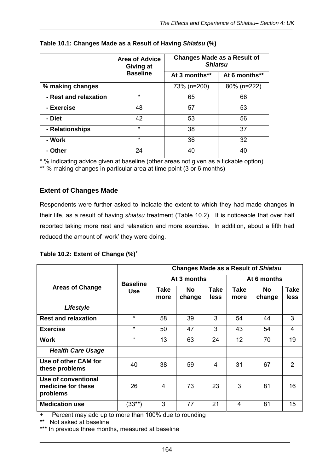|                       | <b>Area of Advice</b><br>Giving at | <b>Changes Made as a Result of</b><br><b>Shiatsu</b> |               |
|-----------------------|------------------------------------|------------------------------------------------------|---------------|
|                       | <b>Baseline</b>                    | At 3 months**                                        | At 6 months** |
| % making changes      |                                    | 73% (n=200)                                          | 80% (n=222)   |
| - Rest and relaxation | $\star$                            | 65                                                   | 66            |
| - Exercise            | 48                                 | 57                                                   | 53            |
| - Diet                | 42                                 | 53                                                   | 56            |
| - Relationships       | $\star$                            | 38                                                   | 37            |
| - Work                | $\star$                            | 36                                                   | 32            |
| - Other               | 24                                 | 40                                                   | 40            |

#### **Table 10.1: Changes Made as a Result of Having** *Shiatsu* **(%)**

\* % indicating advice given at baseline (other areas not given as a tickable option)

\*\* % making changes in particular area at time point (3 or 6 months)

#### **Extent of Changes Made**

Respondents were further asked to indicate the extent to which they had made changes in their life, as a result of having *shiatsu* treatment (Table 10.2). It is noticeable that over half reported taking more rest and relaxation and more exercise. In addition, about a fifth had reduced the amount of 'work' they were doing.

|  |  | Table 10.2: Extent of Change (%) <sup>+</sup> |  |
|--|--|-----------------------------------------------|--|
|  |  |                                               |  |

|                                                       |                 | <b>Changes Made as a Result of Shiatsu</b> |                     |                     |                     |              |                         |  |
|-------------------------------------------------------|-----------------|--------------------------------------------|---------------------|---------------------|---------------------|--------------|-------------------------|--|
|                                                       | <b>Baseline</b> |                                            | At 3 months         |                     | At 6 months         |              |                         |  |
| <b>Areas of Change</b>                                | <b>Use</b>      | Take<br>more                               | <b>No</b><br>change | <b>Take</b><br>less | <b>Take</b><br>more | No<br>change | <b>Take</b><br>less     |  |
| Lifestyle                                             |                 |                                            |                     |                     |                     |              |                         |  |
| <b>Rest and relaxation</b>                            | $\star$         | 58                                         | 39                  | 3                   | 54                  | 44           | 3                       |  |
| <b>Exercise</b>                                       | $\star$         | 50                                         | 47                  | 3                   | 43                  | 54           | $\overline{\mathbf{4}}$ |  |
| <b>Work</b>                                           | $\star$         | 13                                         | 63                  | 24                  | 12                  | 70           | 19                      |  |
| <b>Health Care Usage</b>                              |                 |                                            |                     |                     |                     |              |                         |  |
| Use of other CAM for<br>these problems                | 40              | 38                                         | 59                  | 4                   | 31                  | 67           | 2                       |  |
| Use of conventional<br>medicine for these<br>problems | 26              | 4                                          | 73                  | 23                  | 3                   | 81           | 16                      |  |
| <b>Medication use</b>                                 | $(33^{**})$     | 3                                          | 77                  | 21                  | 4                   | 81           | 15                      |  |

+ Percent may add up to more than 100% due to rounding

\*\* Not asked at baseline

\*\*\* In previous three months, measured at baseline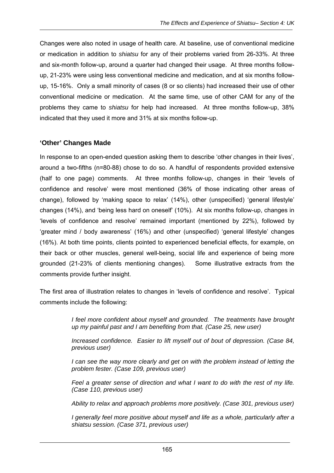Changes were also noted in usage of health care. At baseline, use of conventional medicine or medication in addition to *shiatsu* for any of their problems varied from 26-33%. At three and six-month follow-up, around a quarter had changed their usage. At three months followup, 21-23% were using less conventional medicine and medication, and at six months followup, 15-16%. Only a small minority of cases (8 or so clients) had increased their use of other conventional medicine or medication. At the same time, use of other CAM for any of the problems they came to *shiatsu* for help had increased. At three months follow-up, 38% indicated that they used it more and 31% at six months follow-up.

#### **'Other' Changes Made**

In response to an open-ended question asking them to describe 'other changes in their lives', around a two-fifths (n=80-88) chose to do so. A handful of respondents provided extensive (half to one page) comments. At three months follow-up, changes in their 'levels of confidence and resolve' were most mentioned (36% of those indicating other areas of change), followed by 'making space to relax' (14%), other (unspecified) 'general lifestyle' changes (14%), and 'being less hard on oneself' (10%). At six months follow-up, changes in 'levels of confidence and resolve' remained important (mentioned by 22%), followed by 'greater mind / body awareness' (16%) and other (unspecified) 'general lifestyle' changes (16%). At both time points, clients pointed to experienced beneficial effects, for example, on their back or other muscles, general well-being, social life and experience of being more grounded (21-23% of clients mentioning changes). Some illustrative extracts from the comments provide further insight.

The first area of illustration relates to changes in 'levels of confidence and resolve'. Typical comments include the following:

> *I feel more confident about myself and grounded. The treatments have brought up my painful past and I am benefiting from that. (Case 25, new user)*

> *Increased confidence. Easier to lift myself out of bout of depression. (Case 84, previous user)*

> *I* can see the way more clearly and get on with the problem instead of letting the *problem fester. (Case 109, previous user)*

> *Feel a greater sense of direction and what I want to do with the rest of my life. (Case 110, previous user)*

> *Ability to relax and approach problems more positively. (Case 301, previous user)*

*I generally feel more positive about myself and life as a whole, particularly after a shiatsu session. (Case 371, previous user)*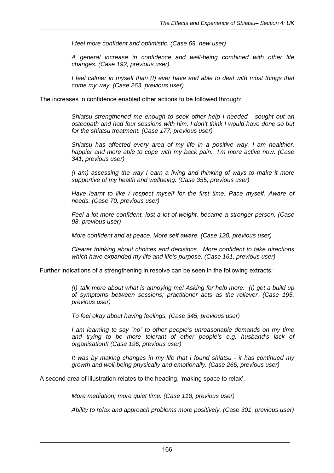*I feel more confident and optimistic. (Case 69, new user)* 

*A general increase in confidence and well-being combined with other life changes. (Case 192, previous user)* 

*I feel calmer in myself than (I) ever have and able to deal with most things that come my way. (Case 263, previous user)* 

The increases in confidence enabled other actions to be followed through:

*Shiatsu strengthened me enough to seek other help I needed - sought out an osteopath and had four sessions with him; I don't think I would have done so but for the shiatsu treatment. (Case 177, previous user)* 

*Shiatsu has affected every area of my life in a positive way. I am healthier, happier and more able to cope with my back pain. I'm more active now. (Case 341, previous user)* 

*(I am) assessing the way I earn a living and thinking of ways to make it more supportive of my health and wellbeing. (Case 355, previous user)* 

*Have learnt to like / respect myself for the first time. Pace myself. Aware of needs. (Case 70, previous user)* 

*Feel a lot more confident, lost a lot of weight, became a stronger person. (Case 98, previous user)* 

*More confident and at peace. More self aware. (Case 120, previous user)* 

*Clearer thinking about choices and decisions. More confident to take directions which have expanded my life and life's purpose. (Case 161, previous user)* 

Further indications of a strengthening in resolve can be seen in the following extracts:

*(I) talk more about what is annoying me! Asking for help more. (I) get a build up of symptoms between sessions; practitioner acts as the reliever. (Case 195, previous user)* 

*To feel okay about having feelings. (Case 345, previous user)* 

*I am learning to say "no" to other people's unreasonable demands on my time and trying to be more tolerant of other people's e.g. husband's lack of organisation!! (Case 196, previous user)* 

*It was by making changes in my life that I found shiatsu - it has continued my growth and well-being physically and emotionally. (Case 266, previous user)* 

A second area of illustration relates to the heading, 'making space to relax'.

*More mediation; more quiet time. (Case 118, previous user)* 

*Ability to relax and approach problems more positively. (Case 301, previous user)*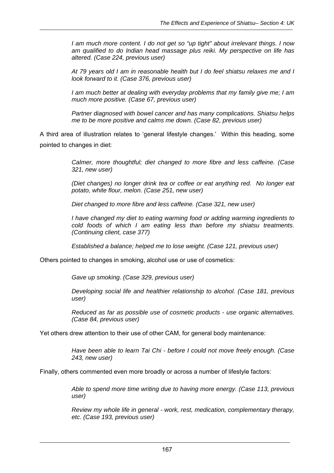*I am much more content. I do not get so "up tight" about irrelevant things. I now am qualified to do Indian head massage plus reiki. My perspective on life has altered. (Case 224, previous user)* 

*At 79 years old I am in reasonable health but I do feel shiatsu relaxes me and I look forward to it. (Case 376, previous user)* 

*I am much better at dealing with everyday problems that my family give me; I am much more positive. (Case 67, previous user)* 

*Partner diagnosed with bowel cancer and has many complications. Shiatsu helps me to be more positive and calms me down. (Case 82, previous user)* 

A third area of illustration relates to 'general lifestyle changes.' Within this heading, some pointed to changes in diet:

> *Calmer, more thoughtful; diet changed to more fibre and less caffeine. (Case 321, new user)*

> *(Diet changes) no longer drink tea or coffee or eat anything red. No longer eat potato, white flour, melon. (Case 251, new user)*

*Diet changed to more fibre and less caffeine. (Case 321, new user)* 

*I have changed my diet to eating warming food or adding warming ingredients to cold foods of which I am eating less than before my shiatsu treatments. (Continuing client, case 377)* 

*Established a balance; helped me to lose weight. (Case 121, previous user)* 

Others pointed to changes in smoking, alcohol use or use of cosmetics:

*Gave up smoking. (Case 329, previous user)* 

*Developing social life and healthier relationship to alcohol. (Case 181, previous user)* 

*Reduced as far as possible use of cosmetic products - use organic alternatives. (Case 84, previous user)* 

Yet others drew attention to their use of other CAM, for general body maintenance:

*Have been able to learn Tai Chi - before I could not move freely enough. (Case 243, new user)* 

Finally, others commented even more broadly or across a number of lifestyle factors:

*Able to spend more time writing due to having more energy. (Case 113, previous user)* 

*Review my whole life in general - work, rest, medication, complementary therapy, etc. (Case 193, previous user)*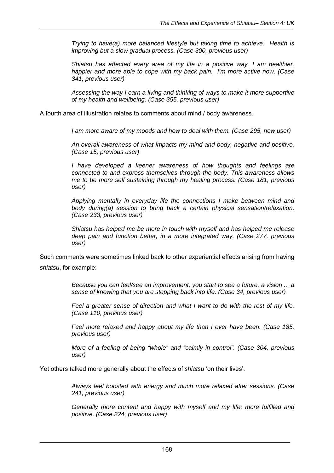*Trying to have(a) more balanced lifestyle but taking time to achieve. Health is improving but a slow gradual process. (Case 300, previous user)* 

*Shiatsu has affected every area of my life in a positive way. I am healthier, happier and more able to cope with my back pain. I'm more active now. (Case 341, previous user)* 

*Assessing the way I earn a living and thinking of ways to make it more supportive of my health and wellbeing. (Case 355, previous user)* 

A fourth area of illustration relates to comments about mind / body awareness.

*I am more aware of my moods and how to deal with them. (Case 295, new user)* 

*An overall awareness of what impacts my mind and body, negative and positive. (Case 15, previous user)* 

*I have developed a keener awareness of how thoughts and feelings are connected to and express themselves through the body. This awareness allows me to be more self sustaining through my healing process. (Case 181, previous user)* 

*Applying mentally in everyday life the connections I make between mind and body during(a) session to bring back a certain physical sensation/relaxation. (Case 233, previous user)* 

*Shiatsu has helped me be more in touch with myself and has helped me release deep pain and function better, in a more integrated way. (Case 277, previous user)* 

Such comments were sometimes linked back to other experiential effects arising from having *shiatsu*, for example:

> *Because you can feel/see an improvement, you start to see a future, a vision ... a sense of knowing that you are stepping back into life. (Case 34, previous user)*

> *Feel a greater sense of direction and what I want to do with the rest of my life. (Case 110, previous user)*

> *Feel more relaxed and happy about my life than I ever have been. (Case 185, previous user)*

> *More of a feeling of being "whole" and "calmly in control". (Case 304, previous user)*

Yet others talked more generally about the effects of *shiatsu* 'on their lives'.

*Always feel boosted with energy and much more relaxed after sessions. (Case 241, previous user)* 

*Generally more content and happy with myself and my life; more fulfilled and positive. (Case 224, previous user)*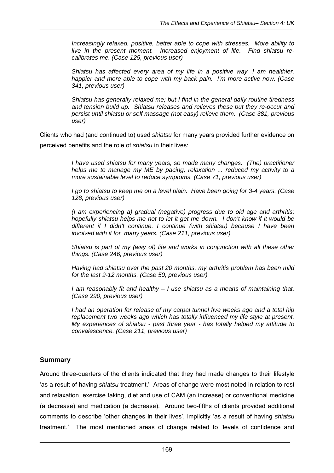*Increasingly relaxed, positive, better able to cope with stresses. More ability to live in the present moment. Increased enjoyment of life. Find shiatsu recalibrates me. (Case 125, previous user)* 

*Shiatsu has affected every area of my life in a positive way. I am healthier, happier and more able to cope with my back pain. I'm more active now. (Case 341, previous user)* 

*Shiatsu has generally relaxed me; but I find in the general daily routine tiredness and tension build up. Shiatsu releases and relieves these but they re-occur and persist until shiatsu or self massage (not easy) relieve them. (Case 381, previous user)* 

Clients who had (and continued to) used *shiatsu* for many years provided further evidence on perceived benefits and the role of *shiatsu* in their lives:

> *I have used shiatsu for many years, so made many changes. (The) practitioner helps me to manage my ME by pacing, relaxation ... reduced my activity to a more sustainable level to reduce symptoms. (Case 71, previous user)*

> *I go to shiatsu to keep me on a level plain. Have been going for 3-4 years. (Case 128, previous user)*

> *(I am experiencing a) gradual (negative) progress due to old age and arthritis; hopefully shiatsu helps me not to let it get me down. I don't know if it would be different if I didn't continue. I continue (with shiatsu) because I have been involved with it for many years. (Case 211, previous user)*

> *Shiatsu is part of my (way of) life and works in conjunction with all these other things. (Case 246, previous user)*

> *Having had shiatsu over the past 20 months, my arthritis problem has been mild for the last 9-12 months. (Case 50, previous user)*

> *I am reasonably fit and healthy – I use shiatsu as a means of maintaining that. (Case 290, previous user)*

> *I had an operation for release of my carpal tunnel five weeks ago and a total hip replacement two weeks ago which has totally influenced my life style at present. My experiences of shiatsu - past three year - has totally helped my attitude to convalescence. (Case 211, previous user)*

#### **Summary**

Around three-quarters of the clients indicated that they had made changes to their lifestyle 'as a result of having *shiatsu* treatment.' Areas of change were most noted in relation to rest and relaxation, exercise taking, diet and use of CAM (an increase) or conventional medicine (a decrease) and medication (a decrease). Around two-fifths of clients provided additional comments to describe 'other changes in their lives', implicitly 'as a result of having *shiatsu* treatment.' The most mentioned areas of change related to 'levels of confidence and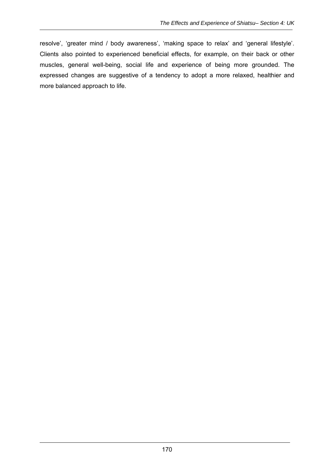resolve', 'greater mind / body awareness', 'making space to relax' and 'general lifestyle'. Clients also pointed to experienced beneficial effects, for example, on their back or other muscles, general well-being, social life and experience of being more grounded. The expressed changes are suggestive of a tendency to adopt a more relaxed, healthier and more balanced approach to life.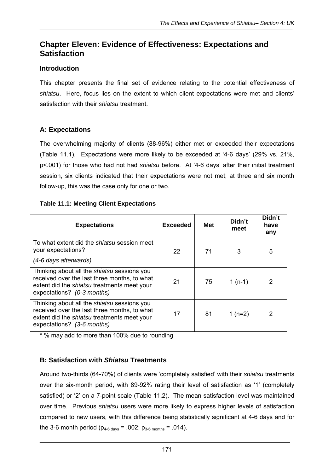# **Chapter Eleven: Evidence of Effectiveness: Expectations and Satisfaction**

#### **Introduction**

This chapter presents the final set of evidence relating to the potential effectiveness of *shiatsu*. Here, focus lies on the extent to which client expectations were met and clients' satisfaction with their *shiatsu* treatment.

# **A: Expectations**

The overwhelming majority of clients (88-96%) either met or exceeded their expectations (Table 11.1). Expectations were more likely to be exceeded at '4-6 days' (29% vs. 21%, p<.001) for those who had not had *shiatsu* before. At '4-6 days' after their initial treatment session, six clients indicated that their expectations were not met; at three and six month follow-up, this was the case only for one or two.

#### **Table 11.1: Meeting Client Expectations**

| <b>Expectations</b>                                                                                                                                                             | <b>Exceeded</b> | <b>Met</b> | Didn't<br>meet | Didn't<br>have<br>any |
|---------------------------------------------------------------------------------------------------------------------------------------------------------------------------------|-----------------|------------|----------------|-----------------------|
| To what extent did the shiatsu session meet<br>your expectations?<br>(4-6 days afterwards)                                                                                      | 22              | 71         | 3              | 5                     |
| Thinking about all the shiatsu sessions you<br>received over the last three months, to what<br>extent did the shiatsu treatments meet your<br>expectations? (0-3 months)        | 21              | 75         | $1(n-1)$       | 2                     |
| Thinking about all the <i>shiatsu</i> sessions you<br>received over the last three months, to what<br>extent did the shiatsu treatments meet your<br>expectations? (3-6 months) | 17              | 81         | 1 $(n=2)$      | 2                     |

\* % may add to more than 100% due to rounding

# **B: Satisfaction with** *Shiatsu* **Treatments**

Around two-thirds (64-70%) of clients were 'completely satisfied' with their *shiatsu* treatments over the six-month period, with 89-92% rating their level of satisfaction as '1' (completely satisfied) or '2' on a 7-point scale (Table 11.2). The mean satisfaction level was maintained over time. Previous *shiatsu* users were more likely to express higher levels of satisfaction compared to new users, with this difference being statistically significant at 4-6 days and for the 3-6 month period ( $p_{4-6 \text{ days}} = .002$ ;  $p_{3-6 \text{ months}} = .014$ ).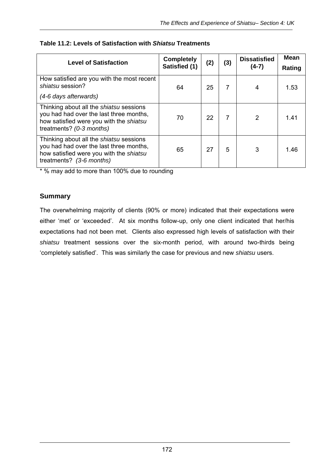| <b>Level of Satisfaction</b>                                                                                                                                     | <b>Completely</b><br>Satisfied (1) | (2) | (3) | <b>Dissatisfied</b><br>$(4-7)$ | <b>Mean</b><br>Rating |
|------------------------------------------------------------------------------------------------------------------------------------------------------------------|------------------------------------|-----|-----|--------------------------------|-----------------------|
| How satisfied are you with the most recent<br>shiatsu session?<br>(4-6 days afterwards)                                                                          | 64                                 | 25  | 7   |                                | 1.53                  |
| Thinking about all the <i>shiatsu</i> sessions<br>you had had over the last three months,<br>how satisfied were you with the shiatsu<br>treatments? (0-3 months) | 70                                 | 22  | 7   | $\mathcal{P}$                  | 1.41                  |
| Thinking about all the shiatsu sessions<br>you had had over the last three months,<br>how satisfied were you with the shiatsu<br>treatments? (3-6 months)        | 65                                 | 27  | 5   | 3                              | 1.46                  |

## **Table 11.2: Levels of Satisfaction with** *Shiatsu* **Treatments**

\* % may add to more than 100% due to rounding

## **Summary**

The overwhelming majority of clients (90% or more) indicated that their expectations were either 'met' or 'exceeded'. At six months follow-up, only one client indicated that her/his expectations had not been met. Clients also expressed high levels of satisfaction with their *shiatsu* treatment sessions over the six-month period, with around two-thirds being 'completely satisfied'. This was similarly the case for previous and new *shiatsu* users.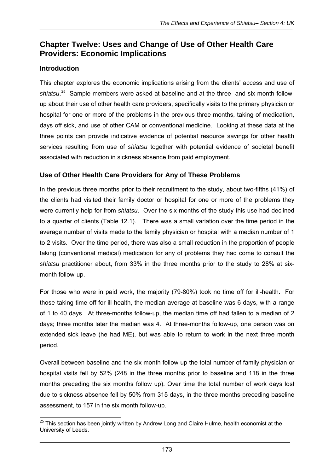# **Chapter Twelve: Uses and Change of Use of Other Health Care Providers: Economic Implications**

## **Introduction**

This chapter explores the economic implications arising from the clients' access and use of shiatsu.<sup>25</sup> Sample members were asked at baseline and at the three- and six-month followup about their use of other health care providers, specifically visits to the primary physician or hospital for one or more of the problems in the previous three months, taking of medication, days off sick, and use of other CAM or conventional medicine. Looking at these data at the three points can provide indicative evidence of potential resource savings for other health services resulting from use of *shiatsu* together with potential evidence of societal benefit associated with reduction in sickness absence from paid employment.

## **Use of Other Health Care Providers for Any of These Problems**

In the previous three months prior to their recruitment to the study, about two-fifths (41%) of the clients had visited their family doctor or hospital for one or more of the problems they were currently help for from *shiatsu*. Over the six-months of the study this use had declined to a quarter of clients (Table 12.1). There was a small variation over the time period in the average number of visits made to the family physician or hospital with a median number of 1 to 2 visits. Over the time period, there was also a small reduction in the proportion of people taking (conventional medical) medication for any of problems they had come to consult the *shiatsu* practitioner about, from 33% in the three months prior to the study to 28% at sixmonth follow-up.

For those who were in paid work, the majority (79-80%) took no time off for ill-health. For those taking time off for ill-health, the median average at baseline was 6 days, with a range of 1 to 40 days. At three-months follow-up, the median time off had fallen to a median of 2 days; three months later the median was 4. At three-months follow-up, one person was on extended sick leave (he had ME), but was able to return to work in the next three month period.

Overall between baseline and the six month follow up the total number of family physician or hospital visits fell by 52% (248 in the three months prior to baseline and 118 in the three months preceding the six months follow up). Over time the total number of work days lost due to sickness absence fell by 50% from 315 days, in the three months preceding baseline assessment, to 157 in the six month follow-up.

  $^{25}$  This section has been jointly written by Andrew Long and Claire Hulme, health economist at the University of Leeds.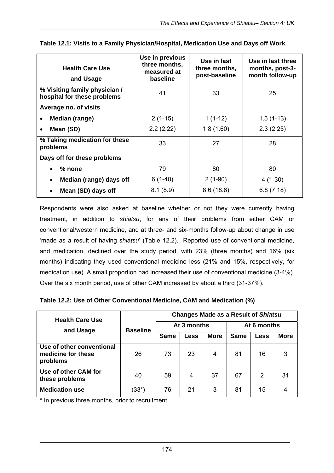| <b>Health Care Use</b><br>and Usage                          | Use in previous<br>three months,<br>measured at<br>baseline | Use in last<br>three months,<br>post-baseline | Use in last three<br>months, post-3-<br>month follow-up |
|--------------------------------------------------------------|-------------------------------------------------------------|-----------------------------------------------|---------------------------------------------------------|
| % Visiting family physician /<br>hospital for these problems | 41                                                          | 33                                            | 25                                                      |
| Average no. of visits                                        |                                                             |                                               |                                                         |
| Median (range)                                               | $2(1-15)$                                                   | $1(1-12)$                                     | $1.5(1-13)$                                             |
| Mean (SD)<br>$\bullet$                                       | 2.2(2.22)                                                   | 1.8(1.60)                                     | 2.3(2.25)                                               |
| % Taking medication for these<br>problems                    | 33                                                          | 27                                            | 28                                                      |
| Days off for these problems                                  |                                                             |                                               |                                                         |
| $%$ none                                                     | 79                                                          | 80                                            | 80                                                      |
| Median (range) days off<br>$\bullet$                         | $6(1-40)$                                                   | $2(1-90)$                                     | $4(1-30)$                                               |
| Mean (SD) days off                                           | 8.1(8.9)                                                    | 8.6(18.6)                                     | 6.8(7.18)                                               |

| Table 12.1: Visits to a Family Physician/Hospital, Medication Use and Days off Work |  |  |  |
|-------------------------------------------------------------------------------------|--|--|--|
|                                                                                     |  |  |  |

Respondents were also asked at baseline whether or not they were currently having treatment, in addition to *shiatsu*, for any of their problems from either CAM or conventional/western medicine, and at three- and six-months follow-up about change in use 'made as a result of having *shiatsu*' (Table 12.2). Reported use of conventional medicine, and medication, declined over the study period, with 23% (three months) and 16% (six months) indicating they used conventional medicine less (21% and 15%, respectively, for medication use). A small proportion had increased their use of conventional medicine (3-4%). Over the six month period, use of other CAM increased by about a third (31-37%).

**Table 12.2: Use of Other Conventional Medicine, CAM and Medication (%)** 

| <b>Health Care Use</b>                                      |                 | <b>Changes Made as a Result of Shiatsu</b> |             |             |             |                |             |  |
|-------------------------------------------------------------|-----------------|--------------------------------------------|-------------|-------------|-------------|----------------|-------------|--|
| and Usage                                                   | <b>Baseline</b> |                                            | At 3 months |             | At 6 months |                |             |  |
|                                                             |                 | <b>Same</b>                                | Less        | <b>More</b> | <b>Same</b> | Less           | <b>More</b> |  |
| Use of other conventional<br>medicine for these<br>problems | 26              | 73                                         | 23          | 4           | 81          | 16             | 3           |  |
| Use of other CAM for<br>these problems                      | 40              | 59                                         | 4           | 37          | 67          | $\overline{2}$ | 31          |  |
| <b>Medication use</b>                                       | (33*)           | 76                                         | 21          | 3           | 81          | 15             |             |  |

\* In previous three months, prior to recruitment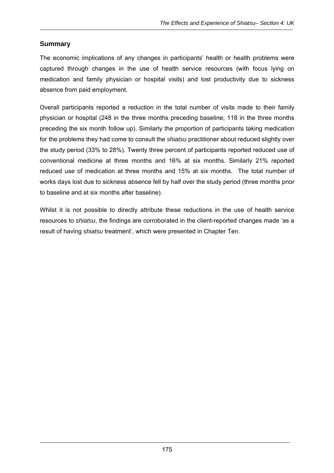# **Summary**

The economic implications of any changes in participants' health or health problems were captured through changes in the use of health service resources (with focus lying on medication and family physician or hospital visits) and lost productivity due to sickness absence from paid employment.

Overall participants reported a reduction in the total number of visits made to their family physician or hospital (248 in the three months preceding baseline; 118 in the three months preceding the six month follow up). Similarly the proportion of participants taking medication for the problems they had come to consult the *shiatsu* practitioner about reduced slightly over the study period (33% to 28%). Twenty three percent of participants reported reduced use of conventional medicine at three months and 16% at six months. Similarly 21% reported reduced use of medication at three months and 15% at six months. The total number of works days lost due to sickness absence fell by half over the study period (three months prior to baseline and at six months after baseline).

Whilst it is not possible to directly attribute these reductions in the use of health service resources to *shiatsu*, the findings are corroborated in the client-reported changes made 'as a result of having *shiatsu* treatment', which were presented in Chapter Ten.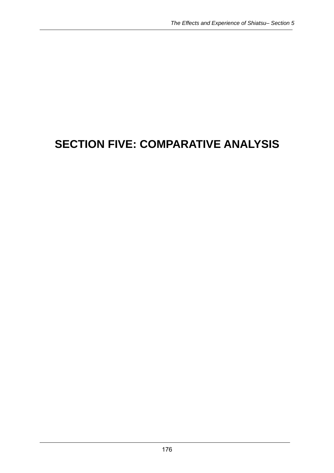# **SECTION FIVE: COMPARATIVE ANALYSIS**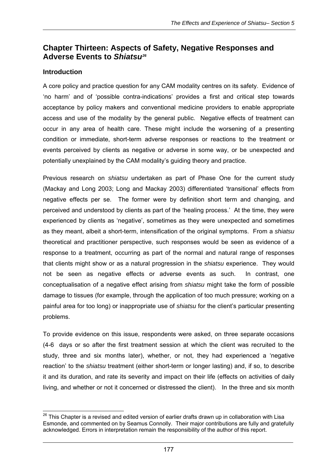# **Chapter Thirteen: Aspects of Safety, Negative Responses and Adverse Events to** *Shiatsu26*

## **Introduction**

A core policy and practice question for any CAM modality centres on its safety. Evidence of 'no harm' and of 'possible contra-indications' provides a first and critical step towards acceptance by policy makers and conventional medicine providers to enable appropriate access and use of the modality by the general public. Negative effects of treatment can occur in any area of health care. These might include the worsening of a presenting condition or immediate, short-term adverse responses or reactions to the treatment or events perceived by clients as negative or adverse in some way, or be unexpected and potentially unexplained by the CAM modality's guiding theory and practice.

Previous research on *shiatsu* undertaken as part of Phase One for the current study (Mackay and Long 2003; Long and Mackay 2003) differentiated 'transitional' effects from negative effects per se. The former were by definition short term and changing, and perceived and understood by clients as part of the 'healing process.' At the time, they were experienced by clients as 'negative', sometimes as they were unexpected and sometimes as they meant, albeit a short-term, intensification of the original symptoms. From a *shiatsu*  theoretical and practitioner perspective, such responses would be seen as evidence of a response to a treatment, occurring as part of the normal and natural range of responses that clients might show or as a natural progression in the *shiatsu* experience. They would not be seen as negative effects or adverse events as such. In contrast, one conceptualisation of a negative effect arising from *shiatsu* might take the form of possible damage to tissues (for example, through the application of too much pressure; working on a painful area for too long) or inappropriate use of *shiatsu* for the client's particular presenting problems.

To provide evidence on this issue, respondents were asked, on three separate occasions (4-6 days or so after the first treatment session at which the client was recruited to the study, three and six months later), whether, or not, they had experienced a 'negative reaction' to the *shiatsu* treatment (either short-term or longer lasting) and, if so, to describe it and its duration, and rate its severity and impact on their life (effects on activities of daily living, and whether or not it concerned or distressed the client). In the three and six month

  $^{26}$  This Chapter is a revised and edited version of earlier drafts drawn up in collaboration with Lisa Esmonde, and commented on by Seamus Connolly. Their major contributions are fully and gratefully acknowledged. Errors in interpretation remain the responsibility of the author of this report.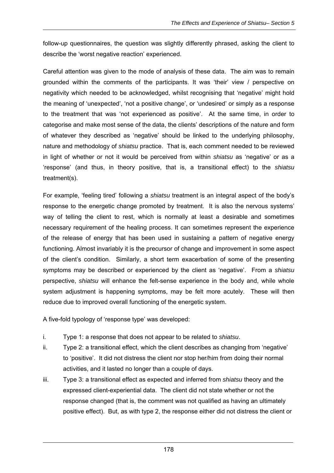follow-up questionnaires, the question was slightly differently phrased, asking the client to describe the 'worst negative reaction' experienced.

Careful attention was given to the mode of analysis of these data. The aim was to remain grounded within the comments of the participants. It was 'their' view / perspective on negativity which needed to be acknowledged, whilst recognising that 'negative' might hold the meaning of 'unexpected', 'not a positive change', or 'undesired' or simply as a response to the treatment that was 'not experienced as positive'. At the same time, in order to categorise and make most sense of the data, the clients' descriptions of the nature and form of whatever they described as 'negative' should be linked to the underlying philosophy, nature and methodology of *shiatsu* practice. That is, each comment needed to be reviewed in light of whether or not it would be perceived from within *shiatsu* as 'negative' or as a 'response' (and thus, in theory positive, that is, a transitional effect) to the *shiatsu* treatment(s).

For example, 'feeling tired' following a *shiatsu* treatment is an integral aspect of the body's response to the energetic change promoted by treatment. It is also the nervous systems' way of telling the client to rest, which is normally at least a desirable and sometimes necessary requirement of the healing process. It can sometimes represent the experience of the release of energy that has been used in sustaining a pattern of negative energy functioning. Almost invariably it is the precursor of change and improvement in some aspect of the client's condition. Similarly, a short term exacerbation of some of the presenting symptoms may be described or experienced by the client as 'negative'. From a *shiatsu* perspective, *shiatsu* will enhance the felt-sense experience in the body and, while whole system adjustment is happening symptoms, may be felt more acutely. These will then reduce due to improved overall functioning of the energetic system.

A five-fold typology of 'response type' was developed:

- i. Type 1: a response that does not appear to be related to *shiatsu*.
- ii. Type 2: a transitional effect, which the client describes as changing from 'negative' to 'positive'. It did not distress the client nor stop her/him from doing their normal activities, and it lasted no longer than a couple of days.
- iii. Type 3: a transitional effect as expected and inferred from *shiatsu* theory and the expressed client-experiential data. The client did not state whether or not the response changed (that is, the comment was not qualified as having an ultimately positive effect). But, as with type 2, the response either did not distress the client or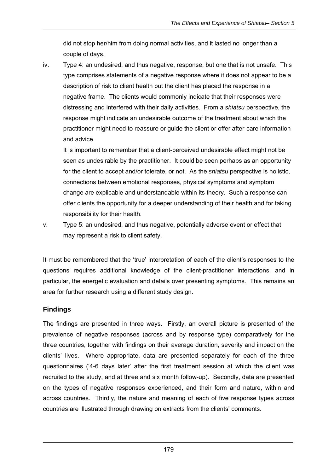did not stop her/him from doing normal activities, and it lasted no longer than a couple of days.

iv. Type 4: an undesired, and thus negative, response, but one that is not unsafe. This type comprises statements of a negative response where it does not appear to be a description of risk to client health but the client has placed the response in a negative frame. The clients would commonly indicate that their responses were distressing and interfered with their daily activities. From a *shiatsu* perspective, the response might indicate an undesirable outcome of the treatment about which the practitioner might need to reassure or guide the client or offer after-care information and advice.

It is important to remember that a client-perceived undesirable effect might not be seen as undesirable by the practitioner. It could be seen perhaps as an opportunity for the client to accept and/or tolerate, or not. As the *shiatsu* perspective is holistic, connections between emotional responses, physical symptoms and symptom change are explicable and understandable within its theory. Such a response can offer clients the opportunity for a deeper understanding of their health and for taking responsibility for their health.

v. Type 5: an undesired, and thus negative, potentially adverse event or effect that may represent a risk to client safety.

It must be remembered that the 'true' interpretation of each of the client's responses to the questions requires additional knowledge of the client-practitioner interactions, and in particular, the energetic evaluation and details over presenting symptoms. This remains an area for further research using a different study design.

# **Findings**

The findings are presented in three ways. Firstly, an overall picture is presented of the prevalence of negative responses (across and by response type) comparatively for the three countries, together with findings on their average duration, severity and impact on the clients' lives. Where appropriate, data are presented separately for each of the three questionnaires ('4-6 days later' after the first treatment session at which the client was recruited to the study, and at three and six month follow-up). Secondly, data are presented on the types of negative responses experienced, and their form and nature, within and across countries. Thirdly, the nature and meaning of each of five response types across countries are illustrated through drawing on extracts from the clients' comments.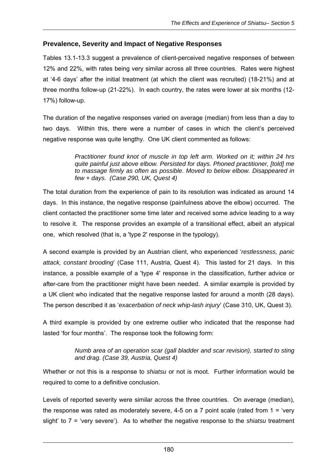#### **Prevalence, Severity and Impact of Negative Responses**

Tables 13.1-13.3 suggest a prevalence of client-perceived negative responses of between 12% and 22%, with rates being very similar across all three countries. Rates were highest at '4-6 days' after the initial treatment (at which the client was recruited) (18-21%) and at three months follow-up (21-22%). In each country, the rates were lower at six months (12- 17%) follow-up.

The duration of the negative responses varied on average (median) from less than a day to two days. Within this, there were a number of cases in which the client's perceived negative response was quite lengthy. One UK client commented as follows:

> *Practitioner found knot of muscle in top left arm. Worked on it; within 24 hrs quite painful just above elbow. Persisted for days. Phoned practitioner, [told] me to massage firmly as often as possible. Moved to below elbow. Disappeared in few + days. (Case 290, UK, Quest 4)*

The total duration from the experience of pain to its resolution was indicated as around 14 days. In this instance, the negative response (painfulness above the elbow) occurred. The client contacted the practitioner some time later and received some advice leading to a way to resolve it. The response provides an example of a transitional effect, albeit an atypical one, which resolved (that is, a 'type 2' response in the typology).

A second example is provided by an Austrian client, who experienced '*restlessness, panic attack, constant brooding*' (Case 111, Austria, Quest 4). This lasted for 21 days. In this instance, a possible example of a 'type 4' response in the classification, further advice or after-care from the practitioner might have been needed. A similar example is provided by a UK client who indicated that the negative response lasted for around a month (28 days). The person described it as '*exacerbation of neck whip-lash injury*' (Case 310, UK, Quest 3).

A third example is provided by one extreme outlier who indicated that the response had lasted 'for four months'. The response took the following form:

#### *Numb area of an operation scar (gall bladder and scar revision), started to sting and drag. (Case 39, Austria, Quest 4)*

Whether or not this is a response to *shiatsu* or not is moot. Further information would be required to come to a definitive conclusion.

Levels of reported severity were similar across the three countries. On average (median), the response was rated as moderately severe, 4-5 on a 7 point scale (rated from  $1 = 'very'$ slight' to 7 = 'very severe'). As to whether the negative response to the *shiatsu* treatment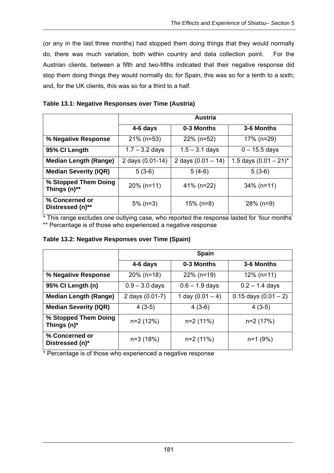(or any in the last three months) had stopped them doing things that they would normally do, there was much variation, both within country and data collection point. For the Austrian clients, between a fifth and two-fifths indicated that their negative response did stop them doing things they would normally do; for Spain, this was so for a tenth to a sixth; and, for the UK clients, this was so for a third to a half.

|  | Table 13.1: Negative Responses over Time (Austria) |  |  |
|--|----------------------------------------------------|--|--|
|  |                                                    |  |  |

|                                      | Austria          |                      |                          |
|--------------------------------------|------------------|----------------------|--------------------------|
|                                      | 4-6 days         | 0-3 Months           | 3-6 Months               |
| % Negative Response                  | $21\%$ (n=53)    | $22\%$ (n=52)        | 17% (n=29)               |
| 95% CI Length                        | $1.7 - 3.2$ days | $1.5 - 3.1$ days     | $0 - 15.5$ days          |
| <b>Median Length (Range)</b>         | 2 days (0.01-14) | 2 days $(0.01 - 14)$ | 1.5 days $(0.01 - 21)^*$ |
| <b>Median Severity (IQR)</b>         | $5(3-6)$         | $5(4-6)$             | $5(3-6)$                 |
| % Stopped Them Doing<br>Things (n)** | $20\%$ (n=11)    | 41% (n=22)           | $34\%$ (n=11)            |
| % Concerned or<br>Distressed (n)**   | $5\%$ (n=3)      | $15\%$ (n=8)         | $28\%$ (n=9)             |

\* This range excludes one outlying case, who reported the response lasted for 'four months' \*\* Percentage is of those who experienced a negative response

|                                     | <b>Spain</b>                          |                  |                          |
|-------------------------------------|---------------------------------------|------------------|--------------------------|
|                                     | 4-6 days                              | 0-3 Months       | 3-6 Months               |
| % Negative Response                 | $20\%$ (n=18)                         | $22\%$ (n=19)    | $12\%$ (n=11)            |
| 95% CI Length (n)                   | $0.9 - 3.0$ days                      | $0.6 - 1.9$ days |                          |
| <b>Median Length (Range)</b>        | 1 day $(0.01 - 4)$<br>2 days (0.01-7) |                  | $0.15$ days $(0.01 - 2)$ |
| <b>Median Severity (IQR)</b>        | $4(3-5)$                              | $4(3-6)$         | $4(3-5)$                 |
| % Stopped Them Doing<br>Things (n)* | $n=2(12%)$                            | n=2 (11%)        | n=2 (17%)                |
| % Concerned or<br>Distressed (n)*   | n=3 (18%)                             | $n=2(11%)$       | $n=1$ (9%)               |

\* Percentage is of those who experienced a negative response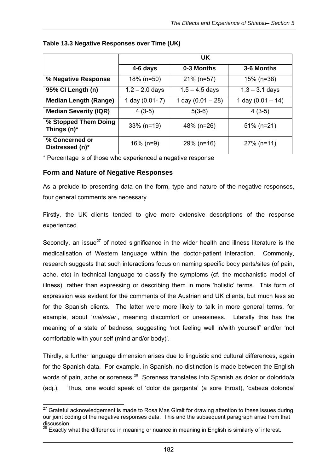|                                        | UK.              |                     |                     |
|----------------------------------------|------------------|---------------------|---------------------|
|                                        | 4-6 days         | 0-3 Months          | 3-6 Months          |
| % Negative Response                    | $18\%$ (n=50)    | $21\%$ (n=57)       | 15% (n=38)          |
| 95% CI Length (n)                      | $1.2 - 2.0$ days | $1.5 - 4.5$ days    | $1.3 - 3.1$ days    |
| <b>Median Length (Range)</b>           | 1 day (0.01-7)   | 1 day $(0.01 - 28)$ | 1 day $(0.01 - 14)$ |
| <b>Median Severity (IQR)</b>           | $4(3-5)$         | $5(3-6)$            | $4(3-5)$            |
| % Stopped Them Doing<br>Things $(n)^*$ | $33\%$ (n=19)    | 48% (n=26)          | $51\%$ (n=21)       |
| % Concerned or<br>Distressed (n)*      | $16\%$ (n=9)     | $29\%$ (n=16)       | $27\%$ (n=11)       |

#### **Table 13.3 Negative Responses over Time (UK)**

\* Percentage is of those who experienced a negative response

#### **Form and Nature of Negative Responses**

As a prelude to presenting data on the form, type and nature of the negative responses, four general comments are necessary.

Firstly, the UK clients tended to give more extensive descriptions of the response experienced.

Secondly, an issue $^{27}$  of noted significance in the wider health and illness literature is the medicalisation of Western language within the doctor-patient interaction. Commonly, research suggests that such interactions focus on naming specific body parts/sites (of pain, ache, etc) in technical language to classify the symptoms (cf. the mechanistic model of illness), rather than expressing or describing them in more 'holistic' terms. This form of expression was evident for the comments of the Austrian and UK clients, but much less so for the Spanish clients. The latter were more likely to talk in more general terms, for example, about '*malestar*', meaning discomfort or uneasiness. Literally this has the meaning of a state of badness, suggesting 'not feeling well in/with yourself' and/or 'not comfortable with your self (mind and/or body)'.

Thirdly, a further language dimension arises due to linguistic and cultural differences, again for the Spanish data. For example, in Spanish, no distinction is made between the English words of pain, ache or soreness.<sup>28</sup> Soreness translates into Spanish as dolor or dolorido/a (adj.). Thus, one would speak of 'dolor de garganta' (a sore throat), 'cabeza dolorida'

 $\overline{a}$  $27$  Grateful acknowledgement is made to Rosa Mas Giralt for drawing attention to these issues during our joint coding of the negative responses data. This and the subsequent paragraph arise from that discussion.

 $28$  Exactly what the difference in meaning or nuance in meaning in English is similarly of interest.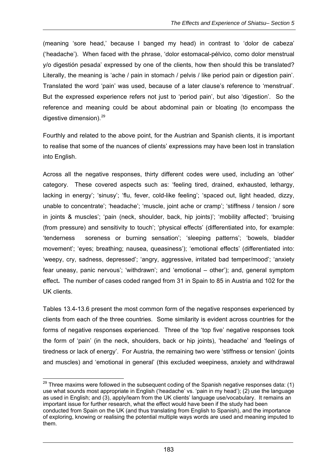(meaning 'sore head,' because I banged my head) in contrast to 'dolor de cabeza' ('headache'). When faced with the phrase, 'dolor estomacal-pélvico, como dolor menstrual y/o digestión pesada' expressed by one of the clients, how then should this be translated? Literally, the meaning is 'ache / pain in stomach / pelvis / like period pain or digestion pain'. Translated the word 'pain' was used, because of a later clause's reference to 'menstrual'. But the expressed experience refers not just to 'period pain', but also 'digestion'. So the reference and meaning could be about abdominal pain or bloating (to encompass the digestive dimension). $^{29}$ 

Fourthly and related to the above point, for the Austrian and Spanish clients, it is important to realise that some of the nuances of clients' expressions may have been lost in translation into English.

Across all the negative responses, thirty different codes were used, including an 'other' category. These covered aspects such as: 'feeling tired, drained, exhausted, lethargy, lacking in energy'; 'sinusy'; 'flu, fever, cold-like feeling'; 'spaced out, light headed, dizzy, unable to concentrate'; 'headache'; 'muscle, joint ache or cramp'; 'stiffness / tension / sore in joints & muscles'; 'pain (neck, shoulder, back, hip joints)'; 'mobility affected'; 'bruising (from pressure) and sensitivity to touch'; 'physical effects' (differentiated into, for example: 'tenderness soreness or burning sensation'; 'sleeping patterns'; 'bowels, bladder movement'; 'eyes; breathing; nausea, queasiness'); 'emotional effects' (differentiated into: 'weepy, cry, sadness, depressed'; 'angry, aggressive, irritated bad temper/mood'; 'anxiety fear uneasy, panic nervous'; 'withdrawn'; and 'emotional – other'); and, general symptom effect**.** The number of cases coded ranged from 31 in Spain to 85 in Austria and 102 for the UK clients.

Tables 13.4-13.6 present the most common form of the negative responses experienced by clients from each of the three countries. Some similarity is evident across countries for the forms of negative responses experienced. Three of the 'top five' negative responses took the form of 'pain' (in the neck, shoulders, back or hip joints), 'headache' and 'feelings of tiredness or lack of energy'. For Austria, the remaining two were 'stiffness or tension' (joints and muscles) and 'emotional in general' (this excluded weepiness, anxiety and withdrawal

 $^{29}$  Three maxims were followed in the subsequent coding of the Spanish negative responses data: (1) use what sounds most appropriate in English ('headache' vs. 'pain in my head'); (2) use the language as used in English; and (3), apply/learn from the UK clients' language use/vocabulary. It remains an important issue for further research, what the effect would have been if the study had been conducted from Spain on the UK (and thus translating from English to Spanish), and the importance of exploring, knowing or realising the potential multiple ways words are used and meaning imputed to them.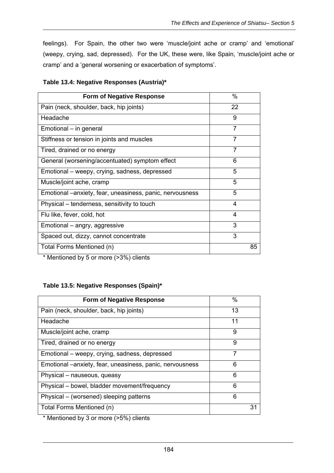feelings). For Spain, the other two were 'muscle/joint ache or cramp' and 'emotional' (weepy, crying, sad, depressed). For the UK, these were, like Spain, 'muscle/joint ache or cramp' and a 'general worsening or exacerbation of symptoms'.

| <b>Form of Negative Response</b>                         | $\%$ |
|----------------------------------------------------------|------|
| Pain (neck, shoulder, back, hip joints)                  | 22   |
| Headache                                                 | 9    |
| Emotional – in general                                   | 7    |
| Stiffness or tension in joints and muscles               | 7    |
| Tired, drained or no energy                              | 7    |
| General (worsening/accentuated) symptom effect           | 6    |
| Emotional – weepy, crying, sadness, depressed            | 5    |
| Muscle/joint ache, cramp                                 | 5    |
| Emotional -anxiety, fear, uneasiness, panic, nervousness | 5    |
| Physical – tenderness, sensitivity to touch              | 4    |
| Flu like, fever, cold, hot                               | 4    |
| Emotional – angry, aggressive                            | 3    |
| Spaced out, dizzy, cannot concentrate                    | 3    |
| Total Forms Mentioned (n)                                | 85   |

|  | Table 13.4: Negative Responses (Austria)* |  |
|--|-------------------------------------------|--|
|--|-------------------------------------------|--|

\* Mentioned by 5 or more (>3%) clients

#### **Table 13.5: Negative Responses (Spain)\***

| <b>Form of Negative Response</b>                         | $\%$ |
|----------------------------------------------------------|------|
| Pain (neck, shoulder, back, hip joints)                  | 13   |
| Headache                                                 | 11   |
| Muscle/joint ache, cramp                                 | 9    |
| Tired, drained or no energy                              | 9    |
| Emotional – weepy, crying, sadness, depressed            | 7    |
| Emotional -anxiety, fear, uneasiness, panic, nervousness | 6    |
| Physical – nauseous, queasy                              | 6    |
| Physical - bowel, bladder movement/frequency             | 6    |
| Physical – (worsened) sleeping patterns                  | 6    |
| Total Forms Mentioned (n)                                | 31   |

\* Mentioned by 3 or more (>5%) clients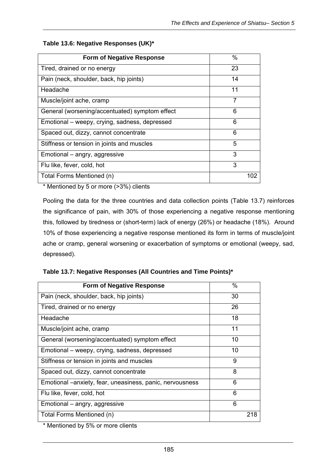| <b>Form of Negative Response</b>               | %   |
|------------------------------------------------|-----|
| Tired, drained or no energy                    | 23  |
| Pain (neck, shoulder, back, hip joints)        | 14  |
| Headache                                       | 11  |
| Muscle/joint ache, cramp                       | 7   |
| General (worsening/accentuated) symptom effect | 6   |
| Emotional – weepy, crying, sadness, depressed  | 6   |
| Spaced out, dizzy, cannot concentrate          | 6   |
| Stiffness or tension in joints and muscles     | 5   |
| Emotional – angry, aggressive                  | 3   |
| Flu like, fever, cold, hot                     | 3   |
| Total Forms Mentioned (n)                      | 102 |

#### **Table 13.6: Negative Responses (UK)\***

\* Mentioned by 5 or more (>3%) clients

Pooling the data for the three countries and data collection points (Table 13.7) reinforces the significance of pain, with 30% of those experiencing a negative response mentioning this, followed by tiredness or (short-term) lack of energy (26%) or headache (18%). Around 10% of those experiencing a negative response mentioned its form in terms of muscle/joint ache or cramp, general worsening or exacerbation of symptoms or emotional (weepy, sad, depressed).

| <b>Form of Negative Response</b>                          | $\%$ |
|-----------------------------------------------------------|------|
| Pain (neck, shoulder, back, hip joints)                   | 30   |
| Tired, drained or no energy                               | 26   |
| Headache                                                  | 18   |
| Muscle/joint ache, cramp                                  | 11   |
| General (worsening/accentuated) symptom effect            | 10   |
| Emotional – weepy, crying, sadness, depressed             | 10   |
| Stiffness or tension in joints and muscles                | 9    |
| Spaced out, dizzy, cannot concentrate                     | 8    |
| Emotional – anxiety, fear, uneasiness, panic, nervousness | 6    |
| Flu like, fever, cold, hot                                | 6    |
| Emotional – angry, aggressive                             | 6    |
| Total Forms Mentioned (n)                                 | 218  |

**Table 13.7: Negative Responses (All Countries and Time Points)\*** 

\* Mentioned by 5% or more clients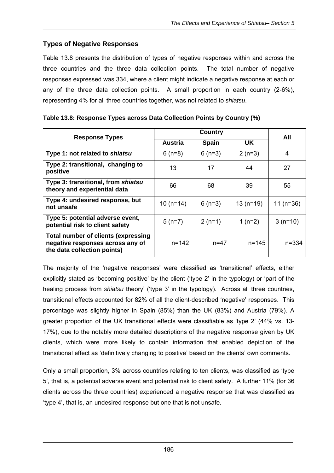# **Types of Negative Responses**

Table 13.8 presents the distribution of types of negative responses within and across the three countries and the three data collection points. The total number of negative responses expressed was 334, where a client might indicate a negative response at each or any of the three data collection points. A small proportion in each country (2-6%), representing 4% for all three countries together, was not related to *shiatsu*.

| <b>Response Types</b>                                                                                  | <b>Country</b> |              |            | All         |
|--------------------------------------------------------------------------------------------------------|----------------|--------------|------------|-------------|
|                                                                                                        | Austria        | <b>Spain</b> | UK         |             |
| Type 1: not related to shiatsu                                                                         | $6(n=8)$       | $6(n=3)$     | $2(n=3)$   | 4           |
| Type 2: transitional, changing to<br>positive                                                          | 13             | 17           | 44         | 27          |
| Type 3: transitional, from shiatsu<br>theory and experiential data                                     | 66             | 68           | 39         | 55          |
| Type 4: undesired response, but<br>not unsafe                                                          | $10(n=14)$     | $6(n=3)$     | $13(n=19)$ | 11 $(n=36)$ |
| Type 5: potential adverse event,<br>potential risk to client safety                                    | $5(n=7)$       | $2(n=1)$     | 1 $(n=2)$  | $3(n=10)$   |
| Total number of clients (expressing<br>negative responses across any of<br>the data collection points) | $n = 142$      | $n = 47$     | $n = 145$  | $n = 334$   |

| Table 13.8: Response Types across Data Collection Points by Country (%) |  |  |
|-------------------------------------------------------------------------|--|--|

The majority of the 'negative responses' were classified as 'transitional' effects, either explicitly stated as 'becoming positive' by the client ('type 2' in the typology) or 'part of the healing process from *shiatsu* theory' ('type 3' in the typology). Across all three countries, transitional effects accounted for 82% of all the client-described 'negative' responses. This percentage was slightly higher in Spain (85%) than the UK (83%) and Austria (79%). A greater proportion of the UK transitional effects were classifiable as 'type 2' (44% vs. 13- 17%), due to the notably more detailed descriptions of the negative response given by UK clients, which were more likely to contain information that enabled depiction of the transitional effect as 'definitively changing to positive' based on the clients' own comments.

Only a small proportion, 3% across countries relating to ten clients, was classified as 'type 5', that is, a potential adverse event and potential risk to client safety. A further 11% (for 36 clients across the three countries) experienced a negative response that was classified as 'type 4', that is, an undesired response but one that is not unsafe.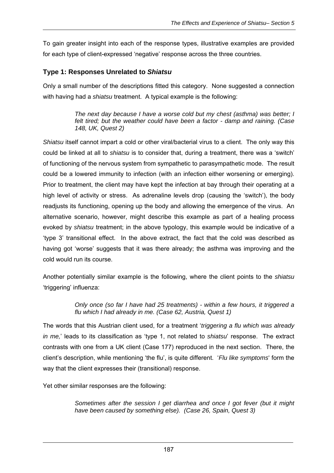To gain greater insight into each of the response types, illustrative examples are provided for each type of client-expressed 'negative' response across the three countries.

#### **Type 1: Responses Unrelated to** *Shiatsu*

Only a small number of the descriptions fitted this category. None suggested a connection with having had a *shiatsu* treatment. A typical example is the following:

> *The next day because I have a worse cold but my chest (asthma) was better; I felt tired; but the weather could have been a factor - damp and raining. (Case 148, UK, Quest 2)*

*Shiatsu* itself cannot impart a cold or other viral/bacterial virus to a client. The only way this could be linked at all to *shiatsu* is to consider that, during a treatment, there was a 'switch' of functioning of the nervous system from sympathetic to parasympathetic mode. The result could be a lowered immunity to infection (with an infection either worsening or emerging). Prior to treatment, the client may have kept the infection at bay through their operating at a high level of activity or stress. As adrenaline levels drop (causing the 'switch'), the body readjusts its functioning, opening up the body and allowing the emergence of the virus. An alternative scenario, however, might describe this example as part of a healing process evoked by *shiatsu* treatment; in the above typology, this example would be indicative of a 'type 3' transitional effect. In the above extract, the fact that the cold was described as having got 'worse' suggests that it was there already; the asthma was improving and the cold would run its course.

Another potentially similar example is the following, where the client points to the *shiatsu* 'triggering' influenza:

> *Only once (so far I have had 25 treatments) - within a few hours, it triggered a flu which I had already in me. (Case 62, Austria, Quest 1)*

The words that this Austrian client used, for a treatment '*triggering a flu which was already in me,*' leads to its classification as 'type 1, not related to *shiatsu*' response. The extract contrasts with one from a UK client (Case 177) reproduced in the next section. There, the client's description, while mentioning 'the flu', is quite different. '*Flu like symptoms*' form the way that the client expresses their (transitional) response.

Yet other similar responses are the following:

*Sometimes after the session I get diarrhea and once I got fever (but it might have been caused by something else). (Case 26, Spain, Quest 3)*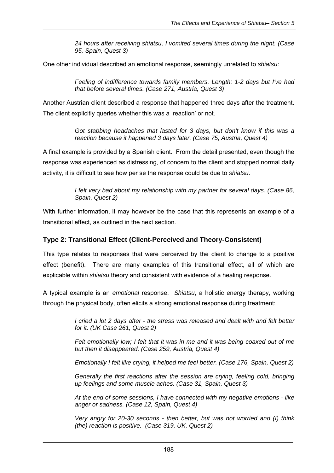*24 hours after receiving shiatsu, I vomited several times during the night. (Case 95, Spain, Quest 3)* 

One other individual described an emotional response, seemingly unrelated to *shiatsu*:

*Feeling of indifference towards family members. Length: 1-2 days but I've had that before several times. (Case 271, Austria, Quest 3)* 

Another Austrian client described a response that happened three days after the treatment. The client explicitly queries whether this was a 'reaction' or not.

> *Got stabbing headaches that lasted for 3 days, but don't know if this was a reaction because it happened 3 days later. (Case 75, Austria, Quest 4)*

A final example is provided by a Spanish client. From the detail presented, even though the response was experienced as distressing, of concern to the client and stopped normal daily activity, it is difficult to see how per se the response could be due to *shiatsu*.

> *I felt very bad about my relationship with my partner for several days. (Case 86, Spain, Quest 2)*

With further information, it may however be the case that this represents an example of a transitional effect, as outlined in the next section.

#### **Type 2: Transitional Effect (Client-Perceived and Theory-Consistent)**

This type relates to responses that were perceived by the client to change to a positive effect (benefit). There are many examples of this transitional effect, all of which are explicable within *shiatsu* theory and consistent with evidence of a healing response.

A typical example is an *emotional* response. *Shiatsu*, a holistic energy therapy, working through the physical body, often elicits a strong emotional response during treatment:

> *I cried a lot 2 days after - the stress was released and dealt with and felt better for it. (UK Case 261, Quest 2)*

> *Felt emotionally low; I felt that it was in me and it was being coaxed out of me but then it disappeared. (Case 259, Austria, Quest 4)*

> *Emotionally I felt like crying, it helped me feel better. (Case 176, Spain, Quest 2)*

*Generally the first reactions after the session are crying, feeling cold, bringing up feelings and some muscle aches. (Case 31, Spain, Quest 3)* 

*At the end of some sessions, I have connected with my negative emotions - like anger or sadness. (Case 12, Spain, Quest 4)* 

*Very angry for 20-30 seconds - then better, but was not worried and (I) think (the) reaction is positive. (Case 319, UK, Quest 2)*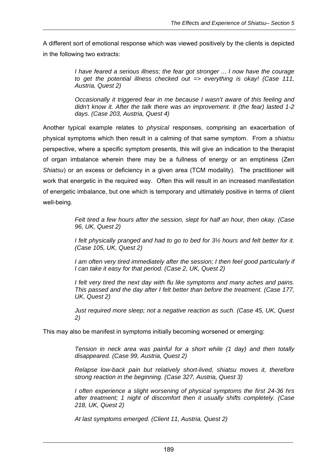A different sort of emotional response which was viewed positively by the clients is depicted in the following two extracts:

> *I have feared a serious illness; the fear got stronger ... I now have the courage to get the potential illness checked out => everything is okay! (Case 111, Austria, Quest 2)*

> *Occasionally it triggered fear in me because I wasn't aware of this feeling and didn't know it. After the talk there was an improvement. It (the fear) lasted 1-2 days. (Case 203, Austria, Quest 4)*

Another typical example relates to *physical* responses, comprising an exacerbation of physical symptoms which then result in a calming of that same symptom. From a *shiatsu* perspective, where a specific symptom presents, this will give an indication to the therapist of organ imbalance wherein there may be a fullness of energy or an emptiness (Zen *Shiatsu*) or an excess or deficiency in a given area (TCM modality). The practitioner will work that energetic in the required way. Often this will result in an increased manifestation of energetic imbalance, but one which is temporary and ultimately positive in terms of client well-being.

> *Felt tired a few hours after the session, slept for half an hour, then okay. (Case 96, UK, Quest 2)*

> *I felt physically pranged and had to go to bed for 3½ hours and felt better for it. (Case 105, UK, Quest 2)*

> *I am often very tired immediately after the session; I then feel good particularly if I can take it easy for that period. (Case 2, UK, Quest 2)*

> *I felt very tired the next day with flu like symptoms and many aches and pains. This passed and the day after I felt better than before the treatment. (Case 177, UK, Quest 2)*

> *Just required more sleep; not a negative reaction as such. (Case 45, UK, Quest 2)*

This may also be manifest in symptoms initially becoming worsened or emerging:

*Tension in neck area was painful for a short while (1 day) and then totally disappeared. (Case 99, Austria, Quest 2)* 

*Relapse low-back pain but relatively short-lived, shiatsu moves it, therefore strong reaction in the beginning. (Case 327, Austria, Quest 3)* 

*I often experience a slight worsening of physical symptoms the first 24-36 hrs after treatment; 1 night of discomfort then it usually shifts completely. (Case 218, UK, Quest 2)* 

*At last symptoms emerged. (Client 11, Austria, Quest 2)*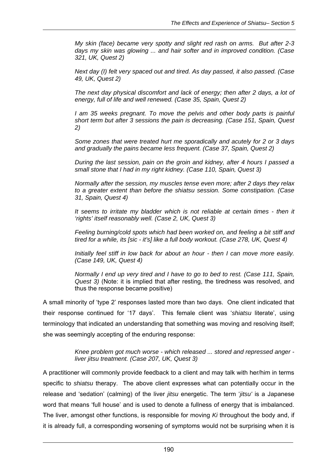*My skin (face) became very spotty and slight red rash on arms. But after 2-3 days my skin was glowing ... and hair softer and in improved condition. (Case 321, UK, Quest 2)* 

*Next day (I) felt very spaced out and tired. As day passed, it also passed. (Case 49, UK, Quest 2)* 

*The next day physical discomfort and lack of energy; then after 2 days, a lot of energy, full of life and well renewed. (Case 35, Spain, Quest 2)* 

*I am 35 weeks pregnant. To move the pelvis and other body parts is painful short term but after 3 sessions the pain is decreasing. (Case 151, Spain, Quest 2)* 

*Some zones that were treated hurt me sporadically and acutely for 2 or 3 days and gradually the pains became less frequent. (Case 37, Spain, Quest 2)* 

*During the last session, pain on the groin and kidney, after 4 hours I passed a small stone that I had in my right kidney. (Case 110, Spain, Quest 3)* 

*Normally after the session, my muscles tense even more; after 2 days they relax to a greater extent than before the shiatsu session. Some constipation. (Case 31, Spain, Quest 4)* 

*It seems to irritate my bladder which is not reliable at certain times - then it 'rights' itself reasonably well. (Case 2, UK, Quest 3)* 

*Feeling burning/cold spots which had been worked on, and feeling a bit stiff and tired for a while, its [sic - it's] like a full body workout. (Case 278, UK, Quest 4)* 

*Initially feel stiff in low back for about an hour - then I can move more easily. (Case 149, UK, Quest 4)* 

*Normally I end up very tired and I have to go to bed to rest. (Case 111, Spain, Quest 3)* (Note: it is implied that after resting, the tiredness was resolved, and thus the response became positive)

A small minority of 'type 2' responses lasted more than two days. One client indicated that their response continued for '17 days'. This female client was '*shiatsu* literate', using terminology that indicated an understanding that something was moving and resolving itself; she was seemingly accepting of the enduring response:

> *Knee problem got much worse - which released ... stored and repressed anger liver jitsu treatment. (Case 207, UK, Quest 3)*

A practitioner will commonly provide feedback to a client and may talk with her/him in terms specific to *shiatsu* therapy. The above client expresses what can potentially occur in the release and 'sedation' (calming) of the liver *jitsu* energetic. The term '*jitsu'* is a Japanese word that means 'full house' and is used to denote a fullness of energy that is imbalanced. The liver, amongst other functions, is responsible for moving *Ki* throughout the body and, if it is already full, a corresponding worsening of symptoms would not be surprising when it is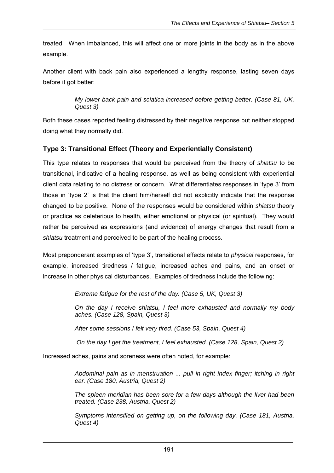treated. When imbalanced, this will affect one or more joints in the body as in the above example.

Another client with back pain also experienced a lengthy response, lasting seven days before it got better:

> *My lower back pain and sciatica increased before getting better. (Case 81, UK, Quest 3)*

Both these cases reported feeling distressed by their negative response but neither stopped doing what they normally did.

## **Type 3: Transitional Effect (Theory and Experientially Consistent)**

This type relates to responses that would be perceived from the theory of *shiatsu* to be transitional, indicative of a healing response, as well as being consistent with experiential client data relating to no distress or concern. What differentiates responses in 'type 3' from those in 'type 2' is that the client him/herself did not explicitly indicate that the response changed to be positive. None of the responses would be considered within *shiatsu* theory or practice as deleterious to health, either emotional or physical (or spiritual). They would rather be perceived as expressions (and evidence) of energy changes that result from a *shiatsu* treatment and perceived to be part of the healing process.

Most preponderant examples of 'type 3', transitional effects relate to *physical* responses, for example, increased tiredness / fatigue, increased aches and pains, and an onset or increase in other physical disturbances. Examples of tiredness include the following:

*Extreme fatigue for the rest of the day. (Case 5, UK, Quest 3)* 

*On the day I receive shiatsu, I feel more exhausted and normally my body aches. (Case 128, Spain, Quest 3)* 

*After some sessions I felt very tired. (Case 53, Spain, Quest 4)* 

 *On the day I get the treatment, I feel exhausted. (Case 128, Spain, Quest 2)* 

Increased aches, pains and soreness were often noted, for example:

*Abdominal pain as in menstruation ... pull in right index finger; itching in right ear. (Case 180, Austria, Quest 2)* 

*The spleen meridian has been sore for a few days although the liver had been treated. (Case 238, Austria, Quest 2)* 

*Symptoms intensified on getting up, on the following day. (Case 181, Austria, Quest 4)*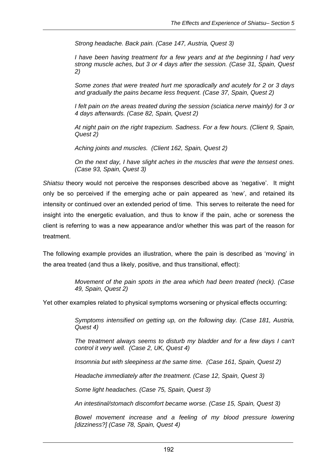*Strong headache. Back pain. (Case 147, Austria, Quest 3)* 

*I have been having treatment for a few years and at the beginning I had very strong muscle aches, but 3 or 4 days after the session. (Case 31, Spain, Quest 2)* 

*Some zones that were treated hurt me sporadically and acutely for 2 or 3 days and gradually the pains became less frequent. (Case 37, Spain, Quest 2)* 

*I felt pain on the areas treated during the session (sciatica nerve mainly) for 3 or 4 days afterwards. (Case 82, Spain, Quest 2)* 

*At night pain on the right trapezium. Sadness. For a few hours. (Client 9, Spain, Quest 2)* 

*Aching joints and muscles. (Client 162, Spain, Quest 2)* 

*On the next day, I have slight aches in the muscles that were the tensest ones. (Case 93, Spain, Quest 3)* 

*Shiatsu* theory would not perceive the responses described above as 'negative'. It might only be so perceived if the emerging ache or pain appeared as 'new', and retained its intensity or continued over an extended period of time. This serves to reiterate the need for insight into the energetic evaluation, and thus to know if the pain, ache or soreness the client is referring to was a new appearance and/or whether this was part of the reason for treatment.

The following example provides an illustration, where the pain is described as 'moving' in the area treated (and thus a likely, positive, and thus transitional, effect):

> *Movement of the pain spots in the area which had been treated (neck). (Case 49, Spain, Quest 2)*

Yet other examples related to physical symptoms worsening or physical effects occurring:

*Symptoms intensified on getting up, on the following day. (Case 181, Austria, Quest 4)*

*The treatment always seems to disturb my bladder and for a few days I can't control it very well. (Case 2, UK, Quest 4)* 

*Insomnia but with sleepiness at the same time. (Case 161, Spain, Quest 2)* 

*Headache immediately after the treatment. (Case 12, Spain, Quest 3)* 

*Some light headaches. (Case 75, Spain, Quest 3)* 

*An intestinal/stomach discomfort became worse. (Case 15, Spain, Quest 3)* 

*Bowel movement increase and a feeling of my blood pressure lowering [dizziness?] (Case 78, Spain, Quest 4)*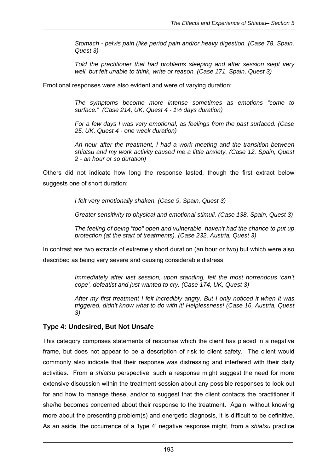*Stomach - pelvis pain (like period pain and/or heavy digestion. (Case 78, Spain, Quest 3)* 

*Told the practitioner that had problems sleeping and after session slept very well, but felt unable to think, write or reason. (Case 171, Spain, Quest 3)* 

Emotional responses were also evident and were of varying duration:

*The symptoms become more intense sometimes as emotions "come to surface." (Case 214, UK, Quest 4 - 1½ days duration)* 

*For a few days I was very emotional, as feelings from the past surfaced. (Case 25, UK, Quest 4 - one week duration)* 

*An hour after the treatment, I had a work meeting and the transition between shiatsu and my work activity caused me a little anxiety. (Case 12, Spain, Quest 2 - an hour or so duration)* 

Others did not indicate how long the response lasted, though the first extract below suggests one of short duration:

*I felt very emotionally shaken. (Case 9, Spain, Quest 3)* 

*Greater sensitivity to physical and emotional stimuli. (Case 138, Spain, Quest 3)* 

*The feeling of being "too" open and vulnerable, haven't had the chance to put up protection (at the start of treatments). (Case 232, Austria, Quest 3)* 

In contrast are two extracts of extremely short duration (an hour or two) but which were also described as being very severe and causing considerable distress:

> *Immediately after last session, upon standing, felt the most horrendous 'can't cope', defeatist and just wanted to cry. (Case 174, UK, Quest 3)*

> *After my first treatment I felt incredibly angry. But I only noticed it when it was triggered, didn't know what to do with it! Helplessness! (Case 16, Austria, Quest 3)*

## **Type 4: Undesired, But Not Unsafe**

This category comprises statements of response which the client has placed in a negative frame, but does not appear to be a description of risk to client safety. The client would commonly also indicate that their response was distressing and interfered with their daily activities. From a *shiatsu* perspective, such a response might suggest the need for more extensive discussion within the treatment session about any possible responses to look out for and how to manage these, and/or to suggest that the client contacts the practitioner if she/he becomes concerned about their response to the treatment. Again, without knowing more about the presenting problem(s) and energetic diagnosis, it is difficult to be definitive. As an aside, the occurrence of a 'type 4' negative response might, from a *shiatsu* practice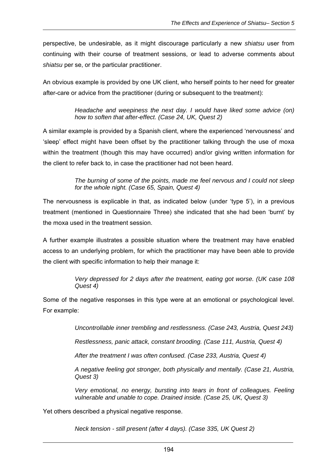perspective, be undesirable, as it might discourage particularly a new *shiatsu* user from continuing with their course of treatment sessions, or lead to adverse comments about *shiatsu* per se, or the particular practitioner.

An obvious example is provided by one UK client, who herself points to her need for greater after-care or advice from the practitioner (during or subsequent to the treatment):

> *Headache and weepiness the next day. I would have liked some advice (on) how to soften that after-effect. (Case 24, UK, Quest 2)*

A similar example is provided by a Spanish client, where the experienced 'nervousness' and 'sleep' effect might have been offset by the practitioner talking through the use of moxa within the treatment (though this may have occurred) and/or giving written information for the client to refer back to, in case the practitioner had not been heard.

> *The burning of some of the points, made me feel nervous and I could not sleep for the whole night. (Case 65, Spain, Quest 4)*

The nervousness is explicable in that, as indicated below (under 'type 5'), in a previous treatment (mentioned in Questionnaire Three) she indicated that she had been 'burnt' by the moxa used in the treatment session.

A further example illustrates a possible situation where the treatment may have enabled access to an underlying problem, for which the practitioner may have been able to provide the client with specific information to help their manage it:

> *Very depressed for 2 days after the treatment, eating got worse. (UK case 108 Quest 4)*

Some of the negative responses in this type were at an emotional or psychological level. For example:

*Uncontrollable inner trembling and restlessness. (Case 243, Austria, Quest 243)* 

*Restlessness, panic attack, constant brooding. (Case 111, Austria, Quest 4)* 

*After the treatment I was often confused. (Case 233, Austria, Quest 4)* 

*A negative feeling got stronger, both physically and mentally. (Case 21, Austria, Quest 3)* 

*Very emotional, no energy, bursting into tears in front of colleagues. Feeling vulnerable and unable to cope. Drained inside. (Case 25, UK, Quest 3)* 

Yet others described a physical negative response.

*Neck tension - still present (after 4 days). (Case 335, UK Quest 2)*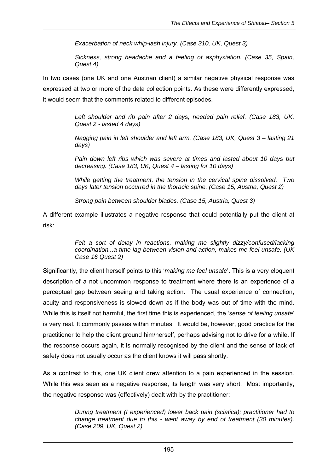*Exacerbation of neck whip-lash injury. (Case 310, UK, Quest 3)* 

*Sickness, strong headache and a feeling of asphyxiation. (Case 35, Spain, Quest 4)* 

In two cases (one UK and one Austrian client) a similar negative physical response was expressed at two or more of the data collection points. As these were differently expressed, it would seem that the comments related to different episodes.

> *Left shoulder and rib pain after 2 days, needed pain relief. (Case 183, UK, Quest 2 - lasted 4 days)*

> *Nagging pain in left shoulder and left arm. (Case 183, UK, Quest 3 – lasting 21 days)*

> *Pain down left ribs which was severe at times and lasted about 10 days but decreasing. (Case 183, UK, Quest 4 – lasting for 10 days)*

> *While getting the treatment, the tension in the cervical spine dissolved. Two days later tension occurred in the thoracic spine. (Case 15, Austria, Quest 2)*

*Strong pain between shoulder blades. (Case 15, Austria, Quest 3)* 

A different example illustrates a negative response that could potentially put the client at risk:

> *Felt a sort of delay in reactions, making me slightly dizzy/confused/lacking coordination...a time lag between vision and action, makes me feel unsafe. (UK Case 16 Quest 2)*

Significantly, the client herself points to this '*making me feel unsafe*'. This is a very eloquent description of a not uncommon response to treatment where there is an experience of a perceptual gap between seeing and taking action. The usual experience of connection, acuity and responsiveness is slowed down as if the body was out of time with the mind. While this is itself not harmful, the first time this is experienced, the '*sense of feeling unsafe*' is very real. It commonly passes within minutes. It would be, however, good practice for the practitioner to help the client ground him/herself, perhaps advising not to drive for a while. If the response occurs again, it is normally recognised by the client and the sense of lack of safety does not usually occur as the client knows it will pass shortly.

As a contrast to this, one UK client drew attention to a pain experienced in the session. While this was seen as a negative response, its length was very short. Most importantly, the negative response was (effectively) dealt with by the practitioner:

> *During treatment (I experienced) lower back pain (sciatica); practitioner had to change treatment due to this - went away by end of treatment (30 minutes). (Case 209, UK, Quest 2)*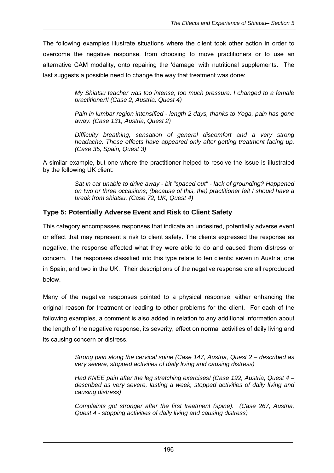The following examples illustrate situations where the client took other action in order to overcome the negative response, from choosing to move practitioners or to use an alternative CAM modality, onto repairing the 'damage' with nutritional supplements. The last suggests a possible need to change the way that treatment was done:

> *My Shiatsu teacher was too intense, too much pressure, I changed to a female practitioner!! (Case 2, Austria, Quest 4)*

> *Pain in lumbar region intensified - length 2 days, thanks to Yoga, pain has gone away. (Case 131, Austria, Quest 2)*

> *Difficulty breathing, sensation of general discomfort and a very strong headache. These effects have appeared only after getting treatment facing up. (Case 35, Spain, Quest 3)*

A similar example, but one where the practitioner helped to resolve the issue is illustrated by the following UK client:

> *Sat in car unable to drive away - bit "spaced out" - lack of grounding? Happened on two or three occasions; (because of this, the) practitioner felt I should have a break from shiatsu. (Case 72, UK, Quest 4)*

#### **Type 5: Potentially Adverse Event and Risk to Client Safety**

This category encompasses responses that indicate an undesired, potentially adverse event or effect that may represent a risk to client safety. The clients expressed the response as negative, the response affected what they were able to do and caused them distress or concern. The responses classified into this type relate to ten clients: seven in Austria; one in Spain; and two in the UK. Their descriptions of the negative response are all reproduced below.

Many of the negative responses pointed to a physical response, either enhancing the original reason for treatment or leading to other problems for the client. For each of the following examples, a comment is also added in relation to any additional information about the length of the negative response, its severity, effect on normal activities of daily living and its causing concern or distress.

> *Strong pain along the cervical spine (Case 147, Austria, Quest 2 – described as very severe, stopped activities of daily living and causing distress)*

> *Had KNEE pain after the leg stretching exercises! (Case 192, Austria, Quest 4 – described as very severe, lasting a week, stopped activities of daily living and causing distress)*

> *Complaints got stronger after the first treatment (spine). (Case 267, Austria, Quest 4 - stopping activities of daily living and causing distress)*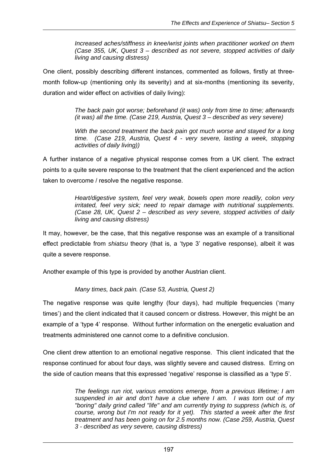*Increased aches/stiffness in knee/wrist joints when practitioner worked on them (Case 355, UK, Quest 3 – described as not severe, stopped activities of daily living and causing distress)* 

One client, possibly describing different instances, commented as follows, firstly at threemonth follow-up (mentioning only its severity) and at six-months (mentioning its severity, duration and wider effect on activities of daily living):

> *The back pain got worse; beforehand (it was) only from time to time; afterwards (it was) all the time. (Case 219, Austria, Quest 3 – described as very severe)*

> *With the second treatment the back pain got much worse and stayed for a long time. (Case 219, Austria, Quest 4 - very severe, lasting a week, stopping activities of daily living))*

A further instance of a negative physical response comes from a UK client. The extract points to a quite severe response to the treatment that the client experienced and the action taken to overcome / resolve the negative response.

> *Heart/digestive system, feel very weak, bowels open more readily, colon very irritated, feel very sick; need to repair damage with nutritional supplements. (Case 28, UK, Quest 2 – described as very severe, stopped activities of daily living and causing distress)*

It may, however, be the case, that this negative response was an example of a transitional effect predictable from *shiatsu* theory (that is, a 'type 3' negative response), albeit it was quite a severe response.

Another example of this type is provided by another Austrian client.

*Many times, back pain. (Case 53, Austria, Quest 2)* 

The negative response was quite lengthy (four days), had multiple frequencies ('many times') and the client indicated that it caused concern or distress. However, this might be an example of a 'type 4' response. Without further information on the energetic evaluation and treatments administered one cannot come to a definitive conclusion.

One client drew attention to an emotional negative response. This client indicated that the response continued for about four days, was slightly severe and caused distress. Erring on the side of caution means that this expressed 'negative' response is classified as a 'type 5'.

> *The feelings run riot, various emotions emerge, from a previous lifetime; I am suspended in air and don't have a clue where I am. I was torn out of my "boring" daily grind called "life" and am currently trying to suppress (which is, of course, wrong but I'm not ready for it yet). This started a week after the first treatment and has been going on for 2.5 months now. (Case 259, Austria, Quest 3 - described as very severe, causing distress)*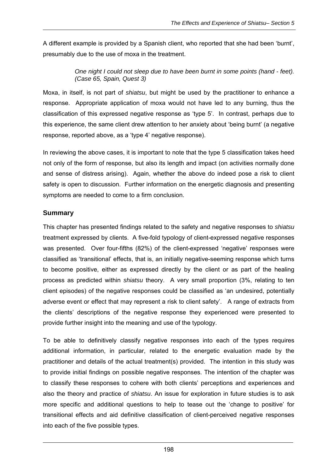A different example is provided by a Spanish client, who reported that she had been 'burnt', presumably due to the use of moxa in the treatment.

#### *One night I could not sleep due to have been burnt in some points (hand - feet). (Case 65, Spain, Quest 3)*

Moxa, in itself, is not part of *shiatsu*, but might be used by the practitioner to enhance a response. Appropriate application of moxa would not have led to any burning, thus the classification of this expressed negative response as 'type 5'. In contrast, perhaps due to this experience, the same client drew attention to her anxiety about 'being burnt' (a negative response, reported above, as a 'type 4' negative response).

In reviewing the above cases, it is important to note that the type 5 classification takes heed not only of the form of response, but also its length and impact (on activities normally done and sense of distress arising). Again, whether the above do indeed pose a risk to client safety is open to discussion. Further information on the energetic diagnosis and presenting symptoms are needed to come to a firm conclusion.

## **Summary**

This chapter has presented findings related to the safety and negative responses to *shiatsu*  treatment expressed by clients. A five-fold typology of client-expressed negative responses was presented. Over four-fifths (82%) of the client-expressed 'negative' responses were classified as 'transitional' effects, that is, an initially negative-seeming response which turns to become positive, either as expressed directly by the client or as part of the healing process as predicted within *shiatsu* theory. A very small proportion (3%, relating to ten client episodes) of the negative responses could be classified as 'an undesired, potentially adverse event or effect that may represent a risk to client safety'. A range of extracts from the clients' descriptions of the negative response they experienced were presented to provide further insight into the meaning and use of the typology.

To be able to definitively classify negative responses into each of the types requires additional information, in particular, related to the energetic evaluation made by the practitioner and details of the actual treatment(s) provided. The intention in this study was to provide initial findings on possible negative responses. The intention of the chapter was to classify these responses to cohere with both clients' perceptions and experiences and also the theory and practice of *shiatsu*. An issue for exploration in future studies is to ask more specific and additional questions to help to tease out the 'change to positive' for transitional effects and aid definitive classification of client-perceived negative responses into each of the five possible types.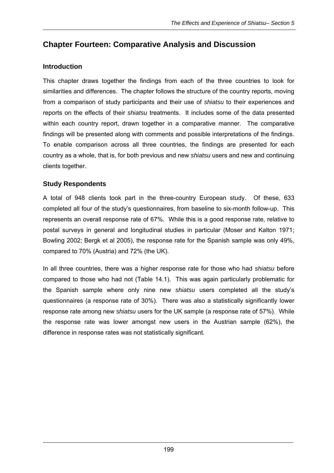# **Chapter Fourteen: Comparative Analysis and Discussion**

## **Introduction**

This chapter draws together the findings from each of the three countries to look for similarities and differences. The chapter follows the structure of the country reports, moving from a comparison of study participants and their use of *shiatsu* to their experiences and reports on the effects of their *shiatsu* treatments. It includes some of the data presented within each country report, drawn together in a comparative manner. The comparative findings will be presented along with comments and possible interpretations of the findings. To enable comparison across all three countries, the findings are presented for each country as a whole, that is, for both previous and new *shiatsu* users and new and continuing clients together.

## **Study Respondents**

A total of 948 clients took part in the three-country European study. Of these, 633 completed all four of the study's questionnaires, from baseline to six-month follow-up. This represents an overall response rate of 67%. While this is a good response rate, relative to postal surveys in general and longitudinal studies in particular (Moser and Kalton 1971; Bowling 2002; Bergk et al 2005), the response rate for the Spanish sample was only 49%, compared to 70% (Austria) and 72% (the UK).

In all three countries, there was a higher response rate for those who had *shiatsu* before compared to those who had not (Table 14.1). This was again particularly problematic for the Spanish sample where only nine new *shiatsu* users completed all the study's questionnaires (a response rate of 30%). There was also a statistically significantly lower response rate among new *shiatsu* users for the UK sample (a response rate of 57%). While the response rate was lower amongst new users in the Austrian sample (62%), the difference in response rates was not statistically significant.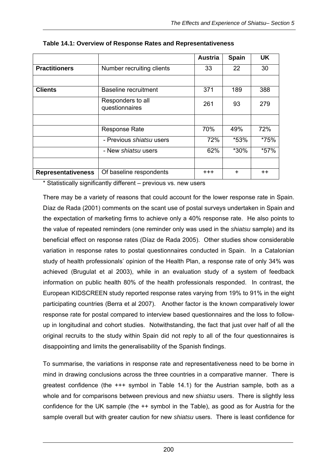|                           |                                     | <b>Austria</b> | <b>Spain</b> | <b>UK</b>       |
|---------------------------|-------------------------------------|----------------|--------------|-----------------|
| <b>Practitioners</b>      | Number recruiting clients           | 33             | 22           | 30              |
|                           |                                     |                |              |                 |
| <b>Clients</b>            | Baseline recruitment                | 371            | 189          | 388             |
|                           | Responders to all<br>questionnaires | 261            | 93           | 279             |
|                           |                                     |                |              |                 |
|                           | <b>Response Rate</b>                | 70%            | 49%          | 72%             |
|                           | - Previous <i>shiatsu</i> users     | 72%            | *53%         | *75%            |
|                           | - New <i>shiatsu</i> users          | 62%            | *30%         | *57%            |
|                           |                                     |                |              |                 |
| <b>Representativeness</b> | Of baseline respondents             | $^{+++}$       | $\ddot{}$    | $^{\mathrm{+}}$ |

\* Statistically significantly different – previous vs. new users

There may be a variety of reasons that could account for the lower response rate in Spain. Díaz de Rada (2001) comments on the scant use of postal surveys undertaken in Spain and the expectation of marketing firms to achieve only a 40% response rate. He also points to the value of repeated reminders (one reminder only was used in the *shiatsu* sample) and its beneficial effect on response rates (Díaz de Rada 2005). Other studies show considerable variation in response rates to postal questionnaires conducted in Spain. In a Catalonian study of health professionals' opinion of the Health Plan, a response rate of only 34% was achieved (Brugulat et al 2003), while in an evaluation study of a system of feedback information on public health 80% of the health professionals responded. In contrast, the European KIDSCREEN study reported response rates varying from 19% to 91% in the eight participating countries (Berra et al 2007). Another factor is the known comparatively lower response rate for postal compared to interview based questionnaires and the loss to followup in longitudinal and cohort studies. Notwithstanding, the fact that just over half of all the original recruits to the study within Spain did not reply to all of the four questionnaires is disappointing and limits the generalisability of the Spanish findings.

To summarise, the variations in response rate and representativeness need to be borne in mind in drawing conclusions across the three countries in a comparative manner. There is greatest confidence (the +++ symbol in Table 14.1) for the Austrian sample, both as a whole and for comparisons between previous and new *shiatsu* users. There is slightly less confidence for the UK sample (the ++ symbol in the Table), as good as for Austria for the sample overall but with greater caution for new *shiatsu* users. There is least confidence for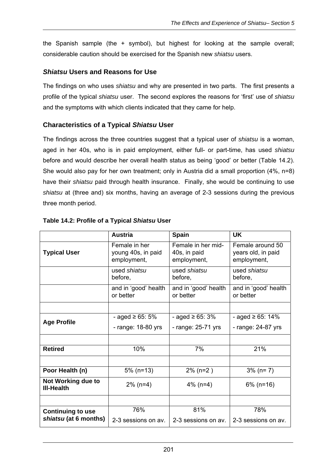the Spanish sample (the + symbol), but highest for looking at the sample overall; considerable caution should be exercised for the Spanish new *shiatsu* users.

## *Shiatsu* **Users and Reasons for Use**

The findings on who uses *shiatsu* and why are presented in two parts. The first presents a profile of the typical *shiatsu* user. The second explores the reasons for 'first' use of *shiatsu* and the symptoms with which clients indicated that they came for help.

## **Characteristics of a Typical** *Shiatsu* **User**

The findings across the three countries suggest that a typical user of *shiatsu* is a woman, aged in her 40s, who is in paid employment, either full- or part-time, has used *shiatsu* before and would describe her overall health status as being 'good' or better (Table 14.2). She would also pay for her own treatment; only in Austria did a small proportion (4%, n=8) have their *shiatsu* paid through health insurance. Finally, she would be continuing to use *shiatsu* at (three and) six months, having an average of 2-3 sessions during the previous three month period.

|                                         | <b>Austria</b>                                     | <b>Spain</b>                                      | <b>UK</b>                                             |
|-----------------------------------------|----------------------------------------------------|---------------------------------------------------|-------------------------------------------------------|
| <b>Typical User</b>                     | Female in her<br>young 40s, in paid<br>employment, | Female in her mid-<br>40s, in paid<br>employment, | Female around 50<br>years old, in paid<br>employment, |
|                                         | used shiatsu<br>before,                            | used shiatsu<br>before,                           | used shiatsu<br>before,                               |
|                                         | and in 'good' health<br>or better                  | and in 'good' health<br>or better                 | and in 'good' health<br>or better                     |
|                                         |                                                    |                                                   |                                                       |
| <b>Age Profile</b>                      | - aged $\ge 65:5\%$                                | - aged ≥ 65: 3%                                   | - aged $\geq 65$ : 14%                                |
|                                         | - range: 18-80 yrs                                 | - range: 25-71 yrs                                | - range: 24-87 yrs                                    |
|                                         |                                                    |                                                   |                                                       |
| <b>Retired</b>                          | 10%                                                | 7%                                                | 21%                                                   |
|                                         |                                                    |                                                   |                                                       |
| Poor Health (n)                         | $5\%$ (n=13)                                       | $2\%$ (n=2)                                       | $3\%$ (n= 7)                                          |
| Not Working due to<br><b>III-Health</b> | $2\%$ (n=4)                                        | $4\%$ (n=4)                                       | $6\%$ (n=16)                                          |
|                                         |                                                    |                                                   |                                                       |
| <b>Continuing to use</b>                | 76%                                                | 81%                                               | 78%                                                   |
| shiatsu (at 6 months)                   | 2-3 sessions on av.                                | 2-3 sessions on av.                               | 2-3 sessions on av.                                   |

## **Table 14.2: Profile of a Typical** *Shiatsu* **User**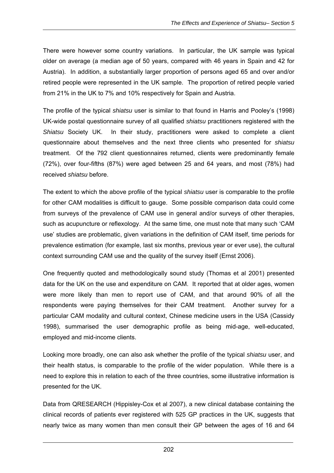There were however some country variations. In particular, the UK sample was typical older on average (a median age of 50 years, compared with 46 years in Spain and 42 for Austria). In addition, a substantially larger proportion of persons aged 65 and over and/or retired people were represented in the UK sample. The proportion of retired people varied from 21% in the UK to 7% and 10% respectively for Spain and Austria.

The profile of the typical *shiatsu* user is similar to that found in Harris and Pooley's (1998) UK-wide postal questionnaire survey of all qualified *shiatsu* practitioners registered with the *Shiatsu* Society UK. In their study, practitioners were asked to complete a client questionnaire about themselves and the next three clients who presented for *shiatsu* treatment. Of the 792 client questionnaires returned, clients were predominantly female (72%), over four-fifths (87%) were aged between 25 and 64 years, and most (78%) had received *shiatsu* before.

The extent to which the above profile of the typical *shiatsu* user is comparable to the profile for other CAM modalities is difficult to gauge. Some possible comparison data could come from surveys of the prevalence of CAM use in general and/or surveys of other therapies, such as acupuncture or reflexology. At the same time, one must note that many such 'CAM use' studies are problematic, given variations in the definition of CAM itself, time periods for prevalence estimation (for example, last six months, previous year or ever use), the cultural context surrounding CAM use and the quality of the survey itself (Ernst 2006).

One frequently quoted and methodologically sound study (Thomas et al 2001) presented data for the UK on the use and expenditure on CAM. It reported that at older ages, women were more likely than men to report use of CAM, and that around 90% of all the respondents were paying themselves for their CAM treatment. Another survey for a particular CAM modality and cultural context, Chinese medicine users in the USA (Cassidy 1998), summarised the user demographic profile as being mid-age, well-educated, employed and mid-income clients.

Looking more broadly, one can also ask whether the profile of the typical *shiatsu* user, and their health status, is comparable to the profile of the wider population. While there is a need to explore this in relation to each of the three countries, some illustrative information is presented for the UK.

Data from QRESEARCH (Hippisley-Cox et al 2007), a new clinical database containing the clinical records of patients ever registered with 525 GP practices in the UK, suggests that nearly twice as many women than men consult their GP between the ages of 16 and 64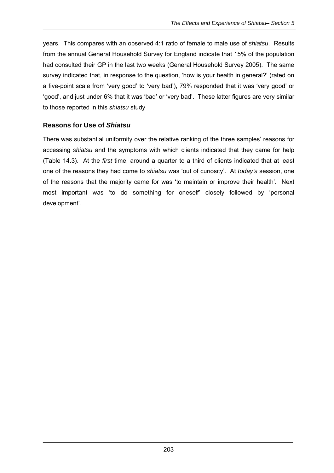years. This compares with an observed 4:1 ratio of female to male use of *shiatsu*. Results from the annual General Household Survey for England indicate that 15% of the population had consulted their GP in the last two weeks (General Household Survey 2005). The same survey indicated that, in response to the question, 'how is your health in general?' (rated on a five-point scale from 'very good' to 'very bad'), 79% responded that it was 'very good' or 'good', and just under 6% that it was 'bad' or 'very bad'. These latter figures are very similar to those reported in this *shiatsu* study

## **Reasons for Use of** *Shiatsu*

There was substantial uniformity over the relative ranking of the three samples' reasons for accessing *shiatsu* and the symptoms with which clients indicated that they came for help (Table 14.3). At the *first* time, around a quarter to a third of clients indicated that at least one of the reasons they had come to *shiatsu* was 'out of curiosity'. At *today's* session, one of the reasons that the majority came for was 'to maintain or improve their health'. Next most important was 'to do something for oneself' closely followed by 'personal development'.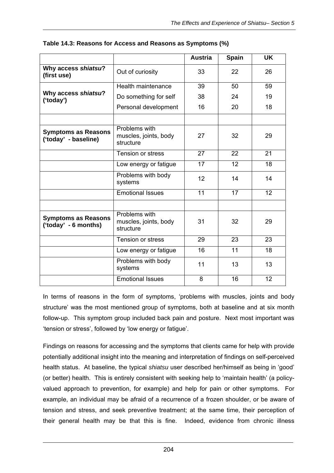|                                                    |                                                     | <b>Austria</b>  | <b>Spain</b>    | <b>UK</b>       |
|----------------------------------------------------|-----------------------------------------------------|-----------------|-----------------|-----------------|
| Why access shiatsu?<br>(first use)                 | Out of curiosity                                    | 33              | 22              | 26              |
|                                                    | Health maintenance                                  | 39              | 50              | 59              |
| Why access shiatsu?<br>('today')                   | Do something for self                               | 38              | 24              | 19              |
|                                                    | Personal development                                | 16              | 20              | 18              |
|                                                    |                                                     |                 |                 |                 |
| <b>Symptoms as Reasons</b><br>('today' - baseline) | Problems with<br>muscles, joints, body<br>structure | 27              | 32              | 29              |
|                                                    | Tension or stress                                   | $\overline{27}$ | $\overline{22}$ | 21              |
|                                                    | Low energy or fatigue                               | 17              | 12              | 18              |
|                                                    | Problems with body<br>systems                       | 12              | 14              | 14              |
|                                                    | <b>Emotional Issues</b>                             | 11              | $\overline{17}$ | $\overline{12}$ |
|                                                    |                                                     |                 |                 |                 |
| <b>Symptoms as Reasons</b><br>('today' - 6 months) | Problems with<br>muscles, joints, body<br>structure | 31              | 32              | 29              |
|                                                    | Tension or stress                                   | 29              | 23              | 23              |
|                                                    | Low energy or fatigue                               | 16              | 11              | 18              |
|                                                    | Problems with body<br>systems                       | 11              | 13              | 13              |
|                                                    | <b>Emotional Issues</b>                             | 8               | 16              | 12              |

#### **Table 14.3: Reasons for Access and Reasons as Symptoms (%)**

In terms of reasons in the form of symptoms, 'problems with muscles, joints and body structure' was the most mentioned group of symptoms, both at baseline and at six month follow-up. This symptom group included back pain and posture. Next most important was 'tension or stress', followed by 'low energy or fatigue'.

Findings on reasons for accessing and the symptoms that clients came for help with provide potentially additional insight into the meaning and interpretation of findings on self-perceived health status. At baseline, the typical *shiatsu* user described her/himself as being in 'good' (or better) health. This is entirely consistent with seeking help to 'maintain health' (a policyvalued approach to prevention, for example) and help for pain or other symptoms. For example, an individual may be afraid of a recurrence of a frozen shoulder, or be aware of tension and stress, and seek preventive treatment; at the same time, their perception of their general health may be that this is fine. Indeed, evidence from chronic illness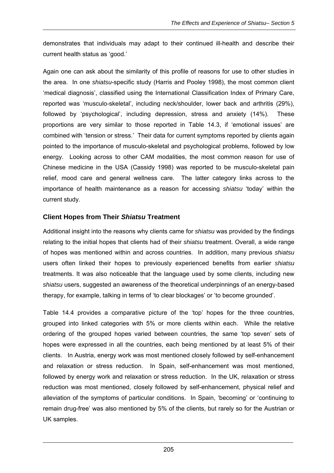demonstrates that individuals may adapt to their continued ill-health and describe their current health status as 'good.'

Again one can ask about the similarity of this profile of reasons for use to other studies in the area. In one *shiatsu*-specific study (Harris and Pooley 1998), the most common client 'medical diagnosis', classified using the International Classification Index of Primary Care, reported was 'musculo-skeletal', including neck/shoulder, lower back and arthritis (29%), followed by 'psychological', including depression, stress and anxiety (14%). These proportions are very similar to those reported in Table 14.3, if 'emotional issues' are combined with 'tension or stress.' Their data for current symptoms reported by clients again pointed to the importance of musculo-skeletal and psychological problems, followed by low energy. Looking across to other CAM modalities, the most common reason for use of Chinese medicine in the USA (Cassidy 1998) was reported to be musculo-skeletal pain relief, mood care and general wellness care. The latter category links across to the importance of health maintenance as a reason for accessing *shiatsu* 'today' within the current study.

## **Client Hopes from Their** *Shiatsu* **Treatment**

Additional insight into the reasons why clients came for *shiatsu* was provided by the findings relating to the initial hopes that clients had of their *shiatsu* treatment. Overall, a wide range of hopes was mentioned within and across countries. In addition, many previous *shiatsu* users often linked their hopes to previously experienced benefits from earlier *shiatsu* treatments. It was also noticeable that the language used by some clients, including new *shiatsu* users, suggested an awareness of the theoretical underpinnings of an energy-based therapy, for example, talking in terms of 'to clear blockages' or 'to become grounded'.

Table 14.4 provides a comparative picture of the 'top' hopes for the three countries, grouped into linked categories with 5% or more clients within each. While the relative ordering of the grouped hopes varied between countries, the same 'top seven' sets of hopes were expressed in all the countries, each being mentioned by at least 5% of their clients. In Austria, energy work was most mentioned closely followed by self-enhancement and relaxation or stress reduction. In Spain, self-enhancement was most mentioned, followed by energy work and relaxation or stress reduction. In the UK, relaxation or stress reduction was most mentioned, closely followed by self-enhancement, physical relief and alleviation of the symptoms of particular conditions. In Spain, 'becoming' or 'continuing to remain drug-free' was also mentioned by 5% of the clients, but rarely so for the Austrian or UK samples.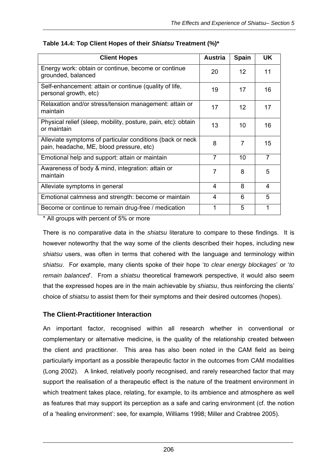| <b>Client Hopes</b>                                                                                    | <b>Austria</b> | <b>Spain</b>      | <b>UK</b>               |
|--------------------------------------------------------------------------------------------------------|----------------|-------------------|-------------------------|
| Energy work: obtain or continue, become or continue<br>grounded, balanced                              | 20             | $12 \overline{ }$ | 11                      |
| Self-enhancement: attain or continue (quality of life,<br>personal growth, etc)                        | 19             | 17                | 16                      |
| Relaxation and/or stress/tension management: attain or<br>maintain                                     | 17             | 12                | 17                      |
| Physical relief (sleep, mobility, posture, pain, etc): obtain<br>or maintain                           | 13             | 10                | 16                      |
| Alleviate symptoms of particular conditions (back or neck)<br>pain, headache, ME, blood pressure, etc) | 8              | 7                 | 15                      |
| Emotional help and support: attain or maintain                                                         | $\overline{7}$ | 10                | $\overline{7}$          |
| Awareness of body & mind, integration: attain or<br>maintain                                           | 7              | 8                 | 5                       |
| Alleviate symptoms in general                                                                          | 4              | 8                 | $\overline{\mathbf{4}}$ |
| Emotional calmness and strength: become or maintain                                                    | 4              | 6                 | 5                       |
| Become or continue to remain drug-free / medication                                                    | 1              | 5                 | 1                       |

|  |  |  | Table 14.4: Top Client Hopes of their Shiatsu Treatment (%)* |  |
|--|--|--|--------------------------------------------------------------|--|
|  |  |  |                                                              |  |

\* All groups with percent of 5% or more

There is no comparative data in the *shiatsu* literature to compare to these findings. It is however noteworthy that the way some of the clients described their hopes, including new *shiatsu* users, was often in terms that cohered with the language and terminology within *shiatsu*. For example, many clients spoke of their hope '*to clear energy blockages*' or '*to remain balanced*'. From a *shiatsu* theoretical framework perspective, it would also seem that the expressed hopes are in the main achievable by *shiatsu*, thus reinforcing the clients' choice of *shiatsu* to assist them for their symptoms and their desired outcomes (hopes).

## **The Client-Practitioner Interaction**

An important factor, recognised within all research whether in conventional or complementary or alternative medicine, is the quality of the relationship created between the client and practitioner. This area has also been noted in the CAM field as being particularly important as a possible therapeutic factor in the outcomes from CAM modalities (Long 2002). A linked, relatively poorly recognised, and rarely researched factor that may support the realisation of a therapeutic effect is the nature of the treatment environment in which treatment takes place, relating, for example, to its ambience and atmosphere as well as features that may support its perception as a safe and caring environment (cf. the notion of a 'healing environment': see, for example, Williams 1998; Miller and Crabtree 2005).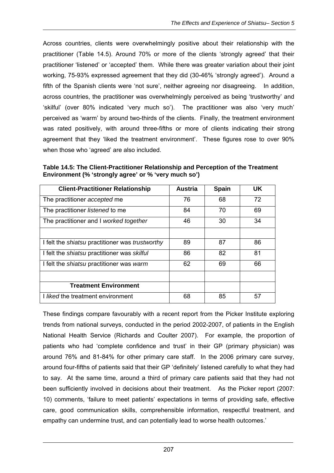Across countries, clients were overwhelmingly positive about their relationship with the practitioner (Table 14.5). Around 70% or more of the clients 'strongly agreed' that their practitioner 'listened' or 'accepted' them. While there was greater variation about their joint working, 75-93% expressed agreement that they did (30-46% 'strongly agreed'). Around a fifth of the Spanish clients were 'not sure', neither agreeing nor disagreeing. In addition, across countries, the practitioner was overwhelmingly perceived as being 'trustworthy' and 'skilful' (over 80% indicated 'very much so'). The practitioner was also 'very much' perceived as 'warm' by around two-thirds of the clients. Finally, the treatment environment was rated positively, with around three-fifths or more of clients indicating their strong agreement that they 'liked the treatment environment'. These figures rose to over 90% when those who 'agreed' are also included.

**Table 14.5: The Client-Practitioner Relationship and Perception of the Treatment Environment (% 'strongly agree' or % 'very much so')** 

| <b>Client-Practitioner Relationship</b>                       | <b>Austria</b> | <b>Spain</b> | UK |
|---------------------------------------------------------------|----------------|--------------|----|
| The practitioner accepted me                                  | 76             | 68           | 72 |
| The practitioner listened to me                               | 84             | 70           | 69 |
| The practitioner and I worked together                        | 46             | 30           | 34 |
|                                                               |                |              |    |
| I felt the <i>shiatsu</i> practitioner was <i>trustworthy</i> | 89             | 87           | 86 |
| I felt the <i>shiatsu</i> practitioner was <i>skilful</i>     | 86             | 82           | 81 |
| I felt the <i>shiatsu</i> practitioner was warm               | 62             | 69           | 66 |
|                                                               |                |              |    |
| <b>Treatment Environment</b>                                  |                |              |    |
| <i>I liked</i> the treatment environment                      | 68             | 85           | 57 |

These findings compare favourably with a recent report from the Picker Institute exploring trends from national surveys, conducted in the period 2002-2007, of patients in the English National Health Service (Richards and Coulter 2007). For example, the proportion of patients who had 'complete confidence and trust' in their GP (primary physician) was around 76% and 81-84% for other primary care staff. In the 2006 primary care survey, around four-fifths of patients said that their GP 'definitely' listened carefully to what they had to say. At the same time, around a third of primary care patients said that they had not been sufficiently involved in decisions about their treatment. As the Picker report (2007: 10) comments, 'failure to meet patients' expectations in terms of providing safe, effective care, good communication skills, comprehensible information, respectful treatment, and empathy can undermine trust, and can potentially lead to worse health outcomes.'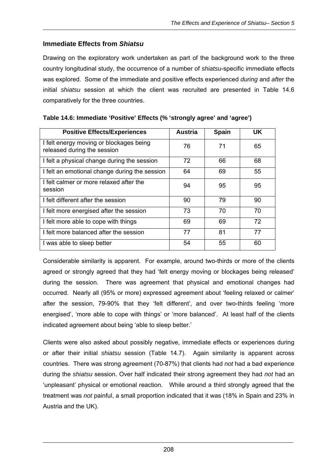## **Immediate Effects from** *Shiatsu*

Drawing on the exploratory work undertaken as part of the background work to the three country longitudinal study, the occurrence of a number of *shiatsu*-specific immediate effects was explored. Some of the immediate and positive effects experienced *during* and *after* the initial *shiatsu* session at which the client was recruited are presented in Table 14.6 comparatively for the three countries.

| <b>Positive Effects/Experiences</b>                                    | <b>Austria</b> | <b>Spain</b> | <b>UK</b> |
|------------------------------------------------------------------------|----------------|--------------|-----------|
| I felt energy moving or blockages being<br>released during the session | 76             | 71           | 65        |
| I felt a physical change during the session                            | 72             | 66           | 68        |
| I felt an emotional change during the session                          | 64             | 69           | 55        |
| I felt calmer or more relaxed after the<br>session                     | 94             | 95           | 95        |
| I felt different after the session                                     | 90             | 79           | 90        |
| I felt more energised after the session                                | 73             | 70           | 70        |
| I felt more able to cope with things                                   | 69             | 69           | 72        |
| I felt more balanced after the session                                 | 77             | 81           | 77        |
| I was able to sleep better                                             | 54             | 55           | 60        |

| Table 14.6: Immediate 'Positive' Effects (% 'strongly agree' and 'agree') |  |  |
|---------------------------------------------------------------------------|--|--|
|                                                                           |  |  |

Considerable similarity is apparent. For example, around two-thirds or more of the clients agreed or strongly agreed that they had 'felt energy moving or blockages being released' during the session. There was agreement that physical and emotional changes had occurred. Nearly all (95% or more) expressed agreement about 'feeling relaxed or calmer' after the session, 79-90% that they 'felt different', and over two-thirds feeling 'more energised', 'more able to cope with things' or 'more balanced'. At least half of the clients indicated agreement about being 'able to sleep better.'

Clients were also asked about possibly negative, immediate effects or experiences during or after their initial *shiatsu* session (Table 14.7). Again similarity is apparent across countries. There was strong agreement (70-87%) that clients had *not* had a bad experience during the *shiatsu* session. Over half indicated their strong agreement they had *not* had an 'unpleasant' physical or emotional reaction. While around a third strongly agreed that the treatment was *not* painful, a small proportion indicated that it was (18% in Spain and 23% in Austria and the UK).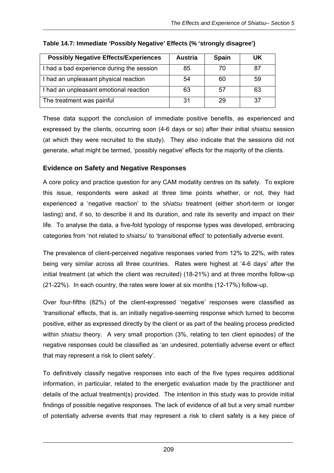| <b>Possibly Negative Effects/Experiences</b> | <b>Austria</b> | <b>Spain</b> | UK  |
|----------------------------------------------|----------------|--------------|-----|
| I had a bad experience during the session    | 85             | 70           | 87  |
| I had an unpleasant physical reaction        | 54             | 60           | -59 |
| I had an unpleasant emotional reaction       | 63             | 57           | 63  |
| The treatment was painful                    | 31             | 29           | 37  |

## **Table 14.7: Immediate 'Possibly Negative' Effects (% 'strongly disagree')**

These data support the conclusion of immediate positive benefits, as experienced and expressed by the clients, occurring soon (4-6 days or so) after their initial *shiatsu* session (at which they were recruited to the study). They also indicate that the sessions did not generate, what might be termed, 'possibly negative' effects for the majority of the clients.

## **Evidence on Safety and Negative Responses**

A core policy and practice question for any CAM modality centres on its safety. To explore this issue, respondents were asked at three time points whether, or not, they had experienced a 'negative reaction' to the *shiatsu* treatment (either short-term or longer lasting) and, if so, to describe it and its duration, and rate its severity and impact on their life. To analyse the data, a five-fold typology of response types was developed, embracing categories from 'not related to *shiatsu*' to 'transitional effect' to potentially adverse event.

The prevalence of client-perceived negative responses varied from 12% to 22%, with rates being very similar across all three countries. Rates were highest at '4-6 days' after the initial treatment (at which the client was recruited) (18-21%) and at three months follow-up (21-22%). In each country, the rates were lower at six months (12-17%) follow-up.

Over four-fifths (82%) of the client-expressed 'negative' responses were classified as 'transitional' effects, that is, an initially negative-seeming response which turned to become positive, either as expressed directly by the client or as part of the healing process predicted within *shiatsu* theory. A very small proportion (3%, relating to ten client episodes) of the negative responses could be classified as 'an undesired, potentially adverse event or effect that may represent a risk to client safety'.

To definitively classify negative responses into each of the five types requires additional information, in particular, related to the energetic evaluation made by the practitioner and details of the actual treatment(s) provided. The intention in this study was to provide initial findings of possible negative responses. The lack of evidence of all but a very small number of potentially adverse events that may represent a risk to client safety is a key piece of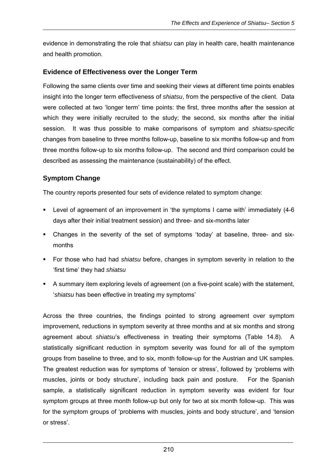evidence in demonstrating the role that *shiatsu* can play in health care, health maintenance and health promotion.

## **Evidence of Effectiveness over the Longer Term**

Following the same clients over time and seeking their views at different time points enables insight into the longer term effectiveness of *shiatsu*, from the perspective of the client. Data were collected at two 'longer term' time points: the first, three months after the session at which they were initially recruited to the study; the second, six months after the initial session. It was thus possible to make comparisons of symptom and *shiatsu-specific*  changes from baseline to three months follow-up, baseline to six months follow-up and from three months follow-up to six months follow-up. The second and third comparison could be described as assessing the maintenance (sustainability) of the effect.

## **Symptom Change**

The country reports presented four sets of evidence related to symptom change:

- Level of agreement of an improvement in 'the symptoms I came with' immediately (4-6 days after their initial treatment session) and three- and six-months later
- Changes in the severity of the set of symptoms 'today' at baseline, three- and sixmonths
- For those who had had *shiatsu* before, changes in symptom severity in relation to the 'first time' they had *shiatsu*
- A summary item exploring levels of agreement (on a five-point scale) with the statement, '*shiatsu* has been effective in treating my symptoms'

Across the three countries, the findings pointed to strong agreement over symptom improvement, reductions in symptom severity at three months and at six months and strong agreement about *shiatsu*'s effectiveness in treating their symptoms (Table 14.8). A statistically significant reduction in symptom severity was found for all of the symptom groups from baseline to three, and to six, month follow-up for the Austrian and UK samples. The greatest reduction was for symptoms of 'tension or stress', followed by 'problems with muscles, joints or body structure', including back pain and posture. For the Spanish sample, a statistically significant reduction in symptom severity was evident for four symptom groups at three month follow-up but only for two at six month follow-up. This was for the symptom groups of 'problems with muscles, joints and body structure', and 'tension or stress'.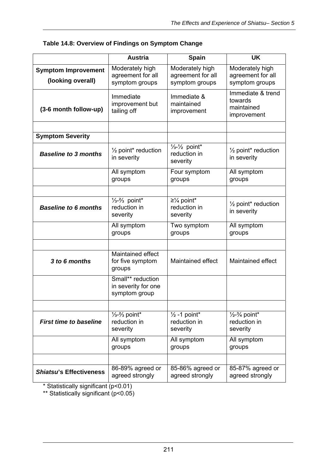|                                                 | <b>Austria</b>                                                   | <b>Spain</b>                                                                      | UK                                                             |
|-------------------------------------------------|------------------------------------------------------------------|-----------------------------------------------------------------------------------|----------------------------------------------------------------|
| <b>Symptom Improvement</b><br>(looking overall) | Moderately high<br>agreement for all<br>symptom groups           | Moderately high<br>agreement for all<br>symptom groups                            | Moderately high<br>agreement for all<br>symptom groups         |
| (3-6 month follow-up)                           | Immediate<br>improvement but<br>tailing off                      | Immediate &<br>maintained<br>improvement                                          | Immediate & trend<br>towards<br>maintained<br>improvement      |
|                                                 |                                                                  |                                                                                   |                                                                |
| <b>Symptom Severity</b>                         |                                                                  |                                                                                   |                                                                |
| <b>Baseline to 3 months</b>                     | $\frac{1}{2}$ point* reduction<br>in severity                    | $\frac{1}{3}$ - $\frac{1}{2}$ point*<br>reduction in<br>severity                  | $\frac{1}{2}$ point* reduction<br>in severity                  |
|                                                 | All symptom<br>groups                                            | Four symptom<br>groups                                                            | All symptom<br>groups                                          |
|                                                 |                                                                  |                                                                                   |                                                                |
| <b>Baseline to 6 months</b>                     | $\frac{1}{3} - \frac{2}{3}$ point*<br>reduction in<br>severity   | $\geq$ <sup>1</sup> / <sub>4</sub> point <sup>*</sup><br>reduction in<br>severity | 1/ <sub>2</sub> point* reduction<br>in severity                |
|                                                 | All symptom<br>groups                                            | Two symptom<br>groups                                                             | All symptom<br>groups                                          |
|                                                 |                                                                  |                                                                                   |                                                                |
| 3 to 6 months                                   | Maintained effect<br>for five symptom<br>groups                  | Maintained effect                                                                 | <b>Maintained effect</b>                                       |
|                                                 | Small** reduction<br>in severity for one<br>symptom group        |                                                                                   |                                                                |
|                                                 |                                                                  |                                                                                   |                                                                |
| <b>First time to baseline</b>                   | $\frac{1}{3}$ - $\frac{2}{3}$ point*<br>reduction in<br>severity | $\frac{1}{2}$ -1 point*<br>reduction in<br>severity                               | $\frac{1}{2} - \frac{3}{4}$ point*<br>reduction in<br>severity |
|                                                 | All symptom<br>groups                                            | All symptom<br>groups                                                             | All symptom<br>groups                                          |
|                                                 |                                                                  |                                                                                   |                                                                |
| <b>Shiatsu's Effectiveness</b>                  | 86-89% agreed or<br>agreed strongly                              | 85-86% agreed or<br>agreed strongly                                               | 85-87% agreed or<br>agreed strongly                            |

\* Statistically significant (p<0.01)

\*\* Statistically significant (p<0.05)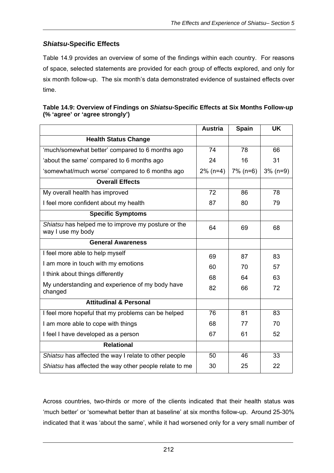## *Shiatsu***-Specific Effects**

Table 14.9 provides an overview of some of the findings within each country. For reasons of space, selected statements are provided for each group of effects explored, and only for six month follow-up. The six month's data demonstrated evidence of sustained effects over time.

| Table 14.9: Overview of Findings on Shiatsu-Specific Effects at Six Months Follow-up |  |
|--------------------------------------------------------------------------------------|--|
| (% 'agree' or 'agree strongly')                                                      |  |

|                                                                         | <b>Austria</b> | <b>Spain</b> | <b>UK</b>   |
|-------------------------------------------------------------------------|----------------|--------------|-------------|
| <b>Health Status Change</b>                                             |                |              |             |
| 'much/somewhat better' compared to 6 months ago                         | 74             | 78           | 66          |
| 'about the same' compared to 6 months ago                               | 24             | 16           | 31          |
| 'somewhat/much worse' compared to 6 months ago                          | $2\%$ (n=4)    | $7\%$ (n=6)  | $3\%$ (n=9) |
| <b>Overall Effects</b>                                                  |                |              |             |
| My overall health has improved                                          | 72             | 86           | 78          |
| I feel more confident about my health                                   | 87             | 80           | 79          |
| <b>Specific Symptoms</b>                                                |                |              |             |
| Shiatsu has helped me to improve my posture or the<br>way I use my body | 64             | 69           | 68          |
| <b>General Awareness</b>                                                |                |              |             |
| I feel more able to help myself                                         | 69             | 87           | 83          |
| I am more in touch with my emotions                                     | 60             | 70           | 57          |
| I think about things differently                                        | 68             | 64           | 63          |
| My understanding and experience of my body have<br>changed              | 82             | 66           | 72          |
| <b>Attitudinal &amp; Personal</b>                                       |                |              |             |
| I feel more hopeful that my problems can be helped                      | 76             | 81           | 83          |
| I am more able to cope with things                                      | 68             | 77           | 70          |
| I feel I have developed as a person                                     | 67             | 61           | 52          |
| <b>Relational</b>                                                       |                |              |             |
| Shiatsu has affected the way I relate to other people                   | 50             | 46           | 33          |
| Shiatsu has affected the way other people relate to me                  | 30             | 25           | 22          |

Across countries, two-thirds or more of the clients indicated that their health status was 'much better' or 'somewhat better than at baseline' at six months follow-up. Around 25-30% indicated that it was 'about the same', while it had worsened only for a very small number of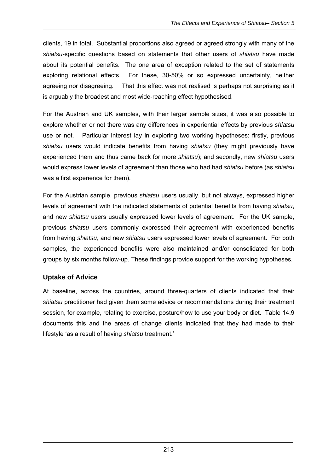clients, 19 in total. Substantial proportions also agreed or agreed strongly with many of the *shiatsu*-specific questions based on statements that other users of *shiatsu* have made about its potential benefits. The one area of exception related to the set of statements exploring relational effects. For these, 30-50% or so expressed uncertainty, neither agreeing nor disagreeing. That this effect was not realised is perhaps not surprising as it is arguably the broadest and most wide-reaching effect hypothesised.

For the Austrian and UK samples, with their larger sample sizes, it was also possible to explore whether or not there was any differences in experiential effects by previous *shiatsu* use or not. Particular interest lay in exploring two working hypotheses: firstly, previous *shiatsu* users would indicate benefits from having *shiatsu* (they might previously have experienced them and thus came back for more *shiatsu*); and secondly, new *shiatsu* users would express lower levels of agreement than those who had had *shiatsu* before (as *shiatsu* was a first experience for them).

For the Austrian sample, previous *shiatsu* users usually, but not always, expressed higher levels of agreement with the indicated statements of potential benefits from having *shiatsu*, and new *shiatsu* users usually expressed lower levels of agreement. For the UK sample, previous *shiatsu* users commonly expressed their agreement with experienced benefits from having *shiatsu*, and new *shiatsu* users expressed lower levels of agreement. For both samples, the experienced benefits were also maintained and/or consolidated for both groups by six months follow-up. These findings provide support for the working hypotheses.

## **Uptake of Advice**

At baseline, across the countries, around three-quarters of clients indicated that their *shiatsu* practitioner had given them some advice or recommendations during their treatment session, for example, relating to exercise, posture/how to use your body or diet. Table 14.9 documents this and the areas of change clients indicated that they had made to their lifestyle 'as a result of having *shiatsu* treatment.'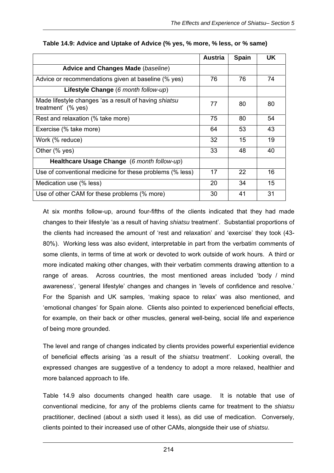|                                                                             | Austria | <b>Spain</b> | UK. |
|-----------------------------------------------------------------------------|---------|--------------|-----|
| <b>Advice and Changes Made (baseline)</b>                                   |         |              |     |
| Advice or recommendations given at baseline (% yes)                         | 76      | 76           | 74  |
| Lifestyle Change (6 month follow-up)                                        |         |              |     |
| Made lifestyle changes 'as a result of having shiatsu<br>treatment' (% yes) | 77      | 80           | 80  |
| Rest and relaxation (% take more)                                           | 75      | 80           | 54  |
| Exercise (% take more)                                                      | 64      | 53           | 43  |
| Work (% reduce)                                                             | 32      | 15           | 19  |
| Other (% yes)                                                               | 33      | 48           | 40  |
| Healthcare Usage Change (6 month follow-up)                                 |         |              |     |
| Use of conventional medicine for these problems (% less)                    | 17      | 22           | 16  |
| Medication use (% less)                                                     | 20      | 34           | 15  |
| Use of other CAM for these problems (% more)                                | 30      | 41           | 31  |

#### **Table 14.9: Advice and Uptake of Advice (% yes, % more, % less, or % same)**

At six months follow-up, around four-fifths of the clients indicated that they had made changes to their lifestyle 'as a result of having *shiatsu* treatment'. Substantial proportions of the clients had increased the amount of 'rest and relaxation' and 'exercise' they took (43- 80%). Working less was also evident, interpretable in part from the verbatim comments of some clients, in terms of time at work or devoted to work outside of work hours. A third or more indicated making other changes, with their verbatim comments drawing attention to a range of areas. Across countries, the most mentioned areas included 'body / mind awareness', 'general lifestyle' changes and changes in 'levels of confidence and resolve.' For the Spanish and UK samples, 'making space to relax' was also mentioned, and 'emotional changes' for Spain alone. Clients also pointed to experienced beneficial effects, for example, on their back or other muscles, general well-being, social life and experience of being more grounded.

The level and range of changes indicated by clients provides powerful experiential evidence of beneficial effects arising 'as a result of the *shiatsu* treatment'. Looking overall, the expressed changes are suggestive of a tendency to adopt a more relaxed, healthier and more balanced approach to life.

Table 14.9 also documents changed health care usage. It is notable that use of conventional medicine, for any of the problems clients came for treatment to the *shiatsu* practitioner, declined (about a sixth used it less), as did use of medication. Conversely, clients pointed to their increased use of other CAMs, alongside their use of *shiatsu*.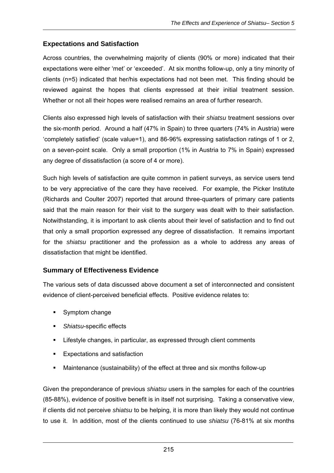## **Expectations and Satisfaction**

Across countries, the overwhelming majority of clients (90% or more) indicated that their expectations were either 'met' or 'exceeded'. At six months follow-up, only a tiny minority of clients (n=5) indicated that her/his expectations had not been met. This finding should be reviewed against the hopes that clients expressed at their initial treatment session. Whether or not all their hopes were realised remains an area of further research.

Clients also expressed high levels of satisfaction with their *shiatsu* treatment sessions over the six-month period. Around a half (47% in Spain) to three quarters (74% in Austria) were 'completely satisfied' (scale value=1), and 86-96% expressing satisfaction ratings of 1 or 2, on a seven-point scale. Only a small proportion (1% in Austria to 7% in Spain) expressed any degree of dissatisfaction (a score of 4 or more).

Such high levels of satisfaction are quite common in patient surveys, as service users tend to be very appreciative of the care they have received. For example, the Picker Institute (Richards and Coulter 2007) reported that around three-quarters of primary care patients said that the main reason for their visit to the surgery was dealt with to their satisfaction. Notwithstanding, it is important to ask clients about their level of satisfaction and to find out that only a small proportion expressed any degree of dissatisfaction. It remains important for the *shiatsu* practitioner and the profession as a whole to address any areas of dissatisfaction that might be identified.

## **Summary of Effectiveness Evidence**

The various sets of data discussed above document a set of interconnected and consistent evidence of client-perceived beneficial effects. Positive evidence relates to:

- Symptom change
- *Shiatsu*-specific effects
- Lifestyle changes, in particular, as expressed through client comments
- Expectations and satisfaction
- Maintenance (sustainability) of the effect at three and six months follow-up

Given the preponderance of previous *shiatsu* users in the samples for each of the countries (85-88%), evidence of positive benefit is in itself not surprising. Taking a conservative view, if clients did not perceive *shiatsu* to be helping, it is more than likely they would not continue to use it. In addition, most of the clients continued to use *shiatsu* (76-81% at six months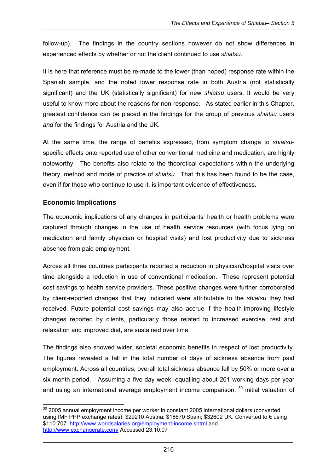follow-up). The findings in the country sections however do not show differences in experienced effects by whether or not the client continued to use *shiatsu*.

It is here that reference must be re-made to the lower (than hoped) response rate within the Spanish sample, and the noted lower response rate in both Austria (not statistically significant) and the UK (statistically significant) for new *shiatsu* users. It would be very useful to know more about the reasons for non-response. As stated earlier in this Chapter, greatest confidence can be placed in the findings for the group of previous *shiatsu* users *and* for the findings for Austria and the UK.

At the same time, the range of benefits expressed, from symptom change to *shiatsu*specific effects onto reported use of other conventional medicine and medication, are highly noteworthy. The benefits also relate to the theoretical expectations within the underlying theory, method and mode of practice of *shiatsu*. That this has been found to be the case, even if for those who continue to use it, is important evidence of effectiveness.

## **Economic Implications**

The economic implications of any changes in participants' health or health problems were captured through changes in the use of health service resources (with focus lying on medication and family physician or hospital visits) and lost productivity due to sickness absence from paid employment.

Across all three countries participants reported a reduction in physician/hospital visits over time alongside a reduction in use of conventional medication. These represent potential cost savings to health service providers. These positive changes were further corroborated by client-reported changes that they indicated were attributable to the *shiatsu* they had received. Future potential cost savings may also accrue if the health-improving lifestyle changes reported by clients, particularly those related to increased exercise, rest and relaxation and improved diet, are sustained over time.

The findings also showed wider, societal economic benefits in respect of lost productivity. The figures revealed a fall in the total number of days of sickness absence from paid employment. Across all countries, overall total sickness absence fell by 50% or more over a six month period. Assuming a five-day week, equalling about 261 working days per year and using an international average employment income comparison,  $30$  initial valuation of

 $\overline{a}$  $30$  2005 annual employment income per worker in constant 2005 international dollars (converted using IMF PPP exchange rates): \$29210 Austria; \$18670 Spain; \$32602 UK. Converted to € using \$1=0.707. http://www.worldsalaries.org/employment-income.shtml and http://www.exchangerate.com/ Accessed 23.10.07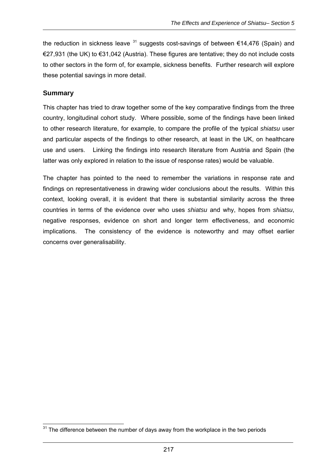the reduction in sickness leave  $31$  suggests cost-savings of between  $\epsilon$ 14,476 (Spain) and €27,931 (the UK) to €31,042 (Austria). These figures are tentative; they do not include costs to other sectors in the form of, for example, sickness benefits. Further research will explore these potential savings in more detail.

## **Summary**

This chapter has tried to draw together some of the key comparative findings from the three country, longitudinal cohort study. Where possible, some of the findings have been linked to other research literature, for example, to compare the profile of the typical *shiatsu* user and particular aspects of the findings to other research, at least in the UK, on healthcare use and users. Linking the findings into research literature from Austria and Spain (the latter was only explored in relation to the issue of response rates) would be valuable.

The chapter has pointed to the need to remember the variations in response rate and findings on representativeness in drawing wider conclusions about the results. Within this context, looking overall, it is evident that there is substantial similarity across the three countries in terms of the evidence over who uses *shiatsu* and why, hopes from *shiatsu*, negative responses, evidence on short and longer term effectiveness, and economic implications. The consistency of the evidence is noteworthy and may offset earlier concerns over generalisability.

 $\overline{a}$  $31$  The difference between the number of days away from the workplace in the two periods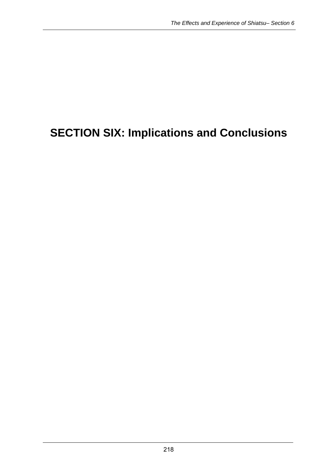# **SECTION SIX: Implications and Conclusions**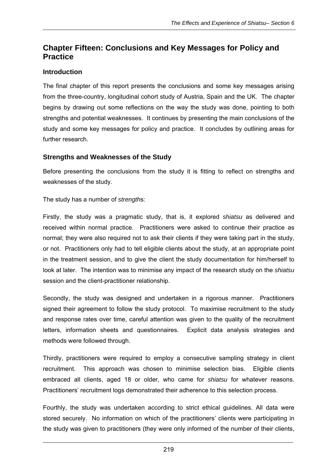## **Chapter Fifteen: Conclusions and Key Messages for Policy and Practice**

## **Introduction**

The final chapter of this report presents the conclusions and some key messages arising from the three-country, longitudinal cohort study of Austria, Spain and the UK. The chapter begins by drawing out some reflections on the way the study was done, pointing to both strengths and potential weaknesses. It continues by presenting the main conclusions of the study and some key messages for policy and practice. It concludes by outlining areas for further research.

## **Strengths and Weaknesses of the Study**

Before presenting the conclusions from the study it is fitting to reflect on strengths and weaknesses of the study.

The study has a number of *strength*s:

Firstly, the study was a pragmatic study, that is, it explored *shiatsu* as delivered and received within normal practice. Practitioners were asked to continue their practice as normal; they were also required not to ask their clients if they were taking part in the study, or not. Practitioners only had to tell eligible clients about the study, at an appropriate point in the treatment session, and to give the client the study documentation for him/herself to look at later. The intention was to minimise any impact of the research study on the *shiatsu* session and the client-practitioner relationship.

Secondly, the study was designed and undertaken in a rigorous manner. Practitioners signed their agreement to follow the study protocol. To maximise recruitment to the study and response rates over time, careful attention was given to the quality of the recruitment letters, information sheets and questionnaires. Explicit data analysis strategies and methods were followed through.

Thirdly, practitioners were required to employ a consecutive sampling strategy in client recruitment. This approach was chosen to minimise selection bias. Eligible clients embraced all clients, aged 18 or older, who came for *shiatsu* for whatever reasons. Practitioners' recruitment logs demonstrated their adherence to this selection process.

Fourthly, the study was undertaken according to strict ethical guidelines. All data were stored securely. No information on which of the practitioners' clients were participating in the study was given to practitioners (they were only informed of the number of their clients,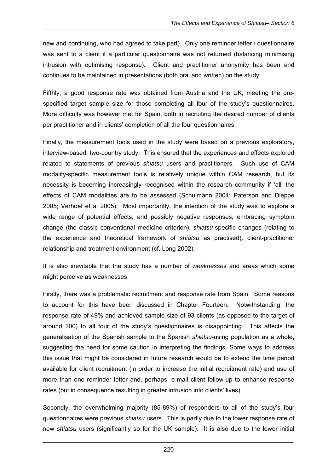new and continuing, who had agreed to take part). Only one reminder letter / questionnaire was sent to a client if a particular questionnaire was not returned (balancing minimising intrusion with optimising response). Client and practitioner anonymity has been and continues to be maintained in presentations (both oral and written) on the study.

Fifthly, a good response rate was obtained from Austria and the UK, meeting the prespecified target sample size for those completing all four of the study's questionnaires. More difficulty was however met for Spain, both in recruiting the desired number of clients per practitioner and in clients' completion of all the four questionnaires.

Finally, the measurement tools used in the study were based on a previous exploratory, interview-based, two-country study. This ensured that the experiences and effects explored related to statements of previous *shiatsu* users and practitioners. Such use of CAM modality-specific measurement tools is relatively unique within CAM research, but its necessity is becoming increasingly recognised within the research community if 'all' the effects of CAM modalities are to be assessed (Schulmann 2004; Paterson and Dieppe 2005; Verhoef et al 2005). Most importantly, the intention of the study was to explore a wide range of potential effects, and possibly negative responses, embracing symptom change (the classic conventional medicine criterion), *shiatsu*-specific changes (relating to the experience and theoretical framework of *shiatsu* as practised), client-practitioner relationship and treatment environment (cf. Long 2002).

It is also inevitable that the study has a number of *weaknesse*s and areas which some might perceive as weaknesses.

Firstly, there was a problematic recruitment and response rate from Spain. Some reasons to account for this have been discussed in Chapter Fourteen. Notwithstanding, the response rate of 49% and achieved sample size of 93 clients (as opposed to the target of around 200) to all four of the study's questionnaires is disappointing. This affects the generalisation of the Spanish sample to the Spanish *shiatsu*-using population as a whole, suggesting the need for some caution in interpreting the findings. Some ways to address this issue that might be considered in future research would be to extend the time period available for client recruitment (in order to increase the initial recruitment rate) and use of more than one reminder letter and, perhaps, e-mail client follow-up to enhance response rates (but in consequence resulting in greater intrusion into clients' lives).

Secondly, the overwhelming majority (85-89%) of responders to all of the study's four questionnaires were previous *shiatsu* users. This is partly due to the lower response rate of new *shiatsu* users (significantly so for the UK sample). It is also due to the lower initial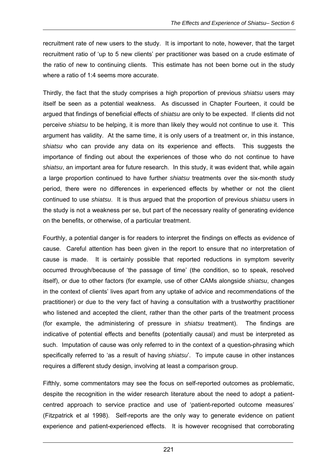recruitment rate of new users to the study. It is important to note, however, that the target recruitment ratio of 'up to 5 new clients' per practitioner was based on a crude estimate of the ratio of new to continuing clients. This estimate has not been borne out in the study where a ratio of 1:4 seems more accurate.

Thirdly, the fact that the study comprises a high proportion of previous *shiatsu* users may itself be seen as a potential weakness. As discussed in Chapter Fourteen, it could be argued that findings of beneficial effects of *shiatsu* are only to be expected. If clients did not perceive *shiatsu* to be helping, it is more than likely they would not continue to use it. This argument has validity. At the same time, it is only users of a treatment or, in this instance, *shiatsu* who can provide any data on its experience and effects. This suggests the importance of finding out about the experiences of those who do not continue to have *shiatsu*, an important area for future research. In this study, it was evident that, while again a large proportion continued to have further *shiatsu* treatments over the six-month study period, there were no differences in experienced effects by whether or not the client continued to use *shiatsu*. It is thus argued that the proportion of previous *shiatsu* users in the study is not a weakness per se, but part of the necessary reality of generating evidence on the benefits, or otherwise, of a particular treatment.

Fourthly, a potential danger is for readers to interpret the findings on effects as evidence of cause. Careful attention has been given in the report to ensure that no interpretation of cause is made. It is certainly possible that reported reductions in symptom severity occurred through/because of 'the passage of time' (the condition, so to speak, resolved itself), or due to other factors (for example, use of other CAMs alongside *shiatsu*, changes in the context of clients' lives apart from any uptake of advice and recommendations of the practitioner) or due to the very fact of having a consultation with a trustworthy practitioner who listened and accepted the client, rather than the other parts of the treatment process (for example, the administering of pressure in *shiatsu* treatment). The findings are indicative of potential effects and benefits (potentially causal) and must be interpreted as such. Imputation of cause was only referred to in the context of a question-phrasing which specifically referred to 'as a result of having *shiatsu*'. To impute cause in other instances requires a different study design, involving at least a comparison group.

Fifthly, some commentators may see the focus on self-reported outcomes as problematic, despite the recognition in the wider research literature about the need to adopt a patientcentred approach to service practice and use of 'patient-reported outcome measures' (Fitzpatrick et al 1998). Self-reports are the only way to generate evidence on patient experience and patient-experienced effects. It is however recognised that corroborating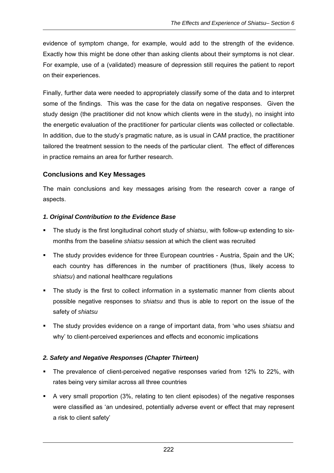evidence of symptom change, for example, would add to the strength of the evidence. Exactly how this might be done other than asking clients about their symptoms is not clear. For example, use of a (validated) measure of depression still requires the patient to report on their experiences.

Finally, further data were needed to appropriately classify some of the data and to interpret some of the findings. This was the case for the data on negative responses. Given the study design (the practitioner did not know which clients were in the study), no insight into the energetic evaluation of the practitioner for particular clients was collected or collectable. In addition, due to the study's pragmatic nature, as is usual in CAM practice, the practitioner tailored the treatment session to the needs of the particular client. The effect of differences in practice remains an area for further research.

## **Conclusions and Key Messages**

The main conclusions and key messages arising from the research cover a range of aspects.

#### *1. Original Contribution to the Evidence Base*

- The study is the first longitudinal cohort study of *shiatsu*, with follow-up extending to sixmonths from the baseline *shiatsu* session at which the client was recruited
- The study provides evidence for three European countries Austria, Spain and the UK; each country has differences in the number of practitioners (thus, likely access to *shiatsu*) and national healthcare regulations
- The study is the first to collect information in a systematic manner from clients about possible negative responses to *shiatsu* and thus is able to report on the issue of the safety of *shiatsu*
- The study provides evidence on a range of important data, from 'who uses *shiatsu* and why' to client-perceived experiences and effects and economic implications

## *2. Safety and Negative Responses (Chapter Thirteen)*

- The prevalence of client-perceived negative responses varied from 12% to 22%, with rates being very similar across all three countries
- A very small proportion (3%, relating to ten client episodes) of the negative responses were classified as 'an undesired, potentially adverse event or effect that may represent a risk to client safety'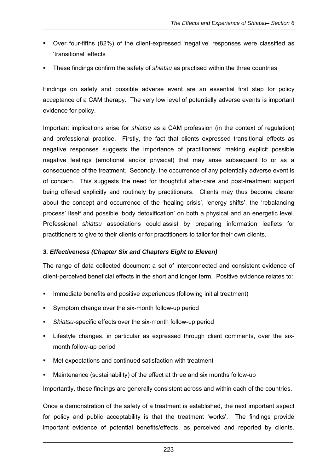- Over four-fifths (82%) of the client-expressed 'negative' responses were classified as 'transitional' effects
- These findings confirm the safety of *shiatsu* as practised within the three countries

Findings on safety and possible adverse event are an essential first step for policy acceptance of a CAM therapy. The very low level of potentially adverse events is important evidence for policy.

Important implications arise for *shiatsu* as a CAM profession (in the context of regulation) and professional practice. Firstly, the fact that clients expressed transitional effects as negative responses suggests the importance of practitioners' making explicit possible negative feelings (emotional and/or physical) that may arise subsequent to or as a consequence of the treatment. Secondly, the occurrence of any potentially adverse event is of concern. This suggests the need for thoughtful after-care and post-treatment support being offered explicitly and routinely by practitioners. Clients may thus become clearer about the concept and occurrence of the 'healing crisis', 'energy shifts', the 'rebalancing process' itself and possible 'body detoxification' on both a physical and an energetic level. Professional *shiatsu* associations could assist by preparing information leaflets for practitioners to give to their clients or for practitioners to tailor for their own clients.

#### *3. Effectiveness (Chapter Six and Chapters Eight to Eleven)*

The range of data collected document a set of interconnected and consistent evidence of client-perceived beneficial effects in the short and longer term. Positive evidence relates to:

- Immediate benefits and positive experiences (following initial treatment)
- Symptom change over the six-month follow-up period
- *Shiatsu*-specific effects over the six-month follow-up period
- Lifestyle changes, in particular as expressed through client comments, over the sixmonth follow-up period
- Met expectations and continued satisfaction with treatment
- Maintenance (sustainability) of the effect at three and six months follow-up

Importantly, these findings are generally consistent across and within each of the countries.

Once a demonstration of the safety of a treatment is established, the next important aspect for policy and public acceptability is that the treatment 'works'. The findings provide important evidence of potential benefits/effects, as perceived and reported by clients.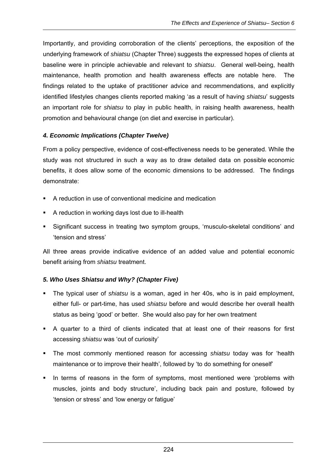Importantly, and providing corroboration of the clients' perceptions, the exposition of the underlying framework of *shiatsu* (Chapter Three) suggests the expressed hopes of clients at baseline were in principle achievable and relevant to *shiatsu*. General well-being, health maintenance, health promotion and health awareness effects are notable here. The findings related to the uptake of practitioner advice and recommendations, and explicitly identified lifestyles changes clients reported making 'as a result of having *shiatsu*' suggests an important role for *shiatsu* to play in public health, in raising health awareness, health promotion and behavioural change (on diet and exercise in particular).

#### *4. Economic Implications (Chapter Twelve)*

From a policy perspective, evidence of cost-effectiveness needs to be generated. While the study was not structured in such a way as to draw detailed data on possible economic benefits, it does allow some of the economic dimensions to be addressed. The findings demonstrate:

- A reduction in use of conventional medicine and medication
- A reduction in working days lost due to ill-health
- Significant success in treating two symptom groups, 'musculo-skeletal conditions' and 'tension and stress'

All three areas provide indicative evidence of an added value and potential economic benefit arising from *shiatsu* treatment.

## *5. Who Uses Shiatsu and Why? (Chapter Five)*

- The typical user of *shiatsu* is a woman, aged in her 40s, who is in paid employment, either full- or part-time, has used *shiatsu* before and would describe her overall health status as being 'good' or better. She would also pay for her own treatment
- A quarter to a third of clients indicated that at least one of their reasons for first accessing *shiatsu* was 'out of curiosity'
- The most commonly mentioned reason for accessing *shiatsu* today was for 'health maintenance or to improve their health', followed by 'to do something for oneself'
- In terms of reasons in the form of symptoms, most mentioned were 'problems with muscles, joints and body structure', including back pain and posture, followed by 'tension or stress' and 'low energy or fatigue'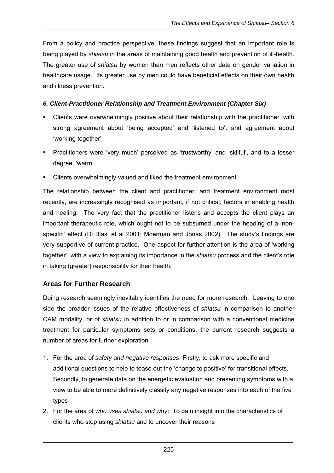From a policy and practice perspective, these findings suggest that an important role is being played by *shiatsu* in the areas of maintaining good health and prevention of ill-health. The greater use of *shiatsu* by women than men reflects other data on gender variation in healthcare usage. Its greater use by men could have beneficial effects on their own health and illness prevention.

#### *6. Client-Practitioner Relationship and Treatment Environment (Chapter Six)*

- Clients were overwhelmingly positive about their relationship with the practitioner, with strong agreement about 'being accepted' and 'listened to', and agreement about 'working together'
- Practitioners were 'very much' perceived as 'trustworthy' and 'skilful', and to a lesser degree, 'warm'
- Clients overwhelmingly valued and liked the treatment environment

The relationship between the client and practitioner, and treatment environment most recently, are increasingly recognised as important, if not critical, factors in enabling health and healing. The very fact that the practitioner listens and accepts the client plays an important therapeutic role, which ought not to be subsumed under the heading of a 'nonspecific' effect (Di Blasi et al 2001; Moerman and Jonas 2002). The study's findings are very supportive of current practice. One aspect for further attention is the area of 'working together', with a view to explaining its importance in the *shiatsu* process and the client's role in taking (greater) responsibility for their health.

#### **Areas for Further Research**

Doing research seemingly inevitably identifies the need for more research. Leaving to one side the broader issues of the relative effectiveness of *shiatsu* in comparison to another CAM modality, or of *shiatsu* in addition to or in comparison with a conventional medicine treatment for particular symptoms sets or conditions, the current research suggests a number of areas for further exploration.

- 1. For the area of *safety and negative responses*: Firstly, to ask more specific and additional questions to help to tease out the 'change to positive' for transitional effects. Secondly, to generate data on the energetic evaluation and presenting symptoms with a view to be able to more definitively classify any negative responses into each of the five types
- 2. For the area of *who uses shiatsu and why*: To gain insight into the characteristics of clients who stop using *shiatsu* and to uncover their reasons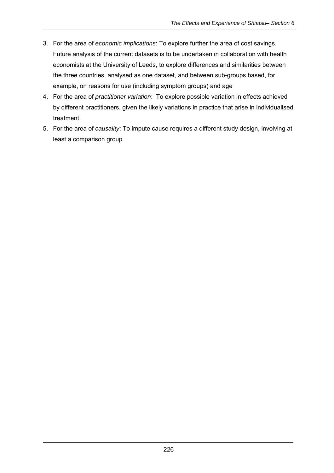- 3. For the area of *economic implications*: To explore further the area of cost savings. Future analysis of the current datasets is to be undertaken in collaboration with health economists at the University of Leeds, to explore differences and similarities between the three countries, analysed as one dataset, and between sub-groups based, for example, on reasons for use (including symptom groups) and age
- 4. For the area of *practitioner variation*: To explore possible variation in effects achieved by different practitioners, given the likely variations in practice that arise in individualised treatment
- 5. For the area of *causality*: To impute cause requires a different study design, involving at least a comparison group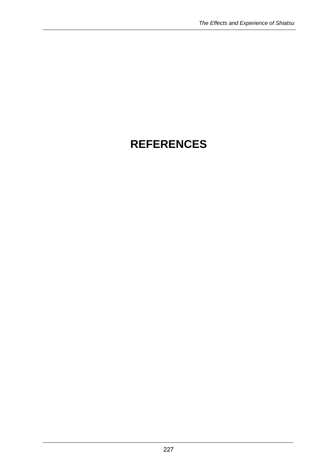# **REFERENCES**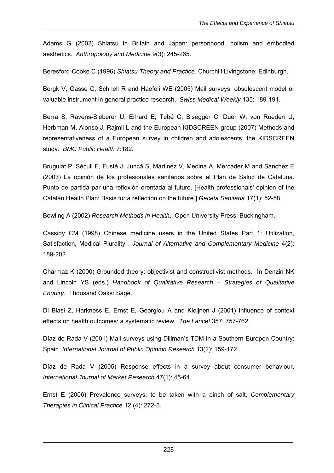Adams G (2002) Shiatsu in Britain and Japan: personhood, holism and embodied aesthetics. *Anthropology and Medicine* 9(3): 245-265.

Beresford-Cooke C (1996) *Shiatsu Theory and Practice*. Churchill Livingstone: Edinburgh.

Bergk V, Gasse C, Schnell R and Haefeli WE (2005) Mail surveys: obsolescent model or valuable instrument in general practice research. *Swiss Medical Weekly* 135: 189-191.

Berra S, Ravens-Sieberer U, Erhard E, Tebé C, Bisegger C, Duer W, von Rueden U, Herbman M, Alonso J, Rajmil L and the European KIDSCREEN group (2007) Methods and representativeness of a European survey in children and adolescents: the KIDSCREEN study. *BMC Public Health* 7:182.

Brugulat P. Séculi E, Fusté J, Juncà S, Martinez V, Medina A, Mercader M and Sánchez E (2003) La opinión de los profesionales sanitarios sobre el Plan de Salud de Cataluña. Punto de partida par una reflexión orentada al futuro. [Health professionals' opinion of the Catalan Health Plan: Basis for a reflection on the future.] *Gaceta Sanitaria* 17(1): 52-58.

Bowling A (2002) *Research Methods in Health*. Open University Press: Buckingham.

Cassidy CM (1998) Chinese medicine users in the United States Part 1: Utilization, Satisfaction, Medical Plurality. *Journal of Alternative and Complementary Medicine* 4(2): 189-202.

Charmaz K (2000) Grounded theory: objectivist and constructivist methods. In Denzin NK and Lincoln YS (eds.) *Handbook of Qualitative Research – Strategies of Qualitative Enquiry*. Thousand Oaks: Sage.

Di Blasi Z, Harkness E, Ernst E, Georgiou A and Kleijnen J (2001) Influence of context effects on health outcomes: a systematic review. *The Lancet* 357: 757-762.

Díaz de Rada V (2001) Mail surveys using Dillman's TDM in a Southern Europen Country: Spain. *International Journal of Public Opinion Research* 13(2): 159-172.

Díaz de Rada V (2005) Response effects in a survey about consumer behaviour. *International Journal of Market Research* 47(1): 45-64.

Ernst E (2006) Prevalence surveys: to be taken with a pinch of salt. *Complementary Therapies in Clinical Practice* 12 (4): 272-5.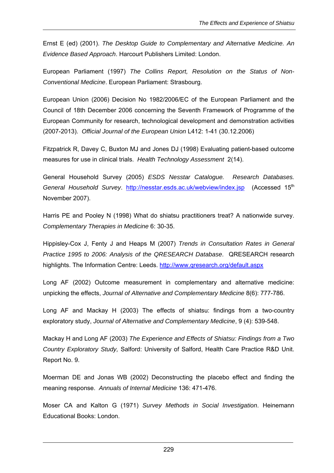Ernst E (ed) (2001). *The Desktop Guide to Complementary and Alternative Medicine. An Evidence Based Approach*. Harcourt Publishers Limited: London.

European Parliament (1997) *The Collins Report, Resolution on the Status of Non-Conventional Medicine*. European Parliament: Strasbourg.

European Union (2006) Decision No 1982/2006/EC of the European Parliament and the Council of 18th December 2006 concerning the Seventh Framework of Programme of the European Community for research, technological development and demonstration activities (2007-2013). *Official Journal of the European Union* L412: 1-41 (30.12.2006)

Fitzpatrick R, Davey C, Buxton MJ and Jones DJ (1998) Evaluating patient-based outcome measures for use in clinical trials. *Health Technology Assessment* 2(14).

General Household Survey (2005) *ESDS Nesstar Catalogue. Research Databases. General Household Survey.* http://nesstar.esds.ac.uk/webview/index.jsp (Accessed 15<sup>th</sup> November 2007).

Harris PE and Pooley N (1998) What do shiatsu practitioners treat? A nationwide survey. *Complementary Therapies in Medicine* 6: 30-35.

Hippisley-Cox J, Fenty J and Heaps M (2007) *Trends in Consultation Rates in General Practice 1995 to 2006: Analysis of the QRESEARCH Database*. QRESEARCH research highlights. The Information Centre: Leeds. http://www.qresearch.org/default.aspx

Long AF (2002) Outcome measurement in complementary and alternative medicine: unpicking the effects, *Journal of Alternative and Complementary Medicine* 8(6): 777-786.

Long AF and Mackay H (2003) The effects of shiatsu: findings from a two-country exploratory study, *Journal of Alternative and Complementary Medicine*, 9 (4): 539-548.

Mackay H and Long AF (2003) *The Experience and Effects of Shiatsu: Findings from a Two Country Exploratory Study,* Salford: University of Salford, Health Care Practice R&D Unit. Report No. 9.

Moerman DE and Jonas WB (2002) Deconstructing the placebo effect and finding the meaning response. *Annuals of Internal Medicine* 136: 471-476.

Moser CA and Kalton G (1971) *Survey Methods in Social Investigation*. Heinemann Educational Books: London.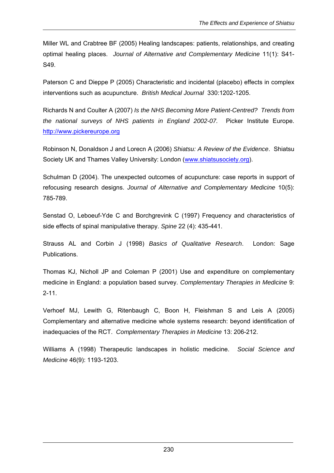Miller WL and Crabtree BF (2005) Healing landscapes: patients, relationships, and creating optimal healing places. *Journal of Alternative and Complementary Medicine* 11(1): S41- S49.

Paterson C and Dieppe P (2005) Characteristic and incidental (placebo) effects in complex interventions such as acupuncture. *British Medical Journal* 330:1202-1205.

Richards N and Coulter A (2007) *Is the NHS Becoming More Patient-Centred? Trends from the national surveys of NHS patients in England 2002-07.* Picker Institute Europe. http://www.pickereurope.org

Robinson N, Donaldson J and Lorecn A (2006) *Shiatsu: A Review of the Evidence*. Shiatsu Society UK and Thames Valley University: London (www.shiatsusociety.org).

Schulman D (2004). The unexpected outcomes of acupuncture: case reports in support of refocusing research designs. *Journal of Alternative and Complementary Medicine* 10(5): 785-789.

Senstad O, Leboeuf-Yde C and Borchgrevink C (1997) Frequency and characteristics of side effects of spinal manipulative therapy. *Spine* 22 (4): 435-441.

Strauss AL and Corbin J (1998) *Basics of Qualitative Research*. London: Sage Publications.

Thomas KJ, Nicholl JP and Coleman P (2001) Use and expenditure on complementary medicine in England: a population based survey. *Complementary Therapies in Medicine* 9: 2-11.

Verhoef MJ, Lewith G, Ritenbaugh C, Boon H, Fleishman S and Leis A (2005) Complementary and alternative medicine whole systems research: beyond identification of inadequacies of the RCT. *Complementary Therapies in Medicine* 13: 206-212.

Williams A (1998) Therapeutic landscapes in holistic medicine. *Social Science and Medicine* 46(9): 1193-1203.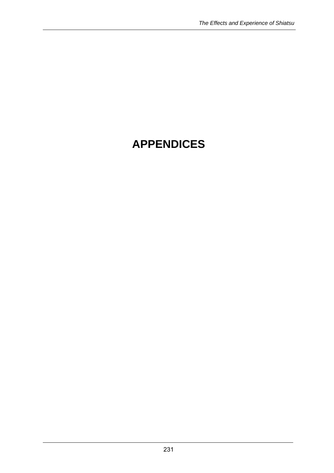# **APPENDICES**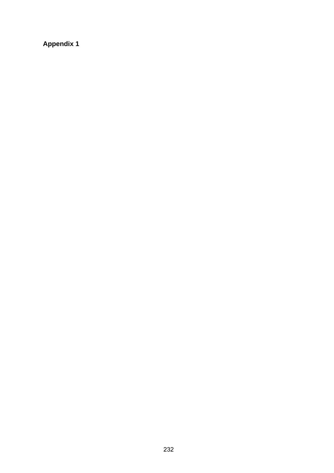**Appendix 1**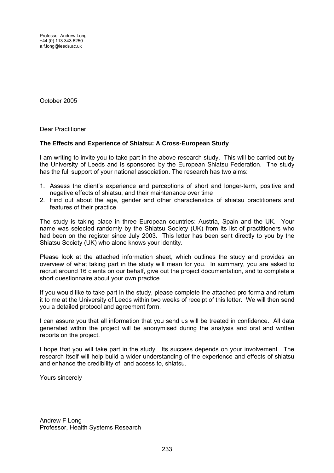Professor Andrew Long +44 (0) 113 343 6250 a.f.long@leeds.ac.uk

October 2005

Dear Practitioner

#### **The Effects and Experience of Shiatsu: A Cross-European Study**

I am writing to invite you to take part in the above research study. This will be carried out by the University of Leeds and is sponsored by the European Shiatsu Federation. The study has the full support of your national association. The research has two aims:

- 1. Assess the client's experience and perceptions of short and longer-term, positive and negative effects of shiatsu, and their maintenance over time
- 2. Find out about the age, gender and other characteristics of shiatsu practitioners and features of their practice

The study is taking place in three European countries: Austria, Spain and the UK. Your name was selected randomly by the Shiatsu Society (UK) from its list of practitioners who had been on the register since July 2003. This letter has been sent directly to you by the Shiatsu Society (UK) who alone knows your identity.

Please look at the attached information sheet, which outlines the study and provides an overview of what taking part in the study will mean for you. In summary, you are asked to recruit around 16 clients on our behalf, give out the project documentation, and to complete a short questionnaire about your own practice.

If you would like to take part in the study, please complete the attached pro forma and return it to me at the University of Leeds within two weeks of receipt of this letter. We will then send you a detailed protocol and agreement form.

I can assure you that all information that you send us will be treated in confidence. All data generated within the project will be anonymised during the analysis and oral and written reports on the project.

I hope that you will take part in the study. Its success depends on your involvement. The research itself will help build a wider understanding of the experience and effects of shiatsu and enhance the credibility of, and access to, shiatsu.

Yours sincerely

Andrew F Long Professor, Health Systems Research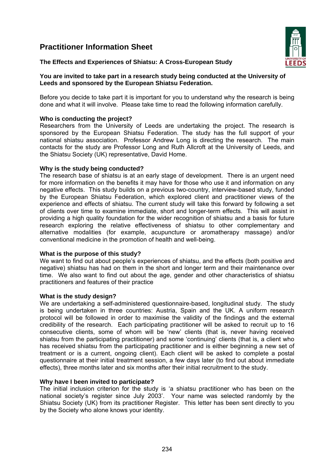## **Practitioner Information Sheet**





#### **You are invited to take part in a research study being conducted at the University of Leeds and sponsored by the European Shiatsu Federation.**

Before you decide to take part it is important for you to understand why the research is being done and what it will involve. Please take time to read the following information carefully.

#### **Who is conducting the project?**

Researchers from the University of Leeds are undertaking the project. The research is sponsored by the European Shiatsu Federation. The study has the full support of your national shiatsu association. Professor Andrew Long is directing the research. The main contacts for the study are Professor Long and Ruth Allcroft at the University of Leeds, and the Shiatsu Society (UK) representative, David Home.

#### **Why is the study being conducted?**

The research base of shiatsu is at an early stage of development. There is an urgent need for more information on the benefits it may have for those who use it and information on any negative effects. This study builds on a previous two-country, interview-based study, funded by the European Shiatsu Federation, which explored client and practitioner views of the experience and effects of shiatsu. The current study will take this forward by following a set of clients over time to examine immediate, short and longer-term effects. This will assist in providing a high quality foundation for the wider recognition of shiatsu and a basis for future research exploring the relative effectiveness of shiatsu to other complementary and alternative modalities (for example, acupuncture or aromatherapy massage) and/or conventional medicine in the promotion of health and well-being.

#### **What is the purpose of this study?**

We want to find out about people's experiences of shiatsu, and the effects (both positive and negative) shiatsu has had on them in the short and longer term and their maintenance over time. We also want to find out about the age, gender and other characteristics of shiatsu practitioners and features of their practice

#### **What is the study design?**

We are undertaking a self-administered questionnaire-based, longitudinal study. The study is being undertaken in three countries: Austria, Spain and the UK. A uniform research protocol will be followed in order to maximise the validity of the findings and the external credibility of the research. Each participating practitioner will be asked to recruit up to 16 consecutive clients, some of whom will be 'new' clients (that is, never having received shiatsu from the participating practitioner) and some 'continuing' clients (that is, a client who has received shiatsu from the participating practitioner and is either beginning a new set of treatment or is a current, ongoing client). Each client will be asked to complete a postal questionnaire at their initial treatment session, a few days later (to find out about immediate effects), three months later and six months after their initial recruitment to the study.

#### **Why have I been invited to participate?**

The initial inclusion criterion for the study is 'a shiatsu practitioner who has been on the national society's register since July 2003'. Your name was selected randomly by the Shiatsu Society (UK) from its practitioner Register. This letter has been sent directly to you by the Society who alone knows your identity.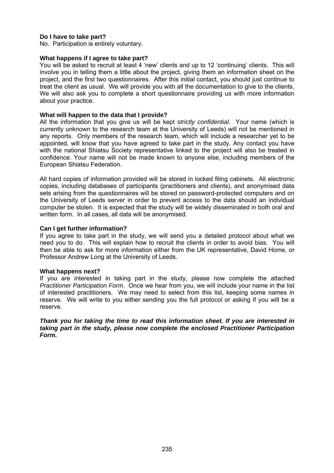#### **Do I have to take part?**

No. Participation is entirely voluntary.

#### **What happens if I agree to take part?**

You will be asked to recruit at least 4 'new' clients and up to 12 'continuing' clients. This will involve you in telling them a little about the project, giving them an information sheet on the project, and the first two questionnaires. After this initial contact, you should just continue to treat the client as usual. We will provide you with all the documentation to give to the clients. We will also ask you to complete a short questionnaire providing us with more information about your practice.

#### **What will happen to the data that I provide?**

All the information that you give us will be kept *strictly confidential*. Your name (which is currently unknown to the research team at the University of Leeds) will not be mentioned in any reports. Only members of the research team, which will include a researcher yet to be appointed, will know that you have agreed to take part in the study. Any contact you have with the national Shiatsu Society representative linked to the project will also be treated in confidence. Your name will not be made known to anyone else, including members of the European Shiatsu Federation.

All hard copies of information provided will be stored in locked filing cabinets. All electronic copies, including databases of participants (practitioners and clients), and anonymised data sets arising from the questionnaires will be stored on password-protected computers and on the University of Leeds server in order to prevent access to the data should an individual computer be stolen. It is expected that the study will be widely disseminated in both oral and written form. In all cases, all data will be anonymised.

#### **Can I get further information?**

If you agree to take part in the study, we will send you a detailed protocol about what we need you to do. This will explain how to recruit the clients in order to avoid bias. You will then be able to ask for more information either from the UK representative, David Home, or Professor Andrew Long at the University of Leeds.

#### **What happens next?**

If you are interested in taking part in the study, please now complete the attached *Practitioner Participation Form*. Once we hear from you, we will include your name in the list of interested practitioners. We may need to select from this list, keeping some names in reserve. We will write to you either sending you the full protocol or asking if you will be a reserve.

*Thank you for taking the time to read this information sheet. If you are interested in taking part in the study, please now complete the enclosed Practitioner Participation Form.*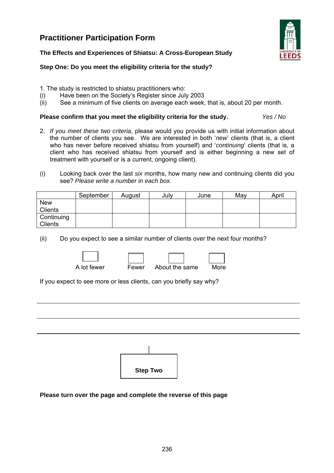### **Practitioner Participation Form**



#### **The Effects and Experiences of Shiatsu: A Cross-European Study**

#### **Step One: Do you meet the eligibility criteria for the study?**

- 1. The study is restricted to shiatsu practitioners who:
- (i) Have been on the Society's Register since July 2003
- (ii) See a minimum of five clients on average each week, that is, about 20 per month.

#### **Please confirm that you meet the eligibility criteria for the study.** *Yes / No*

- 2. *If you meet these two criteria*, please would you provide us with initial information about the number of clients you see. We are interested in both '*new*' clients (that is, a client who has never before received shiatsu from yourself) and '*continuing*' clients (that is, a client who has received shiatsu from yourself and is either beginning a new set of treatment with yourself or is a current, ongoing client).
- (i) Looking back over the last *six* months, how many new and continuing clients did you see? *Please write a number in each box.*

|                | September | August | July | June | May | April |
|----------------|-----------|--------|------|------|-----|-------|
| <b>New</b>     |           |        |      |      |     |       |
| Clients        |           |        |      |      |     |       |
| Continuing     |           |        |      |      |     |       |
| <b>Clients</b> |           |        |      |      |     |       |

(ii) Do you expect to see a similar number of clients over the next four months?



A lot fewer Fewer About the same More

If you expect to see more or less clients, can you briefly say why?



**Please turn over the page and complete the reverse of this page**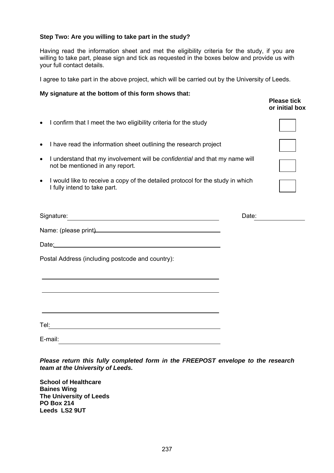#### **Step Two: Are you willing to take part in the study?**

Having read the information sheet and met the eligibility criteria for the study, if you are willing to take part, please sign and tick as requested in the boxes below and provide us with your full contact details.

I agree to take part in the above project, which will be carried out by the University of Leeds.

**Please tick** 

#### **My signature at the bottom of this form shows that:**

|                                                                                                                                                                                                                                      |       | or initial box |
|--------------------------------------------------------------------------------------------------------------------------------------------------------------------------------------------------------------------------------------|-------|----------------|
| I confirm that I meet the two eligibility criteria for the study<br>$\bullet$                                                                                                                                                        |       |                |
| I have read the information sheet outlining the research project<br>$\bullet$                                                                                                                                                        |       |                |
| I understand that my involvement will be <i>confidential</i> and that my name will<br>$\bullet$<br>not be mentioned in any report.                                                                                                   |       |                |
| I would like to receive a copy of the detailed protocol for the study in which<br>$\bullet$<br>I fully intend to take part.                                                                                                          |       |                |
| Signature: <u>contract and a series of the series of the series of the series of the series of the series of the series of the series of the series of the series of the series of the series of the series of the series of the</u> | Date: |                |
| Name: (please print)<br>and the contract of the contract of the contract of the contract of the contract of the contract of the contract of the contract of the contract of the contract of the contract of the contract of the      |       |                |
| Date: 2008 2010 2020 2020 2020 2021 2021 2022 2022 2022 2022 2022 2022 2022 2022 2022 2022 2022 2022 2022 2022                                                                                                                       |       |                |
| Postal Address (including postcode and country):                                                                                                                                                                                     |       |                |
|                                                                                                                                                                                                                                      |       |                |
| the control of the control of the control of the control of the control of the control of the control of the control of the control of the control of the control of the control of the control of the control of the control        |       |                |
|                                                                                                                                                                                                                                      |       |                |
| E-mail:                                                                                                                                                                                                                              |       |                |

*Please return this fully completed form in the FREEPOST envelope to the research team at the University of Leeds.* 

**School of Healthcare Baines Wing The University of Leeds PO Box 214 Leeds LS2 9UT**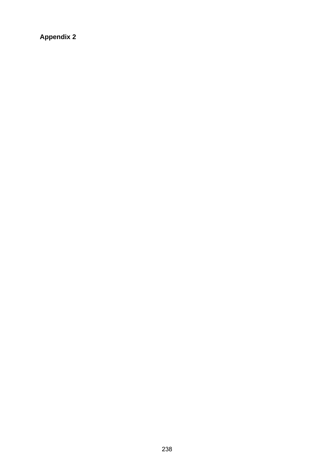**Appendix 2**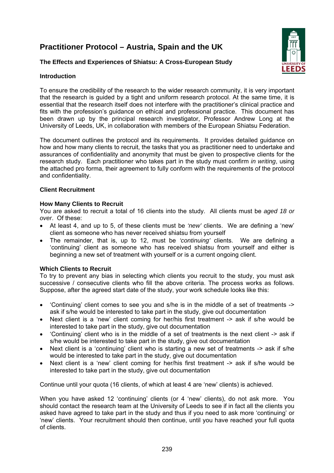## **Practitioner Protocol – Austria, Spain and the UK**

#### **The Effects and Experiences of Shiatsu: A Cross-European Study**



#### **Introduction**

To ensure the credibility of the research to the wider research community, it is very important that the research is guided by a tight and uniform research protocol. At the same time, it is essential that the research itself does not interfere with the practitioner's clinical practice and fits with the profession's guidance on ethical and professional practice. This document has been drawn up by the principal research investigator, Professor Andrew Long at the University of Leeds, UK, in collaboration with members of the European Shiatsu Federation.

The document outlines the protocol and its requirements. It provides detailed guidance on how and how many clients to recruit, the tasks that you as practitioner need to undertake and assurances of confidentiality and anonymity that must be given to prospective clients for the research study. Each practitioner who takes part in the study must confirm *in writing*, using the attached pro forma, their agreement to fully conform with the requirements of the protocol and confidentiality.

#### **Client Recruitment**

#### **How Many Clients to Recruit**

You are asked to recruit a total of 16 clients into the study. All clients must be *aged 18 or over*. Of these:

- At least 4, and up to 5, of these clients must be *'new'* clients. We are defining a 'new' client as someone who has never received shiatsu from yourself
- The remainder, that is, up to 12, must be *'continuing'* clients. We are defining a 'continuing' client as someone who has received shiatsu from yourself and either is beginning a new set of treatment with yourself or is a current ongoing client.

#### **Which Clients to Recruit**

To try to prevent any bias in selecting which clients you recruit to the study, you must ask successive / consecutive clients who fill the above criteria. The process works as follows. Suppose, after the agreed start date of the study, your work schedule looks like this:

- 'Continuing' client comes to see you and s/he is in the middle of a set of treatments -> ask if s/he would be interested to take part in the study, give out documentation
- Next client is a 'new' client coming for her/his first treatment -> ask if s/he would be interested to take part in the study, give out documentation
- 'Continuing' client who is in the middle of a set of treatments is the next client -> ask if s/he would be interested to take part in the study, give out documentation
- Next client is a 'continuing' client who is starting a new set of treatments -> ask if s/he would be interested to take part in the study, give out documentation
- Next client is a 'new' client coming for her/his first treatment -> ask if s/he would be interested to take part in the study, give out documentation

Continue until your quota (16 clients, of which at least 4 are 'new' clients) is achieved.

When you have asked 12 'continuing' clients (or 4 'new' clients), do not ask more. You should contact the research team at the University of Leeds to see if in fact all the clients you asked have agreed to take part in the study and thus if you need to ask more 'continuing' or 'new' clients. Your recruitment should then continue, until you have reached your full quota of clients.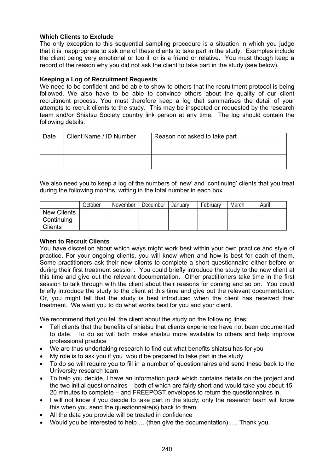#### **Which Clients to Exclude**

The only exception to this sequential sampling procedure is a situation in which you judge that it is inappropriate to ask one of these clients to take part in the study. Examples include the client being very emotional or too ill or is a friend or relative. You must though keep a record of the reason why you did not ask the client to take part in the study (see below).

#### **Keeping a Log of Recruitment Requests**

We need to be confident and be able to show to others that the recruitment protocol is being followed. We also have to be able to convince others about the quality of our client recruitment process. You must therefore keep a log that summarises the detail of your attempts to recruit clients to the study. This may be inspected or requested by the research team and/or Shiatsu Society country link person at any time. The log should contain the following details:

| Date | Client Name / ID Number | Reason not asked to take part |
|------|-------------------------|-------------------------------|
|      |                         |                               |
|      |                         |                               |
|      |                         |                               |
|      |                         |                               |

We also need you to keep a log of the numbers of 'new' and 'continuing' clients that you treat during the following months, writing in the total number in each box.

|                    | October | November | December | January | February | March | April |
|--------------------|---------|----------|----------|---------|----------|-------|-------|
| <b>New Clients</b> |         |          |          |         |          |       |       |
| Continuing         |         |          |          |         |          |       |       |
| <b>Clients</b>     |         |          |          |         |          |       |       |

#### **When to Recruit Clients**

You have discretion about which ways might work best within your own practice and style of practice. For your ongoing clients, you will know when and how is best for each of them. Some practitioners ask their new clients to complete a short questionnaire either before or during their first treatment session. You could briefly introduce the study to the new client at this time and give out the relevant documentation. Other practitioners take time in the first session to talk through with the client about their reasons for coming and so on. You could briefly introduce the study to the client at this time and give out the relevant documentation. Or, you might fell that the study is best introduced when the client has received their treatment. We want you to do what works best for you and your client.

We recommend that you tell the client about the study on the following lines:

- Tell clients that the benefits of shiatsu that clients experience have not been documented to date. To do so will both make shiatsu more available to others and help improve professional practice
- We are thus undertaking research to find out what benefits shiatsu has for you
- My role is to ask you if you would be prepared to take part in the study
- To do so will require you to fill in a number of questionnaires and send these back to the University research team
- To help you decide, I have an information pack which contains details on the project and the two initial questionnaires – both of which are fairly short and would take you about 15- 20 minutes to complete – and FREEPOST envelopes to return the questionnaires in.
- I will not know if you decide to take part in the study; only the research team will know this when you send the questionnaire(s) back to them.
- All the data you provide will be treated in confidence
- Would you be interested to help … (then give the documentation) …. Thank you.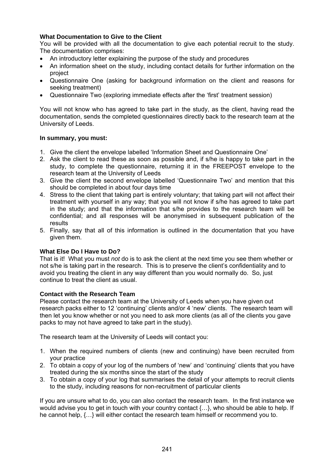#### **What Documentation to Give to the Client**

You will be provided with all the documentation to give each potential recruit to the study. The documentation comprises:

- An introductory letter explaining the purpose of the study and procedures
- An information sheet on the study, including contact details for further information on the project
- Questionnaire One (asking for background information on the client and reasons for seeking treatment)
- Questionnaire Two (exploring immediate effects after the 'first' treatment session)

You will not know who has agreed to take part in the study, as the client, having read the documentation, sends the completed questionnaires directly back to the research team at the University of Leeds.

#### **In summary, you must:**

- 1. Give the client the envelope labelled 'Information Sheet and Questionnaire One'
- 2. Ask the client to read these as soon as possible and, if s/he is happy to take part in the study, to complete the questionnaire, returning it in the FREEPOST envelope to the research team at the University of Leeds
- 3. Give the client the second envelope labelled 'Questionnaire Two' and mention that this should be completed in about four days time
- 4. Stress to the client that taking part is entirely voluntary; that taking part will not affect their treatment with yourself in any way; that you will not know if s/he has agreed to take part in the study; and that the information that s/he provides to the research team will be confidential; and all responses will be anonymised in subsequent publication of the results
- 5. Finally, say that all of this information is outlined in the documentation that you have given them.

#### **What Else Do I Have to Do?**

That is it! What you must *not* do is to ask the client at the next time you see them whether or not s/he is taking part in the research. This is to preserve the client's confidentiality and to avoid you treating the client in any way different than you would normally do. So, just continue to treat the client as usual.

#### **Contact with the Research Team**

Please contact the research team at the University of Leeds when you have given out research packs either to 12 'continuing' clients and/or 4 'new' clients. The research team will then let you know whether or not you need to ask more clients (as all of the clients you gave packs to may not have agreed to take part in the study).

The research team at the University of Leeds will contact you:

- 1. When the required numbers of clients (new and continuing) have been recruited from your practice
- 2. To obtain a copy of your log of the numbers of 'new' and 'continuing' clients that you have treated during the six months since the start of the study
- 3. To obtain a copy of your log that summarises the detail of your attempts to recruit clients to the study, including reasons for non-recruitment of particular clients

If you are unsure what to do, you can also contact the research team. In the first instance we would advise you to get in touch with your country contact  $\{...\}$ , who should be able to help. If he cannot help, {…} will either contact the research team himself or recommend you to.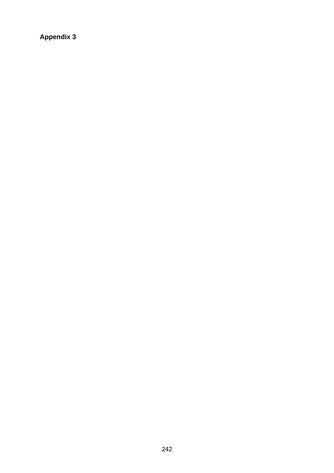**Appendix 3**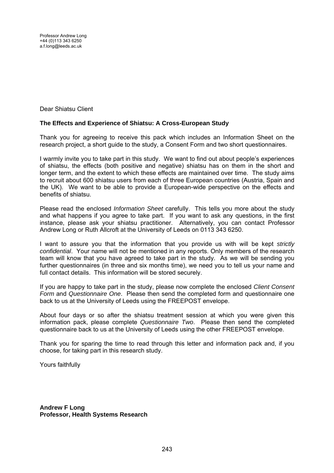Dear Shiatsu Client

#### **The Effects and Experience of Shiatsu: A Cross-European Study**

Thank you for agreeing to receive this pack which includes an Information Sheet on the research project, a short guide to the study, a Consent Form and two short questionnaires.

I warmly invite you to take part in this study. We want to find out about people's experiences of shiatsu, the effects (both positive and negative) shiatsu has on them in the short and longer term, and the extent to which these effects are maintained over time. The study aims to recruit about 600 shiatsu users from each of three European countries (Austria, Spain and the UK). We want to be able to provide a European-wide perspective on the effects and benefits of shiatsu.

Please read the enclosed *Information Sheet* carefully. This tells you more about the study and what happens if you agree to take part. If you want to ask any questions, in the first instance, please ask your shiatsu practitioner. Alternatively, you can contact Professor Andrew Long or Ruth Allcroft at the University of Leeds on 0113 343 6250.

I want to assure you that the information that you provide us with will be kept *strictly confidential*. Your name will not be mentioned in any reports. Only members of the research team will know that you have agreed to take part in the study. As we will be sending you further questionnaires (in three and six months time), we need you to tell us your name and full contact details. This information will be stored securely.

If you are happy to take part in the study, please now complete the enclosed *Client Consent Form* and *Questionnaire One*. Please then send the completed form and questionnaire one back to us at the University of Leeds using the FREEPOST envelope.

About four days or so after the shiatsu treatment session at which you were given this information pack, please complete *Questionnaire Two*. Please then send the completed questionnaire back to us at the University of Leeds using the other FREEPOST envelope.

Thank you for sparing the time to read through this letter and information pack and, if you choose, for taking part in this research study.

Yours faithfully

**Andrew F Long Professor, Health Systems Research**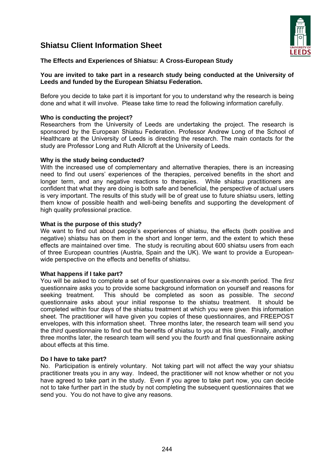### **Shiatsu Client Information Sheet**



#### **The Effects and Experiences of Shiatsu: A Cross-European Study**

#### **You are invited to take part in a research study being conducted at the University of Leeds and funded by the European Shiatsu Federation.**

Before you decide to take part it is important for you to understand why the research is being done and what it will involve. Please take time to read the following information carefully.

#### **Who is conducting the project?**

Researchers from the University of Leeds are undertaking the project. The research is sponsored by the European Shiatsu Federation. Professor Andrew Long of the School of Healthcare at the University of Leeds is directing the research. The main contacts for the study are Professor Long and Ruth Allcroft at the University of Leeds.

#### **Why is the study being conducted?**

With the increased use of complementary and alternative therapies, there is an increasing need to find out users' experiences of the therapies, perceived benefits in the short and longer term, and any negative reactions to therapies. While shiatsu practitioners are confident that what they are doing is both safe and beneficial, the perspective of actual users is very important. The results of this study will be of great use to future shiatsu users, letting them know of possible health and well-being benefits and supporting the development of high quality professional practice.

#### **What is the purpose of this study?**

We want to find out about people's experiences of shiatsu, the effects (both positive and negative) shiatsu has on them in the short and longer term, and the extent to which these effects are maintained over time. The study is recruiting about 600 shiatsu users from each of three European countries (Austria, Spain and the UK). We want to provide a Europeanwide perspective on the effects and benefits of shiatsu.

#### **What happens if I take part?**

You will be asked to complete a set of four questionnaires over a six-month period. The *first*  questionnaire asks you to provide some background information on yourself and reasons for seeking treatment. This should be completed as soon as possible. The *second* questionnaire asks about your initial response to the shiatsu treatment. It should be completed within four days of the shiatsu treatment at which you were given this information sheet. The practitioner will have given you copies of these questionnaires, and FREEPOST envelopes, with this information sheet. Three months later, the research team will send you the *third* questionnaire to find out the benefits of shiatsu to you at this time. Finally, another three months later, the research team will send you the *fourth* and final questionnaire asking about effects at this time.

#### **Do I have to take part?**

No. Participation is entirely voluntary. Not taking part will not affect the way your shiatsu practitioner treats you in any way. Indeed, the practitioner will not know whether or not you have agreed to take part in the study. Even if you agree to take part now, you can decide not to take further part in the study by not completing the subsequent questionnaires that we send you. You do not have to give any reasons.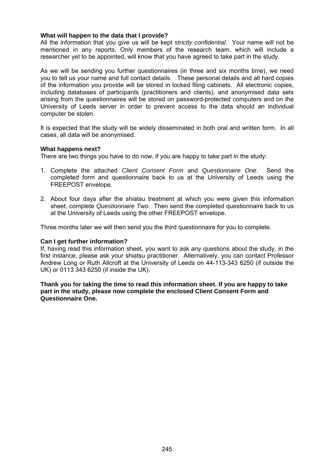#### **What will happen to the data that I provide?**

All the information that you give us will be kept *strictly confidential*. Your name will not be mentioned in any reports. Only members of the research team, which will include a researcher yet to be appointed, will know that you have agreed to take part in the study.

As we will be sending you further questionnaires (in three and six months time), we need you to tell us your name and full contact details. These personal details and all hard copies of the information you provide will be stored in locked filing cabinets. All electronic copies, including databases of participants (practitioners and clients), and anonymised data sets arising from the questionnaires will be stored on password-protected computers and on the University of Leeds server in order to prevent access to the data should an individual computer be stolen.

It is expected that the study will be widely disseminated in both oral and written form. In all cases, all data will be anonymised.

#### **What happens next?**

There are two things you have to do now, if you are happy to take part in the study:

- 1. Complete the attached *Client Consent Form* and *Questionnaire One*. Send the completed form and questionnaire back to us at the University of Leeds using the FREEPOST envelope.
- 2. About four days after the shiatsu treatment at which you were given this information sheet, complete *Questionnaire Two*. Then send the completed questionnaire back to us at the University of Leeds using the other FREEPOST envelope.

Three months later we will then send you the third questionnaire for you to complete.

#### **Can I get further information?**

If, having read this information sheet, you want to ask any questions about the study, in the first instance, please ask your shiatsu practitioner. Alternatively, you can contact Professor Andrew Long or Ruth Allcroft at the University of Leeds on 44-113-343 6250 (if outside the UK) or 0113 343 6250 (if inside the UK).

**Thank you for taking the time to read this information sheet. If you are happy to take part in the study, please now complete the enclosed Client Consent Form and Questionnaire One.**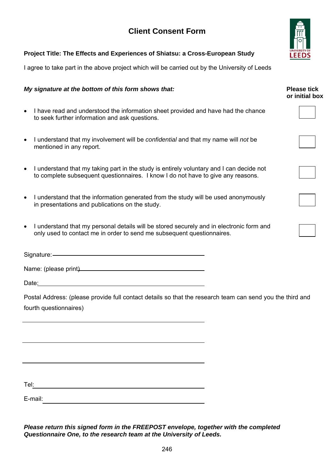## **Client Consent Form**



#### **Project Title: The Effects and Experiences of Shiatsu: a Cross-European Study**

I agree to take part in the above project which will be carried out by the University of Leeds

#### *My signature at the bottom of this form shows that:* **Please tick Please tick**

- I have read and understood the information sheet provided and have had the chance to seek further information and ask questions.
- I understand that my involvement will be *confidential* and that my name will *not* be mentioned in any report.
- I understand that my taking part in the study is entirely voluntary and I can decide not to complete subsequent questionnaires. I know I do not have to give any reasons.
- I understand that the information generated from the study will be used anonymously in presentations and publications on the study.
- I understand that my personal details will be stored securely and in electronic form and only used to contact me in order to send me subsequent questionnaires.

Signature:

Name: (please print)<br>
Mame:  $\frac{1}{2}$ 

Date:

Postal Address: (please provide full contact details so that the research team can send you the third and fourth questionnaires)

Tel:

E-mail:

*Please return this signed form in the FREEPOST envelope, together with the completed Questionnaire One, to the research team at the University of Leeds.*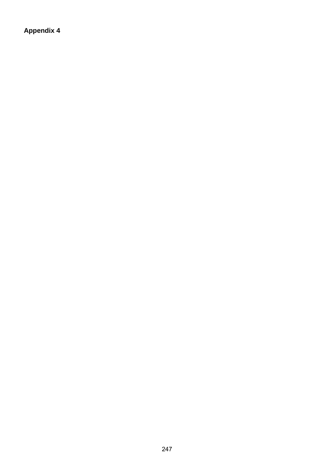**Appendix 4**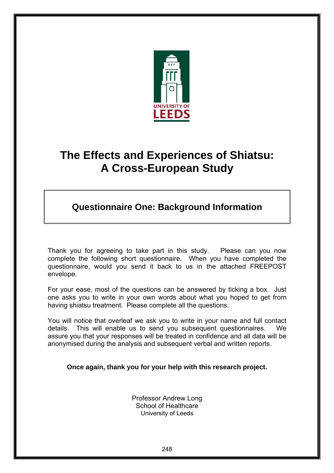

# **The Effects and Experiences of Shiatsu: A Cross-European Study**

# **Questionnaire One: Background Information**

Thank you for agreeing to take part in this study. Please can you now complete the following short questionnaire. When you have completed the questionnaire, would you send it back to us in the attached FREEPOST envelope.

For your ease, most of the questions can be answered by ticking a box. Just one asks you to write in your own words about what you hoped to get from having shiatsu treatment. Please complete all the questions.

You will notice that overleaf we ask you to write in your name and full contact details. This will enable us to send you subsequent questionnaires. We assure you that your responses will be treated in confidence and all data will be anonymised during the analysis and subsequent verbal and written reports.

**Once again, thank you for your help with this research project.** 

Professor Andrew Long School of Healthcare University of Leeds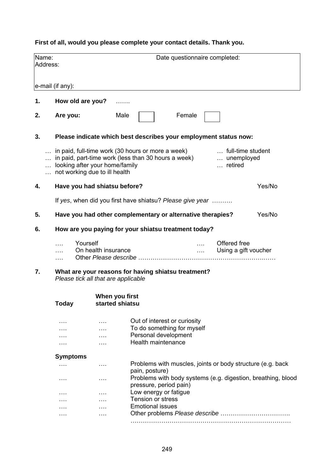### **First of all, would you please complete your contact details. Thank you.**

| Name:<br>Date questionnaire completed:<br>Address:<br>e-mail (if any):<br>How old are you?<br>1.<br>.<br>Male<br>Female<br>2.<br>Are you:<br>3.<br>Please indicate which best describes your employment status now:<br>in paid, full-time work (30 hours or more a week)<br>full-time student<br>in paid, part-time work (less than 30 hours a week)<br>unemployed<br>looking after your home/family<br>retired<br>not working due to ill health<br>Have you had shiatsu before?<br>Yes/No<br>4.<br>If yes, when did you first have shiatsu? Please give year<br>Have you had other complementary or alternative therapies?<br>Yes/No<br>5.<br>How are you paying for your shiatsu treatment today?<br>6.<br>Yourself<br>Offered free<br>.<br>On health insurance<br>Using a gift voucher<br><b>Salarita</b><br>What are your reasons for having shiatsu treatment?<br>7.<br>Please tick all that are applicable<br>When you first<br><b>Today</b><br>started shiatsu<br>Out of interest or curiosity<br>$\cdots$<br>.<br>To do something for myself<br>$\cdots$<br>.<br>Personal development<br><b>Health maintenance</b><br>.<br>.<br><b>Symptoms</b><br>Problems with muscles, joints or body structure (e.g. back<br>.<br>.<br>pain, posture)<br>Problems with body systems (e.g. digestion, breathing, blood<br>.<br>.<br>pressure, period pain)<br>Low energy or fatigue<br>.<br>.<br><b>Tension or stress</b><br><b>Emotional issues</b><br>.<br>. |  |  |  |  |  |  |  |
|-----------------------------------------------------------------------------------------------------------------------------------------------------------------------------------------------------------------------------------------------------------------------------------------------------------------------------------------------------------------------------------------------------------------------------------------------------------------------------------------------------------------------------------------------------------------------------------------------------------------------------------------------------------------------------------------------------------------------------------------------------------------------------------------------------------------------------------------------------------------------------------------------------------------------------------------------------------------------------------------------------------------------------------------------------------------------------------------------------------------------------------------------------------------------------------------------------------------------------------------------------------------------------------------------------------------------------------------------------------------------------------------------------------------------------------------------------------|--|--|--|--|--|--|--|
|                                                                                                                                                                                                                                                                                                                                                                                                                                                                                                                                                                                                                                                                                                                                                                                                                                                                                                                                                                                                                                                                                                                                                                                                                                                                                                                                                                                                                                                           |  |  |  |  |  |  |  |
|                                                                                                                                                                                                                                                                                                                                                                                                                                                                                                                                                                                                                                                                                                                                                                                                                                                                                                                                                                                                                                                                                                                                                                                                                                                                                                                                                                                                                                                           |  |  |  |  |  |  |  |
|                                                                                                                                                                                                                                                                                                                                                                                                                                                                                                                                                                                                                                                                                                                                                                                                                                                                                                                                                                                                                                                                                                                                                                                                                                                                                                                                                                                                                                                           |  |  |  |  |  |  |  |
|                                                                                                                                                                                                                                                                                                                                                                                                                                                                                                                                                                                                                                                                                                                                                                                                                                                                                                                                                                                                                                                                                                                                                                                                                                                                                                                                                                                                                                                           |  |  |  |  |  |  |  |
|                                                                                                                                                                                                                                                                                                                                                                                                                                                                                                                                                                                                                                                                                                                                                                                                                                                                                                                                                                                                                                                                                                                                                                                                                                                                                                                                                                                                                                                           |  |  |  |  |  |  |  |
|                                                                                                                                                                                                                                                                                                                                                                                                                                                                                                                                                                                                                                                                                                                                                                                                                                                                                                                                                                                                                                                                                                                                                                                                                                                                                                                                                                                                                                                           |  |  |  |  |  |  |  |
|                                                                                                                                                                                                                                                                                                                                                                                                                                                                                                                                                                                                                                                                                                                                                                                                                                                                                                                                                                                                                                                                                                                                                                                                                                                                                                                                                                                                                                                           |  |  |  |  |  |  |  |
|                                                                                                                                                                                                                                                                                                                                                                                                                                                                                                                                                                                                                                                                                                                                                                                                                                                                                                                                                                                                                                                                                                                                                                                                                                                                                                                                                                                                                                                           |  |  |  |  |  |  |  |
|                                                                                                                                                                                                                                                                                                                                                                                                                                                                                                                                                                                                                                                                                                                                                                                                                                                                                                                                                                                                                                                                                                                                                                                                                                                                                                                                                                                                                                                           |  |  |  |  |  |  |  |
|                                                                                                                                                                                                                                                                                                                                                                                                                                                                                                                                                                                                                                                                                                                                                                                                                                                                                                                                                                                                                                                                                                                                                                                                                                                                                                                                                                                                                                                           |  |  |  |  |  |  |  |
|                                                                                                                                                                                                                                                                                                                                                                                                                                                                                                                                                                                                                                                                                                                                                                                                                                                                                                                                                                                                                                                                                                                                                                                                                                                                                                                                                                                                                                                           |  |  |  |  |  |  |  |
|                                                                                                                                                                                                                                                                                                                                                                                                                                                                                                                                                                                                                                                                                                                                                                                                                                                                                                                                                                                                                                                                                                                                                                                                                                                                                                                                                                                                                                                           |  |  |  |  |  |  |  |
|                                                                                                                                                                                                                                                                                                                                                                                                                                                                                                                                                                                                                                                                                                                                                                                                                                                                                                                                                                                                                                                                                                                                                                                                                                                                                                                                                                                                                                                           |  |  |  |  |  |  |  |
|                                                                                                                                                                                                                                                                                                                                                                                                                                                                                                                                                                                                                                                                                                                                                                                                                                                                                                                                                                                                                                                                                                                                                                                                                                                                                                                                                                                                                                                           |  |  |  |  |  |  |  |
|                                                                                                                                                                                                                                                                                                                                                                                                                                                                                                                                                                                                                                                                                                                                                                                                                                                                                                                                                                                                                                                                                                                                                                                                                                                                                                                                                                                                                                                           |  |  |  |  |  |  |  |
|                                                                                                                                                                                                                                                                                                                                                                                                                                                                                                                                                                                                                                                                                                                                                                                                                                                                                                                                                                                                                                                                                                                                                                                                                                                                                                                                                                                                                                                           |  |  |  |  |  |  |  |
|                                                                                                                                                                                                                                                                                                                                                                                                                                                                                                                                                                                                                                                                                                                                                                                                                                                                                                                                                                                                                                                                                                                                                                                                                                                                                                                                                                                                                                                           |  |  |  |  |  |  |  |
|                                                                                                                                                                                                                                                                                                                                                                                                                                                                                                                                                                                                                                                                                                                                                                                                                                                                                                                                                                                                                                                                                                                                                                                                                                                                                                                                                                                                                                                           |  |  |  |  |  |  |  |
|                                                                                                                                                                                                                                                                                                                                                                                                                                                                                                                                                                                                                                                                                                                                                                                                                                                                                                                                                                                                                                                                                                                                                                                                                                                                                                                                                                                                                                                           |  |  |  |  |  |  |  |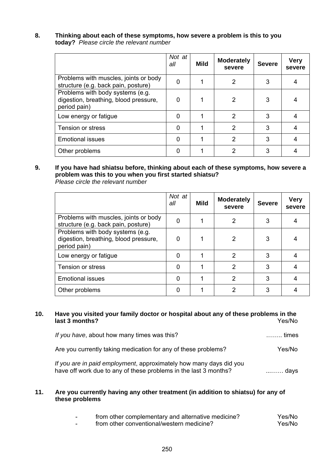#### **8. Thinking about each of these symptoms, how severe a problem is this to you today?** *Please circle the relevant number*

|                                                                                           | Not at<br>all | Mild | <b>Moderately</b><br>severe | <b>Severe</b> | <b>Very</b><br>severe |
|-------------------------------------------------------------------------------------------|---------------|------|-----------------------------|---------------|-----------------------|
| Problems with muscles, joints or body<br>structure (e.g. back pain, posture)              | 0             |      | 2                           | 3             |                       |
| Problems with body systems (e.g.<br>digestion, breathing, blood pressure,<br>period pain) | O             |      | 2                           | 3             |                       |
| Low energy or fatigue                                                                     |               |      | 2                           | 3             |                       |
| Tension or stress                                                                         | 0             |      | 2                           | 3             |                       |
| <b>Emotional issues</b>                                                                   | 0             |      | 2                           | 3             |                       |
| Other problems                                                                            |               |      | 2                           | 3             |                       |

#### **9. If you have had shiatsu before, thinking about each of these symptoms, how severe a problem was this to you when you first started shiatsu?**  *Please circle the relevant number*

|                                                                                           | Not at<br>all | Mild | <b>Moderately</b><br>severe | <b>Severe</b> | <b>Very</b><br>severe |
|-------------------------------------------------------------------------------------------|---------------|------|-----------------------------|---------------|-----------------------|
| Problems with muscles, joints or body<br>structure (e.g. back pain, posture)              | 0             |      | 2                           | 3             |                       |
| Problems with body systems (e.g.<br>digestion, breathing, blood pressure,<br>period pain) | 0             |      | 2                           | 3             | 4                     |
| Low energy or fatigue                                                                     | 0             |      | 2                           | 3             | 4                     |
| Tension or stress                                                                         | 0             |      | $\mathfrak{p}$              | 3             | 4                     |
| <b>Emotional issues</b>                                                                   | 0             |      | $\mathcal{P}$               | 3             | 4                     |
| Other problems                                                                            |               |      | 2                           | 3             |                       |

#### **10. Have you visited your family doctor or hospital about any of these problems in the**  last 3 months?

| If you have, about how many times was this?                                                                                            | ……… times |
|----------------------------------------------------------------------------------------------------------------------------------------|-----------|
| Are you currently taking medication for any of these problems?                                                                         | Yes/No    |
| If you are in paid employment, approximately how many days did you<br>have off work due to any of these problems in the last 3 months? | davs      |

#### **11. Are you currently having any other treatment (in addition to shiatsu) for any of these problems**

| from other complementary and alternative medicine? | Yes/No |
|----------------------------------------------------|--------|
| from other conventional/western medicine?          | Yes/No |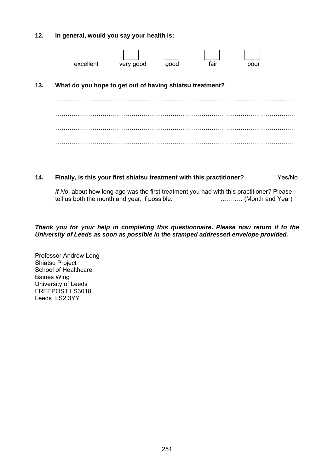#### **12. In general, would you say your health is:**

|     | excellent                                                | very good | good | fair | poor |  |
|-----|----------------------------------------------------------|-----------|------|------|------|--|
| 13. | What do you hope to get out of having shiatsu treatment? |           |      |      |      |  |
|     |                                                          |           |      |      |      |  |
|     |                                                          |           |      |      |      |  |
|     |                                                          |           |      |      |      |  |

#### **14. Finally, is this your first shiatsu treatment with this practitioner?** Yes/No

*If No*, about how long ago was the first treatment you had with this practitioner? Please tell us both the month and year, if possible. …… …. (Month and Year)

#### *Thank you for your help in completing this questionnaire. Please now return it to the University of Leeds as soon as possible in the stamped addressed envelope provided.*

Professor Andrew Long Shiatsu Project School of Healthcare Baines Wing University of Leeds FREEPOST LS3018 Leeds LS2 3YY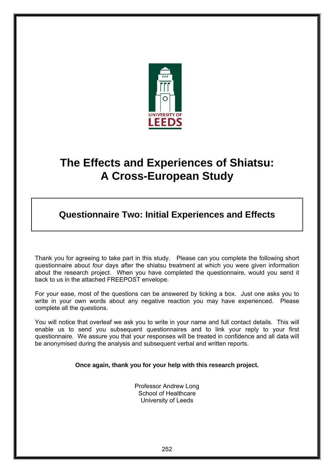

# **The Effects and Experiences of Shiatsu: A Cross-European Study**

# **Questionnaire Two: Initial Experiences and Effects**

Thank you for agreeing to take part in this study. Please can you complete the following short questionnaire about *four* days after the shiatsu treatment at which you were given information about the research project. When you have completed the questionnaire, would you send it back to us in the attached FREEPOST envelope.

For your ease, most of the questions can be answered by ticking a box. Just one asks you to write in your own words about any negative reaction you may have experienced. Please complete all the questions.

You will notice that overleaf we ask you to write in your name and full contact details. This will enable us to send you subsequent questionnaires and to link your reply to your first questionnaire. We assure you that your responses will be treated in confidence and all data will be anonymised during the analysis and subsequent verbal and written reports.

#### **Once again, thank you for your help with this research project.**

Professor Andrew Long School of Healthcare University of Leeds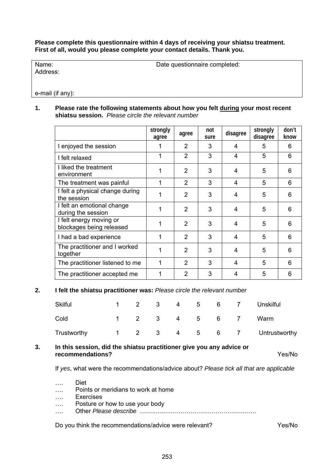**Please complete this questionnaire within 4 days of receiving your shiatsu treatment. First of all, would you please complete your contact details. Thank you.** 

Address:

Name: Date questionnaire completed:

e-mail (if any):

#### **1.****Please rate the following statements about how you felt during your most recent shiatsu session.** *Please circle the relevant number*

|                                                     | strongly<br>agree | agree          | not<br>sure | disagree | strongly<br>disagree | don't<br>know |
|-----------------------------------------------------|-------------------|----------------|-------------|----------|----------------------|---------------|
| I enjoyed the session                               |                   | 2              | 3           | 4        | 5                    | 6             |
| I felt relaxed                                      | 1                 | $\overline{2}$ | 3           | 4        | 5                    | 6             |
| I liked the treatment<br>environment                | 1                 | 2              | 3           | 4        | 5                    | 6             |
| The treatment was painful                           | 1                 | $\overline{2}$ | 3           | 4        | 5                    | 6             |
| I felt a physical change during<br>the session      | 1                 | $\overline{2}$ | 3           | 4        | 5                    | 6             |
| I felt an emotional change<br>during the session    | 1                 | 2              | 3           | 4        | 5                    | 6             |
| I felt energy moving or<br>blockages being released | 1                 | $\overline{2}$ | 3           | 4        | 5                    | 6             |
| I had a bad experience                              | 1                 | 2              | 3           | 4        | 5                    | 6             |
| The practitioner and I worked<br>together           | 1                 | $\overline{2}$ | 3           | 4        | 5                    | 6             |
| The practitioner listened to me                     | 1                 | 2              | 3           | 4        | 5                    | 6             |
| The practitioner accepted me                        | 1                 | $\overline{2}$ | 3           | 4        | 5                    | 6             |

#### **2. I felt the shiatsu practitioner was:** *Please circle the relevant number*

| <b>Skilful</b> |                        | 2            | 3                       | 4 | 5               | 6               |   | Unskilful     |
|----------------|------------------------|--------------|-------------------------|---|-----------------|-----------------|---|---------------|
| Cold           |                        | $\mathbf{2}$ | $\mathbf{3}$            | 4 | 5 <sub>5</sub>  | 6 <sup>6</sup>  |   | Warm          |
| Trustworthy    | $1 \quad \blacksquare$ | $2^{\circ}$  | $\overline{\mathbf{3}}$ | 4 | $5\overline{)}$ | $6\overline{6}$ | 7 | Untrustworthy |

#### **3. In this session, did the shiatsu practitioner give you any advice or recommendations?** Yes/No

If *yes*, what were the recommendations/advice about? *Please tick all that are applicable*

…. Diet …. Points or meridians to work at home …. Exercises …. Posture or how to use your body …. Other *Please describe* ……..………………………………………….

Do you think the recommendations/advice were relevant? Yes/No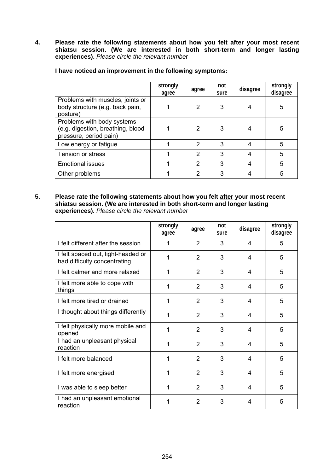**4. Please rate the following statements about how you felt after your most recent shiatsu session. (We are interested in both short-term and longer lasting experiences).** *Please circle the relevant numbe*r

|                                                                                           | strongly<br>agree | agree         | not<br>sure | disagree | strongly<br>disagree |
|-------------------------------------------------------------------------------------------|-------------------|---------------|-------------|----------|----------------------|
| Problems with muscles, joints or<br>body structure (e.g. back pain,<br>posture)           |                   | 2             | 3           |          | 5                    |
| Problems with body systems<br>(e.g. digestion, breathing, blood<br>pressure, period pain) |                   | 2             | 3           |          | 5                    |
| Low energy or fatigue                                                                     |                   | 2             | 3           |          | 5                    |
| Tension or stress                                                                         |                   | $\mathcal{P}$ | 3           |          | 5                    |
| <b>Emotional issues</b>                                                                   |                   | $\mathcal{P}$ | 3           |          | 5                    |
| Other problems                                                                            |                   | 2             | 3           |          | 5                    |

**I have noticed an improvement in the following symptoms:** 

**5. Please rate the following statements about how you felt after your most recent shiatsu session. (We are interested in both short-term and longer lasting experiences).** *Please circle the relevant number*

|                                                                    | strongly<br>agree | agree          | not<br>sure | disagree | strongly<br>disagree |
|--------------------------------------------------------------------|-------------------|----------------|-------------|----------|----------------------|
| I felt different after the session                                 | 1                 | $\overline{2}$ | 3           | 4        | 5                    |
| I felt spaced out, light-headed or<br>had difficulty concentrating | 1                 | 2              | 3           | 4        | 5                    |
| I felt calmer and more relaxed                                     | 1                 | $\overline{2}$ | 3           | 4        | 5                    |
| I felt more able to cope with<br>things                            | 1                 | $\overline{2}$ | 3           | 4        | 5                    |
| I felt more tired or drained                                       | 1                 | $\overline{2}$ | 3           | 4        | 5                    |
| I thought about things differently                                 | 1                 | $\overline{2}$ | 3           | 4        | 5                    |
| I felt physically more mobile and<br>opened                        | 1                 | $\overline{2}$ | 3           | 4        | 5                    |
| I had an unpleasant physical<br>reaction                           | 1                 | $\overline{2}$ | 3           | 4        | 5                    |
| I felt more balanced                                               | 1                 | $\overline{2}$ | 3           | 4        | 5                    |
| I felt more energised                                              | 1                 | $\overline{2}$ | 3           | 4        | 5                    |
| I was able to sleep better                                         | 1                 | $\overline{2}$ | 3           | 4        | 5                    |
| I had an unpleasant emotional<br>reaction                          | 1                 | 2              | 3           | 4        | 5                    |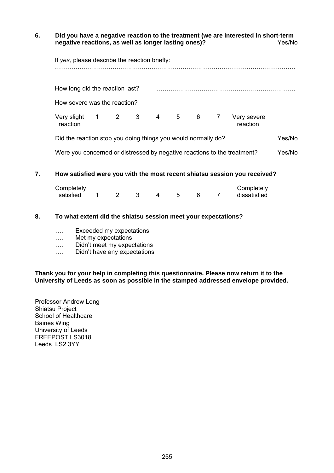#### **6. Did you have a negative reaction to the treatment (we are interested in short-term negative reactions, as well as longer lasting ones)?**

|                                       |  | How long did the reaction last? |  |  |                         |  |
|---------------------------------------|--|---------------------------------|--|--|-------------------------|--|
| How severe was the reaction?          |  |                                 |  |  |                         |  |
| Very slight 1 2 3 4 5 6 7<br>reaction |  |                                 |  |  | Very severe<br>reaction |  |

#### **7. How satisfied were you with the most recent shiatsu session you received?**

| Completely |  |          |     |  | Completely   |
|------------|--|----------|-----|--|--------------|
| satisfied  |  | $\sim$ 3 | 4 5 |  | dissatisfied |

#### **8. To what extent did the shiatsu session meet your expectations?**

- …. Exceeded my expectations
- …. Met my expectations
- …. Didn't meet my expectations
- …. Didn't have any expectations

**Thank you for your help in completing this questionnaire. Please now return it to the University of Leeds as soon as possible in the stamped addressed envelope provided.** 

Professor Andrew Long Shiatsu Project School of Healthcare Baines Wing University of Leeds FREEPOST LS3018 Leeds LS2 3YY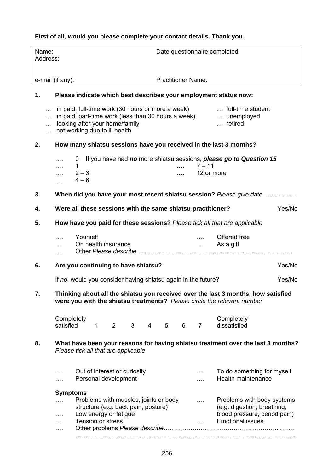## **First of all, would you please complete your contact details. Thank you.**

| Name:<br>Address:                              |                                                                           |                                           |                   |                                                                                                       |   |                |   |                           |                                                               | Date questionnaire completed:                                                                                                                                |        |
|------------------------------------------------|---------------------------------------------------------------------------|-------------------------------------------|-------------------|-------------------------------------------------------------------------------------------------------|---|----------------|---|---------------------------|---------------------------------------------------------------|--------------------------------------------------------------------------------------------------------------------------------------------------------------|--------|
|                                                | e-mail (if any):                                                          |                                           |                   |                                                                                                       |   |                |   | <b>Practitioner Name:</b> |                                                               |                                                                                                                                                              |        |
| 1.                                             |                                                                           |                                           |                   |                                                                                                       |   |                |   |                           |                                                               | Please indicate which best describes your employment status now:                                                                                             |        |
| $\cdots$<br>$\cdots$<br>$\ddotsc$<br>$\ddotsc$ |                                                                           |                                           |                   | looking after your home/family<br>not working due to ill health                                       |   |                |   |                           |                                                               | in paid, full-time work (30 hours or more a week)  full-time student<br>in paid, part-time work (less than 30 hours a week)  unemployed<br>retired           |        |
| 2.                                             |                                                                           |                                           |                   |                                                                                                       |   |                |   |                           |                                                               | How many shiatsu sessions have you received in the last 3 months?                                                                                            |        |
|                                                | .<br>.<br>.                                                               | $\overline{0}$<br>1<br>$2 - 3$<br>$4 - 6$ |                   |                                                                                                       |   |                |   | .<br>$\cdots$             | $7 - 11$<br>12 or more                                        | If you have had no more shiatsu sessions, please go to Question 15                                                                                           |        |
| 3.                                             |                                                                           |                                           |                   |                                                                                                       |   |                |   |                           |                                                               | When did you have your most recent shiatsu session? Please give date                                                                                         |        |
| 4.                                             |                                                                           |                                           |                   |                                                                                                       |   |                |   |                           | Were all these sessions with the same shiatsu practitioner?   |                                                                                                                                                              | Yes/No |
| 5.                                             | How have you paid for these sessions? Please tick all that are applicable |                                           |                   |                                                                                                       |   |                |   |                           |                                                               |                                                                                                                                                              |        |
|                                                | .                                                                         | Yourself                                  |                   | On health insurance                                                                                   |   |                |   |                           | <b>Save Common</b>                                            | Offered free<br>As a gift                                                                                                                                    |        |
| 6.                                             | Are you continuing to have shiatsu?                                       |                                           |                   |                                                                                                       |   |                |   |                           |                                                               |                                                                                                                                                              | Yes/No |
|                                                |                                                                           |                                           |                   |                                                                                                       |   |                |   |                           | If no, would you consider having shiatsu again in the future? |                                                                                                                                                              | Yes/No |
| 7.                                             |                                                                           |                                           |                   |                                                                                                       |   |                |   |                           |                                                               | Thinking about all the shiatsu you received over the last 3 months, how satisfied<br>were you with the shiatsu treatments? Please circle the relevant number |        |
|                                                | Completely<br>satisfied                                                   |                                           | $\mathbf{1}$      | $\overline{2}$                                                                                        | 3 | $\overline{4}$ | 5 | 6                         | $\overline{7}$                                                | Completely<br>dissatisfied                                                                                                                                   |        |
| 8.                                             |                                                                           |                                           |                   | Please tick all that are applicable                                                                   |   |                |   |                           |                                                               | What have been your reasons for having shiatsu treatment over the last 3 months?                                                                             |        |
|                                                |                                                                           |                                           |                   | Out of interest or curiosity<br>Personal development                                                  |   |                |   |                           |                                                               | To do something for myself<br>Health maintenance                                                                                                             |        |
|                                                | <b>Symptoms</b><br>.<br>.                                                 |                                           | Tension or stress | Problems with muscles, joints or body<br>structure (e.g. back pain, posture)<br>Low energy or fatigue |   |                |   |                           | $\ldots$<br>$\cdots$                                          | Problems with body systems<br>(e.g. digestion, breathing,<br>blood pressure, period pain)<br><b>Emotional issues</b>                                         |        |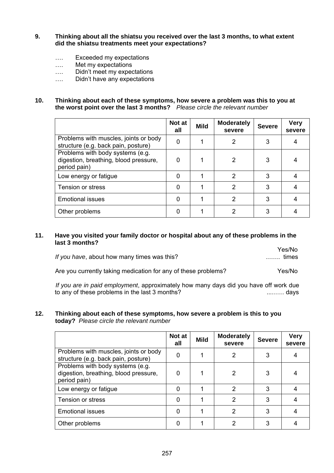- **9. Thinking about all the shiatsu you received over the last 3 months, to what extent did the shiatsu treatments meet your expectations?** 
	- …. Exceeded my expectations
	- …. Met my expectations
	- …. Didn't meet my expectations
	- …. Didn't have any expectations

#### **10. Thinking about each of these symptoms, how severe a problem was this to you at the worst point over the last 3 months?** *Please circle the relevant number*

|                                                                                           | Not at<br>all | <b>Mild</b> | <b>Moderately</b><br>severe | <b>Severe</b> | <b>Very</b><br>severe |
|-------------------------------------------------------------------------------------------|---------------|-------------|-----------------------------|---------------|-----------------------|
| Problems with muscles, joints or body<br>structure (e.g. back pain, posture)              | 0             |             | 2                           | 3             |                       |
| Problems with body systems (e.g.<br>digestion, breathing, blood pressure,<br>period pain) | ი             |             | 2                           | 3             |                       |
| Low energy or fatigue                                                                     | 0             |             | 2                           | 3             |                       |
| <b>Tension or stress</b>                                                                  | ი             |             | 2                           | 3             |                       |
| <b>Emotional issues</b>                                                                   | ი             |             | 2                           | 3             |                       |
| Other problems                                                                            |               |             |                             | 3             |                       |

#### **11. Have you visited your family doctor or hospital about any of these problems in the last 3 months?**

| Yes/No         |                                             |
|----------------|---------------------------------------------|
| $\ldots$ times | If you have, about how many times was this? |
|                |                                             |

Are you currently taking medication for any of these problems? Yes/No

 *If you are in paid employment*, approximately how many days did you have off work due to any of these problems in the last 3 months? ...…… days

#### **12. Thinking about each of these symptoms, how severe a problem is this to you today?** *Please circle the relevant number*

|                                                                                           | Not at<br>all | <b>Mild</b> | <b>Moderately</b><br>severe | <b>Severe</b> | <b>Very</b><br>severe |
|-------------------------------------------------------------------------------------------|---------------|-------------|-----------------------------|---------------|-----------------------|
| Problems with muscles, joints or body<br>structure (e.g. back pain, posture)              | 0             |             | 2                           | 3             |                       |
| Problems with body systems (e.g.<br>digestion, breathing, blood pressure,<br>period pain) | 0             |             | 2                           | 3             | 4                     |
| Low energy or fatigue                                                                     | ი             |             | 2                           | 3             | 4                     |
| Tension or stress                                                                         | ი             |             | 2                           | 3             | 4                     |
| <b>Emotional issues</b>                                                                   | 0             |             | 2                           | 3             | 4                     |
| Other problems                                                                            | 0             |             | 2                           | 3             |                       |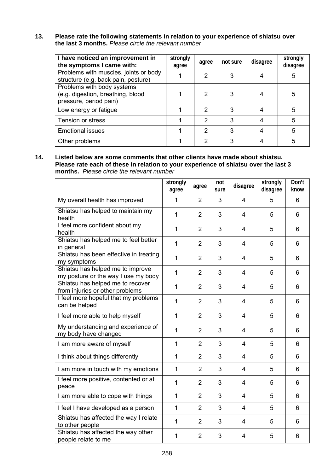#### **13. Please rate the following statements in relation to your experience of shiatsu over the last 3 months.** *Please circle the relevant number*

| I have noticed an improvement in<br>the symptoms I came with:                             | strongly<br>agree | agree         | not sure | disagree | strongly<br>disagree |
|-------------------------------------------------------------------------------------------|-------------------|---------------|----------|----------|----------------------|
| Problems with muscles, joints or body<br>structure (e.g. back pain, posture)              |                   | 2             | 3        |          | 5                    |
| Problems with body systems<br>(e.g. digestion, breathing, blood<br>pressure, period pain) |                   | 2             | 3        |          | 5                    |
| Low energy or fatigue                                                                     |                   | $\mathcal{P}$ | 3        |          | 5                    |
| Tension or stress                                                                         |                   | 2             | 3        | 4        | 5                    |
| <b>Emotional issues</b>                                                                   |                   | 2             | 3        |          | 5                    |
| Other problems                                                                            |                   | ົ             | 3        |          | 5                    |

**14. Listed below are some comments that other clients have made about shiatsu. Please rate each of these in relation to your experience of shiatsu over the last 3 months.** *Please circle the relevant number* 

|                                                                         | strongly<br>agree | agree          | not<br>sure | disagree       | strongly<br>disagree | Don't<br>know |
|-------------------------------------------------------------------------|-------------------|----------------|-------------|----------------|----------------------|---------------|
| My overall health has improved                                          | 1                 | $\overline{2}$ | 3           | 4              | 5                    | 6             |
| Shiatsu has helped to maintain my<br>health                             | $\mathbf{1}$      | $\overline{2}$ | 3           | 4              | 5                    | 6             |
| I feel more confident about my<br>health                                | $\mathbf{1}$      | $\overline{2}$ | 3           | 4              | 5                    | 6             |
| Shiatsu has helped me to feel better<br>in general                      | $\mathbf{1}$      | $\overline{2}$ | 3           | 4              | 5                    | 6             |
| Shiatsu has been effective in treating<br>my symptoms                   | $\mathbf{1}$      | $\overline{2}$ | 3           | 4              | 5                    | 6             |
| Shiatsu has helped me to improve<br>my posture or the way I use my body | $\mathbf{1}$      | $\overline{2}$ | 3           | 4              | 5                    | 6             |
| Shiatsu has helped me to recover<br>from injuries or other problems     | $\mathbf{1}$      | $\overline{2}$ | 3           | 4              | 5                    | 6             |
| I feel more hopeful that my problems<br>can be helped                   | $\mathbf{1}$      | $\overline{2}$ | 3           | 4              | 5                    | 6             |
| I feel more able to help myself                                         | $\mathbf{1}$      | $\overline{2}$ | 3           | 4              | 5                    | 6             |
| My understanding and experience of<br>my body have changed              | $\mathbf{1}$      | $\overline{2}$ | 3           | 4              | 5                    | 6             |
| I am more aware of myself                                               | 1                 | $\overline{2}$ | 3           | 4              | 5                    | 6             |
| I think about things differently                                        | 1                 | $\overline{2}$ | 3           | 4              | 5                    | 6             |
| I am more in touch with my emotions                                     | $\mathbf{1}$      | $\overline{2}$ | 3           | 4              | 5                    | 6             |
| I feel more positive, contented or at<br>peace                          | $\mathbf{1}$      | $\overline{2}$ | 3           | 4              | 5                    | 6             |
| I am more able to cope with things                                      | $\mathbf{1}$      | $\overline{2}$ | 3           | $\overline{4}$ | 5                    | 6             |
| I feel I have developed as a person                                     | $\mathbf{1}$      | $\overline{2}$ | 3           | 4              | 5                    | 6             |
| Shiatsu has affected the way I relate<br>to other people                | $\mathbf{1}$      | $\overline{2}$ | 3           | 4              | 5                    | 6             |
| Shiatsu has affected the way other<br>people relate to me               | $\mathbf{1}$      | $\overline{2}$ | 3           | 4              | 5                    | 6             |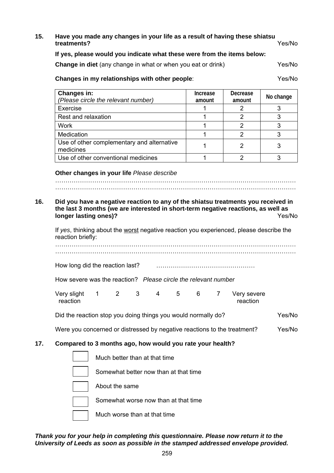#### **15. Have you made any changes in your life as a result of having these shiatsu**  treatments?

#### **If yes, please would you indicate what these were from the items below:**

**Change in diet** (any change in what or when you eat or drink) Yes/No

#### **Changes in my relationships with other people**: Yes/No

| Changes in:<br>(Please circle the relevant number)      | Increase<br>amount | <b>Decrease</b><br>amount | No change |
|---------------------------------------------------------|--------------------|---------------------------|-----------|
| Exercise                                                |                    |                           |           |
| Rest and relaxation                                     |                    |                           |           |
| Work                                                    |                    |                           |           |
| Medication                                              |                    |                           |           |
| Use of other complementary and alternative<br>medicines |                    |                           |           |
| Use of other conventional medicines                     |                    |                           |           |

#### **Other changes in your life** *Please describe*

### ……………………………………………………………………………………………………… **16. Did you have a negative reaction to any of the shiatsu treatments you received in the last 3 months (we are interested in short-term negative reactions, as well as**

………………………………………………………………………………………………………

**longer lasting ones)? Ves/No** If *yes*, thinking about the worst negative reaction you experienced, please describe the reaction briefly: ………………………………………………………………………………………………………

………………………………………………………………………………………………………

| How long did the reaction last? |  |
|---------------------------------|--|
|---------------------------------|--|

| How severe was the reaction? Please circle the relevant number |  |
|----------------------------------------------------------------|--|
|----------------------------------------------------------------|--|

| Very slight |  |  |  | Very severe |
|-------------|--|--|--|-------------|
| reaction    |  |  |  | reaction    |

Did the reaction stop you doing things you would normally do? Yes/No

Were you concerned or distressed by negative reactions to the treatment? Yes/No

#### **17. Compared to 3 months ago, how would you rate your health?**

| Much better than at that time         |
|---------------------------------------|
| Somewhat better now than at that time |
| About the same                        |
| Somewhat worse now than at that time  |
| Much worse than at that time          |

#### *Thank you for your help in completing this questionnaire. Please now return it to the University of Leeds as soon as possible in the stamped addressed envelope provided.*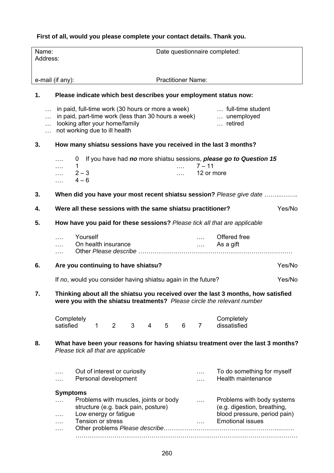### **First of all, would you please complete your contact details. Thank you.**

| Name:<br>Address:                        |                                                                                                                                                                                                                       |                   |                                                                                                       |   |                |   |                           |                                                             | Date questionnaire completed:                                                                                                                                |        |
|------------------------------------------|-----------------------------------------------------------------------------------------------------------------------------------------------------------------------------------------------------------------------|-------------------|-------------------------------------------------------------------------------------------------------|---|----------------|---|---------------------------|-------------------------------------------------------------|--------------------------------------------------------------------------------------------------------------------------------------------------------------|--------|
|                                          | e-mail (if any):                                                                                                                                                                                                      |                   |                                                                                                       |   |                |   | <b>Practitioner Name:</b> |                                                             |                                                                                                                                                              |        |
| 1.                                       |                                                                                                                                                                                                                       |                   |                                                                                                       |   |                |   |                           |                                                             | Please indicate which best describes your employment status now:                                                                                             |        |
| $\ddotsc$<br>$\ddotsc$<br>$\ddotsc$<br>. | in paid, full-time work (30 hours or more a week)  full-time student<br>in paid, part-time work (less than 30 hours a week)  unemployed<br>looking after your home/family<br>retired<br>not working due to ill health |                   |                                                                                                       |   |                |   |                           |                                                             |                                                                                                                                                              |        |
| 3.                                       | How many shiatsu sessions have you received in the last 3 months?                                                                                                                                                     |                   |                                                                                                       |   |                |   |                           |                                                             |                                                                                                                                                              |        |
|                                          | $\overline{0}$<br>.<br>1<br>.<br>$2 - 3$<br>$4 - 6$<br>.                                                                                                                                                              |                   |                                                                                                       |   |                |   | .<br><b>Salaman</b>       | $7 - 11$<br>12 or more                                      | If you have had no more shiatsu sessions, please go to Question 15                                                                                           |        |
| 3.                                       |                                                                                                                                                                                                                       |                   |                                                                                                       |   |                |   |                           |                                                             | When did you have your most recent shiatsu session? Please give date                                                                                         |        |
| 4.                                       | Were all these sessions with the same shiatsu practitioner?                                                                                                                                                           |                   |                                                                                                       |   |                |   |                           |                                                             |                                                                                                                                                              | Yes/No |
| 5.                                       |                                                                                                                                                                                                                       |                   |                                                                                                       |   |                |   |                           |                                                             | How have you paid for these sessions? Please tick all that are applicable                                                                                    |        |
|                                          | .                                                                                                                                                                                                                     | Yourself          | On health insurance                                                                                   |   |                |   |                           | $\mathcal{L}_{\text{max}}$ . The $\mathcal{L}_{\text{max}}$ | Offered free<br>As a gift                                                                                                                                    |        |
| 6.                                       | Are you continuing to have shiatsu?                                                                                                                                                                                   |                   |                                                                                                       |   |                |   |                           |                                                             |                                                                                                                                                              | Yes/No |
|                                          | If no, would you consider having shiatsu again in the future?                                                                                                                                                         |                   |                                                                                                       |   |                |   |                           |                                                             |                                                                                                                                                              | Yes/No |
| 7.                                       |                                                                                                                                                                                                                       |                   |                                                                                                       |   |                |   |                           |                                                             | Thinking about all the shiatsu you received over the last 3 months, how satisfied<br>were you with the shiatsu treatments? Please circle the relevant number |        |
|                                          | Completely<br>satisfied                                                                                                                                                                                               | $\mathbf{1}$      | 2                                                                                                     | 3 | $\overline{4}$ | 5 | 6                         | $\overline{7}$                                              | Completely<br>dissatisfied                                                                                                                                   |        |
| 8.                                       | Please tick all that are applicable                                                                                                                                                                                   |                   |                                                                                                       |   |                |   |                           |                                                             | What have been your reasons for having shiatsu treatment over the last 3 months?                                                                             |        |
|                                          | Out of interest or curiosity<br>To do something for myself<br>.<br>Health maintenance<br>Personal development                                                                                                         |                   |                                                                                                       |   |                |   |                           |                                                             |                                                                                                                                                              |        |
|                                          | <b>Symptoms</b><br>.                                                                                                                                                                                                  | Tension or stress | Problems with muscles, joints or body<br>structure (e.g. back pain, posture)<br>Low energy or fatigue |   |                |   |                           | $\cdots$<br>1.111                                           | Problems with body systems<br>(e.g. digestion, breathing,<br>blood pressure, period pain)<br><b>Emotional issues</b>                                         |        |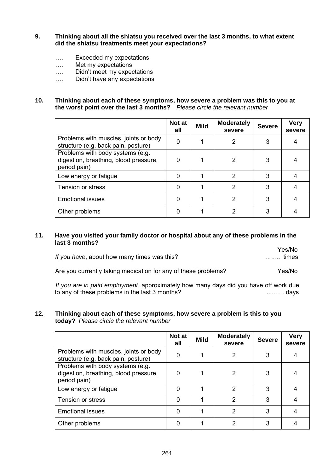- **9. Thinking about all the shiatsu you received over the last 3 months, to what extent did the shiatsu treatments meet your expectations?** 
	- …. Exceeded my expectations
	- …. Met my expectations
	- …. Didn't meet my expectations
	- …. Didn't have any expectations

#### **10. Thinking about each of these symptoms, how severe a problem was this to you at the worst point over the last 3 months?** *Please circle the relevant number*

|                                                                                           | Not at<br>all | <b>Mild</b> | <b>Moderately</b><br>severe | <b>Severe</b> | <b>Very</b><br>severe |
|-------------------------------------------------------------------------------------------|---------------|-------------|-----------------------------|---------------|-----------------------|
| Problems with muscles, joints or body<br>structure (e.g. back pain, posture)              | 0             |             | $\overline{2}$              | 3             |                       |
| Problems with body systems (e.g.<br>digestion, breathing, blood pressure,<br>period pain) | U             |             | 2                           | 3             |                       |
| Low energy or fatigue                                                                     | Ω             |             | $\mathcal{P}$               | 3             |                       |
| <b>Tension or stress</b>                                                                  | O             |             | 2                           | 3             |                       |
| <b>Emotional issues</b>                                                                   |               |             | $\mathcal{P}$               | 3             |                       |
| Other problems                                                                            |               |             |                             | 3             |                       |

#### **11. Have you visited your family doctor or hospital about any of these problems in the last 3 months?**

|                                             | Yes/No                |
|---------------------------------------------|-----------------------|
| If you have, about how many times was this? | $\ldots \ldots$ times |
|                                             |                       |

Are you currently taking medication for any of these problems? Yes/No

 *If you are in paid employment*, approximately how many days did you have off work due to any of these problems in the last 3 months? ...…… days

#### **12. Thinking about each of these symptoms, how severe a problem is this to you today?** *Please circle the relevant number*

|                                                                                           | Not at<br>all | <b>Mild</b> | <b>Moderately</b><br>severe | <b>Severe</b> | <b>Very</b><br>severe |
|-------------------------------------------------------------------------------------------|---------------|-------------|-----------------------------|---------------|-----------------------|
| Problems with muscles, joints or body<br>structure (e.g. back pain, posture)              | 0             |             | 2                           | 3             |                       |
| Problems with body systems (e.g.<br>digestion, breathing, blood pressure,<br>period pain) | 0             |             | 2                           | 3             | 4                     |
| Low energy or fatigue                                                                     | ი             |             | 2                           | 3             | 4                     |
| Tension or stress                                                                         | ი             |             | 2                           | 3             | 4                     |
| <b>Emotional issues</b>                                                                   | 0             |             | 2                           | 3             | 4                     |
| Other problems                                                                            | 0             |             | 2                           | 3             |                       |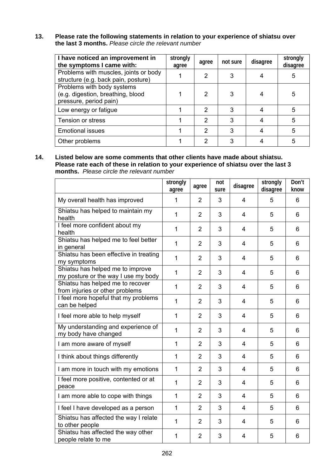## **13. Please rate the following statements in relation to your experience of shiatsu over the last 3 months.** *Please circle the relevant number*

| I have noticed an improvement in<br>the symptoms I came with:                             | strongly<br>agree | agree         | not sure | disagree | strongly<br>disagree |
|-------------------------------------------------------------------------------------------|-------------------|---------------|----------|----------|----------------------|
| Problems with muscles, joints or body<br>structure (e.g. back pain, posture)              |                   | 2             | 3        |          | 5                    |
| Problems with body systems<br>(e.g. digestion, breathing, blood<br>pressure, period pain) |                   | 2             | 3        |          | 5                    |
| Low energy or fatigue                                                                     |                   | $\mathcal{P}$ | 3        |          | 5                    |
| Tension or stress                                                                         |                   | 2             | 3        | 4        | 5                    |
| <b>Emotional issues</b>                                                                   |                   | 2             | 3        |          | 5                    |
| Other problems                                                                            |                   | ົ             | 3        |          | 5                    |

**14. Listed below are some comments that other clients have made about shiatsu. Please rate each of these in relation to your experience of shiatsu over the last 3 months.** *Please circle the relevant number* 

|                                                                         | strongly<br>agree | agree          | not<br>sure | disagree       | strongly<br>disagree | Don't<br>know |
|-------------------------------------------------------------------------|-------------------|----------------|-------------|----------------|----------------------|---------------|
| My overall health has improved                                          | 1                 | 2              | 3           | 4              | 5                    | 6             |
| Shiatsu has helped to maintain my<br>health                             | $\mathbf{1}$      | $\overline{2}$ | 3           | 4              | 5                    | 6             |
| I feel more confident about my<br>health                                | 1                 | $\overline{2}$ | 3           | $\overline{4}$ | 5                    | 6             |
| Shiatsu has helped me to feel better<br>in general                      | 1                 | $\overline{2}$ | 3           | 4              | 5                    | 6             |
| Shiatsu has been effective in treating<br>my symptoms                   | 1                 | $\overline{2}$ | 3           | 4              | 5                    | 6             |
| Shiatsu has helped me to improve<br>my posture or the way I use my body | $\mathbf{1}$      | $\overline{2}$ | 3           | $\overline{4}$ | 5                    | 6             |
| Shiatsu has helped me to recover<br>from injuries or other problems     | $\mathbf{1}$      | $\overline{2}$ | 3           | $\overline{4}$ | 5                    | 6             |
| I feel more hopeful that my problems<br>can be helped                   | $\mathbf{1}$      | $\overline{2}$ | 3           | 4              | 5                    | 6             |
| I feel more able to help myself                                         | $\mathbf{1}$      | $\overline{2}$ | 3           | 4              | 5                    | 6             |
| My understanding and experience of<br>my body have changed              | $\mathbf{1}$      | $\overline{2}$ | 3           | 4              | 5                    | 6             |
| I am more aware of myself                                               | 1                 | $\overline{2}$ | 3           | 4              | 5                    | 6             |
| I think about things differently                                        | 1                 | $\overline{2}$ | 3           | $\overline{4}$ | 5                    | 6             |
| I am more in touch with my emotions                                     | $\mathbf{1}$      | $\overline{2}$ | 3           | $\overline{4}$ | 5                    | 6             |
| I feel more positive, contented or at<br>peace                          | $\mathbf{1}$      | $\overline{2}$ | 3           | 4              | 5                    | 6             |
| I am more able to cope with things                                      | $\mathbf{1}$      | $\overline{2}$ | 3           | $\overline{4}$ | 5                    | 6             |
| I feel I have developed as a person                                     | $\mathbf{1}$      | $\overline{2}$ | 3           | 4              | 5                    | 6             |
| Shiatsu has affected the way I relate<br>to other people                | $\mathbf{1}$      | $\overline{2}$ | 3           | 4              | 5                    | 6             |
| Shiatsu has affected the way other<br>people relate to me               | $\mathbf{1}$      | $\overline{2}$ | 3           | $\overline{4}$ | 5                    | 6             |